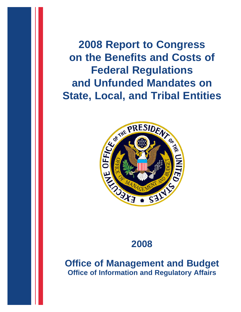**2008 Report to Congress on the Benefits and Costs of Federal Regulations and Unfunded Mandates on State, Local, and Tribal Entities**



# **2008**

**Office of Management and Budget Office of Information and Regulatory Affairs**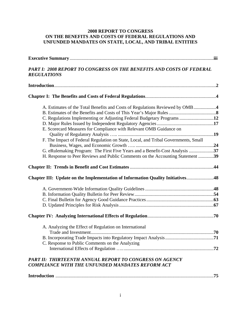## **2008 REPORT TO CONGRESS ON THE BENEFITS AND COSTS OF FEDERAL REGULATIONS AND UNFUNDED MANDATES ON STATE, LOCAL, AND TRIBAL ENTITIES**

| <b>PART I: 2008 REPORT TO CONGRESS ON THE BENEFITS AND COSTS OF FEDERAL</b><br><b>REGULATIONS</b> |  |
|---------------------------------------------------------------------------------------------------|--|
|                                                                                                   |  |
|                                                                                                   |  |
| A. Estimates of the Total Benefits and Costs of Regulations Reviewed by OMB 4                     |  |
|                                                                                                   |  |
| C. Regulations Implementing or Adjusting Federal Budgetary Programs 12                            |  |
|                                                                                                   |  |
| E. Scorecard Measures for Compliance with Relevant OMB Guidance on                                |  |
|                                                                                                   |  |
| F. The Impact of Federal Regulation on State, Local, and Tribal Governments, Small                |  |
|                                                                                                   |  |
| G. eRulemaking Program: The First Five Years and a Benefit-Cost Analysis 37                       |  |
| H. Response to Peer Reviews and Public Comments on the Accounting Statement 39                    |  |
|                                                                                                   |  |
| Chapter III: Update on the Implementation of Information Quality Initiatives48                    |  |
|                                                                                                   |  |
|                                                                                                   |  |
|                                                                                                   |  |
|                                                                                                   |  |
|                                                                                                   |  |
| A. Analyzing the Effect of Regulation on International                                            |  |
|                                                                                                   |  |
|                                                                                                   |  |
| C. Response to Public Comments on the Analyzing                                                   |  |
|                                                                                                   |  |
| <b>PART II: THIRTEENTH ANNUAL REPORT TO CONGRESS ON AGENCY</b>                                    |  |
| <b>COMPLIANCE WITH THE UNFUNDED MANDATES REFORM ACT</b>                                           |  |

|--|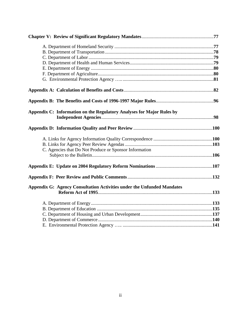| Appendix C: Information on the Regulatory Analyses for Major Rules by         |  |
|-------------------------------------------------------------------------------|--|
|                                                                               |  |
|                                                                               |  |
|                                                                               |  |
| C. Agencies that Do Not Produce or Sponsor Information                        |  |
|                                                                               |  |
|                                                                               |  |
|                                                                               |  |
| <b>Appendix G: Agency Consultation Activities under the Unfunded Mandates</b> |  |
|                                                                               |  |
|                                                                               |  |
|                                                                               |  |
|                                                                               |  |
|                                                                               |  |
|                                                                               |  |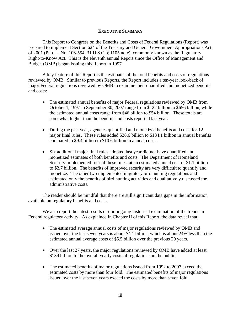## **EXECUTIVE SUMMARY**

This Report to Congress on the Benefits and Costs of Federal Regulations (Report) was prepared to implement Section 624 of the Treasury and General Government Appropriations Act of 2001 (Pub. L. No. 106-554, 31 U.S.C. § 1105 note), commonly known as the Regulatory Right-to-Know Act. This is the eleventh annual Report since the Office of Management and Budget (OMB) began issuing this Report in 1997.

A key feature of this Report is the estimates of the total benefits and costs of regulations reviewed by OMB. Similar to previous Reports, the Report includes a ten-year look-back of major Federal regulations reviewed by OMB to examine their quantified and monetized benefits and costs:

- The estimated annual benefits of major Federal regulations reviewed by OMB from October 1, 1997 to September 30, 2007 range from \$122 billion to \$656 billion, while the estimated annual costs range from \$46 billion to \$54 billion. These totals are somewhat higher than the benefits and costs reported last year.
- During the past year, agencies quantified and monetized benefits and costs for 12 major final rules. These rules added \$28.6 billion to \$184.1 billion in annual benefits compared to \$9.4 billion to \$10.6 billion in annual costs.
- Six additional major final rules adopted last year did not have quantified and monetized estimates of both benefits and costs. The Department of Homeland Security implemented four of these rules, at an estimated annual cost of \$1.1 billion to \$2.7 billion. The benefits of improved security are very difficult to quantify and monetize. The other two implemented migratory bird hunting regulations and estimated only the benefits of bird hunting activities and qualitatively discussed the administrative costs.

The reader should be mindful that there are still significant data gaps in the information available on regulatory benefits and costs.

We also report the latest results of our ongoing historical examination of the trends in Federal regulatory activity. As explained in Chapter II of this Report, the data reveal that:

- The estimated average annual costs of major regulations reviewed by OMB and issued over the last seven years is about \$4.1 billion, which is about 24% less than the estimated annual average costs of \$5.5 billion over the previous 20 years.
- Over the last 27 years, the major regulations reviewed by OMB have added at least \$139 billion to the overall yearly costs of regulations on the public.
- The estimated benefits of major regulations issued from 1992 to 2007 exceed the estimated costs by more than four fold. The estimated benefits of major regulations issued over the last seven years exceed the costs by more than seven fold.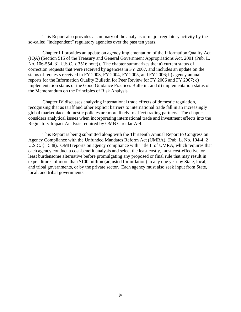This Report also provides a summary of the analysis of major regulatory activity by the so-called "independent" regulatory agencies over the past ten years.

Chapter III provides an update on agency implementation of the Information Quality Act (IQA) (Section 515 of the Treasury and General Government Appropriations Act, 2001 (Pub. L. No. 106-554, 31 U.S.C. § 3516 note)). The chapter summarizes the: a) current status of correction requests that were received by agencies in FY 2007, and includes an update on the status of requests received in FY 2003, FY 2004, FY 2005, and FY 2006; b) agency annual reports for the Information Quality Bulletin for Peer Review for FY 2006 and FY 2007; c) implementation status of the Good Guidance Practices Bulletin; and d) implementation status of the Memorandum on the Principles of Risk Analysis.

Chapter IV discusses analyzing international trade effects of domestic regulation, recognizing that as tariff and other explicit barriers to international trade fall in an increasingly global marketplace, domestic policies are more likely to affect trading partners. The chapter considers analytical issues when incorporating international trade and investment effects into the Regulatory Impact Analysis required by OMB Circular A-4.

This Report is being submitted along with the Thirteenth Annual Report to Congress on Agency Compliance with the Unfunded Mandates Reform Act (UMRA), (Pub. L. No. 104-4, 2 U.S.C. § 1538). OMB reports on agency compliance with Title II of UMRA, which requires that each agency conduct a cost-benefit analysis and select the least costly, most cost-effective, or least burdensome alternative before promulgating any proposed or final rule that may result in expenditures of more than \$100 million (adjusted for inflation) in any one year by State, local, and tribal governments, or by the private sector. Each agency must also seek input from State, local, and tribal governments.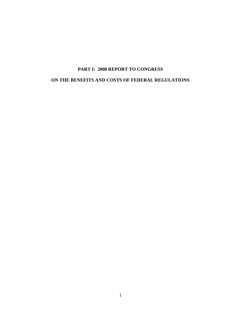## **PART I: 2008 REPORT TO CONGRESS ON THE BENEFITS AND COSTS OF FEDERAL REGULATIONS**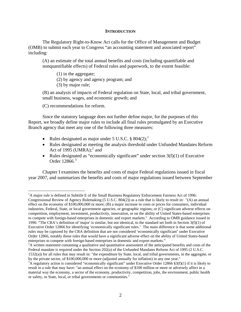## **INTRODUCTION**

<span id="page-6-0"></span>The Regulatory Right-to-Know Act calls for the Office of Management and Budget (OMB) to submit each year to Congress "an accounting statement and associated report" including:

(A) an estimate of the total annual benefits and costs (including quantifiable and nonquantifiable effects) of Federal rules and paperwork, to the extent feasible:

(1) in the aggregate;

(2) by agency and agency program; and

(3) by major rule;

(B) an analysis of impacts of Federal regulation on State, local, and tribal government, small business, wages, and economic growth; and

(C) recommendations for reform.

 $\overline{a}$ 

Since the statutory language does not further define major, for the purposes of this Report, we broadly define major rules to include all final rules promulgated by an Executive Branch agency that meet any one of the following three measures:

- Rules designated as major under 5 U.S.C.  $\S 804(2)$ ;<sup>[1](#page-6-0)</sup>
- Rules designated as meeting the analysis threshold under Unfunded Mandates Reform Act of 1995 (UMRA); $^2$  $^2$  and
- Rules designated as "economically significant" under section  $3(f)(1)$  of Executive Order  $12866<sup>3</sup>$  $12866<sup>3</sup>$  $12866<sup>3</sup>$

Chapter I examines the benefits and costs of major Federal regulations issued in fiscal year 2007, and summarizes the benefits and costs of major regulations issued between September

<sup>&</sup>lt;sup>1</sup>A major rule is defined in Subtitle E of the Small Business Regulatory Enforcement Fairness Act of 1996: Congressional Review of Agency Rulemaking (5 U.S.C. 804(2)) as a rule that is likely to result in: "(A) an annual effect on the economy of \$100,000,000 or more; (B) a major increase in costs or prices for consumers, individual industries, Federal, State, or local government agencies, or geographic regions; or (C) significant adverse effects on competition, employment, investment, productivity, innovation, or on the ability of United States-based enterprises to compete with foreign-based enterprises in domestic and export markets." According to OMB guidance issued in 1996: "The CRA's definition of 'major' is similar, but not identical, to the standard set forth in Section 3(f)(1) of Executive Order 12866 for identifying 'economically significant rules.' The main difference is that some additional rules may be captured by the CRA definition that are not considered 'economically significant' under Executive Order 12866, notably those rules that would have a significant adverse effect on the ability of United States-based enterprises to compete with foreign-based enterprises in domestic and export markets."

<sup>&</sup>lt;sup>2</sup>A written statement containing a qualitative and quantitative assessment of the anticipated benefits and costs of the Federal mandate is required under the Section 202(a) of the Unfunded Mandates Reform Act of 1995 (2 U.S.C. 1532(a)) for all rules that may result in: "the expenditure by State, local, and tribal governments, in the aggregate, or by the private sector, of \$100,000,000 or more (adjusted annually for inflation) in any one year."

 $3A$  regulatory action is considered "economically significant" under Executive Order 12866 §3(f)(1) if it is likely to result in a rule that may have: "an annual effect on the economy of \$100 million or more or adversely affect in a material way the economy, a sector of the economy, productivity, competition, jobs, the environment, public health or safety, or State, local, or tribal governments or communities."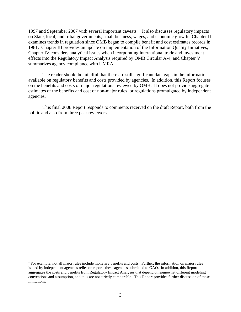<span id="page-7-0"></span>1997 and September 2007 with several important caveats.<sup>[4](#page-7-0)</sup> It also discusses regulatory impacts on State, local, and tribal governments, small business, wages, and economic growth. Chapter II examines trends in regulation since OMB began to compile benefit and cost estimates records in 1981. Chapter III provides an update on implementation of the Information Quality Initiatives, Chapter IV considers analytical issues when incorporating international trade and investment effects into the Regulatory Impact Analysis required by OMB Circular A-4, and Chapter V summarizes agency compliance with UMRA.

The reader should be mindful that there are still significant data gaps in the information available on regulatory benefits and costs provided by agencies. In addition, this Report focuses on the benefits and costs of major regulations reviewed by OMB. It does not provide aggregate estimates of the benefits and cost of non-major rules, or regulations promulgated by independent agencies.

This final 2008 Report responds to comments received on the draft Report, both from the public and also from three peer reviewers.

<sup>&</sup>lt;sup>4</sup> For example, not all major rules include monetary benefits and costs. Further, the information on major rules issued by independent agencies relies on reports these agencies submitted to GAO. In addition, this Report aggregates the costs and benefits from Regulatory Impact Analyses that depend on somewhat different modeling conventions and assumption, and thus are not strictly comparable. This Report provides further discussion of these limitations.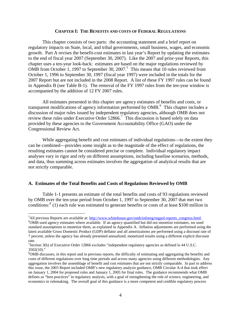#### **CHAPTER I: THE BENEFITS AND COSTS OF FEDERAL REGULATIONS**

<span id="page-8-0"></span>This chapter consists of two parts: the accounting statement and a brief report on regulatory impacts on State, local, and tribal governments, small business, wages, and economic growth. Part A revises the benefit-cost estimates in last year's Report by updating the estimates to the end of fiscal year 2007 (September 30, 2007). Like the 2007 and prior-year Reports, this chapter uses a ten-year look-back: estimates are based on the major regulations reviewed by OMB from October 1, 1997 to September 30, 2007.<sup>[5](#page-8-0)</sup> This means that 10 rules reviewed from October 1, 1996 to September 30, 1997 (fiscal year 1997) were included in the totals for the 2007 Report but are not included in the 2008 Report. A list of these FY 1997 rules can be found in Appendix B (see Table B-1). The removal of the FY 1997 rules from the ten-year window is accompanied by the addition of 12 FY 2007 rules.

All estimates presented in this chapter are agency estimates of benefits and costs, or transparent modifications of agency information performed by OMB.<sup>[6](#page-8-0)</sup> This chapter includes a discussion of major rules issued by independent regulatory agencies, although OMB does not review these rules under Executive Order 12866.<sup>[7](#page-8-0)</sup> This discussion is based solely on data provided by these agencies to the Government Accountability Office (GAO) under the Congressional Review Act.

While aggregating benefit and cost estimates of individual regulations—to the extent they can be combined—provides some insight as to the magnitude of the effect of regulations, the resulting estimates cannot be considered precise or complete. Individual regulatory impact analyses vary in rigor and rely on different assumptions, including baseline scenarios, methods, and data, thus summing across estimates involves the aggregation of analytical results that are not strictly comparable.

#### **A. Estimates of the Total Benefits and Costs of Regulations Reviewed by OMB**

 $\overline{a}$ 

Table 1-1 presents an estimate of the total benefits and costs of 93 regulations reviewed by OMB over the ten-year period from October 1, 1997 to September 30, 2007 that met two conditions:<sup>[8](#page-8-0)</sup> (1) each rule was estimated to generate benefits or costs of at least \$100 million in

 ${}^{5}$ All previous Reports are available at:  $\underline{http://www.whitehouse.gov/omb/inforeg/regpol-reports\_congress.html}$ .<br> ${}^{6}$ OMB used aggregy actimates where available. If an aggregy quantified by did not menatize estimates, we used

<sup>&</sup>lt;sup>6</sup>OMB used agency estimates where available. If an agency quantified but did not monetize estimates, we used standard assumptions to monetize them, as explained in Appendix A. Inflation adjustments are performed using the latest available Gross Domestic Product (GDP) deflator and all amortizations are performed using a discount rate of 7 percent, unless the agency has already presented annualized, monetized results using a different explicit discount rate.

<sup>&</sup>lt;sup>7</sup>Section 3(b) of Executive Order 12866 excludes "independent regulatory agencies as defined in 44 U.S.C. 3502(10)."

<sup>&</sup>lt;sup>8</sup>OMB discusses, in this report and in previous reports, the difficulty of estimating and aggregating the benefits and costs of different regulations over long time periods and across many agencies using different methodologies. Any aggregation involves the assemblage of benefit and cost estimates that are not strictly comparable. In part to address this issue, the 2003 Report included OMB's new regulatory analysis guidance, OMB Circular A-4 that took effect on January 1, 2004 for proposed rules and January 1, 2005 for final rules. The guidance recommends what OMB defines as "best practices" in regulatory analysis, with a goal of strengthening the role of science, engineering, and economics in rulemaking. The overall goal of this guidance is a more competent and credible regulatory process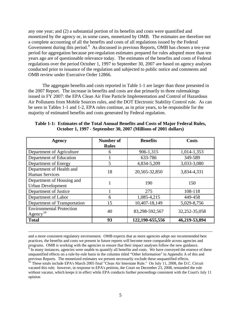<span id="page-9-0"></span>any one year; and (2) a substantial portion of its benefits and costs were quantified and monetized by the agency or, in some cases, monetized by OMB. The estimates are therefore not a complete accounting of all the benefits and costs of all regulations issued by the Federal Government during this period.<sup>[9](#page-9-0)</sup> As discussed in previous Reports, OMB has chosen a ten-year period for aggregation because pre-regulation estimates prepared for rules adopted more than ten years ago are of questionable relevance today. The estimates of the benefits and costs of Federal regulations over the period October 1, 1997 to September 30, 2007 are based on agency analyses conducted prior to issuance of the regulation and subjected to public notice and comments and OMB review under Executive Order 12866.

The aggregate benefits and costs reported in Table 1-1 are larger than those presented in the 2007 Report. The increase in benefits and costs are due primarily to three rulemakings issued in FY 2007: the EPA Clean Air Fine Particle Implementation and Control of Hazardous Air Pollutants from Mobile Sources rules, and the DOT Electronic Stability Control rule. As can be seen in Tables 1-1 and 1-2, EPA rules continue, as in prior years, to be responsible for the majority of estimated benefits and costs generated by Federal regulation.

| Agency                                                  | Number of<br><b>Rules</b> | <b>Benefits</b> | Costs             |
|---------------------------------------------------------|---------------------------|-----------------|-------------------|
| Department of Agriculture                               | 6                         | 906-1,315       | 1,014-1,353       |
| Department of Education                                 |                           | 633-786         | 349-589           |
| Department of Energy                                    | 5                         | 4,834-5,209     | 3,033-3,080       |
| Department of Health and<br><b>Human Services</b>       | 18                        | 20,565-32,850   | 3,834-4,331       |
| Department of Housing and<br><b>Urban Development</b>   |                           | 190             | 150               |
| Department of Justice                                   |                           | 275             | 108-118           |
| Department of Labor                                     | 6                         | 1,085-4,215     | 449-458           |
| Department of Transportation                            | 15                        | 10,407-18,149   | 5,029-8,756       |
| <b>Environmental Protection</b><br>$\text{Agency}^{10}$ | 40                        | 83,298-592,567  | 32, 252 - 35, 058 |
| <b>Total</b>                                            | 93                        | 122,190-655,556 | 46,219-53,894     |

**Table 1-1: Estimates of the Total Annual Benefits and Costs of Major Federal Rules, October 1, 1997 - September 30, 2007 (Millions of 2001 dollars)** 

 and a more consistent regulatory environment. OMB expects that as more agencies adopt our recommended best practices, the benefits and costs we present in future reports will become more comparable across agencies and programs. OMB is working with the agencies to ensure that their impact analyses follow the new guidance.  $\overline{9}$  In many instances, agencies were unable to quantify all benefits and costs. We have conveyed the essence of these unquantified effects on a rule-by-rule basis in the columns titled "Other Information" in Appendix A of this and

previous Reports. The monetized estimates we present necessarily exclude these unquantified effects.<br><sup>10</sup> These totals include EPA's March 2005 final "Clean Air Interstate Rule." On July 11, 2008, the D.C. Circuit vacated this rule; however, in response to EPA's petition, the Court on December 23, 2008, remanded the rule without vacatur, which keeps it in effect while EPA conducts further proceedings consistent with the Court's July 11 opinion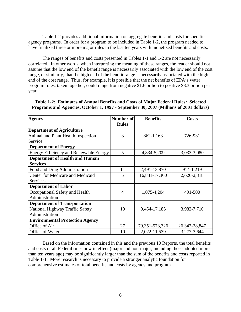Table 1-2 provides additional information on aggregate benefits and costs for specific agency programs. In order for a program to be included in Table 1-2, the program needed to have finalized three or more major rules in the last ten years with monetized benefits and costs.

The ranges of benefits and costs presented in Tables 1-1 and 1-2 are not necessarily correlated. In other words, when interpreting the meaning of these ranges, the reader should not assume that the low end of the benefit range is necessarily associated with the low end of the cost range, or similarly, that the high end of the benefit range is necessarily associated with the high end of the cost range. Thus, for example, it is possible that the net benefits of EPA's water program rules, taken together, could range from negative \$1.6 billion to positive \$8.3 billion per year.

| <b>Agency</b>                                 | Number of      | <b>Benefits</b>    | <b>Costs</b>      |
|-----------------------------------------------|----------------|--------------------|-------------------|
|                                               | <b>Rules</b>   |                    |                   |
| <b>Department of Agriculture</b>              |                |                    |                   |
| Animal and Plant Health Inspection            | 3              | 862-1,163          | 726-931           |
| Service                                       |                |                    |                   |
| <b>Department of Energy</b>                   |                |                    |                   |
| <b>Energy Efficiency and Renewable Energy</b> | 5              | 4,834-5,209        | 3,033-3,080       |
| <b>Department of Health and Human</b>         |                |                    |                   |
| <b>Services</b>                               |                |                    |                   |
| Food and Drug Administration                  | 11             | 2,491-13,870       | 914-1,219         |
| Center for Medicare and Medicaid              | 5              | 16,831-17,300      | 2,626-2,818       |
| <b>Services</b>                               |                |                    |                   |
| <b>Department of Labor</b>                    |                |                    |                   |
| Occupational Safety and Health                | $\overline{4}$ | 1,075-4,204        | 491-500           |
| Administration                                |                |                    |                   |
| <b>Department of Transportation</b>           |                |                    |                   |
| National Highway Traffic Safety               | 10             | 9,454-17,185       | 3,982-7,710       |
| Administration                                |                |                    |                   |
| <b>Environmental Protection Agency</b>        |                |                    |                   |
| Office of Air                                 | 27             | 79, 351 - 573, 326 | 26, 347 - 28, 847 |
| Office of Water                               | 10             | 2,022-11,539       | 3,277-3,644       |

**Table 1-2: Estimates of Annual Benefits and Costs of Major Federal Rules: Selected Programs and Agencies, October 1, 1997 - September 30, 2007 (Millions of 2001 dollars)** 

Based on the information contained in this and the previous 10 Reports, the total benefits and costs of all Federal rules now in effect (major and non-major, including those adopted more than ten years ago) may be significantly larger than the sum of the benefits and costs reported in Table 1-1. More research is necessary to provide a stronger analytic foundation for comprehensive estimates of total benefits and costs by agency and program.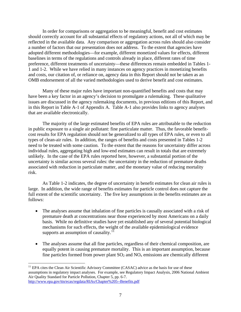<span id="page-11-0"></span>In order for comparisons or aggregation to be meaningful, benefit and cost estimates should correctly account for all substantial effects of regulatory actions, not all of which may be reflected in the available data. Any comparison or aggregation across rules should also consider a number of factors that our presentation does not address. To the extent that agencies have adopted different methodologies—for example, different monetized values for effects, different baselines in terms of the regulations and controls already in place, different rates of time preference, different treatments of uncertainty—these differences remain embedded in Tables 1- 1 and 1-2. While we have relied in many instances on agency practices in monetizing benefits and costs, our citation of, or reliance on, agency data in this Report should not be taken as an OMB endorsement of all the varied methodologies used to derive benefit and cost estimates.

Many of these major rules have important non-quantified benefits and costs that may have been a key factor in an agency's decision to promulgate a rulemaking. These qualitative issues are discussed in the agency rulemaking documents, in previous editions of this Report, and in this Report in Table A-1 of Appendix A. Table A-1 also provides links to agency analyses that are available electronically.

The majority of the large estimated benefits of EPA rules are attributable to the reduction in public exposure to a single air pollutant: fine particulate matter. Thus, the favorable benefitcost results for EPA regulation should not be generalized to all types of EPA rules, or even to all types of clean-air rules. In addition, the ranges of benefits and costs presented in Tables 1-2 need to be treated with some caution. To the extent that the reasons for uncertainty differ across individual rules, aggregating high and low-end estimates can result in totals that are extremely unlikely. In the case of the EPA rules reported here, however, a substantial portion of the uncertainty is similar across several rules: the uncertainty in the reduction of premature deaths associated with reduction in particulate matter, and the monetary value of reducing mortality risk.

As Table 1-2 indicates, the degree of uncertainty in benefit estimates for clean air rules is large. In addition, the wide range of benefits estimates for particle control does not capture the full extent of the scientific uncertainty. The five key assumptions in the benefits estimates are as follows:

- The analyses assume that inhalation of fine particles is causally associated with a risk of premature death at concentrations near those experienced by most Americans on a daily basis. While no definitive studies have yet established any of several potential biological mechanisms for such effects, the weight of the available epidemiological evidence supports an assumption of causality.<sup>[11](#page-11-0)</sup>
- The analyses assume that all fine particles, regardless of their chemical composition, are equally potent in causing premature mortality. This is an important assumption, because fine particles formed from power plant  $SO_2$  and  $NO_x$  emissions are chemically different

<u>.</u>

 $11$  EPA cites the Clean Air Scientific Advisory Committee (CASAC) advice as the basis for use of these assumptions in regulatory impact analyses. For example, see Regulatory Impact Analysis, 2006 National Ambient Air Quality Standard for Particle Pollution, Chapter 5, pp. 6-7. <http://www.epa.gov/ttn/ecas/regdata/RIAs/Chapter%205--Benefits.pdf>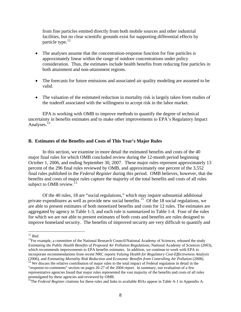<span id="page-12-0"></span>from fine particles emitted directly from both mobile sources and other industrial facilities, but no clear scientific grounds exist for supporting differential effects by particle type.<sup>12</sup>

- The analyses assume that the concentration-response function for fine particles is approximately linear within the range of outdoor concentrations under policy consideration. Thus, the estimates include health benefits from reducing fine particles in both attainment and non-attainment regions.
- The forecasts for future emissions and associated air quality modeling are assumed to be valid.
- The valuation of the estimated reduction in mortality risk is largely taken from studies of the tradeoff associated with the willingness to accept risk in the labor market.

EPA is working with OMB to improve methods to quantify the degree of technical uncertainty in benefits estimates and to make other improvements to EPA's Regulatory Impact Analyses.<sup>[13](#page-12-0)</sup>

## **B. Estimates of the Benefits and Costs of This Year's Major Rules**

In this section, we examine in more detail the estimated benefits and costs of the 40 major final rules for which OMB concluded review during the 12-month period beginning October 1, 2006, and ending September 30, 2007. These major rules represent approximately 13 percent of the 296 final rules reviewed by OMB, and approximately one percent of the 3,552 final rules published in the *Federal Register* during this period. OMB believes, however, that the benefits and costs of major rules capture the majority of the total benefits and costs of all rules subject to OMB review.<sup>[1](#page-12-0)5</sup>

Of the 40 rules, 18 are "social regulations," which may require substantial additional private expenditures as well as provide new social benefits.<sup>[15](#page-12-0)</sup> Of the 18 social regulations, we are able to present estimates of both monetized benefits and costs for 12 rules. The estimates are aggregated by agency in Table 1-3, and each rule is summarized in Table 1-4. Four of the rules for which we are not able to present estimates of both costs and benefits are rules designed to improve homeland security. The benefits of improved security are very difficult to quantify and

 $12$  Ibid.

<sup>&</sup>lt;sup>13</sup>For example, a committee of the National Research Council/National Academy of Sciences, released the study *Estimating the Public Health Benefits of Proposed Air Pollution Regulations*, National Academy of Sciences (2003), which recommends improvements to EPA benefits estimates. In addition, we continue to work with EPA to incorporate recommendations from recent NRC reports *Valuing Health for Regulatory Cost-Effectiveness Analysis*  (2006), and *Estimating Mortality Risk Reduction and Economic Benefits from Controlling Air Pollution* (2008).<br><sup>14</sup> We discuss the relative contribution of major rules to the total impact of Federal regulation in detail i

<sup>&</sup>quot;response-to-comments" section on pages 26-27 of the 2004 report. In summary, our evaluation of a few representative agencies found that major rules represented the vast majority of the benefits and costs of all rules promulgated by these agencies and reviewed by OMB.

<sup>&</sup>lt;sup>15</sup>The *Federal Register* citations for these rules and links to available RIAs appear in Table A-1 in Appendix A.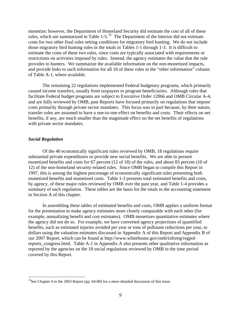<span id="page-13-0"></span>monetize; however, the Department of Homeland Security did estimate the cost of all of these rules, which are summarized in Table 1-5.[16](#page-13-0) The Department of the Interior did not estimate costs for two other final rules setting conditions for migratory bird hunting. We do not include those migratory bird hunting rules in the totals in Tables 1-1 through 1-3. It is difficult to estimate the costs of these two rules, since costs are typically associated with requirements or restrictions on activities imposed by rules. Instead, the agency estimates the value that the rule provides to hunters. We summarize the available information on the non-monetized impacts, and provide links to such information for all 18 of these rules in the "other information" column of Table A-1, where available.

The remaining 22 regulations implemented Federal budgetary programs, which primarily caused income transfers, usually from taxpayers to program beneficiaries. Although rules that facilitate Federal budget programs are subject to Executive Order 12866 and OMB Circular A-4, and are fully reviewed by OMB, past Reports have focused primarily on regulations that impose costs primarily through private sector mandates. This focus was in part because, by their nature, transfer rules are assumed to have a one-to-one effect on benefits and costs. Their effects on net benefits, if any, are much smaller than the magnitude effect on the net benefits of regulations with private sector mandates.

#### *Social Regulation*

<u>.</u>

Of the 40 economically significant rules reviewed by OMB, 18 regulations require substantial private expenditures or provide new social benefits. We are able to present monetized benefits and costs for 67 percent (12 of 18) of the rules, and about 83 percent (10 of 12) of the non-homeland security-related rules. Since OMB began to compile this Report in 1997, this is among the highest percentage of economically significant rules presenting both monetized benefits and monetized costs. Table 1-3 presents total estimated benefits and costs, by agency, of these major rules reviewed by OMB over the past year, and Table 1-4 provides a summary of each regulation. These tables are the basis for the totals in the accounting statement in Section A of this chapter.

In assembling these tables of estimated benefits and costs, OMB applies a uniform format for the presentation to make agency estimates more closely comparable with each other (for example, annualizing benefit and cost estimates). OMB monetizes quantitative estimates where the agency did not do so. For example, we have converted agency projections of quantified benefits, such as estimated injuries avoided per year or tons of pollutant reductions per year, to dollars using the valuation estimates discussed in Appendix A of this Report and Appendix B of our 2007 Report, which can be found at http://www.whitehouse.gov/omb/inforeg/regpolreports congress.html. Table A-1 in Appendix A also presents other qualitative information as reported by the agencies on the 18 social regulations reviewed by OMB in the time period covered by this Report.

<sup>&</sup>lt;sup>16</sup>See Chapter 4 in the 2003 Report (pp. 64-80) for a more detailed discussion of this issue.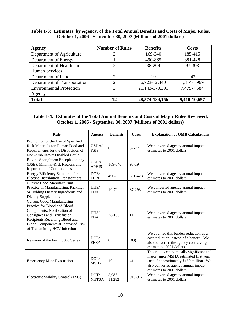## **Table 1-3: Estimates, by Agency, of the Total Annual Benefits and Costs of Major Rules, October 1, 2006 - September 30, 2007 (Millions of 2001 dollars)**

| <b>Agency</b>                   | <b>Number of Rules</b> | <b>Benefits</b> | <b>Costs</b> |
|---------------------------------|------------------------|-----------------|--------------|
| Department of Agriculture       |                        | 169-340         | 185-415      |
| Department of Energy            |                        | 490-865         | 381-428      |
| Department of Health and        | 2                      | 38-209          | 97-303       |
| <b>Human Services</b>           |                        |                 |              |
| Department of Labor             | ↑                      | 10              | $-42$        |
| Department of Transportation    |                        | 6,723-12,340    | 1,314-1,969  |
| <b>Environmental Protection</b> | 3                      | 21,143-170,391  | 7,475-7,584  |
| Agency                          |                        |                 |              |
| <b>Total</b>                    | 12                     | 28,574-184,156  | 9,410-10,657 |

## **Table 1-4: Estimates of the Total Annual Benefits and Costs of Major Rules Reviewed, October 1, 2006 - September 30, 2007 (Millions of 2001 dollars)**

| Rule                                                                                                                                                                                                                                           | <b>Agency</b>         | <b>Benefits</b>  | <b>Costs</b> | <b>Explanation of OMB Calculations</b>                                                                                                                                                              |
|------------------------------------------------------------------------------------------------------------------------------------------------------------------------------------------------------------------------------------------------|-----------------------|------------------|--------------|-----------------------------------------------------------------------------------------------------------------------------------------------------------------------------------------------------|
| Prohibition of the Use of Specified<br>Risk Materials for Human Food and<br>Requirements for the Disposition of<br>Non-Ambulatory Disabled Cattle                                                                                              | USDA/<br><b>FSIS</b>  | $\overline{0}$   | 87-221       | We converted agency annual impact<br>estimates to 2001 dollars.                                                                                                                                     |
| Bovine Spongiform Encephalopathy<br>(BSE); Minimal-Risk Regions and<br><b>Importation of Commodities</b>                                                                                                                                       | USDA/<br><b>APHIS</b> | 169-340          | 98-194       |                                                                                                                                                                                                     |
| Energy Efficiency Standards for<br><b>Electric Distribution Transformers</b>                                                                                                                                                                   | DOE/<br><b>EERE</b>   | 490-865          | 381-428      | We converted agency annual impact<br>estimates to 2001 dollars.                                                                                                                                     |
| <b>Current Good Manufacturing</b><br>Practice in Manufacturing, Packing,<br>or Holding Dietary Ingredients and<br><b>Dietary Supplements</b>                                                                                                   | HHS/<br><b>FDA</b>    | 10-79            | 87-293       | We converted agency annual impact<br>estimates to 2001 dollars.                                                                                                                                     |
| <b>Current Good Manufacturing</b><br>Practice for Blood and Blood<br>Components: Notification of<br>Consignees and Transfusion<br>Recipients Receiving Blood and<br><b>Blood Components at Increased Risk</b><br>of Transmitting HCV Infection | HHS/<br><b>FDA</b>    | 28-130           | 11           | We converted agency annual impact<br>estimates to 2001 dollars.                                                                                                                                     |
| Revision of the Form 5500 Series                                                                                                                                                                                                               | DOL/<br><b>EBSA</b>   | $\Omega$         | (83)         | We counted this burden reduction as a<br>cost reduction instead of a benefit. We<br>also converted the agency cost savings<br>estimate to 2001 dollars.                                             |
| <b>Emergency Mine Evacuation</b>                                                                                                                                                                                                               | DOL/<br><b>MSHA</b>   | 10               | 41           | This rule is economically significant and<br>major, since MSHA estimated first year<br>cost of approximately \$150 million. We<br>also converted agency annual impact<br>estimates to 2001 dollars. |
| Electronic Stability Control (ESC)                                                                                                                                                                                                             | DOT/<br><b>NHTSA</b>  | 5,987-<br>11,282 | 913-917      | We converted agency annual impact<br>estimates to 2001 dollars.                                                                                                                                     |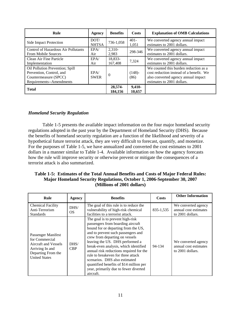| Rule                                                                                                             | Agency               | <b>Benefits</b>    | Costs             | <b>Explanation of OMB Calculations</b>                                                                                                                |
|------------------------------------------------------------------------------------------------------------------|----------------------|--------------------|-------------------|-------------------------------------------------------------------------------------------------------------------------------------------------------|
| Side Impact Protection                                                                                           | DOT/<br><b>NHTSA</b> | 736-1,058          | $401 -$<br>1,051  | We converted agency annual impact<br>estimates to 2001 dollars.                                                                                       |
| Control of Hazardous Air Pollutants<br><b>From Mobile Sources</b>                                                | EPA/<br>Air          | $2.310-$<br>2,983  | 298-346           | We converted agency annual impact<br>estimates to 2001 dollars.                                                                                       |
| Clean Air Fine Particle<br>Implementation                                                                        | EPA/<br>Air          | 18.833-<br>167,408 | 7.324             | We converted agency annual impact<br>estimates to 2001 dollars.                                                                                       |
| Oil Pollution Prevention; Spill<br>Prevention, Control, and<br>Countermeasure (SPCC)<br>Requirements--Amendments | EPA/<br><b>SWER</b>  | $\theta$           | $(148)$ -<br>(86) | We counted this burden reduction as a<br>cost reduction instead of a benefit. We<br>also converted agency annual impact<br>estimates to 2001 dollars. |
| <b>Total</b>                                                                                                     |                      | 28,574-<br>184.156 | 9,410-<br>10.657  |                                                                                                                                                       |

## *Homeland Security Regulation*

Table 1-5 presents the available impact information on the four major homeland security regulations adopted in the past year by the Department of Homeland Security (DHS). Because the benefits of homeland security regulation are a function of the likelihood and severity of a hypothetical future terrorist attack, they are very difficult to forecast, quantify, and monetize. For the purposes of Table 1-5, we have annualized and converted the cost estimates to 2001 dollars in a manner similar to Table 1-4. Available information on how the agency forecasts how the rule will improve security or otherwise prevent or mitigate the consequences of a terrorist attack is also summarized.

## **Table 1-5: Estimates of the Total Annual Benefits and Costs of Major Federal Rules: Major Homeland Security Regulations, October 1, 2006-September 30, 2007 (Millions of 2001 dollars)**

| Rule                                                                                                                          | <b>Agency</b>      | <b>Benefits</b>                                                                                                                                                                                                                                                                                                                                                                                                                                                                     | Costs     | <b>Other Information</b>                                         |
|-------------------------------------------------------------------------------------------------------------------------------|--------------------|-------------------------------------------------------------------------------------------------------------------------------------------------------------------------------------------------------------------------------------------------------------------------------------------------------------------------------------------------------------------------------------------------------------------------------------------------------------------------------------|-----------|------------------------------------------------------------------|
| <b>Chemical Facility</b><br>Anti-Terrorism<br><b>Standards</b>                                                                | DHS/<br>OS.        | The goal of this rule is to reduce the<br>vulnerability of high-risk chemical<br>facilities to a terrorist attack.                                                                                                                                                                                                                                                                                                                                                                  | 835-1,535 | We converted agency<br>annual cost estimates<br>to 2001 dollars. |
| Passenger Manifest<br>for Commercial<br>Aircraft and Vessels<br>Arriving In and<br>Departing From the<br><b>United States</b> | DHS/<br><b>CBP</b> | The goal is to prevent high-risk<br>passengers from boarding aircraft<br>bound for or departing from the US,<br>and to prevent such passengers and<br>crew from departing on vessels<br>leaving the US. DHS performed a<br>break-even analysis, which identified<br>annual risk reductions required for the<br>rule to breakeven for three attack<br>scenarios. DHS also estimated<br>quantified benefits of \$14 million per<br>year, primarily due to fewer diverted<br>aircraft. | 94-134    | We converted agency<br>annual cost estimates<br>to 2001 dollars. |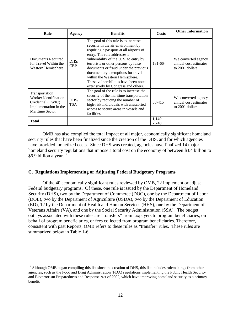<span id="page-16-0"></span>

| Rule                                                                                                            | <b>Agency</b>         | <b>Benefits</b>                                                                                                                                                                                                                                                                                                                                                                                                                       | <b>Costs</b>    | <b>Other Information</b>                                         |
|-----------------------------------------------------------------------------------------------------------------|-----------------------|---------------------------------------------------------------------------------------------------------------------------------------------------------------------------------------------------------------------------------------------------------------------------------------------------------------------------------------------------------------------------------------------------------------------------------------|-----------------|------------------------------------------------------------------|
| Documents Required<br>for Travel Within the<br>Western Hemisphere                                               | $D$ HS/<br><b>CBP</b> | The goal of this rule is to increase<br>security in the air environment by<br>requiring a passport at all airports of<br>entry. The rule addresses a<br>vulnerability of the U.S. to entry by<br>terrorists or other persons by false<br>documents or fraud under the previous<br>documentary exemptions for travel<br>within the Western Hemisphere.<br>These vulnerabilities have been noted<br>extensively by Congress and others. | 131-664         | We converted agency<br>annual cost estimates<br>to 2001 dollars. |
| Transportation<br><b>Worker Identification</b><br>Credential (TWIC)<br>Implementation in the<br>Maritime Sector | $D$ HS/<br><b>TSA</b> | The goal of the rule is to increase the<br>security of the maritime transportation<br>sector by reducing the number of<br>high-risk individuals with unescorted<br>access to secure areas in vessels and<br>facilities.                                                                                                                                                                                                               | 88-415          | We converted agency<br>annual cost estimates<br>to 2001 dollars. |
| <b>Total</b>                                                                                                    |                       |                                                                                                                                                                                                                                                                                                                                                                                                                                       | 1,149-<br>2,748 |                                                                  |

OMB has also compiled the total impact of all major, economically significant homeland security rules that have been finalized since the creation of the DHS, and for which agencies have provided monetized costs. Since DHS was created, agencies have finalized 14 major homeland security regulations that impose a total cost on the economy of between \$3.4 billion to \$6.9 billion a year. $17$ 

## **C. Regulations Implementing or Adjusting Federal Budgetary Programs**

Of the 40 economically significant rules reviewed by OMB, 22 implement or adjust Federal budgetary programs. Of these, one rule is issued by the Department of Homeland Security (DHS), two by the Department of Commerce (DOC), one by the Department of Labor (DOL), two by the Department of Agriculture (USDA), two by the Department of Education (ED), 12 by the Department of Health and Human Services (HHS), one by the Department of Veterans Affairs (VA), and one by the Social Security Administration (SSA). The budget outlays associated with these rules are "transfers" from taxpayers to program beneficiaries, on behalf of program beneficiaries, or fees collected from program beneficiaries. Therefore, consistent with past Reports, OMB refers to these rules as "transfer" rules. These rules are summarized below in Table 1-6.

 $17$  Although OMB began compiling this list since the creation of DHS, this list includes rulemakings from other agencies, such as the Food and Drug Administration (FDA) regulations implementing the Public Health Security and Bioterrorism Preparedness and Response Act of 2002, which have improving homeland security as a primary benefit.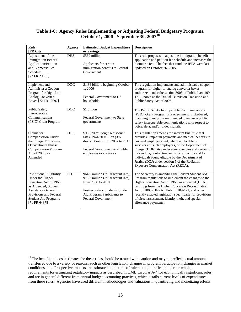## <span id="page-17-0"></span>**Table 1-6: Agency Rules Implementing or Adjusting Federal Budgetary Programs, October 1, 2006 - September 30, 2007[18](#page-17-0)**

| Rule<br>[FR Cite]                                                                                                                                                                                            | <b>Agency</b> | <b>Estimated Budget Expenditure</b><br>or Savings                                                                                                                                         | <b>Description</b>                                                                                                                                                                                                                                                                                                                                                                                                                                                    |
|--------------------------------------------------------------------------------------------------------------------------------------------------------------------------------------------------------------|---------------|-------------------------------------------------------------------------------------------------------------------------------------------------------------------------------------------|-----------------------------------------------------------------------------------------------------------------------------------------------------------------------------------------------------------------------------------------------------------------------------------------------------------------------------------------------------------------------------------------------------------------------------------------------------------------------|
| Adjustment of the<br><b>Immigration Benefit</b><br>Application/Petition<br>and Biometric Fee<br>Schedule<br>[72 FR 29851]                                                                                    | <b>DHS</b>    | \$569 million<br>Applicants for certain<br>immigration benefits to Federal<br>Government                                                                                                  | This rule proposes to adjust the immigration benefit<br>application and petition fee schedule and increases the<br>biometric fee. The fees that fund the IEFA were last<br>updated on October 26, 2005.                                                                                                                                                                                                                                                               |
| Implement and<br>Administer a Coupon<br>Program for Digital-to-<br>Analog Converter<br>Boxes [72 FR 12097]                                                                                                   | <b>DOC</b>    | \$1.34 billion, beginning October<br>1.2006<br>Federal Government to US<br>households                                                                                                     | This regulation implements and administers a coupon<br>program for digital-to-analog converter boxes<br>authorized under the section 3005 of Public Law 109-<br>171, known as the Digital Television Transition and<br>Public Safety Act of 2005.                                                                                                                                                                                                                     |
| Public Safety<br>Interoperable<br>Communications<br>(PSIC) Grant Program                                                                                                                                     | <b>DOC</b>    | \$1 billion<br>Federal Government to State<br>governments                                                                                                                                 | The Public Safety Interoperable Communications<br>(PSIC) Grant Program is a one-time formula-based,<br>matching grant program intended to enhance public<br>safety interoperable communications with respect to<br>voice, data, and/or video signals.                                                                                                                                                                                                                 |
| Claims for<br><b>Compensation Under</b><br>the Energy Employees<br><b>Occupational Illness</b><br><b>Compensation Program</b><br>Act of 2000, as<br>Amended                                                  | DOL           | \$955.70 million(7% discount<br>rate), \$944.70 million (3%<br>discount rate) from 2007 to 2011<br>Federal Government to eligible<br>employees or survivors                               | This regulation amends the interim final rule that<br>provides lump-sum payments and medical benefits to<br>covered employees and, where applicable, to<br>survivors of such employees, of the Department of<br>Energy (DOE), its predecessor agencies and certain of<br>its vendors, contractors and subcontractors and to<br>individuals found eligible by the Department of<br>Justice (DOJ) under section 5 of the Radiation<br>Exposure Compensation Act (RECA). |
| <b>Institutional Eligibility</b><br>Under the Higher<br>Education Act of 1965,<br>as Amended: Student<br><b>Assistance General</b><br>Provisions and Federal<br><b>Student Aid Programs</b><br>[71 FR 64378] | <b>ED</b>     | 964.5 million (7% discount rate),<br>975.7 million (3% discount rate)<br>from 2006 to 2010<br>Postsecondary Students; Student<br>Aid Program Participants to<br><b>Federal Government</b> | The Secretary is amending the Federal Student Aid<br>Program regulations to implement the changes to the<br>Higher Education Act of 1965, as amended (HEA),<br>resulting from the Higher Education Reconciliation<br>Act of 2005 (HERA), Pub. L. 109-171, and other<br>recently enacted legislation specifically for provisions<br>of direct assessment, identity theft, and special<br>allowance payments.                                                           |

 $18$  The benefit and cost estimates for these rules should be treated with caution and may not reflect actual amounts transferred due to a variety of reasons, such as other legislation, changes in program participation, changes in market conditions, etc. Prospective impacts are estimated at the time of rulemaking to reflect, in part or whole, requirements for estimating regulatory impacts as described in OMB Circular A-4 for economically significant rules, and are in general different from annual budget accounting practices, which details current levels of expenditures from these rules. Agencies have used different methodologies and valuations in quantifying and monetizing effects.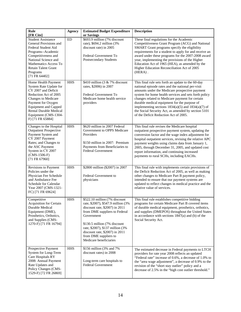| Rule<br>[FR Cite]                                                                                                                                                                                                                                      | <b>Agency</b> | <b>Estimated Budget Expenditure</b><br>or Savings                                                                                                                                                                                                                                                                 | <b>Description</b>                                                                                                                                                                                                                                                                                                                                                                                                                                                              |
|--------------------------------------------------------------------------------------------------------------------------------------------------------------------------------------------------------------------------------------------------------|---------------|-------------------------------------------------------------------------------------------------------------------------------------------------------------------------------------------------------------------------------------------------------------------------------------------------------------------|---------------------------------------------------------------------------------------------------------------------------------------------------------------------------------------------------------------------------------------------------------------------------------------------------------------------------------------------------------------------------------------------------------------------------------------------------------------------------------|
| <b>Student Assistance</b><br>General Provisions and<br>Federal Student Aid<br>Programs--Academic<br>Competitiveness and<br>National Science and<br>Mathematics Access To<br><b>Retain Talent Grant</b><br>Programs<br>[71 FR 64402]                    | ED            | \$693.9 million (7% discount<br>rate), \$694.2 million (3%<br>discount rate) in 2005<br>Federal Government To<br>Postsecondary Students                                                                                                                                                                           | These final regulations for the Academic<br>Competitiveness Grant Program (ACG) and National<br>SMART Grant programs specify the eligibility<br>requirements for a student to apply for and receive an<br>award under these programs for the 2007-2008 award<br>year, implementing the provisions of the Higher<br>Education Act of 1965 (HEA), as amended by the<br>Higher Education Reconciliation Act of 2005<br>$(HERA)$ .                                                  |
| Home Health Payment<br>System Rate Update for<br>CY 2007 and Deficit<br>Reduction Act of 2005<br>Changes to Medicare<br>Payment for Oxygen<br><b>Equipment and Capped</b><br><b>Rental Durable Medical</b><br>Equipment (CMS-1304-<br>F) [71 FR 65884] | <b>HHS</b>    | \$410 million (3 & 7% discount<br>rates, \$2006) in 2007<br>Federal Government To<br>Medicare home health service<br>providers                                                                                                                                                                                    | This final rule sets forth an update to the 60-day<br>national episode rates and the national per-visit<br>amounts under the Medicare prospective payment<br>system for home health services and sets forth policy<br>changes related to Medicare payment for certain<br>durable medical equipment for the purpose of<br>implementing sections $1834(a)(5)$ and $1834(a)(7)$ of<br>the Social Security Act, as amended by section 5101<br>of the Deficit Reduction Act of 2005. |
| Changes to the Hospital<br><b>Outpatient Prospective</b><br>Payment System and<br>CY 2007 Payment<br>Rates; and Changes to<br>the ASC Payment<br>System in CY 2007<br>$(CMS-1506-F)$<br>$[71$ FR 67960]                                                | <b>HHS</b>    | \$620 million in 2007 Federal<br>Government to OPPS Medicare<br>Providers<br>\$150 million in 2007: Premium<br>Payments from Beneficiaries to<br><b>Federal Government</b>                                                                                                                                        | This final rule revises the Medicare hospital<br>outpatient prospective payment system, updating the<br>conversion factor and the wage index adjustment for<br>hospital outpatient services, revising the relative APC<br>payment weights using claims data from January 1,<br>2005, through December 31, 2005, and updated cost<br>report information, and continuing increased<br>payments to rural SCHs, including EACHs.                                                    |
| <b>Revisions to Payment</b><br>Policies under the<br>Physician Fee Schedule<br>and Ambulance Fee<br>Schedule for Calendar<br>Year 2007 (CMS-1321-<br>FC) [71 FR 69624]                                                                                 | <b>HHS</b>    | \$2800 million (\$2007) in 2007<br>Federal Government to<br>physicians                                                                                                                                                                                                                                            | This final rule with implements certain provisions of<br>the Deficit Reduction Act of 2005, as well as making<br>other changes to Medicare Part B payment policy,<br>intended to ensure that our payment systems are<br>updated to reflect changes in medical practice and the<br>relative value of services.                                                                                                                                                                   |
| Competitive<br><b>Acquisition for Certain</b><br>Durable Medical<br>Equipment (DME),<br>Prosthetics, Orthotics,<br>and Supplies (CMS-<br>1270-F) [71 FR 16794]                                                                                         | <b>HHS</b>    | \$522.10 million (7% discount<br>rate, \$2007), \$547.9 million (3%)<br>discount rate, \$2007) in 2011<br>from DME suppliers to Federal<br>Government<br>\$130.5 million (7% discount<br>rate, \$2007), \$137 million (3%)<br>discount rate, $$2007$ ) in 2011<br>from DME suppliers to<br>Medicare beneficiaries | This final rule establishes competitive bidding<br>programs for certain Medicare Part B covered items<br>of durable medical equipment, prosthetics, orthotics,<br>and supplies (DMEPOS) throughout the United States<br>in accordance with sections $1847(a)$ and (b) of the<br>Social Security Act.                                                                                                                                                                            |
| Prospective Payment<br>System for Long-Term<br>Care Hospitals RY<br>2008: Annual Payment<br>Rate Updates and<br>Policy Changes (CMS-<br>1529-F) [72 FR 26869]                                                                                          | <b>HHS</b>    | \$156 million (3% and 7%)<br>discount rates) in 2008<br>Long-term care hospitals to<br><b>Federal Government</b>                                                                                                                                                                                                  | The estimated decrease in Federal payments to LTCH<br>providers for rate year 2008 reflects an updated<br>"Federal rate" increase of 0.6%, a decrease of 1.0% to<br>the "area wage adjustment", a decrease of 0.9% to the<br>revision of the "short stay outlier" policy and a<br>decrease of 2.5% in the "high cost outlier threshold."                                                                                                                                        |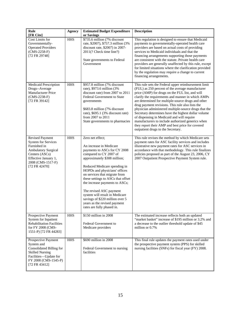| Rule<br>[FR Cite]                                                                                                                                                                  | <b>Agency</b> | <b>Estimated Budget Expenditure</b><br>or Savings                                                                                                                                                                                                                                                                                                                                                                                                                             | <b>Description</b>                                                                                                                                                                                                                                                                                                                                                                                                                                                                                                                                                                                                                      |
|------------------------------------------------------------------------------------------------------------------------------------------------------------------------------------|---------------|-------------------------------------------------------------------------------------------------------------------------------------------------------------------------------------------------------------------------------------------------------------------------------------------------------------------------------------------------------------------------------------------------------------------------------------------------------------------------------|-----------------------------------------------------------------------------------------------------------------------------------------------------------------------------------------------------------------------------------------------------------------------------------------------------------------------------------------------------------------------------------------------------------------------------------------------------------------------------------------------------------------------------------------------------------------------------------------------------------------------------------------|
| Cost Limits for<br>Governmentally-<br><b>Operated Providers</b><br>$(CMS-2258-F)$<br>[72 FR 29748]                                                                                 | <b>HHS</b>    | \$735.6 million (7% discount<br>rate, \$2007), \$757.3 million (3%<br>discount rate, \$2007) in 2007-<br>2011(? Check time line?)<br>State governments to Federal<br>Government                                                                                                                                                                                                                                                                                               | This regulation is designed to ensure that Medicaid<br>payments to governmentally-operated health care<br>providers are based on actual costs of providing<br>services to Medicaid individuals and that the<br>financing arrangements supporting those payments<br>are consistent with the statute. Private health care<br>providers are generally unaffected by this rule, except<br>for limited situations where the clarification provided<br>by the regulation may require a change to current<br>financing arrangements.                                                                                                           |
| Medicaid Prescription<br>Drugs--Average<br>Manufacturer Price<br>$(CMS-2238-F)$<br>[72 FR 39142]                                                                                   | <b>HHS</b>    | \$957.8 million (7% discount<br>rate), \$973.6 million (3%)<br>discount rate) from 2007 to 2011<br>Federal Government to State<br>governments<br>\$683.8 million (7% discount<br>rate), \$695.1 (3% discount rate)<br>from 2007 to 2011<br>State governments to pharmacies                                                                                                                                                                                                    | This rule sets the Federal upper reimbursement limit<br>(FUL) as 250 percent of the average manufacturer<br>price (AMP) for drugs on the FUL list, and will<br>clarify the requirements and manner in which AMPs<br>are determined for multiple-source drugs and other<br>drug payment revisions. This rule also lists the<br>physician administered multiple-source drugs that the<br>Secretary determines have the highest dollar volume<br>of dispensing in Medicaid and will require<br>manufacturers to include authorized generics when<br>they report their AMP and best price for covered<br>outpatient drugs to the Secretary. |
| <b>Revised Payment</b><br><b>System for Services</b><br>Furnished in<br><b>Ambulatory Surgical</b><br>Centers (ASCs)<br>Effective January 1,<br>2008 (CMS-1517-F)<br>[72 FR 42470] | <b>HHS</b>    | Zero net effect;<br>An increase in Medicare<br>payments to ASCs for CY 2008<br>compared to CY 2007 of<br>approximately \$308 million;<br>Reduced Medicare spending in<br>HOPDs and physicians' offices<br>on services that migrate from<br>these settings to ASCs that offset<br>the increase payments to ASCs;<br>The revised ASC payment<br>system will result in Medicare<br>savings of \$220 million over 5<br>years as the revised payment<br>rates are fully phased in. | This rule revises the method by which Medicare sets<br>payment rates for ASC facility services and includes<br>illustrative new payment rates for ASC services in<br>accordance with that methodology. This rule finalizes<br>policies proposed as part of the August 23, 2006, CY<br>2007 Outpatient Prospective Payment System rule.                                                                                                                                                                                                                                                                                                  |
| Prospective Payment<br>System for Inpatient<br><b>Rehabilitation Facilities</b><br>for FY 2008 (CMS-<br>1551-P) [72 FR 44283]                                                      | <b>HHS</b>    | \$150 million in 2008<br>Federal Government to<br>Medicare providers                                                                                                                                                                                                                                                                                                                                                                                                          | The estimated increase reflects both an updated<br>"market basket" increase of \$195 million or 3.2% and<br>a decrease to the outlier threshold update of \$45<br>million or 0.7%                                                                                                                                                                                                                                                                                                                                                                                                                                                       |
| Prospective Payment<br>System and<br>Consolidated Billing for<br><b>Skilled Nursing</b><br>Facilities-Update for<br>FY 2008 (CMS-1545-P)<br>[72 FR 43412]                          | <b>HHS</b>    | \$690 million in 2008<br>Federal Government to nursing<br>facilities                                                                                                                                                                                                                                                                                                                                                                                                          | This final rule updates the payment rates used under<br>the prospective payment system (PPS) for skilled<br>nursing facilities (SNFs) for fiscal year (FY) 2008.                                                                                                                                                                                                                                                                                                                                                                                                                                                                        |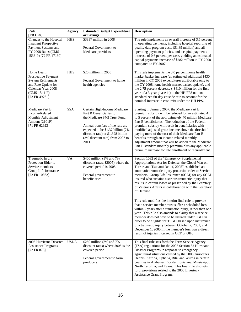| Rule                                                                                                                                              | <b>Agency</b> | <b>Estimated Budget Expenditure</b>                                                                                                                                                                                                               | <b>Description</b>                                                                                                                                                                                                                                                                                                                                                                                                                                                                                                                                                                                                                                                                                                                                                                                                                                                                                                                                                          |
|---------------------------------------------------------------------------------------------------------------------------------------------------|---------------|---------------------------------------------------------------------------------------------------------------------------------------------------------------------------------------------------------------------------------------------------|-----------------------------------------------------------------------------------------------------------------------------------------------------------------------------------------------------------------------------------------------------------------------------------------------------------------------------------------------------------------------------------------------------------------------------------------------------------------------------------------------------------------------------------------------------------------------------------------------------------------------------------------------------------------------------------------------------------------------------------------------------------------------------------------------------------------------------------------------------------------------------------------------------------------------------------------------------------------------------|
| [FR Cite]<br>Changes to the Hospital<br><b>Inpatient Prospective</b><br>Payment Systems and<br>FY 2008 Rates (CMS-<br>1533-P) [72 FR 47130]       | <b>HHS</b>    | or Savings<br>\$3837 million in 2008<br>Federal Government to<br>Medicare providers                                                                                                                                                               | The rule implements an overall increase of 3.5 percent<br>in operating payments, including hospital reporting of<br>quality data program costs (\$1.89 million) and all<br>operating payment policies, and a capital payments<br>increase of 0.6 percent per case, yielding an estimated<br>capital payments increase of \$282 million in FY 2008<br>compared to FY 2007.                                                                                                                                                                                                                                                                                                                                                                                                                                                                                                                                                                                                   |
| Home Health<br>Prospective Payment<br><b>System Refinements</b><br>and Rate Update for<br>Calendar Year 2008<br>$(CMS-1541-P)$<br>$[72$ FR 49761] | <b>HHS</b>    | \$20 million in 2008<br>Federal Government to home<br>health agencies                                                                                                                                                                             | This rule implements the 3.0 percent home health<br>market basket increase (an estimated additional \$430<br>million in CY 2008 expenditures attributable only to<br>the CY 2008 home health market basket update), and<br>the 2.75 percent decrease (-\$410 million for the first<br>year of a 3-year phase in) to the HH PPS national<br>standardized 60-day episode rate to account for the<br>nominal increase in case-mix under the HH PPS.                                                                                                                                                                                                                                                                                                                                                                                                                                                                                                                            |
| Medicare Part B<br>Income-Related<br>Monthly Adjustment<br>Amount (2101F)<br>[71 FR 62923]                                                        | <b>SSA</b>    | Certain High-Income Medicare<br>Part B Beneficiaries to<br>the Medicare SMI Trust Fund.<br>Annual transfers of the rule are<br>expected to be \$1.37 billion (7%<br>discount rate) or \$1.398 billion<br>(3% discount rate) from 2007 to<br>2011. | Starting in January 2007, the Medicare Part B<br>premium subsidy will be reduced for an estimated 4<br>to 5 percent of the approximately 40 million Medicare<br>Part B beneficiaries. The reduction of the Federal<br>premium subsidy will result in beneficiaries with<br>modified adjusted gross income above the threshold<br>paying more of the cost of their Medicare Part B<br>benefits through an income-related monthly<br>adjustment amount that will be added to the Medicare<br>Part B standard monthly premium plus any applicable<br>premium increase for late enrollment or reenrollment.                                                                                                                                                                                                                                                                                                                                                                     |
| Traumatic Injury<br>Protection Rider to<br>Service members'<br>Group Life Insurance<br>[72 FR 10362]                                              | <b>VA</b>     | \$400 million (3% and 7%)<br>discount rates, \$2005) where the<br>covered period is 2005<br>Federal government to<br>beneficiaries                                                                                                                | Section 1032 of the "Emergency Supplemental<br>Appropriations Act for Defense, the Global War on<br>Terror, and Tsunami Relief, 2005" established an<br>automatic traumatic injury protection rider to Service<br>members' Group Life Insurance (SGLI) for any SGLI<br>insured who sustains a serious traumatic injury that<br>results in certain losses as prescribed by the Secretary<br>of Veterans Affairs in collaboration with the Secretary<br>of Defense.<br>This rule modifies the interim final rule to provide<br>that a service member must suffer a scheduled loss<br>within 2 years after a traumatic injury, rather than one<br>year. This rule also amends to clarify that a service<br>member does not have to be insured under SGLI in<br>order to be eligible for TSGLI based upon incurrence<br>of a traumatic injury between October 7, 2001, and<br>December 1, 2005, if the member's loss was a direct<br>result of injuries incurred in OEF or OIF. |
| 2005 Hurricane Disaster<br><b>Assistance Programs</b><br>$[72$ FR 875]                                                                            | <b>USDA</b>   | \$250 million (3% and 7%)<br>discount rates) where 2005 is the<br>covered period<br>Federal government to farm<br>producers                                                                                                                       | This final rule sets forth the Farm Service Agency<br>(FSA) regulations for the 2005 Section 32 Hurricane<br>Disaster Programs in response to emergency<br>agricultural situations caused by the 2005 hurricanes<br>Dennis, Katrina, Ophelia, Rita, and Wilma in certain<br>counties in Alabama, Florida, Louisiana, Mississippi,<br>North Carolina, and Texas. This final rule also sets<br>forth provisions related to the 2006 Livestock<br>Assistance Grant Program.                                                                                                                                                                                                                                                                                                                                                                                                                                                                                                    |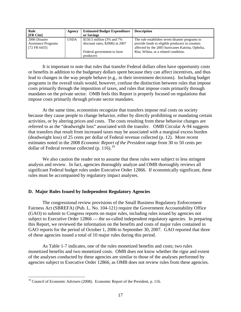<span id="page-21-0"></span>

| Rule                       | Agency      | <b>Estimated Budget Expenditure</b> | <b>Description</b>                                |
|----------------------------|-------------|-------------------------------------|---------------------------------------------------|
| [FR Cite]                  |             | or Savings                          |                                                   |
| 2006 Disaster              | <b>USDA</b> | \$150.5 million (3% and 7%)         | The rule establishes seven disaster programs to   |
| <b>Assistance Programs</b> |             | discount rates, $$2006$ ) in 2007   | provide funds to eligible producers in counties   |
| [72 FR 6435]               |             |                                     | affected by the 2005 hurricanes Katrina, Ophelia, |
|                            |             | Federal government to farm          | Rita, Wilma, or a related condition.              |
|                            |             | producers                           |                                                   |

It is important to note that rules that transfer Federal dollars often have opportunity costs or benefits in addition to the budgetary dollars spent because they can affect incentives, and thus lead to changes in the way people behave (e.g., in their investment decisions). Including budget programs in the overall totals would, however, confuse the distinction between rules that impose costs primarily through the imposition of taxes, and rules that impose costs primarily through mandates on the private sector. OMB feels this Report is properly focused on regulations that impose costs primarily through private sector mandates.

 At the same time, economists recognize that transfers impose real costs on society because they cause people to change behavior, either by directly prohibiting or mandating certain activities, or by altering prices and costs. The costs resulting from these behavior changes are referred to as the "deadweight loss" associated with the transfer. OMB Circular A-94 suggests that transfers that result from increased taxes may be associated with a marginal excess burden (deadweight loss) of 25 cents per dollar of Federal revenue collected (p. 12). More recent estimates noted in the 2008 *Economic Report of the President* range from 30 to 50 cents per dollar of Federal revenue collected  $(p. 116)^{19}$  $(p. 116)^{19}$  $(p. 116)^{19}$ 

We also caution the reader not to assume that these rules were subject to less stringent analysis and review. In fact, agencies thoroughly analyze and OMB thoroughly reviews all significant Federal budget rules under Executive Order 12866. If economically significant, these rules must be accompanied by regulatory impact analyses.

## **D. Major Rules Issued by Independent Regulatory Agencies**

The congressional review provisions of the Small Business Regulatory Enforcement Fairness Act (SBREFA) (Pub. L. No. 104-121) require the Government Accountability Office (GAO) to submit to Congress reports on major rules, including rules issued by agencies not subject to Executive Order 12866 — the so-called independent regulatory agencies. In preparing this Report, we reviewed the information on the benefits and costs of major rules contained in GAO reports for the period of October 1, 2006 to September 30, 2007. GAO reported that three of these agencies issued a total of 10 major rules during this period.

As Table 1-7 indicates, one of the rules monetized benefits and costs; two rules monetized benefits and two monetized costs. OMB does not know whether the rigor and extent of the analyses conducted by these agencies are similar to those of the analyses performed by agencies subject to Executive Order 12866, as OMB does not review rules from these agencies.

<sup>&</sup>lt;sup>19</sup> Council of Economic Advisers (2008). Economic Report of the President, p. 116.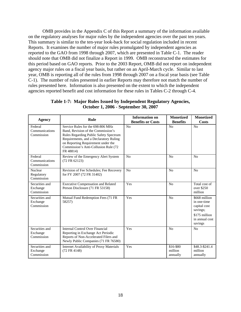OMB provides in the Appendix C of this Report a summary of the information available on the regulatory analyses for major rules by the independent agencies over the past ten years. This summary is similar to the ten-year look-back for social regulation included in recent Reports. It examines the number of major rules promulgated by independent agencies as reported to the GAO from 1998 through 2007, which are presented in Table C-1. The reader should note that OMB did not finalize a Report in 1999. OMB reconstructed the estimates for this period based on GAO reports. Prior to the 2003 Report, OMB did not report on independent agency major rules on a fiscal year basis, but rather on an April-March cycle. Similar to last year, OMB is reporting all of the rules from 1998 through 2007 on a fiscal year basis (see Table C-1). The number of rules presented in earlier Reports may therefore not match the number of rules presented here. Information is also presented on the extent to which the independent agencies reported benefit and cost information for these rules in Tables C-2 through C-4.

| <b>Agency</b>                            | Rule                                                                                                                                                                                                                                                    | <b>Information on</b><br><b>Benefits or Costs</b> | <b>Monetized</b><br><b>Benefits</b> | <b>Monetized</b><br><b>Costs</b>                                                                       |
|------------------------------------------|---------------------------------------------------------------------------------------------------------------------------------------------------------------------------------------------------------------------------------------------------------|---------------------------------------------------|-------------------------------------|--------------------------------------------------------------------------------------------------------|
| Federal<br>Communications<br>Commission  | Service Rules for the 698-806 MHz<br>Band, Revision of the Commission's<br>Rules Regarding Public Safety Spectrum<br>Requirements, and a Declaratory Ruling<br>on Reporting Requirement under the<br>Commission's Anti-Collusion Rule (72)<br>FR 48814) | No                                                | N <sub>o</sub>                      | N <sub>o</sub>                                                                                         |
| Federal<br>Communications<br>Commission  | Review of the Emergency Alert System<br>(72 FR 62123)                                                                                                                                                                                                   | N <sub>0</sub>                                    | No                                  | No                                                                                                     |
| Nuclear<br>Regulatory<br>Commission      | Revision of Fee Schedules; Fee Recovery<br>for FY 2007 (72 FR 31402)                                                                                                                                                                                    | No                                                | No                                  | No                                                                                                     |
| Securities and<br>Exchange<br>Commission | <b>Executive Compensation and Related</b><br>Person Disclosure (71 FR 53158)                                                                                                                                                                            | Yes                                               | No                                  | Total cost of<br>over \$250<br>million                                                                 |
| Securities and<br>Exchange<br>Commission | Mutual Fund Redemption Fees (71 FR<br>58257)                                                                                                                                                                                                            | Yes                                               | N <sub>0</sub>                      | \$668 million<br>in one-time<br>capital cost<br>savings;<br>\$175 million<br>in annual cost<br>savings |
| Securities and<br>Exchange<br>Commission | Internal Control Over Financial<br>Reporting in Exchange Act Periodic<br>Reports of Non-Accelerated Filers and<br>Newly Public Companies (71 FR 76580)                                                                                                  | Yes                                               | No                                  | N <sub>o</sub>                                                                                         |
| Securities and<br>Exchange<br>Commission | Internet Availability of Proxy Materials<br>(72 FR 4148)                                                                                                                                                                                                | Yes                                               | \$16-\$80<br>million<br>annually    | \$48.3-\$241.4<br>million<br>annually                                                                  |

**Table 1-7: Major Rules Issued by Independent Regulatory Agencies, October 1, 2006 - September 30, 2007**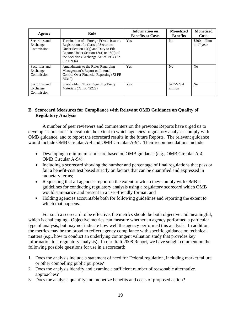| Agency                                   | Rule                                                                                                                                                                                                                             | Information on<br><b>Benefits or Costs</b> | <b>Monetized</b><br><b>Benefits</b> | <b>Monetized</b><br><b>Costs</b> |
|------------------------------------------|----------------------------------------------------------------------------------------------------------------------------------------------------------------------------------------------------------------------------------|--------------------------------------------|-------------------------------------|----------------------------------|
| Securities and<br>Exchange<br>Commission | Termination of a Foreign Private Issuer's<br>Registration of a Class of Securities<br>Under Section $12(g)$ and Duty to File<br>Reports Under Section 13(a) or 15(d) of<br>the Securities Exchange Act of 1934 (72)<br>FR 16934) | Yes                                        | N <sub>0</sub>                      | \$200 million<br>in $1st$ year   |
| Securities and<br>Exchange<br>Commission | Amendments to the Rules Regarding<br>Management's Report on Internal<br>Control Over Financial Reporting (72 FR<br>35310)                                                                                                        | Yes                                        | N <sub>0</sub>                      | N <sub>0</sub>                   |
| Securities and<br>Exchange<br>Commission | <b>Shareholder Choice Regarding Proxy</b><br>Materials (72 FR 42222)                                                                                                                                                             | Yes                                        | $$2.7-S29.4$<br>million             | No                               |

## **E. Scorecard Measures for Compliance with Relevant OMB Guidance on Quality of Regulatory Analysis**

A number of peer reviewers and commenters on the previous Reports have urged us to develop "scorecards" to evaluate the extent to which agencies' regulatory analyses comply with OMB guidance, and to report the scorecard results in the future Reports. The relevant guidance would include OMB Circular A-4 and OMB Circular A-94. Their recommendations include:

- Developing a minimum scorecard based on OMB guidance (e.g., OMB Circular A-4, OMB Circular A-94);
- Including a scorecard showing the number and percentage of final regulations that pass or fail a benefit-cost test based strictly on factors that can be quantified and expressed in monetary terms;
- Requesting that all agencies report on the extent to which they comply with OMB's guidelines for conducting regulatory analysis using a regulatory scorecard which OMB would summarize and present in a user-friendly format; and
- Holding agencies accountable both for following guidelines and reporting the extent to which that happens.

For such a scorecard to be effective, the metrics should be both objective and meaningful, which is challenging. Objective metrics can measure whether an agency performed a particular type of analysis, but may not indicate how well the agency performed this analysis. In addition, the metrics may be too broad to reflect agency compliance with specific guidance on technical matters (e.g., how to conduct an underlying contingent valuation study that provides key information to a regulatory analysis). In our draft 2008 Report, we have sought comment on the following possible questions for use in a scorecard:

- 1. Does the analysis include a statement of need for Federal regulation, including market failure or other compelling public purpose?
- 2. Does the analysis identify and examine a sufficient number of reasonable alternative approaches?
- 3. Does the analysis quantify and monetize benefits and costs of proposed action?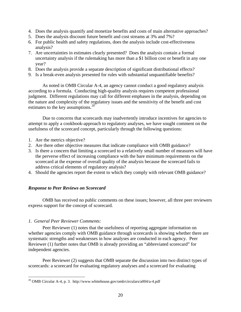- <span id="page-24-0"></span>4. Does the analysis quantify and monetize benefits and costs of main alternative approaches?
- 5. Does the analysis discount future benefit and cost streams at 3% and 7%?
- 6. For public health and safety regulations, does the analysis include cost-effectiveness analysis?
- 7. Are uncertainties in estimates clearly presented? Does the analysis contain a formal uncertainty analysis if the rulemaking has more than a \$1 billion cost or benefit in any one year?
- 8. Does the analysis provide a separate description of significant distributional effects?
- 9. Is a break-even analysis presented for rules with substantial unquantifiable benefits?

As noted in OMB Circular A-4, an agency cannot conduct a good regulatory analysis according to a formula. Conducting high-quality analysis requires competent professional judgment. Different regulations may call for different emphases in the analysis, depending on the nature and complexity of the regulatory issues and the sensitivity of the benefit and cost estimates to the key assumptions.<sup>[20](#page-24-0)</sup>

Due to concerns that scorecards may inadvertently introduce incentives for agencies to attempt to apply a cookbook-approach to regulatory analyses, we have sought comment on the usefulness of the scorecard concept, particularly through the following questions:

- 1. Are the metrics objective?
- 2. Are there other objective measures that indicate compliance with OMB guidance?
- 3. Is there a concern that limiting a scorecard to a relatively small number of measures will have the perverse effect of increasing compliance with the bare minimum requirements on the scorecard at the expense of overall quality of the analysis because the scorecard fails to address critical elements of regulatory analysis?
- 4. Should the agencies report the extent to which they comply with relevant OMB guidance?

## *Response to Peer Reviews on Scorecard*

OMB has received no public comments on these issues; however, all three peer reviewers express support for the concept of scorecard.

## *1. General Peer Reviewer Comments:*

<u>.</u>

Peer Reviewer (1) notes that the usefulness of reporting aggregate information on whether agencies comply with OMB guidance through scorecards is showing whether there are systematic strengths and weaknesses in how analyses are conducted in each agency. Peer Reviewer (1) further notes that OMB is already providing an "abbreviated scorecard" for independent agencies.

Peer Reviewer (2) suggests that OMB separate the discussion into two distinct types of scorecards: a scorecard for evaluating regulatory analyses and a scorecard for evaluating

<sup>&</sup>lt;sup>20</sup> OMB Circular A-4, p. 3. http://www.whitehouse.gov/omb/circulars/a004/a-4.pdf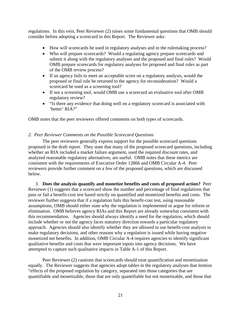regulations. In this vein, Peer Reviewer (2) raises some fundamental questions that OMB should consider before adopting a scorecard in this Report. The Reviewer asks:

- How will scorecards be used in regulatory analyses and in the rulemaking process?
- Who will prepare scorecards? Would a regulating agency prepare scorecards and submit it along with the regulatory analyses and the proposed and final rules? Would OMB prepare scorecards for regulatory analyses for proposed and final rules as part of the OMB review process?
- If an agency fails to meet an acceptable score on a regulatory analysis, would the proposed or final rule be returned to the agency for reconsideration? Would a scorecard be used as a screening tool?
- If not a screening tool, would OMB use a scorecard an evaluative tool after OMB regulatory review?
- "Is there any evidence that doing well on a regulatory scorecard is associated with 'better' RIA?"

OMB notes that the peer reviewers offered comments on both types of scorecards.

## *2. Peer Reviewer Comments on the Possible Scorecard Questions*

The peer reviewers generally express support for the possible scorecard questions proposed in the draft report. They state that many of the proposed scorecard questions, including whether an RIA included a market failure argument, used the required discount rates, and analyzed reasonable regulatory alternatives, are useful. OMB notes that these metrics are consistent with the requirements of Executive Order 12866 and OMB Circular A-4. Peer reviewers provide further comment on a few of the proposed questions, which are discussed below.

3. **Does the analysis quantify and monetize benefits and costs of proposed action?** Peer Reviewer (1) suggests that a scorecard show the number and percentage of final regulations that pass or fail a benefit-cost test based strictly on quantified and monetized benefits and costs. The reviewer further suggests that if a regulation fails this benefit-cost test, using reasonable assumptions, OMB should either state why the regulation is implemented or argue for reform or elimination. OMB believes agency RIAs and this Report are already somewhat consistent with this recommendation. Agencies should always identify a need for the regulation, which should include whether or not the agency faces statutory direction towards a particular regulatory approach. Agencies should also identify whether they are allowed to use benefit-cost analysis to make regulatory decisions, and other reasons why a regulation is issued while having negative monetized net benefits. In addition, OMB Circular A-4 requires agencies to identify significant qualitative benefits and costs that were important inputs into agency decisions. We have attempted to capture such qualitative impacts in Table A-1 of this Report.

Peer Reviewer (2) cautions that scorecards should treat quantification and monetization equally. The Reviewer suggests that agencies adopt tables in the regulatory analyses that itemize "effects of the proposed regulation by category, separated into those categories that are quantifiable and monetizable, those that are only quantifiable but not monetizable, and those that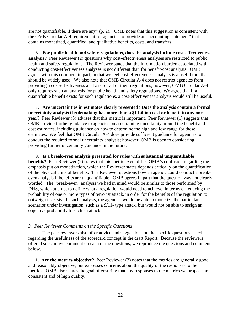are not quantifiable, if there are any" (p. 2). OMB notes that this suggestion is consistent with the OMB Circular A-4 requirement for agencies to provide an "accounting statement" that contains monetized, quantified, and qualitative benefits, costs, and transfers.

6. **For public health and safety regulations, does the analysis include cost-effectiveness analysis?** Peer Reviewer (2) questions why cost-effectiveness analyses are restricted to public health and safety regulations. The Reviewer states that the information burden associated with conducting cost-effectiveness analyses is not different than for benefit-cost analysis. OMB agrees with this comment in part, in that we feel cost-effectiveness analysis is a useful tool that should be widely used. We also note that OMB Circular A-4 does not restrict agencies from providing a cost-effectiveness analysis for all of their regulations; however, OMB Circular A-4 only requires such an analysis for public health and safety regulations. We agree that if a quantifiable benefit exists for such regulations, a cost-effectiveness analysis would still be useful.

7. **Are uncertainties in estimates clearly presented? Does the analysis contain a formal uncertainty analysis if rulemaking has more than a \$1 billion cost or benefit in any one year?** Peer Reviewer (3) advises that this metric is important. Peer Reviewer (1) suggests that OMB provide further guidance to agencies on ascertaining uncertainty around the benefit and cost estimates, including guidance on how to determine the high and low range for these estimates. We feel that OMB Circular A-4 does provide sufficient guidance for agencies to conduct the required formal uncertainty analysis; however, OMB is open to considering providing further uncertainty guidance in the future.

9. **Is a break-even analysis presented for rules with substantial unquantifiable benefits?** Peer Reviewer (2) states that this metric exemplifies OMB's confusion regarding the emphasis put on monetization, which the Reviewer states depends critically on the quantification of the physical units of benefits. The Reviewer questions how an agency could conduct a breakeven analysis if benefits are unquantifiable. OMB agrees in part that the question was not clearly worded. The "break-even" analysis we had in mind would be similar to those performed by DHS, which attempt to define what a regulation would need to achieve, in terms of reducing the probability of one or more types of terrorist attack, in order for the benefits of the regulation to outweigh its costs. In such analysis, the agencies would be able to monetize the particular scenarios under investigation, such as a 9/11- type attack, but would not be able to assign an objective probability to such an attack.

## *3. Peer Reviewer Comments on the Specific Questions*

The peer reviewers also offer advice and suggestions on the specific questions asked regarding the usefulness of the scorecard concept in the draft Report. Because the reviewers offered substantive comment on each of the questions, we reproduce the questions and comments below.

1. **Are the metrics objective?** Peer Reviewer (3) notes that the metrics are generally good and reasonably objective, but expresses concerns about the quality of the responses to the metrics. OMB also shares the goal of ensuring that any responses to the metrics we propose are consistent and of high quality.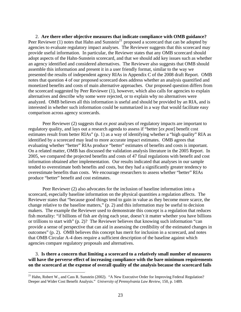<span id="page-27-0"></span>2. **Are there other objective measures that indicate compliance with OMB guidance?** Peer Reviewer (1) notes that Hahn and Sunstein<sup>[21](#page-27-0)</sup> proposed a scorecard that can be adopted by agencies to evaluate regulatory impact analyses. The Reviewer suggests that this scorecard may provide useful information. In particular, the Reviewer states that any OMB scorecard should adopt aspects of the Hahn-Sunstein scorecard, and that we should add key issues such as whether an agency identified and considered alternatives. The Reviewer also suggests that OMB should assemble this information and present it in a user friendly format, similar to the way we presented the results of independent agency RIAs in Appendix C of the 2008 draft Report. OMB notes that question 4 of our proposed scorecard does address whether an analysis quantified and monetized benefits and costs of main alternative approaches. Our proposed question differs from the scorecard suggested by Peer Reviewer (1), however, which also calls for agencies to explain alternatives and describe why some were rejected, or to explain why no alternatives were analyzed. OMB believes all this information is useful and should be provided by an RIA, and is interested in whether such information could be summarized in a way that would facilitate easy comparison across agency scorecards.

Peer Reviewer (2) suggests that *ex post* analyses of regulatory impacts are important to regulatory quality, and lays out a research agenda to assess if "better [*ex post*] benefit cost estimates result from better RIAs" (p. 1) as a way of identifying whether a "high quality" RIA as identified by a scorecard may lead to more accurate impact estimates. OMB agrees that evaluating whether "better" RIAs produce "better" estimates of benefits and costs is important. On a related matter, OMB has discussed the validation analysis literature in the 2005 Report. In 2005, we compared the projected benefits and costs of 47 final regulations with benefit and cost information obtained after implementation. Our results indicated that analyses in our sample tended to overestimate both benefits and costs, but they had a significantly greater tendency to overestimate benefits than costs. We encourage researchers to assess whether "better" RIAs produce "better" benefit and cost estimates.

Peer Reviewer (2) also advocates for the inclusion of baseline information into a scorecard, especially baseline information on the physical quantities a regulation affects. The Reviewer states that "because good things tend to gain in value as they become more scarce, the change relative to the baseline matters," (p. 2) and this information may be useful to decision makers. The example the Reviewer used to demonstrate this concept is a regulation that reduces fish mortality: "if billions of fish are dying each year, doesn't it matter whether you have billions or trillions to start with" (p. 2)? The Reviewer believes that knowing such information "can provide a sense of perspective that can aid in assessing the credibility of the estimated changes in outcomes" (p. 2). OMB believes this concept has merit for inclusion in a scorecard, and notes that OMB Circular A-4 does require a sufficient description of the baseline against which agencies compare regulatory proposals and alternatives.

3. **Is there a concern that limiting a scorecard to a relatively small number of measures will have the perverse effect of increasing compliance with the bare minimum requirements on the scorecard at the expense of overall quality of the analysis because the scorecard fails** 

<sup>&</sup>lt;sup>21</sup> Hahn, Robert W., and Cass R. Sunstein (2002). "A New Executive Order for Improving Federal Regulation? Deeper and Wider Cost Benefit Analysis." *University of Pennsylvania Law Review*, 150, p. 1489.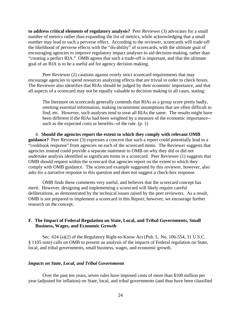**to address critical elements of regulatory analysis?** Peer Reviewer (3) advocates for a small number of metrics rather than expanding the list of metrics, while acknowledging that a small number may lead to such a perverse effect. According to the reviewer, scorecards will trade-off the likelihood of perverse effects with the "do-ability" of scorecards, with the ultimate goal of encouraging agencies to improve regulatory impact analyses to aid decision-making, rather than "creating a perfect RIA." OMB agrees that such a trade-off is important, and that the ultimate goal of an RIA is to be a useful aid for agency decision making.

Peer Reviewer (2) cautions against overly strict scorecard requirements that may encourage agencies to spend resources analyzing effects that are trivial in order to check boxes. The Reviewer also identifies that RIAs should be judged by their economic importance, and that all aspects of a scorecard may not be equally valuable to decision making in all cases, stating:

The literature on scorecards generally contends that RIAs as a group score pretty badly, omitting essential information, making inconsistent assumptions that are often difficult to find, etc. However, such analyses tend to treat all RIAs the same. The results might have been different if the RIAs had been weighted by a measure of the economic importance- such as the expected costs or benefits--of the rule. (p. 1)

4. **Should the agencies report the extent to which they comply with relevant OMB guidance?** Peer Reviewer (3) expresses a concern that such a report could potentially lead to a "cookbook response" from agencies on each of the scorecard items. The Reviewer suggests that agencies instead could provide a separate statement to OMB on why they did or did not undertake analysis identified as significant items in a scorecard. Peer Reviewer (1) suggests that OMB should request within the scorecard that agencies report on the extent to which they comply with OMB guidance. The scorecard example suggested by this reviewer, however, also asks for a narrative response to this question and does not suggest a check-box response.

 OMB finds these comments very useful, and believes that the scorecard concept has merit. However, designing and implementing a scorecard will likely require careful deliberations, as demonstrated by the technical issues raised by the peer reviewers. As a result, OMB is not prepared to implement a scorecard in this Report; however, we encourage further research on the concept.

## **F. The Impact of Federal Regulation on State, Local, and Tribal Governments, Small Business, Wages, and Economic Growth**

Sec. 624 (a)(2) of the Regulatory Right-to-Know Act (Pub. L. No. 106-554, 31 U.S.C. § 1105 note) calls on OMB to present an analysis of the impacts of Federal regulation on State, local, and tribal governments, small business, wages, and economic growth.

## *Impacts on State, Local, and Tribal Governments*

Over the past ten years, seven rules have imposed costs of more than \$100 million per year (adjusted for inflation) on State, local, and tribal governments (and thus have been classified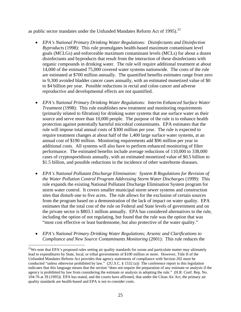<span id="page-29-0"></span>as public sector mandates under the Unfunded Mandates Reform Act of 1995).<sup>[22](#page-29-0)</sup>

- *EPA's National Primary Drinking Water Regulations: Disinfectants and Disinfection Byproducts* (1998): This rule promulgates health-based maximum contaminant level goals (MCLGs) and enforceable maximum contaminant levels (MCLs) for about a dozen disinfectants and byproducts that result from the interaction of these disinfectants with organic compounds in drinking water. The rule will require additional treatment at about 14,000 of the estimated 75,000 covered water systems nationwide. The costs of the rule are estimated at \$700 million annually. The quantified benefits estimates range from zero to 9,300 avoided bladder cancer cases annually, with an estimated monetized value of \$0 to \$4 billion per year. Possible reductions in rectal and colon cancer and adverse reproductive and developmental effects are not quantified.
- *EPA's National Primary Drinking Water Regulations: Interim Enhanced Surface Water Treatment* (1998): This rule establishes new treatment and monitoring requirements (primarily related to filtration) for drinking water systems that use surface water as their source and serve more than 10,000 people. The purpose of the rule is to enhance health protection against potentially harmful microbial contaminants. EPA estimates that the rule will impose total annual costs of \$300 million per year. The rule is expected to require treatment changes at about half of the 1,400 large surface water systems, at an annual cost of \$190 million. Monitoring requirements add \$96 million per year in additional costs. All systems will also have to perform enhanced monitoring of filter performance. The estimated benefits include average reductions of 110,000 to 338,000 cases of cryptosporidiosis annually, with an estimated monetized value of \$0.5 billion to \$1.5 billion, and possible reductions in the incidence of other waterborne diseases.
- *EPA's National Pollutant Discharge Elimination: System B Regulations for Revision of the Water Pollution Control Program Addressing Storm Water Discharges* (1999): This rule expands the existing National Pollutant Discharge Elimination System program for storm water control. It covers smaller municipal storm sewer systems and construction sites that disturb one to five acres. The rule allows for the exclusion of certain sources from the program based on a demonstration of the lack of impact on water quality. EPA estimates that the total cost of the rule on Federal and State levels of government and on the private sector is \$803.1 million annually. EPA has considered alternatives to the rule, including the option of not regulating, but found that the rule was the option that was "most cost effective or least burdensome, but also protective of the water quality."
- *EPA's National Primary Drinking Water Regulations; Arsenic and Clarifications to Compliance and New Source Contaminants Monitoring* (2001): This rule reduces the

 $22$ We note that EPA's proposed rules setting air quality standards for ozone and particulate matter may ultimately lead to expenditures by State, local, or tribal governments of \$100 million or more. However, Title II of the Unfunded Mandates Reform Act provides that agency statements of compliance with Section 202 must be conducted "unless otherwise prohibited by law." (2U.S.C. § 1532 (a)) The conference report to this legislation indicates that this language means that the section "does not require the preparation of any estimate or analysis if the agency is prohibited by law from considering the estimate or analysis in adopting the rule." (H.R. Conf. Rep. No. 104-76 at 39 (1995)) EPA has stated, and the courts have affirmed, that under the Clean Air Act, the primary air quality standards are health-based and EPA is not to consider costs.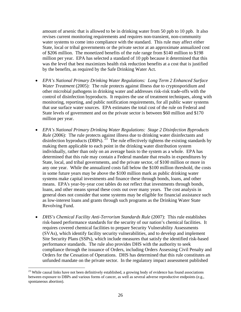<span id="page-30-0"></span>amount of arsenic that is allowed to be in drinking water from 50 ppb to 10 ppb. It also revises current monitoring requirements and requires non-transient, non-community water systems to come into compliance with the standard. This rule may affect either State, local or tribal governments or the private sector at an approximate annualized cost of \$206 million. The monetized benefits of the rule range from \$140 million to \$198 million per year. EPA has selected a standard of 10 ppb because it determined that this was the level that best maximizes health risk reduction benefits at a cost that is justified by the benefits, as required by the Safe Drinking Water Act.

- *EPA's National Primary Drinking Water Regulations: Long Term 2 Enhanced Surface Water Treatment* (2005): The rule protects against illness due to cryptosporidium and other microbial pathogens in drinking water and addresses risk-risk trade-offs with the control of disinfection byproducts. It requires the use of treatment techniques, along with monitoring, reporting, and public notification requirements, for all public water systems that use surface water sources. EPA estimates the total cost of the rule on Federal and State levels of government and on the private sector is between \$60 million and \$170 million per year.
- *EPA's National Primary Drinking Water Regulations: Stage 2 Disinfection Byproducts Rule* (2006): The rule protects against illness due to drinking water disinfectants and disinfection byproducts (DBPs).  $^{23}$  $^{23}$  $^{23}$  The rule effectively tightens the existing standards by making them applicable to each point in the drinking water distribution system individually, rather than only on an average basis to the system as a whole. EPA has determined that this rule may contain a Federal mandate that results in expenditures by State, local, and tribal governments, and the private sector, of \$100 million or more in any one year. While the annualized costs fall below the \$100 million threshold, the costs in some future years may be above the \$100 million mark as public drinking water systems make capital investments and finance these through bonds, loans, and other means. EPA's year-by-year cost tables do not reflect that investments through bonds, loans, and other means spread these costs out over many years. The cost analysis in general does not consider that some systems may be eligible for financial assistance such as low-interest loans and grants through such programs as the Drinking Water State Revolving Fund.
- *DHS's Chemical Facility Anti-Terrorism Standards Rule* (2007): This rule establishes risk-based performance standards for the security of our nation's chemical facilities. It requires covered chemical facilities to prepare Security Vulnerability Assessments (SVAs), which identify facility security vulnerabilities, and to develop and implement Site Security Plans (SSPs), which include measures that satisfy the identified risk-based performance standards. The rule also provides DHS with the authority to seek compliance through the issuance of Orders, including Orders Assessing Civil Penalty and Orders for the Cessation of Operations. DHS has determined that this rule constitutes an unfunded mandate on the private sector. In the regulatory impact assessment published

<sup>&</sup>lt;sup>23</sup> While causal links have not been definitively established, a growing body of evidence has found associations between exposure to DBPs and various forms of cancer, as well as several adverse reproductive endpoints (e.g., spontaneous abortion).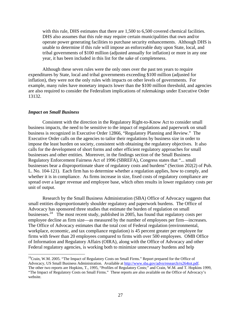<span id="page-31-0"></span>with this rule, DHS estimates that there are 1,500 to 6,500 covered chemical facilities. DHS also assumes that this rule may require certain municipalities that own and/or operate power generating facilities to purchase security enhancements. Although DHS is unable to determine if this rule will impose an enforceable duty upon State, local, and tribal governments of \$100 million (adjusted annually for inflation) or more in any one year, it has been included in this list for the sake of completeness.

Although these seven rules were the only ones over the past ten years to require expenditures by State, local and tribal governments exceeding \$100 million (adjusted for inflation), they were not the only rules with impacts on other levels of governments. For example, many rules have monetary impacts lower than the \$100 million threshold, and agencies are also required to consider the Federalism implications of rulemakings under Executive Order 13132.

#### *Impact on Small Business*

 $\overline{a}$ 

Consistent with the direction in the Regulatory Right-to-Know Act to consider small business impacts, the need to be sensitive to the impact of regulations and paperwork on small business is recognized in Executive Order 12866, "Regulatory Planning and Review." The Executive Order calls on the agencies to tailor their regulations by business size in order to impose the least burden on society, consistent with obtaining the regulatory objectives. It also calls for the development of short forms and other efficient regulatory approaches for small businesses and other entities. Moreover, in the findings section of the Small Business Regulatory Enforcement Fairness Act of 1996 (SBREFA), Congress states that "... small businesses bear a disproportionate share of regulatory costs and burdens" (Section 202(2) of Pub. L. No. 104-121). Each firm has to determine whether a regulation applies, how to comply, and whether it is in compliance. As firms increase in size, fixed costs of regulatory compliance are spread over a larger revenue and employee base, which often results in lower regulatory costs per unit of output.

Research by the Small Business Administration (SBA) Office of Advocacy suggests that small entities disproportionately shoulder regulatory and paperwork burdens. The Office of Advocacy has sponsored three studies that estimate the burden of regulation on small businesses.<sup>[24](#page-31-0)</sup> The most recent study, published in 2005, has found that regulatory costs per employee decline as firm size—as measured by the number of employees per firm—increases. The Office of Advocacy estimates that the total cost of Federal regulation (environmental, workplace, economic, and tax compliance regulation) is 45 percent greater per employee for firms with fewer than 20 employees compared to firms with over 500 employees. OMB Office of Information and Regulatory Affairs (OIRA), along with the Office of Advocacy and other Federal regulatory agencies, is working both to minimize unnecessary burdens and help

 $^{24}$ Crain, W.M. 2005. "The Impact of Regulatory Costs on Small Firms." Report prepared for the Office of Advocacy, US Small Business Administration. Available at <http://www.sba.gov/advo/research/rs264tot.pdf>. The other two reports are Hopkins, T., 1995, "Profiles of Regulatory Costs;" and Crain, W.M. and T. Hopkins 1999, "The Impact of Regulatory Costs on Small Firms." These reports are also available on the Office of Advocacy's website.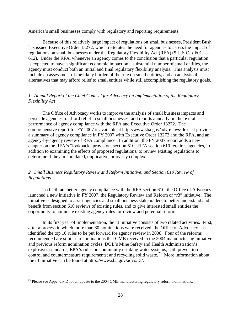<span id="page-32-0"></span>America's small businesses comply with regulatory and reporting requirements.

Because of this relatively large impact of regulations on small businesses, President Bush has issued Executive Order 13272, which reiterates the need for agencies to assess the impact of regulations on small businesses under the Regulatory Flexibility Act (RFA) (5 U.S.C. § 601- 612). Under the RFA, whenever an agency comes to the conclusion that a particular regulation is expected to have a significant economic impact on a substantial number of small entities, the agency must conduct both an initial and final regulatory flexibility analysis. This analysis must include an assessment of the likely burden of the rule on small entities, and an analysis of alternatives that may afford relief to small entities while still accomplishing the regulatory goals.

## *1. Annual Report of the Chief Counsel for Advocacy on Implementation of the Regulatory Flexibility Act*

 The Office of Advocacy works to improve the analysis of small business impacts and persuade agencies to afford relief to small businesses, and reports annually on the overall performance of agency compliance with the RFA and Executive Order 13272. The comprehensive report for FY 2007 is available at http://www.sba.gov/advo/laws/flex. It provides a summary of agency compliance in FY 2007 with Executive Order 13272 and the RFA, and an agency-by-agency review of RFA compliance. In addition, the FY 2007 report adds a new chapter on the RFA's "lookback" provision, section 610. RFA section 610 requires agencies, in addition to examining the effects of proposed regulations, to review existing regulations to determine if they are outdated, duplicative, or overly complex.

## *2. Small Business Regulatory Review and Reform Initiative, and Section 610 Review of Regulations*

 To facilitate better agency compliance with the RFA section 610, the Office of Advocacy launched a new initiative in FY 2007, the Regulatory Review and Reform or "r3" initiative. The initiative is designed to assist agencies and small business stakeholders to better understand and benefit from section 610 reviews of existing rules, and to give interested small entities the opportunity to nominate existing agency rules for review and potential reform.

 In its first year of implementation, the r3 initiative consists of two related activities. First, after a process in which more than 80 nominations were received, the Office of Advocacy has identified the top 10 rules to be put forward for agency review in 2008. Four of the reforms recommended are similar to nominations that OMB received in the 2004 manufacturing initiative and previous reform nomination cycles: DOL's Mine Safety and Health Administration's explosives standards; EPA's rules on community drinking water systems; spill prevention control and countermeasure requirements; and recycling solid waste.<sup>[25](#page-32-0)</sup> More information about the r3 initiative can be found at http://www.sba.gov/advo/r3/.

 $25$  Please see Appendix D for an update to the 2004 OMB manufacturing regulatory reform nominations.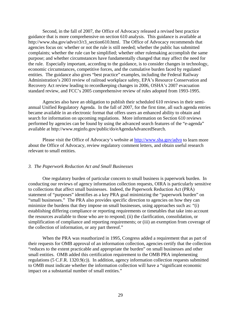Second, in the fall of 2007, the Office of Advocacy released a revised best practice guidance that is more comprehensive on section 610 analysis. This guidance is available at http://www.sba.gov/advo/r3/r3\_section610.html. The Office of Advocacy recommends that agencies focus on: whether or not the rule is still needed; whether the public has submitted complaints; whether the rule can be simplified; whether other rulemaking accomplish the same purpose; and whether circumstances have fundamentally changed that may affect the need for the rule. Especially important, according to the guidance, is to consider changes in technology, economic circumstances, competitive forces, and the cumulative burden faced by regulated entities. The guidance also gives "best practice" examples, including the Federal Railway Administration's 2003 review of railroad workplace safety, EPA's Resource Conservation and Recovery Act review leading to recordkeeping changes in 2006, OSHA's 2007 evacuation standard review, and FCC's 2005 comprehensive review of rules adopted from 1993-1995.

 Agencies also have an obligation to publish their scheduled 610 reviews in their semiannual Unified Regulatory Agenda. In the fall of 2007, for the first time, all such agenda entries became available in an electronic format that offers users an enhanced ability to obtain and search for information on upcoming regulations. More information on Section 610 reviews performed by agencies can be found by using the advanced search features of the "e-agenda" available at http://www.reginfo.gov/public/do/eAgendaAdvancedSearch.

Please visit the Office of Advocacy's website at<http://www.sba.gov/advo>to learn more about the Office of Advocacy, review regulatory comment letters, and obtain useful research relevant to small entities.

## *3. The Paperwork Reduction Act and Small Businesses*

 One regulatory burden of particular concern to small business is paperwork burden. In conducting our reviews of agency information collection requests, OIRA is particularly sensitive to collections that affect small businesses. Indeed, the Paperwork Reduction Act (PRA) statement of "purposes" identifies as a key PRA goal minimizing the "paperwork burden" on "small businesses." The PRA also provides specific direction to agencies on how they can minimize the burdens that they impose on small businesses, using approaches such as: "(i) establishing differing compliance or reporting requirements or timetables that take into account the resources available to those who are to respond; (ii) the clarification, consolidation, or simplification of compliance and reporting requirements; or (iii) an exemption from coverage of the collection of information, or any part thereof."

 When the PRA was reauthorized in 1995, Congress added a requirement that as part of their requests for OMB approval of an information collection, agencies certify that the collection "reduces to the extent practicable and appropriate the burden" on small businesses and other small entities. OMB added this certification requirement to the OMB PRA implementing regulations (5 C.F.R. 1320.9(c)). In addition, agency information collection requests submitted to OMB must indicate whether the information collection will have a "significant economic impact on a substantial number of small entities."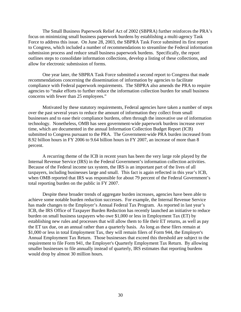The Small Business Paperwork Relief Act of 2002 (SBPRA) further reinforces the PRA's focus on minimizing small business paperwork burdens by establishing a multi-agency Task Force to address this issue. On June 28, 2003, the SBPRA Task Force submitted its first report to Congress, which included a number of recommendations to streamline the Federal information submission process and reduce small business paperwork burdens. Specifically, the report outlines steps to consolidate information collections, develop a listing of these collections, and allow for electronic submission of forms.

 One year later, the SBPRA Task Force submitted a second report to Congress that made recommendations concerning the dissemination of information by agencies to facilitate compliance with Federal paperwork requirements. The SBPRA also amends the PRA to require agencies to "make efforts to further reduce the information collection burden for small business concerns with fewer than 25 employees."

 Motivated by these statutory requirements, Federal agencies have taken a number of steps over the past several years to reduce the amount of information they collect from small businesses and to ease their compliance burdens, often through the innovative use of information technology. Nonetheless, OMB has seen government-wide paperwork burdens increase over time, which are documented in the annual Information Collection Budget Report (ICB) submitted to Congress pursuant to the PRA. The Government-wide PRA burden increased from 8.92 billion hours in FY 2006 to 9.64 billion hours in FY 2007, an increase of more than 8 percent.

 A recurring theme of the ICB in recent years has been the very large role played by the Internal Revenue Service (IRS) in the Federal Government's information collection activities. Because of the Federal income tax system, the IRS is an important part of the lives of all taxpayers, including businesses large and small. This fact is again reflected in this year's ICB, when OMB reported that IRS was responsible for about 79 percent of the Federal Government's total reporting burden on the public in FY 2007.

 Despite these broader trends of aggregate burden increases, agencies have been able to achieve some notable burden reduction successes. For example, the Internal Revenue Service has made changes to the Employer's Annual Federal Tax Program. As reported in last year's ICB, the IRS Office of Taxpayer Burden Reduction has recently launched an initiative to reduce burden on small business taxpayers who owe \$1,000 or less in Employment Tax (ET) by establishing new rules and processes that will allow them to file their ET returns, as well as pay the ET tax due, on an annual rather than a quarterly basis. As long as these filers remain at \$1,000 or less in total Employment Tax, they will remain filers of Form 944, the Employer's Annual Employment Tax Return. Those businesses that exceed this threshold are subject to the requirement to file Form 941, the Employer's Quarterly Employment Tax Return. By allowing smaller businesses to file annually instead of quarterly, IRS estimates that reporting burdens would drop by almost 30 million hours.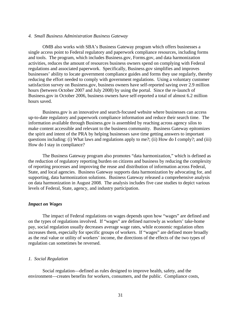#### *4. Small Business Administration Business Gateway*

OMB also works with SBA's Business Gateway program which offers businesses a single access point to Federal regulatory and paperwork compliance resources, including forms and tools. The program, which includes Business.gov, Forms.gov, and data harmonization activities, reduces the amount of resources business owners spend on complying with Federal regulations and associated paperwork. Specifically, Business.gov simplifies and improves businesses' ability to locate government compliance guides and forms they use regularly, thereby reducing the effort needed to comply with government regulations. Using a voluntary customer satisfaction survey on Business.gov, business owners have self-reported saving over 2.9 million hours (between October 2007 and July 2008) by using the portal. Since the re-launch of Business.gov in October 2006, business owners have self-reported a total of almost 6.2 million hours saved.

 Business.gov is an innovative and search-focused website where businesses can access up-to-date regulatory and paperwork compliance information and reduce their search time. The information available through Business.gov is assembled by reaching across agency silos to make content accessible and relevant to the business community. Business Gateway epitomizes the spirit and intent of the PRA by helping businesses save time getting answers to important questions including: (i) What laws and regulations apply to me?; (ii) How do I comply?; and (iii) How do I stay in compliance?

 The Business Gateway program also promotes "data harmonization," which is defined as the reduction of regulatory reporting burden on citizens and business by reducing the complexity of reporting processes and improving the reuse and distribution of information across Federal, State, and local agencies. Business Gateway supports data harmonization by advocating for, and supporting, data harmonization solutions. Business Gateway released a comprehensive analysis on data harmonization in August 2008. The analysis includes five case studies to depict various levels of Federal, State, agency, and industry participation.

#### *Impact on Wages*

The impact of Federal regulations on wages depends upon how "wages" are defined and on the types of regulations involved. If "wages" are defined narrowly as workers' take-home pay, social regulation usually decreases average wage rates, while economic regulation often increases them, especially for specific groups of workers. If "wages" are defined more broadly as the real value or utility of workers' income, the directions of the effects of the two types of regulation can sometimes be reversed.

### *1. Social Regulation*

Social regulation—defined as rules designed to improve health, safety, and the environment—creates benefits for workers, consumers, and the public. Compliance costs,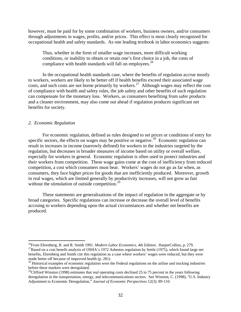<span id="page-36-0"></span>however, must be paid for by some combination of workers, business owners, and/or consumers through adjustments in wages, profits, and/or prices. This effect is most clearly recognized for occupational health and safety standards. As one leading textbook in labor economics suggests:

Thus, whether in the form of smaller wage increases, more difficult working conditions, or inability to obtain or retain one's first choice in a job, the costs of compliance with health standards will fall on employees. $^{26}$  $^{26}$  $^{26}$ 

In the occupational health standards case, where the benefits of regulation accrue mostly to workers, workers are likely to be better off if health benefits exceed their associated wage costs, and such costs are not borne primarily by workers.<sup>[27](#page-36-0)</sup> Although wages may reflect the cost of compliance with health and safety rules, the job safety and other benefits of such regulation can compensate for the monetary loss. Workers, as consumers benefiting from safer products and a cleaner environment, may also come out ahead if regulation produces significant net benefits for society.

#### *2. Economic Regulation*

 $\overline{a}$ 

For economic regulation, defined as rules designed to set prices or conditions of entry for specific sectors, the effects on wages may be positive or negative.<sup>[28](#page-36-0)</sup> Economic regulation can result in increases in income (narrowly defined) for workers in the industries targeted by the regulation, but decreases in broader measures of income based on utility or overall welfare, especially for workers in general. Economic regulation is often used to protect industries and their workers from competition. These wage gains come at the cost of inefficiency from reduced competition, a cost which consumers must bear. Workers' wages do not go as far when, as consumers, they face higher prices for goods that are inefficiently produced. Moreover, growth in real wages, which are limited generally by productivity increases, will not grow as fast without the stimulation of outside competition. $2^9$ 

These statements are generalizations of the impact of regulation in the aggregate or by broad categories. Specific regulations can increase or decrease the overall level of benefits accruing to workers depending upon the actual circumstances and whether net benefits are produced.

<sup>&</sup>lt;sup>26</sup>From Ehrenberg, R. and R. Smith 1991. *Modern Labor Economics*, 4th Edition. HarperCollins, p. 279.<br><sup>27</sup>Based on a cost benefit analysis of OSHA's 1972 Asbestos regulation by Settle (1975), which found large net benefits, Ehrenberg and Smith cite this regulation as a case where workers' wages were reduced, but they were made better off because of improved health (p. 281).

<sup>&</sup>lt;sup>28</sup> Historical examples of economic regulation were the Federal regulations on the airline and trucking industries before these markets were deregulated.

 $^{29}$ Clifford Winston (1998) estimates that real operating costs declined 25 to 75 percent in the years following deregulation in the transportation, energy, and telecommunications sectors. See Winston, C. (1998), "U.S. Industry Adjustment to Economic Deregulation," *Journal of Economic Perspectives* 12(3): 89-110.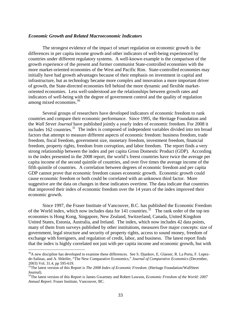#### <span id="page-37-0"></span>*Economic Growth and Related Macroeconomic Indicators*

The strongest evidence of the impact of smart regulation on economic growth is the differences in per capita income growth and other indicators of well-being experienced by countries under different regulatory systems. A well-known example is the comparison of the growth experience of the present and former communist State-controlled economies with the more market-oriented economies of the West and Pacific Rim. State-controlled economies may initially have had growth advantages because of their emphasis on investment in capital and infrastructure, but as technology became more complex and innovation a more important driver of growth, the State-directed economies fell behind the more dynamic and flexible marketoriented economies. Less well-understood are the relationships between growth rates and indicators of well-being with the degree of government control and the quality of regulation among mixed economies. $30$ 

 Several groups of researchers have developed indicators of economic freedom to rank countries and compare their economic performance. Since 1995, the Heritage Foundation and the *Wall Street Journal* have published jointly a yearly index of economic freedom. For 2008 it includes 162 countries.<sup>[31](#page-37-0)</sup> The index is composed of independent variables divided into ten broad factors that attempt to measure different aspects of economic freedom: business freedom, trade freedom, fiscal freedom, government size, monetary freedom, investment freedom, financial freedom, property rights, freedom from corruption, and labor freedom. The report finds a very strong relationship between the index and per capita Gross Domestic Product (GDP). According to the index presented in the 2008 report, the world's freest countries have twice the average per capita income of the second quintile of countries, and over five times the average income of the fifth quintile of countries. A correlation between degrees of economic freedom and per capita GDP cannot prove that economic freedom causes economic growth. Economic growth could cause economic freedom or both could be correlated with an unknown third factor. More suggestive are the data on changes in these indicators overtime. The data indicate that countries that improved their index of economic freedom over the 14 years of the index improved their economic growth.

Since 1997, the Fraser Institute of Vancouver, B.C. has published the Economic Freedom of the World index, which now includes data for 141 countries.<sup>[32](#page-37-0)</sup> The rank order of the top ten economies is Hong Kong, Singapore, New Zealand, Switzerland, Canada, United Kingdom United States, Estonia, Australia, and Ireland. The index, which now includes 42 data points, many of them from surveys published by other institutions, measures five major concepts: size of government, legal structure and security of property rights, access to sound money, freedom of exchange with foreigners, and regulation of credit, labor, and business. The latest report finds that the index is highly correlated not just with per capita income and economic growth, but with

<sup>&</sup>lt;sup>30</sup>A new discipline has developed to examine these differences. See S. Djankov, E. Glaeser, R. La Porta, F. Lopezde-Salinas, and A. Shleifer, "The New Comparative Economics," *Journal of Comparative Economics* (December, 2003) Vol. 31.4, pp 595-619.

<sup>31</sup>The latest version of this Report is *The 2008 Index of Economic Freedom.* (Heritage Foundation/WallSteet Journal).

<sup>&</sup>lt;sup>32</sup>The latest version of this Report is James Gwartney and Robert Lawson, *Economic Freedom of the World: 2007 Annual Report*. Fraser Institute, Vancouver, BC.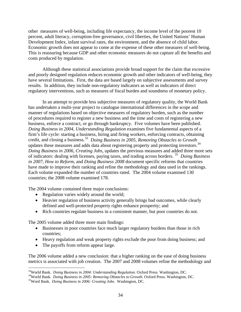<span id="page-38-0"></span>other measures of well-being, including life expectancy, the income level of the poorest 10 percent, adult literacy, corruption-free governance, civil liberties, the United Nations' Human Development Index, infant survival rates, the environment, and the absence of child labor. Economic growth does not appear to come at the expense of these other measures of well-being. This is reassuring because GDP and other economic measures do not capture all the benefits and costs produced by regulation.

Although these statistical associations provide broad support for the claim that excessive and poorly designed regulation reduces economic growth and other indicators of well-being, they have several limitations. First, the data are based largely on subjective assessments and survey results. In addition, they include non-regulatory indicators as well as indicators of direct regulatory interventions, such as measures of fiscal burden and soundness of monetary policy.

In an attempt to provide less subjective measures of regulatory quality, the World Bank has undertaken a multi-year project to catalogue international differences in the scope and manner of regulations based on objective measures of regulatory burden, such as the number of procedures required to register a new business and the time and costs of registering a new business, enforce a contract, or go through bankruptcy. Five volumes have been published. *Doing Business in 2004, Understanding Regulation* examines five fundamental aspects of a firm's life cycle: starting a business, hiring and firing workers, enforcing contracts, obtaining credit, and closing a business.[33](#page-38-0) *Doing Business in 2005, Removing Obstacles to Growth* updates these measures and adds data about registering property and protecting investors.<sup>[34](#page-38-0)</sup> Doing Business in 2006, Creating Jobs, updates the previous measures and added three more sets countries; the 2008 volume examined 178. of indicators: dealing with licenses, paying taxes, and trading across borders. [35](#page-38-0) *Doing Business in 2007, How to Reform,* and *Doing Business 2008* document specific reforms that countries have made to improve their ranking and refine the methodology and data used in the rankings. Each volume expanded the number of countries rated. The 2004 volume examined 130

The 2004 volume contained three major conclusions:

- Regulation varies widely around the world;
- Heavier regulation of business activity generally brings bad outcomes, while clearly defined and well-protected property rights enhance prosperity; and
- Rich countries regulate business in a consistent manner, but poor countries do not.

The 2005 volume added three more main findings:

- Businesses in poor countries face much larger regulatory burdens than those in rich countries;
- Heavy regulation and weak property rights exclude the poor from doing business; and
- The payoffs from reform appear large.

 $\overline{a}$ 

The 2006 volume added a new conclusion: that a higher ranking on the ease of doing business metrics is associated with job creation. The 2007 and 2008 volumes refine the methodology and

<sup>&</sup>lt;sup>33</sup>World Bank. *Doing Business in 2004: Understanding Regulation*. Oxford Press. Washington, DC.<br><sup>34</sup>World Bank. *Doing Business in 2005: Removing Obstacles to Growth*. Oxford Press. Washington, DC.<br><sup>35</sup>Word Bank. *Doing*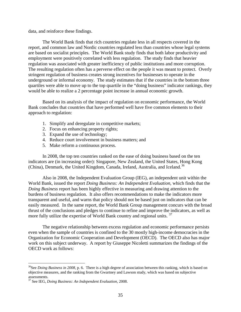<span id="page-39-0"></span>data, and reinforce these findings.

The World Bank finds that rich countries regulate less in all respects covered in the report, and common law and Nordic countries regulated less than countries whose legal systems are based on socialist principles. The World Bank study finds that both labor productivity and employment were positively correlated with less regulation. The study finds that heavier regulation was associated with greater inefficiency of public institutions and more corruption. The resulting regulation often has a perverse effect on the people it was meant to protect. Overly stringent regulation of business creates strong incentives for businesses to operate in the underground or informal economy. The study estimates that if the countries in the bottom three quartiles were able to move up to the top quartile in the "doing business" indicator rankings, they would be able to realize a 2 percentage point increase in annual economic growth.

Based on its analysis of the impact of regulation on economic performance, the World Bank concludes that countries that have performed well have five common elements to their approach to regulation:

- 1. Simplify and deregulate in competitive markets;
- 2. Focus on enhancing property rights;
- 3. Expand the use of technology;
- 4. Reduce court involvement in business matters; and
- 5. Make reform a continuous process.

In 2008, the top ten countries ranked on the ease of doing business based on the ten indicators are (in increasing order): Singapore, New Zealand, the United States, Hong Kong (China), Denmark, the United Kingdom, Canada, Ireland, Australia, and Iceland.<sup>[36](#page-39-0)</sup>

 Also in 2008, the Independent Evaluation Group (IEG), an independent unit within the World Bank, issued the report *Doing Business: An Independent Evaluation,* which finds that the *Doing Business* report has been highly effective in measuring and drawing attention to the burdens of business regulation. It also offers recommendations to make the indicators more transparent and useful, and warns that policy should not be based just on indicators that can be easily measured. In the same report, the World Bank Group management concurs with the broad thrust of the conclusions and pledges to continue to refine and improve the indicators, as well as more fully utilize the expertise of World Bank country and regional units.  $37$ 

The negative relationship between excess regulation and economic performance persists even when the sample of countries is confined to the 30 mostly high-income democracies in the Organization for Economic Cooperation and Development (OECD). The OECD also has major work on this subject underway. A report by Giuseppe Nicoletti summarizes the findings of the OECD work as follows:

<sup>&</sup>lt;sup>36</sup>See *Doing Business in 2008*, p. 6. There is a high degree of association between this ranking, which is based on objective measures, and the ranking from the Gwartney and Lawson study, which was based on subjective assessments.

<sup>37</sup> See IEG, *Doing Business: An Independent Evaluation*, 2008.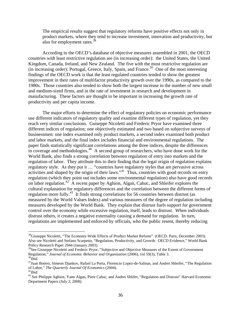<span id="page-40-0"></span>The empirical results suggest that regulatory reforms have positive effects not only in product markets, where they tend to increase investment, innovation and productivity, but also for employment rates.<sup>[38](#page-40-0)</sup>

According to the OECD's database of objective measures assembled in 2001, the OECD countries with least restrictive regulation are (in increasing order): the United States, the United Kingdom, Canada, Ireland, and New Zealand. The five with the most restrictive regulation are (in increasing order): Portugal, Greece, Italy, Spain, and France.<sup>[39](#page-40-0)</sup> One of the most interesting findings of the OECD work is that the least regulated countries tended to show the greatest improvement in their rates of multifactor productivity growth over the 1990s, as compared to the 1980s. Those countries also tended to show both the largest increase in the number of new small and medium-sized firms, and in the rate of investment in research and development in manufacturing. These factors are thought to be important in increasing the growth rate of productivity and per capita income.

The major efforts to determine the effect of regulatory policies on economic performance use different indicators of regulatory quality and examine different types of regulation, yet they reach very similar conclusions. Guiseppe Nicoletti and Frederic Pryor have examined three different indices of regulation; one objectively estimated and two based on subjective surveys of businessmen: one index examined only product markets, a second index examined both product and labor markets, and the final index includes financial and environmental regulations. The paper finds statistically significant correlations among the three indices, despite the differences in coverage and methodologies.<sup>[40](#page-40-0)</sup> A second group of researchers, who have done work for the World Bank, also finds a strong correlation between regulation of entry into markets and the regulation of labor. They attribute this to their finding that the legal origin of regulation explains regulatory style. As they put it … "countries have regulatory styles that are pervasive across activities and shaped by the origin of their laws."<sup>[41](#page-40-0)</sup> Thus, countries with good records on entry regulation (which they point out includes some environmental regulation) also have good records on labor regulation.[42](#page-40-0) A recent paper by Aghion, Algan, Cahuc, and Shleifer explores the cultural explanation for regulatory differences and the correlation between the different forms of regulation more fully.[43](#page-40-0) It finds strong correlations for 56 countries between distrust (as measured by the World Values Index) and various measures of the degree of regulation including measures developed by the World Bank. They explain that distrust fuels support for government control over the economy while excessive regulation, itself, leads to distrust. When individuals distrust others, it creates a negative externality causing a demand for regulation. In turn, regulations are implemented and enforced by officials, who the public resent, thereby reducing

<sup>&</sup>lt;sup>38</sup>Giuseppe Nicoletti, "The Economy-Wide Effects of Product Market Reform". (OECD. Paris, December 2003). Also see Nicoletti and Stefano Scarpetta, "Regulation, Productivity, and Growth: OECD Evidence," World Bank Policy Research Paper 2944 (January 2003).

<sup>&</sup>lt;sup>39</sup>See Giuseppe Nicoletti and Frederic Pryor, "Subjective and Objective Measures of the Extent of Government Regulation," *Journal of Economic Behavior and Organization* (2006), vol 59(3), Table 3. 40*Ibid.*

<sup>&</sup>lt;sup>41</sup>Juan Botero, Simeon Djankov, Rafael La Porta, Florencio Lopez-de-Salinas, and Andrei Shleifer, "The Regulation of Labor," *The Quarterly Journal Of Economics* (2004).<br><sup>42</sup>*Ibid.* 43<br><sup>43</sup> See Philippe Aghion, Yann Algan, Piere Cahac, and Andrei Shlifer, "Regulation and Distrust" Harvard Economic

Department Papers (July 3, 2008).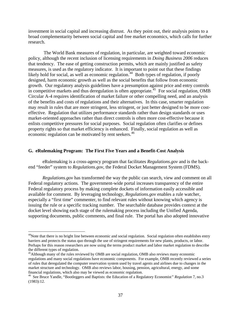<span id="page-41-0"></span>investment in social capital and increasing distrust. As they point out, their analysis points to a broad complementarity between social capital and free market economics, which calls for further research.

 The World Bank measures of regulation, in particular, are weighted toward economic policy, although the recent inclusion of licensing requirements in *Doing Business 2006* reduces that tendency. The ease of getting construction permits, which are mainly justified as safety measures, is used as the regulatory indicator. It is important to point out that these findings likely hold for social, as well as economic regulation.<sup>[44](#page-41-0)</sup> Both types of regulation, if poorly designed, harm economic growth as well as the social benefits that follow from economic growth. Our regulatory analysis guidelines have a presumption against price and entry controls in competitive markets and thus deregulation is often appropriate.<sup>[45](#page-41-0)</sup> For social regulation, OMB Circular A-4 requires identification of market failure or other compelling need, and an analysis of the benefits and costs of regulations and their alternatives. In this case, smarter regulation may result in rules that are more stringent, less stringent, or just better designed to be more costeffective. Regulation that utilizes performance standards rather than design standards or uses market-oriented approaches rather than direct controls is often more cost-effective because it enlists competitive pressures for social purposes. Social regulation often clarifies or defines property rights so that market efficiency is enhanced. Finally, social regulation as well as economic regulation can be motivated by rent seekers.<sup>[46](#page-41-0)</sup>

### **G. eRulemaking Program: The First Five Years and a Benefit-Cost Analysis**

 eRulemaking is a cross-agency program that facilitates *Regulations.gov* and is the backend "feeder" system to *Regulations.gov*, the Federal Docket Management System (FDMS).

 *Regulations.gov* has transformed the way the public can search, view and comment on all Federal regulatory actions. The government-wide portal increases transparency of the entire Federal regulatory process by making complete dockets of information easily accessible and available for comment. By leveraging technology, *Regulations.gov* enables a rule watcher, especially a "first time" commenter, to find relevant rules without knowing which agency is issuing the rule or a specific tracking number. The searchable database provides context at the docket level showing each stage of the rulemaking process including the Unified Agenda, supporting documents, public comments, and final rule. The portal has also adopted innovative

<sup>&</sup>lt;sup>44</sup>Note that there is no bright line between economic and social regulation. Social regulation often establishes entry barriers and protects the status quo through the use of stringent requirements for new plants, products, or labor. Perhaps for this reason researchers are now using the terms product market and labor market regulation to describe the different types of regulation.

<sup>&</sup>lt;sup>45</sup>Although many of the rules reviewed by OMB are social regulation, OMB also reviews many economic regulations and many social regulations have economic components. For example, OMB recently reviewed a series of rules that deregulated the computer reservation system used by travel agents and airlines due to changes in the market structure and technology. OMB also reviews labor, housing, pension, agricultural, energy, and some financial regulations, which also may be viewed as economic regulation.

<sup>46</sup> See Bruce Yandle, "Bootleggers and Baptists: the Education of a Regulatory Economist*" Regulation* 7, no.3 (1983):12.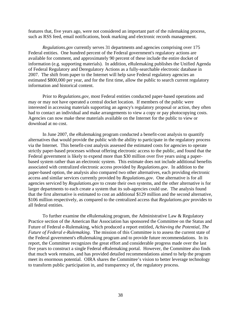features that, five years ago, were not considered an important part of the rulemaking process, such as RSS feed, email notifications, book marking and electronic records management.

*Regulations.gov* currently serves 31 departments and agencies comprising over 175 Federal entities. One hundred percent of the Federal government's regulatory actions are available for comment, and approximately 90 percent of these include the entire docket of information (e.g. supporting materials). In addition, eRulemaking publishes the Unified Agenda of Federal Regulatory and Deregulatory Actions as a fully-searchable electronic database in 2007. The shift from paper to the Internet will help save Federal regulatory agencies an estimated \$800,000 per year, and for the first time, allow the public to search current regulatory information and historical content.

 Prior to *Regulations.gov*, most Federal entities conducted paper-based operations and may or may not have operated a central docket location. If members of the public were interested in accessing materials supporting an agency's regulatory proposal or action, they often had to contact an individual and make arrangements to view a copy or pay photocopying costs. Agencies can now make these materials available on the Internet for the public to view or download at no cost.

 In June 2007, the eRulemaking program conducted a benefit-cost analysis to quantify alternatives that would provide the public with the ability to participate in the regulatory process via the Internet. This benefit-cost analysis assessed the estimated costs for agencies to operate strictly paper-based processes without offering electronic access to the public, and found that the Federal government is likely to expend more than \$30 million over five years using a paperbased system rather than an electronic system. This estimate does not include additional benefits associated with centralized electronic access provided by *Regulations.gov*. In addition to the paper-based option, the analysis also compared two other alternatives, each providing electronic access and similar services currently provided by *Regulations.gov*. One alternative is for all agencies serviced by *Regulations.gov* to create their own systems, and the other alternative is for larger departments to each create a system that its sub-agencies could use. The analysis found that the first alternative is estimated to cost an additional \$129 million and the second alternative, \$106 million respectively, as compared to the centralized access that *Regulations.gov* provides to all federal entities.

To further examine the eRulemaking program, the Administrative Law & Regulatory Practice section of the American Bar Association has sponsored the Committee on the Status and Future of Federal e-Rulemaking, which produced a report entitled, *Achieving the Potential, The Future of Federal e-Rulemaking*. The mission of this Committee is to assess the current state of the Federal government's eRulemaking program and to provide future recommendations. In its report, the Committee recognizes the great effort and considerable progress made over the last five years to construct a single Federal eRulemaking portal. However, the Committee also finds that much work remains, and has provided detailed recommendations aimed to help the program meet its enormous potential. OIRA shares the Committee's vision to better leverage technology to transform public participation in, and transparency of, the regulatory process.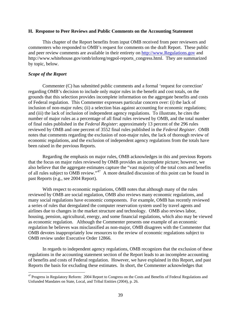#### <span id="page-43-0"></span>**H. Response to Peer Reviews and Public Comments on the Accounting Statement**

This chapter of the Report benefits from input OMB received from peer reviewers and commenters who responded to OMB's request for comments on the draft Report. These public and peer review comments are available in their entirety on [http://www.Regulations.gov](http://www.regulations.gov/) and http://www.whitehouse.gov/omb/inforeg/regpol-reports\_congress.html. They are summarized by topic, below.

### *Scope of the Report*

 $\overline{a}$ 

Commenter (C) has submitted public comments and a formal 'request for correction' regarding OMB's decision to include only major rules in the benefit and cost totals, on the grounds that this selection provides incomplete information on the aggregate benefits and costs of Federal regulation. This Commenter expresses particular concern over: (i) the lack of inclusion of non-major rules; (ii) a selection bias against accounting for economic regulations; and (iii) the lack of inclusion of independent agency regulations. To illustrate, he cites the number of major rules as a percentage of all final rules reviewed by OMB, and the total number of final rules published in the *Federal Register*: approximately 13 percent of the 296 rules reviewed by OMB and one percent of 3552 final rules published in the *Federal Register*. OMB notes that comments regarding the exclusion of non-major rules, the lack of thorough review of economic regulations, and the exclusion of independent agency regulations from the totals have been raised in the previous Reports.

Regarding the emphasis on major rules, OMB acknowledges in this and previous Reports that the focus on major rules reviewed by OMB provides an incomplete picture; however, we also believe that the aggregate estimates capture the "vast majority of the total costs and benefits of all rules subject to OMB review."[47](#page-43-0) A more detailed discussion of this point can be found in past Reports (e.g., see 2004 Report).

With respect to economic regulations, OMB notes that although many of the rules reviewed by OMB are social regulation, OMB also reviews many economic regulations, and many social regulations have economic components. For example, OMB has recently reviewed a series of rules that deregulated the computer reservation system used by travel agents and airlines due to changes in the market structure and technology. OMB also reviews labor, housing, pension, agricultural, energy, and some financial regulations, which also may be viewed as economic regulation. Although the Commenter presents one example of an economic regulation he believes was misclassified as non-major, OMB disagrees with the Commenter that OMB devotes inappropriately low resources to the review of economic regulations subject to OMB review under Executive Order 12866.

In regards to independent agency regulations, OMB recognizes that the exclusion of these regulations in the accounting statement section of the Report leads to an incomplete accounting of benefits and costs of Federal regulation. However, we have explained in this Report, and past Reports the basis for excluding these estimates. In short, the Commenter acknowledges that

<sup>&</sup>lt;sup>47</sup> Progress in Regulatory Reform: 2004 Report to Congress on the Costs and Benefits of Federal Regulations and Unfunded Mandates on State, Local, and Tribal Entities (2004), p. 26.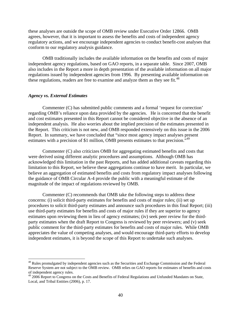<span id="page-44-0"></span>these analyses are outside the scope of OMB review under Executive Order 12866. OMB agrees, however, that it is important to assess the benefits and costs of independent agency regulatory actions, and we encourage independent agencies to conduct benefit-cost analyses that conform to our regulatory analysis guidance.

OMB traditionally includes the available information on the benefits and costs of major independent agency regulations, based on GAO reports, in a separate table. Since 2007, OMB also includes in the Report a more in depth presentation of the available information on all major regulations issued by independent agencies from 1996. By presenting available information on these regulations, readers are free to examine and analyze them as they see fit. $^{48}$  $^{48}$  $^{48}$ 

### *Agency vs. External Estimates*

 $\overline{a}$ 

Commenter (C) has submitted public comments and a formal 'request for correction' regarding OMB's reliance upon data provided by the agencies. He is concerned that the benefit and cost estimates presented in this Report cannot be considered objective in the absence of an independent analysis. He also worries about the implied precision of the estimates presented in the Report. This criticism is not new, and OMB responded extensively on this issue in the 2006 Report. In summary, we have concluded that "since most agency impact analyses present estimates with a precision of \$1 million, OMB presents estimates to that precision.<sup>1[49](#page-44-0)</sup>

Commenter (C) also criticizes OMB for aggregating estimated benefits and costs that were derived using different analytic procedures and assumptions. Although OMB has acknowledged this limitation in the past Reports, and has added additional caveats regarding this limitation to this Report, we believe these aggregations continue to have merit. In particular, we believe an aggregation of estimated benefits and costs from regulatory impact analyses following the guidance of OMB Circular A-4 provide the public with a meaningful estimate of the magnitude of the impact of regulations reviewed by OMB.

Commenter (C) recommends that OMB take the following steps to address these concerns: (i) solicit third-party estimates for benefits and costs of major rules; (ii) set up procedures to solicit third-party estimates and announce such procedures in this final Report; (iii) use third-party estimates for benefits and costs of major rules if they are superior to agency estimates upon reviewing them in lieu of agency estimates; (iv) seek peer review for the thirdparty estimates when the draft Report to Congress is reviewed by peer reviewers; and (v) seek public comment for the third-party estimates for benefits and costs of major rules. While OMB appreciates the value of competing analyses, and would encourage third-party efforts to develop independent estimates, it is beyond the scope of this Report to undertake such analyses.

<sup>&</sup>lt;sup>48</sup> Rules promulgated by independent agencies such as the Securities and Exchange Commission and the Federal Reserve System are not subject to the OMB review. OMB relies on GAO reports for estimates of benefits and costs of independent agency rules.

<sup>&</sup>lt;sup>49</sup> 2006 Report to Congress on the Costs and Benefits of Federal Regulations and Unfunded Mandates on State, Local, and Tribal Entities (2006), p. 17.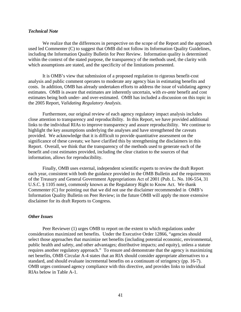### *Technical Note*

We realize that the differences in perspective on the scope of the Report and the approach used led Commenter (C) to suggest that OMB did not follow its Information Quality Guidelines, including the Information Quality Bulletin for Peer Review. Information quality is determined within the context of the stated purpose, the transparency of the methods used, the clarity with which assumptions are stated, and the specificity of the limitations presented.

It is OMB's view that submission of a proposed regulation to rigorous benefit-cost analysis and public comment operates to moderate any agency bias in estimating benefits and costs. In addition, OMB has already undertaken efforts to address the issue of validating agency estimates. OMB is aware that estimates are inherently uncertain, with *ex-ante* benefit and cost estimates being both under- and over-estimated. OMB has included a discussion on this topic in the 2005 Report, *Validating Regulatory Analysis*.

Furthermore, our original review of each agency regulatory impact analysis includes close attention to transparency and reproducibility. In this Report, we have provided additional links to the individual RIAs to improve transparency and assure reproducibility. We continue to highlight the key assumptions underlying the analyses and have strengthened the caveats provided. We acknowledge that it is difficult to provide quantitative assessment on the significance of these caveats; we have clarified this by strengthening the disclaimers in this Report. Overall, we think that the transparency of the methods used to generate each of the benefit and cost estimates provided, including the clear citation to the sources of that information, allows for reproducibility.

Finally, OMB uses external, independent scientific experts to review the draft Report each year, consistent with both the guidance provided in the OMB Bulletin and the requirements of the Treasury and General Government Appropriations Act of 2001 (Pub. L. No. 106-554, 31 U.S.C. § 1105 note), commonly known as the Regulatory Right to Know Act. We thank Commenter (C) for pointing out that we did not use the disclaimer recommended in OMB's Information Quality Bulletin on Peer Review; in the future OMB will apply the more extensive disclaimer for its draft Reports to Congress.

### *Other Issues*

Peer Reviewer (1) urges OMB to report on the extent to which regulations under consideration maximized net benefits. Under the Executive Order 12866, "agencies should select those approaches that maximize net benefits (including potential economic, environmental, public health and safety, and other advantages; distributive impacts; and equity), unless a statute requires another regulatory approach." To ensure and demonstrate that the agency is maximizing net benefits, OMB Circular A-4 states that an RIA should consider appropriate alternatives to a standard, and should evaluate incremental benefits on a continuum of stringency (pp. 16-7). OMB urges continued agency compliance with this directive, and provides links to individual RIAs below in Table A-1.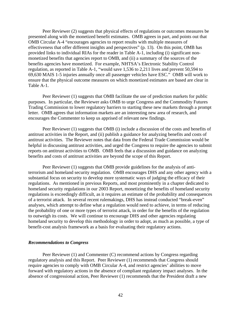Peer Reviewer (2) suggests that physical effects of regulations or outcomes measures be presented along with the monetized benefit estimates. OMB agrees in part, and points out that OMB Circular A-4 "encourages agencies to report results with multiple measures of effectiveness that offer different insights and perspectives" (p. 13). On this point, OMB has provided links to individual RIAs for the reader in Table A-1, including (i) significant nonmonetized benefits that agencies report to OMB, and (ii) a summary of the sources of the benefits agencies have monetized. For example, NHTSA's Electronic Stability Control regulation, as reported in Table A-1, "would save 1,536 to 2,211 lives and prevent 50,594 to 69,630 MAIS 1-5 injuries annually once all passenger vehicles have ESC." OMB will work to ensure that the physical outcome measures on which monetized estimates are based are clear in Table A-1.

Peer Reviewer (1) suggests that OMB facilitate the use of prediction markets for public purposes. In particular, the Reviewer asks OMB to urge Congress and the Commodity Futures Trading Commission to lower regulatory barriers to starting these new markets through a prompt letter. OMB agrees that information markets are an interesting new area of research, and encourages the Commenter to keep us apprised of relevant new findings.

Peer Reviewer (1) suggests that OMB (i) include a discussion of the costs and benefits of antitrust activities in the Report, and (ii) publish a guidance for analyzing benefits and costs of antitrust activities. The Reviewer notes that data from the Federal Trade Commission would be helpful in discussing antitrust activities, and urged the Congress to require the agencies to submit reports on antitrust activities to OMB. OMB feels that a discussion and guidance on analyzing benefits and costs of antitrust activities are beyond the scope of this Report.

Peer Reviewer (1) suggests that OMB provide guidelines for the analysis of antiterrorism and homeland security regulation. OMB encourages DHS and any other agency with a substantial focus on security to develop more systematic ways of judging the efficacy of their regulations. As mentioned in previous Reports, and most prominently in a chapter dedicated to homeland security regulations in our 2003 Report, monetizing the benefits of homeland security regulations is exceedingly difficult, as it requires an estimate of the probability and consequences of a terrorist attack. In several recent rulemakings, DHS has instead conducted "break-even" analyses, which attempt to define what a regulation would need to achieve, in terms of reducing the probability of one or more types of terrorist attack, in order for the benefits of the regulation to outweigh its costs. We will continue to encourage DHS and other agencies regulating homeland security to develop this methodology in order to adopt, as much as possible, a type of benefit-cost analysis framework as a basis for evaluating their regulatory actions.

### *Recommendations to Congress*

Peer Reviewer (1) and Commenter (C) recommend actions by Congress regarding regulatory analysis and this Report. Peer Reviewer (1) recommends that Congress should require agencies to comply with OMB Circular A-4, and restrict agencies' abilities to move forward with regulatory actions in the absence of compliant regulatory impact analyses. In the absence of congressional action, Peer Reviewer (1) recommends that the President draft a new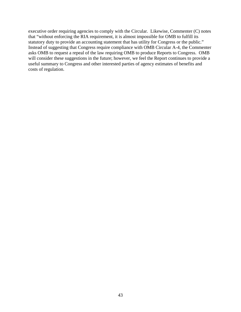executive order requiring agencies to comply with the Circular. Likewise, Commenter (C) notes that "without enforcing the RIA requirement, it is almost impossible for OMB to fulfill its statutory duty to provide an accounting statement that has utility for Congress or the public." Instead of suggesting that Congress require compliance with OMB Circular A-4, the Commenter asks OMB to request a repeal of the law requiring OMB to produce Reports to Congress. OMB will consider these suggestions in the future; however, we feel the Report continues to provide a useful summary to Congress and other interested parties of agency estimates of benefits and costs of regulation.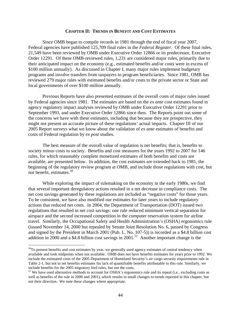### **CHAPTER II: TRENDS IN BENEFIT AND COST ESTIMATES**

<span id="page-48-0"></span>Since OMB began to compile records in 1981 through the end of fiscal year 2007, Federal agencies have published 125,709 final rules in the *Federal Register*. Of these final rules, 21,549 have been reviewed by OMB under Executive Order 12866 or its predecessor, Executive Order 12291. Of these OMB-reviewed rules, 1,231 are considered major rules, primarily due to their anticipated impact on the economy (e.g., estimated benefits and/or costs were in excess of \$100 million annually). As discussed in Chapter I, many major rules implement budgetary programs and involve transfers from taxpayers to program beneficiaries. Since 1981, OMB has reviewed 279 major rules with estimated benefits and/or costs to the private sector or State and local governments of over \$100 million annually.

Previous Reports have also presented estimates of the overall costs of major rules issued by Federal agencies since 1981. The estimates are based on the *ex ante* cost estimates found in agency regulatory impact analyses reviewed by OMB under Executive Order 12291 prior to September 1993, and under Executive Order 12866 since then. The Reports point out some of the concerns we have with these estimates, including that because they are prospective, they might not present an accurate picture of these regulations' actual impacts. Chapter III of our 2005 Report surveys what we know about the validation of *ex ante* estimates of benefits and costs of Federal regulation by *ex post* studies.

The best measure of the overall value of regulation is net benefits; that is, benefits to society minus costs to society. Benefits and cost measures for the years 1992 to 2007 for 146 rules, for which reasonably complete monetized estimates of both benefits and costs are available, are presented below. In addition, the cost estimates are extended back to 1981, the beginning of the regulatory review program at OMB, and include those regulations with cost, but not benefit, estimates.<sup>[50](#page-48-0)</sup>

While exploring the impact of rulemaking on the economy in the early 1980s, we find that several important deregulatory actions resulted in a net decrease in compliance costs. The net cost savings generated by these regulations are included as "negative costs" for those years. To be consistent, we have also modified our estimates for later years to include regulatory actions that reduced net costs. In 2004, the Department of Transportation (DOT) issued two regulations that resulted in net cost savings: one rule reduced minimum vertical separation for airspace and the second increased competition in the computer reservation system for airline travel. Similarly, the Occupational Safety and Health Administration's (OSHA) ergonomics rule (issued November 14, 2000 but repealed by Senate Joint Resolution No. 6, passed by Congress and signed by the President in March 2001 (Pub. L. No. 107-5)) is recorded as a \$4.8 billion cost addition in 2000 and a \$4.8 billion cost savings in 2001.<sup>[51](#page-48-0)</sup> Another important change is the

<sup>&</sup>lt;sup>50</sup>To present benefits and cost estimates by year, we generally used agency estimates of central tendency when available and took midpoints when not available. OMB does not have benefits estimates for years prior to 1992. We include the estimated costs of the 2005 Department of Homeland Security's air cargo security requirements rule in Table 2-1, but not in net benefits estimates for lack of quantifiable benefits attributable to this rule. Similarly, we include benefits for the 2005 migratory bird rules, but not the costs.

<sup>&</sup>lt;sup>51</sup> We have used alternative methods to account for OSHA's ergonomics rule and its repeal (i.e., excluding costs as well as benefits of the rule in 2000 and 2001), which results in small changes to trends reported in this chapter, but not their direction. We note these changes where appropriate.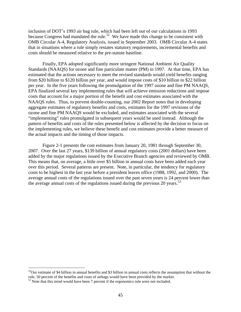<span id="page-49-0"></span>inclusion of DOT's 1993 air bag rule, which had been left out of our calculations in 1993 because Congress had mandated the rule.<sup>[52](#page-49-0)</sup> We have made this change to be consistent with OMB Circular A-4, Regulatory Analysis, issued in September 2003. OMB Circular A-4 states that in situations where a rule simply restates statutory requirements, incremental benefits and costs should be measured relative to the pre-statute baseline.

Finally, EPA adopted significantly more stringent National Ambient Air Quality Standards (NAAQS) for ozone and fine particulate matter (PM) in 1997. At that time, EPA has estimated that the actions necessary to meet the revised standards would yield benefits ranging from \$20 billion to \$120 billion per year, and would impose costs of \$10 billion to \$22 billion per year. In the five years following the promulgation of the 1997 ozone and fine PM NAAQS, EPA finalized several key implementing rules that will achieve emission reductions and impose costs that account for a major portion of the benefit and cost estimates associated with the NAAQS rules. Thus, to prevent double-counting, our 2002 Report notes that in developing aggregate estimates of regulatory benefits and costs, estimates for the 1997 revisions of the ozone and fine PM NAAQS would be excluded, and estimates associated with the several "implementing" rules promulgated in subsequent years would be used instead. Although the pattern of benefits and costs of the rules presented below is affected by the decision to focus on the implementing rules, we believe these benefit and cost estimates provide a better measure of the actual impacts and the timing of those impacts.

Figure 2-1 presents the cost estimates from January 20, 1981 through September 30, 2007. Over the last 27 years, \$139 billion of annual regulatory costs (2001 dollars) have been added by the major regulations issued by the Executive Branch agencies and reviewed by OMB. This means that, on average, a little over \$5 billion in annual costs have been added each year over this period. Several patterns are present. Note, in particular, the tendency for regulatory costs to be highest in the last year before a president leaves office (1988, 1992, and 2000). The average annual costs of the regulations issued over the past seven years is 24 percent lower than the average annual costs of the regulations issued during the previous 20 years.<sup>[53](#page-49-0)</sup>

 $52$ Our estimate of \$4 billion in annual benefits and \$3 billion in annual costs reflects the assumption that without the rule, 50 percent of the benefits and costs of airbags would have been provided by the market.

<sup>&</sup>lt;sup>53</sup> Note that this trend would have been 7 percent if the ergonomics rule were not included.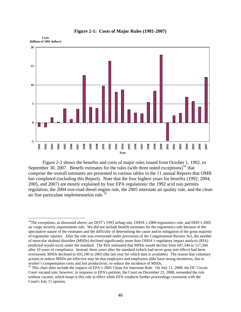<span id="page-50-0"></span>

#### **Figure 2-1: Costs of Major Rules (1981-2007)**

Figure 2-2 shows the benefits and costs of major rules issued from October 1, 1992, to September 30, 2007. Benefit estimates for the rules (with three noted exceptions)<sup>[54](#page-50-0)</sup> that comprise the overall estimates are presented in various tables in the 11 annual Reports that OMB has completed (including this Report). Note that the four highest years for benefits (1992, 2004, 2005, and 2007) are mostly explained by four EPA regulations: the 1992 acid rain permits regulation, the 2004 non-road diesel engine rule, the 2005 interstate air quality rule, and the clean air fine particulate implementation rule. $55$ 

<sup>&</sup>lt;sup>54</sup>The exceptions, as discussed above, are DOT's 1993 airbag rule, OSHA's 2000 ergonomics rule, and DHS's 2005 air cargo security requirements rule. We did not include benefit estimates for the ergonomics rule because of the speculative nature of the estimates and the difficulty of determining the cause and/or mitigation of the great majority of ergonomic injuries. After the rule was overturned under provisions of the Congressional Review Act, the number of muscular skeletal disorders (MSDs) declined significantly more than OSHA's regulatory impact analysis (RIA) predicted would occur under the standard. The RIA estimated that MSDs would decline from 647,344 to 517,344 after 10 years of compliance. Instead, three years after the standard (which had never gone into effect) had been overturned, MSDs declined to 435,180 in 2003 (the last year for which data is available). The reason that voluntary actions to reduce MSDs are effective may be that employers and employees alike have strong incentives, due to worker's compensation costs and lost productivity, to reduce the incidence of MSDs.

<sup>&</sup>lt;sup>55</sup> This chart does include the impacts of EPA's 2005 Clean Air Interstate Rule. On July 11, 2008, the DC Circuit Court vacated rule; however, in response to EPA's petition, the Court on December 23, 2008, remanded the rule without vacatur, which keeps it this rule in effect while EPA conducts further proceedings consistent with the Court's July 11 opinion.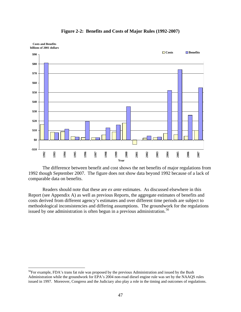<span id="page-51-0"></span>

**Figure 2-2: Benefits and Costs of Major Rules (1992-2007)** 

The difference between benefit and cost shows the net benefits of major regulations from 1992 though September 2007. The figure does not show data beyond 1992 because of a lack of comparable data on benefits.

Readers should note that these are *ex ante* estimates. As discussed elsewhere in this Report (see Appendix A) as well as previous Reports, the aggregate estimates of benefits and costs derived from different agency's estimates and over different time periods are subject to methodological inconsistencies and differing assumptions. The groundwork for the regulations issued by one administration is often begun in a previous administration.<sup>[56](#page-51-0)</sup>

<sup>&</sup>lt;sup>56</sup>For example, FDA's trans fat rule was proposed by the previous Administration and issued by the Bush Administration while the groundwork for EPA's 2004 non-road diesel engine rule was set by the NAAQS rules issued in 1997. Moreover, Congress and the Judiciary also play a role in the timing and outcomes of regulations.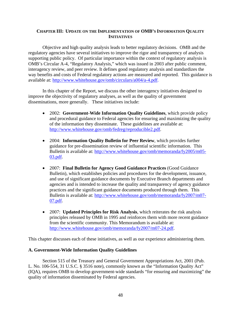# **CHAPTER III: UPDATE ON THE IMPLEMENTATION OF OMB'S INFORMATION QUALITY INITIATIVES**

Objective and high quality analysis leads to better regulatory decisions. OMB and the regulatory agencies have several initiatives to improve the rigor and transparency of analysis supporting public policy. Of particular importance within the context of regulatory analysis is OMB's Circular A-4, "Regulatory Analysis," which was issued in 2003 after public comment, interagency review, and peer review. It defines good regulatory analysis and standardizes the way benefits and costs of Federal regulatory actions are measured and reported. This guidance is available at:<http://www.whitehouse.gov/omb/circulars/a004/a-4.pdf>.

In this chapter of the Report, we discuss the other interagency initiatives designed to improve the objectivity of regulatory analyses, as well as the quality of government disseminations, more generally. These initiatives include:

- 2002: **Government-Wide Information Quality Guidelines**, which provide policy and procedural guidance to Federal agencies for ensuring and maximizing the quality of the information they disseminate. These guidelines are available at: [http://www.whitehouse.gov/omb/fedreg/reproducible2.pdf.](http://www.whitehouse.gov/omb/fedreg/reproducible2.pdf)
- 2004: **Information Quality Bulletin for Peer Review**, which provides further guidance for pre-dissemination review of influential scientific information. This Bulletin is available at: [http://www.whitehouse.gov/omb/memoranda/fy2005/m05-](http://www.whitehouse.gov/omb/memoranda/fy2005/m05-03.pdf) [03.pdf.](http://www.whitehouse.gov/omb/memoranda/fy2005/m05-03.pdf)
- 2007: **Final Bulletin for Agency Good Guidance Practices** (Good Guidance Bulletin), which establishes policies and procedures for the development, issuance, and use of significant guidance documents by Executive Branch departments and agencies and is intended to increase the quality and transparency of agency guidance practices and the significant guidance documents produced through them. This Bulletin is available at: [http://www.whitehouse.gov/omb/memoranda/fy2007/m07-](http://www.whitehouse.gov/omb/memoranda/fy2007/m07-07.pdf) [07.pdf.](http://www.whitehouse.gov/omb/memoranda/fy2007/m07-07.pdf)
- 2007: **Updated Principles for Risk Analysis**, which reiterates the risk analysis principles released by OMB in 1995 and reinforces them with more recent guidance from the scientific community. This Memorandum is available at: [http://www.whitehouse.gov/omb/memoranda/fy2007/m07-24.pdf.](http://www.whitehouse.gov/omb/memoranda/fy2007/m07-24.pdf)

This chapter discusses each of these initiatives, as well as our experience administering them.

# **A. Government-Wide Information Quality Guidelines**

Section 515 of the Treasury and General Government Appropriations Act, 2001 (Pub. L. No. 106-554, 31 U.S.C. § 3516 note), commonly known as the "Information Quality Act" (IQA), requires OMB to develop government-wide standards "for ensuring and maximizing" the quality of information disseminated by Federal agencies.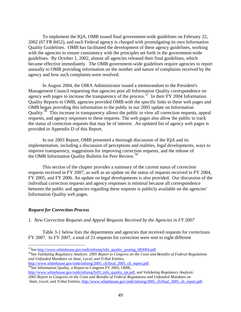<span id="page-53-0"></span>To implement the IQA, OMB issued final government-wide guidelines on February 22, 2002 (67 FR 8452), and each Federal agency is charged with promulgating its own Information Quality Guidelines. OMB has facilitated the development of these agency guidelines, working with the agencies to ensure consistency with the principles set forth in the government-wide guidelines. By October 1, 2002, almost all agencies released their final guidelines, which became effective immediately. The OMB government-wide guidelines require agencies to report annually to OMB providing information on the number and nature of complaints received by the agency and how such complaints were resolved.

In August 2004, the OIRA Administrator issued a memorandum to the President's Management Council requesting that agencies post all Information Quality correspondence on agency web pages to increase the transparency of the process.<sup>[57](#page-53-0)</sup> In their FY 2004 Information Quality Reports to OMB, agencies provided OMB with the specific links to these web pages and OMB began providing this information to the public in our 2005 update on Information Quality.[58](#page-53-0) This increase in transparency allows the public to view all correction requests, appeal requests, and agency responses to these requests. The web pages also allow the public to track the status of correction requests that may be of interest. An updated list of agency web pages is provided in Appendix D of this Report.

In our 2003 Report, OMB presented a thorough discussion of the IQA and its implementation, including a discussion of perceptions and realities, legal developments, ways to improve transparency, suggestions for improving correction requests, and the release of the OMB Information Quality Bulletin for Peer Review.<sup>[59](#page-53-0)</sup>

This section of the chapter provides a summary of the current status of correction requests received in FY 2007, as well as an update on the status of requests received in FY 2004, FY 2005, and FY 2006. An update on legal developments is also provided. Our discussion of the individual correction requests and agency responses is minimal because all correspondence between the public and agencies regarding these requests is publicly available on the agencies' Information Quality web pages.

# *Request for Correction Process*

 $\overline{a}$ 

*1. New Correction Requests and Appeal Requests Received by the Agencies in FY 2007* 

Table 3-1 below lists the departments and agencies that received requests for corrections FY 2007. In FY 2007, a total of 21 requests for correction were sent to eight different

<sup>57</sup>See <u>http://www.whitehouse.gov/omb/inforeg/info\_quality\_posting\_083004.pdf</u>.<br><sup>58</sup>See *Validating Regulatory Analysis: 2005 Report to Congress on the Costs and Benefits of Federal Regulations and Unfunded Mandates on State, Local, and Tribal Entities,*

[http://www.whitehouse.gov/omb/inforeg/2005\\_cb/final\\_2005\\_cb\\_report.pdf.](http://www.whitehouse.gov/omb/inforeg/2005_cb/final_2005_cb_report.pdf) 59See Information Quality, a Report to Congress FY 2003, OMB,

[http://www.whitehouse.gov/omb/inforeg/fy03\\_info\\_quality\\_rpt.pdf](http://www.whitehouse.gov/omb/inforeg/fy03_info_quality_rpt.pdf), and *Validating Regulatory Analysis: 2005 Report to Congress on the Costs and Benefits of Federal Regulations and Unfunded Mandates on State, Local, and Tribal Entities*, [http://www.whitehouse.gov/omb/inforeg/2005\\_cb/final\\_2005\\_cb\\_report.pdf.](http://www.whitehouse.gov/omb/inforeg/2005_cb/final_2005_cb_report.pdf)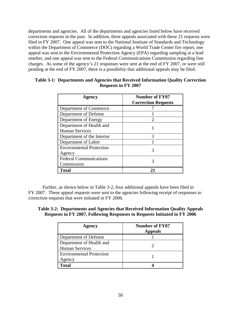departments and agencies. All of the departments and agencies listed below have received correction requests in the past. In addition, three appeals associated with these 21 requests were filed in FY 2007. One appeal was sent to the National Institute of Standards and Technology within the Department of Commerce (DOC) regarding a World Trade Center fire report, one appeal was sent to the Environmental Protection Agency (EPA) regarding sampling at a lead smelter, and one appeal was sent to the Federal Communications Commission regarding line charges. As some of the agency's 21 responses were sent at the end of FY 2007, or were still pending at the end of FY 2007, there is a possibility that additional appeals may be filed.

| Agency                          | <b>Number of FY07</b><br><b>Correction Requests</b> |  |  |  |
|---------------------------------|-----------------------------------------------------|--|--|--|
| Department of Commerce          |                                                     |  |  |  |
| Department of Defense           |                                                     |  |  |  |
| Department of Energy            |                                                     |  |  |  |
| Department of Health and        |                                                     |  |  |  |
| <b>Human Services</b>           |                                                     |  |  |  |
| Department of the Interior      |                                                     |  |  |  |
| Department of Labor             |                                                     |  |  |  |
| <b>Environmental Protection</b> | 3                                                   |  |  |  |
| Agency                          |                                                     |  |  |  |
| <b>Federal Communications</b>   | 3                                                   |  |  |  |
| Commission                      |                                                     |  |  |  |
| Total                           |                                                     |  |  |  |

# **Table 3-1: Departments and Agencies that Received Information Quality Correction Requests in FY 2007**

 Further, as shown below in Table 3-2, four additional appeals have been filed in FY 2007. These appeal requests were sent to the agencies following receipt of responses to correction requests that were initiated in FY 2006.

**Table 3-2: Departments and Agencies that Received Information Quality Appeals Requests in FY 2007, Following Responses to Requests Initiated in FY 2006** 

| Agency                                            | <b>Number of FY07</b><br><b>Appeals</b> |
|---------------------------------------------------|-----------------------------------------|
| Department of Defense                             |                                         |
| Department of Health and<br><b>Human Services</b> |                                         |
| <b>Environmental Protection</b><br>Agency         |                                         |
| Total                                             |                                         |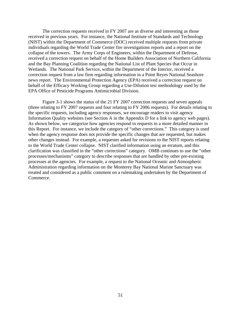The correction requests received in FY 2007 are as diverse and interesting as those received in previous years. For instance, the National Institute of Standards and Technology (NIST) within the Department of Commerce (DOC) received multiple requests from private individuals regarding the World Trade Center fire investigations reports and a report on the collapse of the towers. The Army Corps of Engineers, within the Department of Defense, received a correction request on behalf of the Home Builders Association of Northern California and the Bay Planning Coalition regarding the National List of Plant Species that Occur in Wetlands. The National Park Service, within the Department of the Interior, received a correction request from a law firm regarding information in a Point Reyes National Seashore news report. The Environmental Protection Agency (EPA) received a correction request on behalf of the Efficacy Working Group regarding a Use-Dilution test methodology used by the EPA Office of Pesticide Programs Antimicrobial Division.

Figure 3-1 shows the status of the 21 FY 2007 correction requests and seven appeals (three relating to FY 2007 requests and four relating to FY 2006 requests). For details relating to the specific requests, including agency responses, we encourage readers to visit agency Information Quality websites (see Section A in the Appendix D for a link to agency web pages). As shown below, we categorize how agencies respond to requests in a more detailed manner in this Report. For instance, we include the category of "other corrections." This category is used when the agency response does not provide the specific changes that are requested, but makes other changes instead. For example, a requester asked for revisions to the NIST reports relating to the World Trade Center collapse. NIST clarified information using an erratum, and this clarification was classified in the "other corrections" category. OMB continues to use the "other processes/mechanisms" category to describe responses that are handled by other pre-existing processes at the agencies. For example, a request to the National Oceanic and Atmospheric Administration regarding information on the Monterey Bay National Marine Sanctuary was treated and considered as a public comment on a rulemaking undertaken by the Department of Commerce.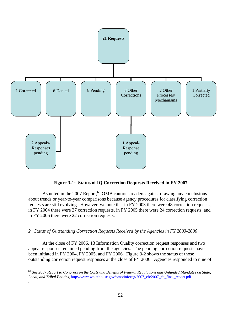<span id="page-56-0"></span>

# **Figure 3-1: Status of IQ Correction Requests Received in FY 2007**

As noted in the 2007 Report,  $60$  OMB cautions readers against drawing any conclusions about trends or year-to-year comparisons because agency procedures for classifying correction requests are still evolving. However, we note that in FY 2003 there were 48 correction requests, in FY 2004 there were 37 correction requests, in FY 2005 there were 24 correction requests, and in FY 2006 there were 22 correction requests.

### *2. Status of Outstanding Correction Requests Received by the Agencies in FY 2003-2006*

 $\overline{a}$ 

.

At the close of FY 2006, 13 Information Quality correction request responses and two appeal responses remained pending from the agencies. The pending correction requests have been initiated in FY 2004, FY 2005, and FY 2006. Figure 3-2 shows the status of those outstanding correction request responses at the close of FY 2006. Agencies responded to nine of

<sup>60</sup> See *2007 Report to Congress on the Costs and Benefits of Federal Regulations and Unfunded Mandates on State, Local, and Tribal Entities*, [http://www.whitehouse.gov/omb/inforeg/2007\\_cb/2007\\_cb\\_final\\_report.pdf](http://www.whitehouse.gov/omb/inforeg/2007_cb/2007_cb_final_report.pdf).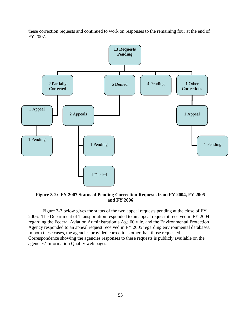these correction requests and continued to work on responses to the remaining four at the end of FY 2007.



**Figure 3-2: FY 2007 Status of Pending Correction Requests from FY 2004, FY 2005 and FY 2006** 

Figure 3-3 below gives the status of the two appeal requests pending at the close of FY 2006. The Department of Transportation responded to an appeal request it received in FY 2004 regarding the Federal Aviation Administration's Age 60 rule, and the Environmental Protection Agency responded to an appeal request received in FY 2005 regarding environmental databases. In both these cases, the agencies provided corrections other than those requested. Correspondence showing the agencies responses to these requests is publicly available on the agencies' Information Quality web pages.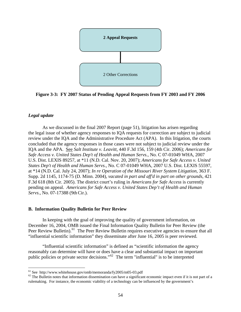<span id="page-58-0"></span>

**Figure 3-3: FY 2007 Status of Pending Appeal Requests from FY 2003 and FY 2006** 

# *Legal update*

 $\overline{a}$ 

As we discussed in the final 2007 Report (page 51), litigation has arisen regarding the legal issue of whether agency responses to IQA requests for correction are subject to judicial review under the IQA and the Administrative Procedure Act (APA). In this litigation, the courts concluded that the agency responses in those cases were not subject to judicial review under the IQA and the APA. See *Salt Institute v. Leavitt*, 440 F.3d 156, 159 (4th Cir. 2006); *Americans for Safe Access v. United States Dep't of Health and Human Servs.,* No. C 07-01049 WHA, 2007 U.S. Dist. LEXIS 89257, at \*11 (N.D. Cal. Nov. 20, 2007); *Americans for Safe Access v. United States Dep't of Health and Human Servs*., No. C 07-01049 WHA, 2007 U.S. Dist. LEXIS 55597, at \*14 (N.D. Cal. July 24, 2007); *In re Operation of the Missouri River System Litigation*, 363 F. Supp. 2d 1145, 1174-75 (D. Minn. 2004), *vacated in part and aff'd in part on other grounds*, 421 F.3d 618 (8th Cir. 2005). The district court's ruling in *Americans for Safe Access* is currently pending on appeal. *Americans for Safe Access v. United States Dep't of Health and Human Servs*., No. 07-17388 (9thCir.).

# **B. Information Quality Bulletin for Peer Review**

In keeping with the goal of improving the quality of government information, on December 16, 2004, OMB issued the Final Information Quality Bulletin for Peer Review (the Peer Review Bulletin).<sup>[61](#page-58-0)</sup> The Peer Review Bulletin requires executive agencies to ensure that all "influential scientific information" they disseminate after June 16, 2005 is peer reviewed.

"Influential scientific information" is defined as "scientific information the agency reasonably can determine will have or does have a clear and substantial impact on important public policies or private sector decisions."[62](#page-58-0) The term "influential" is to be interpreted

<sup>&</sup>lt;sup>61</sup> See http://www.whitehouse.gov/omb/memoranda/fy2005/m05-03.pdf<br><sup>62</sup> The Bulletin notes that information dissemination can have a significant economic impact even if it is not part of a rulemaking. For instance, the economic viability of a technology can be influenced by the government's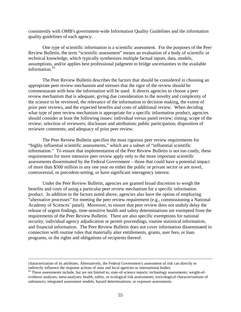<span id="page-59-0"></span>consistently with OMB's government-wide Information Quality Guidelines and the information quality guidelines of each agency.

One type of scientific information is a scientific assessment. For the purposes of the Peer Review Bulletin, the term "scientific assessment" means an evaluation of a body of scientific or technical knowledge, which typically synthesizes multiple factual inputs, data, models, assumptions, and/or applies best professional judgment to bridge uncertainties in the available information. $63$ 

The Peer Review Bulletin describes the factors that should be considered in choosing an appropriate peer review mechanism and stresses that the rigor of the review should be commensurate with how the information will be used. It directs agencies to choose a peer review mechanism that is adequate, giving due consideration to the novelty and complexity of the science to be reviewed, the relevance of the information to decision making, the extent of prior peer reviews, and the expected benefits and costs of additional review. When deciding what type of peer review mechanism is appropriate for a specific information product, agencies should consider at least the following issues: individual versus panel review; timing; scope of the review; selection of reviewers; disclosure and attribution; public participation; disposition of reviewer comments; and adequacy of prior peer review.

The Peer Review Bulletin specifies the most rigorous peer review requirements for "highly influential scientific assessments," which are a subset of "influential scientific information." To ensure that implementation of the Peer Review Bulletin is not too costly, these requirements for more intensive peer review apply only to the more important scientific assessments disseminated by the Federal Government – those that could have a potential impact of more than \$500 million in any one year on either the public or private sector or are novel, controversial, or precedent-setting, or have significant interagency interest.

Under the Peer Review Bulletin, agencies are granted broad discretion to weigh the benefits and costs of using a particular peer review mechanism for a specific information product. In addition to the factors noted above, agencies also have the option of employing "alternative processes" for meeting the peer review requirement (e.g., commissioning a National Academy of Sciences' panel). Moreover, to ensure that peer review does not unduly delay the release of urgent findings, time-sensitive health and safety determinations are exempted from the requirements of the Peer Review Bulletin. There are also specific exemptions for national security, individual agency adjudication or permit proceedings, routine statistical information, and financial information. The Peer Review Bulletin does not cover information disseminated in connection with routine rules that materially alter entitlements, grants, user fees, or loan programs, or the rights and obligations of recipients thereof.

characterization of its attributes. Alternatively, the Federal Government's assessment of risk can directly or indirectly influence the response actions of state and local agencies or international bodies.<br><sup>63</sup> These assessments include, but are not limited to, state-of-science reports; technology assessments; weight-of-

evidence analyses; meta-analyses; health, safety, or ecological risk assessments; toxicological characterizations of substances; integrated assessment models; hazard determinations; or exposure assessments.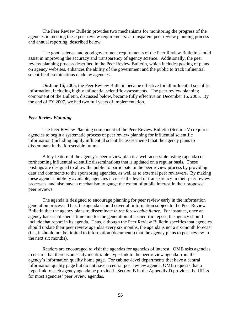The Peer Review Bulletin provides two mechanisms for monitoring the progress of the agencies in meeting these peer review requirements: a transparent peer review planning process and annual reporting, described below.

The good science and good government requirements of the Peer Review Bulletin should assist in improving the accuracy and transparency of agency science. Additionally, the peer review planning process described in the Peer Review Bulletin, which includes posting of plans on agency websites, enhances the ability of the government and the public to track influential scientific disseminations made by agencies.

On June 16, 2005, the Peer Review Bulletin became effective for all influential scientific information, including highly influential scientific assessments. The peer review planning component of the Bulletin, discussed below, became fully effective on December 16, 2005. By the end of FY 2007, we had two full years of implementation.

### *Peer Review Planning*

The Peer Review Planning component of the Peer Review Bulletin (Section V) requires agencies to begin a systematic process of peer review planning for influential scientific information (including highly influential scientific assessments) that the agency plans to disseminate in the foreseeable future.

A key feature of the agency's peer review plan is a web-accessible listing (agenda) of forthcoming influential scientific disseminations that is updated on a regular basis. These postings are designed to allow the public to participate in the peer review process by providing data and comments to the sponsoring agencies, as well as to external peer reviewers. By making these agendas publicly available, agencies increase the level of transparency in their peer review processes, and also have a mechanism to gauge the extent of public interest in their proposed peer reviews.

The agenda is designed to encourage planning for peer review early in the information generation process. Thus, the agenda should cover all information subject to the Peer Review Bulletin that the agency plans to disseminate *in the foreseeable future.* For instance, once an agency has established a time line for the generation of a scientific report, the agency should include that report in its agenda. Thus, although the Peer Review Bulletin specifies that agencies should update their peer review agendas every six months, the agenda is not a six-month forecast (i.e., it should not be limited to information (documents) that the agency plans to peer review in the next six months).

Readers are encouraged to visit the agendas for agencies of interest. OMB asks agencies to ensure that there is an easily identifiable hyperlink to the peer review agenda from the agency's information quality home page. For cabinet-level departments that have a central information quality page but do not have a central peer review agenda, OMB requests that a hyperlink to each agency agenda be provided. Section B in the Appendix D provides the URLs for most agencies' peer review agendas.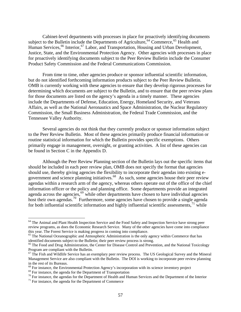<span id="page-61-0"></span>Cabinet-level departments with processes in place for proactively identifying documents subject to the Bulletin include the Departments of Agriculture,  $64$  Commerce,  $65$  Health and Human Services,<sup>[66](#page-61-0)</sup> Interior,<sup>[67](#page-61-0)</sup> Labor, and Transportation, Housing and Urban Development, Justice, State, and the Environmental Protection Agency. Other agencies with processes in place for proactively identifying documents subject to the Peer Review Bulletin include the Consumer Product Safety Commission and the Federal Communications Commission.

From time to time, other agencies produce or sponsor influential scientific information, but do not identified forthcoming information products subject to the Peer Review Bulletin. OMB is currently working with these agencies to ensure that they develop rigorous processes for determining which documents are subject to the Bulletin, and to ensure that the peer review plans for those documents are listed on the agency's agenda in a timely manner. These agencies include the Departments of Defense, Education, Energy, Homeland Security, and Veterans Affairs, as well as the National Aeronautics and Space Administration, the Nuclear Regulatory Commission, the Small Business Administration, the Federal Trade Commission, and the Tennessee Valley Authority.

Several agencies do not think that they currently produce or sponsor information subject to the Peer Review Bulletin. Most of these agencies primarily produce financial information or routine statistical information for which the Bulletin provides specific exemptions. Others primarily engage in management, oversight, or granting activities. A list of these agencies can be found in Section C in the Appendix D.

Although the Peer Review Planning section of the Bulletin lays out the specific items that should be included in each peer review plan, OMB does not specify the format that agencies should use, thereby giving agencies the flexibility to incorporate their agendas into existing e-government and science planning initiatives.<sup>[68](#page-61-0)</sup> As such, some agencies house their peer review agendas within a research arm of the agency, whereas others operate out of the office of the chief information officer or the policy and planning office. Some departments provide an integrated agenda across the agencies,  $69$  while other departments have chosen to have individual agencies host their own agendas.<sup>[70](#page-61-0)</sup> Furthermore, some agencies have chosen to provide a single agenda for both influential scientific information and highly influential scientific assessments, $71$  while

<sup>&</sup>lt;sup>64</sup> The Animal and Plant Health Inspection Service and the Food Safety and Inspection Service have strong peer review programs, as does the Economic Research Service. Many of the other agencies have come into compliance this year. The Forest Service is making progress in coming into compliance.

<sup>&</sup>lt;sup>65</sup> The National Oceanographic and Atmospheric Administration is the only agency within Commerce that has identified documents subject to the Bulletin; their peer review process is strong.

<sup>&</sup>lt;sup>66</sup> The Food and Drug Administration, the Center for Disease Control and Prevention, and the National Toxicology Program are compliant with the Bulletin.<br><sup>67</sup> The Fish and Wildlife Service has an exemplary peer review process. The US Geological Survey and the Mineral

Management Service are also compliant with the Bulletin. The DOI is working to incorporate peer review planning in the rest of its Bureaus.<br><sup>68</sup> For instance, the Environmental Protection Agency's incorporation with its science inventory project

<sup>&</sup>lt;sup>69</sup> For instance, the agenda for the Department of Transportation<br><sup>70</sup> For instance, the agendas for the Department of Health and Human Services and the Department of the Interior<br><sup>71</sup> For instance, the agenda for the De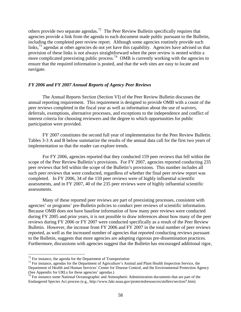<span id="page-62-0"></span>others provide two separate agendas.<sup>[72](#page-62-0)</sup> The Peer Review Bulletin specifically requires that agencies provide a link from the agenda to each document made public pursuant to the Bulletin, including the completed peer review report. Although some agencies routinely provide such links,  $^{73}$  $^{73}$  $^{73}$  agendas at other agencies do not yet have this capability. Agencies have advised us that provision of these links is not always straightforward when the peer review is nested within a more complicated preexisting public process.<sup>[74](#page-62-0)</sup> OMB is currently working with the agencies to ensure that the required information is posted, and that the web sites are easy to locate and navigate.

# *FY 2006 and FY 2007 Annual Reports of Agency Peer Reviews*

The Annual Reports Section (Section VI) of the Peer Review Bulletin discusses the annual reporting requirement. This requirement is designed to provide OMB with a count of the peer reviews completed in the fiscal year as well as information about the use of waivers, deferrals, exemptions, alternative processes, and exceptions to the independence and conflict of interest criteria for choosing reviewers and the degree to which opportunities for public participation were provided.

FY 2007 constitutes the second full year of implementation for the Peer Review Bulletin. Tables 3-3 A and B below summarize the results of the annual data call for the first two years of implementation so that the reader can explore trends.

For FY 2006, agencies reported that they conducted 159 peer reviews that fell within the scope of the Peer Review Bulletin's provisions. For FY 2007, agencies reported conducting 235 peer reviews that fell within the scope of the Bulletin's provisions. This number includes all such peer reviews that were conducted, regardless of whether the final peer review report was completed. In FY 2006, 34 of the 159 peer reviews were of highly influential scientific assessments, and in FY 2007, 40 of the 235 peer reviews were of highly influential scientific assessments.

Many of these reported peer reviews are part of preexisting processes, consistent with agencies' or programs' pre-Bulletin policies to conduct peer reviews of scientific information. Because OMB does not have baseline information of how many peer reviews were conducted during FY 2005 and prior years, it is not possible to draw inferences about how many of the peer reviews during FY 2006 or FY 2007 were conducted specifically as a result of the Peer Review Bulletin. However, the increase from FY 2006 and FY 2007 in the total number of peer reviews reported, as well as the increased number of agencies that reported conducting reviews pursuant to the Bulletin, suggests that more agencies are adopting rigorous pre-dissemination practices. Furthermore, discussions with agencies suggest that the Bulletin has encouraged additional rigor,

 $^{72}$  For instance, the agenda for the Department of Transportation

 $73$  For instance, agendas for the Department of Agriculture's Animal and Plant Health Inspection Service, the Department of Health and Human Services' Center for Disease Control, and the Environmental Protection Agency (See Appendix for URLs for these agencies' agendas.)

 $74$  For instance some National Oceanographic and Atmospheric Administration documents that are part of the Endangered Species Act process (e.g., http://www.fakr.noaa.gov/protectedresources/stellers/section7.htm)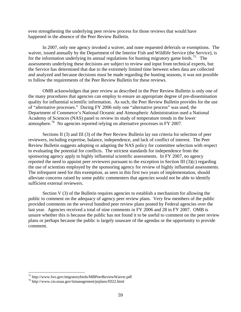<span id="page-63-0"></span>even strengthening the underlying peer review process for those reviews that would have happened in the absence of the Peer Review Bulletin.

In 2007, only one agency invoked a waiver, and none requested deferrals or exemptions. The waiver, issued annually by the Department of the Interior Fish and Wildlife Service (the Service), is for the information underlying its annual regulations for hunting migratory game birds.<sup>[75](#page-63-0)</sup> The assessments underlying these decisions are subject to review and input from technical experts, but the Service has determined that due to the extremely limited time between when data are collected and analyzed and because decisions must be made regarding the hunting seasons, it was not possible to follow the requirements of the Peer Review Bulletin for these reviews.

OMB acknowledges that peer review as described in the Peer Review Bulletin is only one of the many procedures that agencies can employ to ensure an appropriate degree of pre-dissemination quality for influential scientific information. As such, the Peer Review Bulletin provides for the use of "alternative processes." During FY 2006 only one "alternative process" was used; the Department of Commerce's National Oceanic and Atmospheric Administration used a National Academy of Sciences (NAS) panel to review its study of temperature trends in the lower atmosphere.<sup>[76](#page-63-0)</sup> No agencies reported relying on alternative processes in FY 2007.

Sections II (3) and III (3) of the Peer Review Bulletin lay out criteria for selection of peer reviewers, including expertise, balance, independence, and lack of conflict of interest. The Peer Review Bulletin suggests adopting or adapting the NAS policy for committee selection with respect to evaluating the potential for conflicts. The strictest standards for independence from the sponsoring agency apply to highly influential scientific assessments. In FY 2007, no agency reported the need to appoint peer reviewers pursuant to the exception in Section III (3)(c) regarding the use of scientists employed by the sponsoring agency for review of highly influential assessments. The infrequent need for this exemption, as seen in this first two years of implementation, should alleviate concerns raised by some public commenters that agencies would not be able to identify sufficient external reviewers.

Section V (3) of the Bulletin requires agencies to establish a mechanism for allowing the public to comment on the adequacy of agency peer review plans. Very few members of the public provided comments on the several hundred peer review plans posted by Federal agencies over the last year. Agencies received a total of nine comments in FY 2006 and 28 in FY 2007. OMB is unsure whether this is because the public has not found it to be useful to comment on the peer review plans or perhaps because the public is largely unaware of the agendas or the opportunity to provide comment.

<sup>75</sup> http://www.fws.gov/migratorybirds/MBPeerReviewWaiver.pdf 76 http://www.cio.noaa.gov/itmanagement/prplans/ID22.html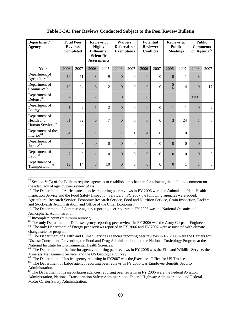<span id="page-64-0"></span>

| Department/<br><b>Agency</b>                                |                | <b>Total Peer</b><br><b>Reviews</b><br>Completed | <b>Reviews of</b><br><b>Highly</b><br><b>Influential</b><br><b>Scientific</b><br><b>Assessments</b> |                | Waivers,<br>Deferrals or<br><b>Exemptions</b> |                  | <b>Potential</b><br><b>Reviewer</b><br><b>Conflicts</b> |                  | Reviews w/<br><b>Public</b><br><b>Meetings</b> |                | <b>Public</b><br><b>Comments</b><br>on Agenda <sup>77</sup> |                |
|-------------------------------------------------------------|----------------|--------------------------------------------------|-----------------------------------------------------------------------------------------------------|----------------|-----------------------------------------------|------------------|---------------------------------------------------------|------------------|------------------------------------------------|----------------|-------------------------------------------------------------|----------------|
| Year                                                        | 2006           | 2007                                             | 2006                                                                                                | 2007           | 2006                                          | 2007             | 2006                                                    | 2007             | 2006                                           | 2007           | 2006                                                        | 2007           |
| Department of<br>Agriculture <sup>78</sup>                  | 19             | 71                                               | 8                                                                                                   | 9              | $\theta$                                      | $\boldsymbol{0}$ | $\boldsymbol{0}$                                        | $\boldsymbol{0}$ | $\boldsymbol{0}$                               | 1              | 3                                                           | $\overline{0}$ |
| Department of<br>Commerce <sup>79</sup>                     | 19             | 24                                               | 3                                                                                                   | $\overline{2}$ | $\theta$                                      | $\boldsymbol{0}$ | $\boldsymbol{0}$                                        | $\boldsymbol{0}$ | 6<br>80                                        | 14             | $\overline{0}$                                              | 17             |
| Department of<br>Defense <sup>81</sup>                      | $\overline{2}$ |                                                  | $\overline{2}$                                                                                      |                | $\Omega$                                      |                  | $\boldsymbol{0}$                                        |                  | 1                                              |                | N/A                                                         |                |
| Department of<br>Energy <sup>82</sup>                       |                | $\overline{2}$                                   | 1                                                                                                   | $\overline{2}$ | $\Omega$                                      | $\overline{0}$   | $\mathbf{0}$                                            | $\boldsymbol{0}$ | $\mathbf{1}$                                   | 1              | $\overline{0}$                                              | $\overline{2}$ |
| Department of<br>Health and<br>Human Services <sup>83</sup> | 31             | 32                                               | 6                                                                                                   | $\overline{7}$ | $\Omega$                                      | $\theta$         | $\boldsymbol{0}$                                        | $\Omega$         | $\overline{3}$                                 | 24             | $\mathbf{1}$                                                | $\overline{0}$ |
| Department of the<br>Interior <sup>84</sup>                 | 51             | 68                                               | 1                                                                                                   | 1              |                                               | $\mathbf{1}$     | $\overline{4}$                                          | $\boldsymbol{0}$ | $\mathbf{1}$                                   | $\overline{0}$ | $\mathbf{1}$                                                | $\overline{0}$ |
| Department of<br>Justice <sup>85</sup>                      | $\overline{0}$ | 3                                                | $\Omega$                                                                                            | $\mathbf{0}$   | $\mathbf{0}$                                  | $\boldsymbol{0}$ | $\boldsymbol{0}$                                        | $\boldsymbol{0}$ | $\mathbf{0}$                                   | $\mathbf{0}$   | $\mathbf{0}$                                                | $\overline{0}$ |
| Department of<br>Labor <sup>86</sup>                        | $\overline{2}$ | $\mathbf{0}$                                     | 1                                                                                                   | $\mathbf{0}$   | $\overline{0}$                                | $\boldsymbol{0}$ | $\boldsymbol{0}$                                        | $\boldsymbol{0}$ | $\mathbf{0}$                                   | $\Omega$       | $\Omega$                                                    | $\Omega$       |
| Department of<br>Transportation <sup>87</sup>               | 12             | 14                                               | 5                                                                                                   | 10             | $\overline{0}$                                | $\boldsymbol{0}$ | $\boldsymbol{0}$                                        | $\boldsymbol{0}$ | $\boldsymbol{0}$                               | 1              | $\mathbf{1}$                                                | 3              |

**Table 3-3A: Peer Reviews Conducted Subject to the Peer Review Bulletin** 

 $77$  Section V (3) of the Bulletin requires agencies to establish a mechanism for allowing the public to comment on the adequacy of agency peer review *plans*.<br><sup>78</sup> The Department of Agriculture agencies reporting peer reviews in FY 2006 were the Animal and Plant Health

Inspection Service and the Food Safety Inspection Service. In FY 2007 the following agencies were added: Agricultural Research Service, Economic Research Service, Food and Nutrition Service, Grain Inspection, Packers and Stockyards Administration, and Office of the Chief Economist.

 $79$  The Department of Commerce agency reporting peer reviews in FY 2006 was the National Oceanic and Atmospheric Administration.

<sup>80</sup> Incomplete count (minimum number).

<sup>&</sup>lt;sup>81</sup> The only Department of Defense agency reporting peer reviews in FY 2006 was the Army Corps of Engineers.

<sup>&</sup>lt;sup>82</sup> The only Department of Energy peer reviews reported in FY 2006 and FY 2007 were associated with climate change science program.

<sup>&</sup>lt;sup>83</sup> The Department of Health and Human Services agencies reporting peer reviews in FY 2006 were the Centers for Disease Control and Prevention, the Food and Drug Administration, and the National Toxicology Program at the National Institute for Environmental Health Sciences.

<sup>&</sup>lt;sup>84</sup> The Department of the Interior agency reporting peer reviews in FY 2006 was the Fish and Wildlife Service, the Minerals Management Service, and the US Geological Survey.<br><sup>85</sup> The Department of Justice agency reporting in FY2007 was the Executive Office for US Trustees.

<sup>&</sup>lt;sup>86</sup> The Department of Labor agency reporting peer reviews in FY 2006 was Employee Benefits Security Administration.

 $87$  The Department of Transportation agencies reporting peer reviews in FY 2006 were the Federal Aviation Administration, National Transportation Safety Administration, Federal Highway Administration, and Federal Motor Carrier Safety Administration.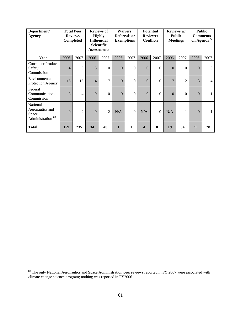<span id="page-65-0"></span>

| Department/<br><b>Agency</b>                                         |                | <b>Total Peer</b><br><b>Reviews</b><br>Completed |                | <b>Reviews of</b><br><b>Highly</b><br><b>Influential</b><br><b>Scientific</b><br><b>Assessments</b> |              | Waivers,<br>Deferrals or<br><b>Exemptions</b> |                         | <b>Potential</b><br><b>Reviewer</b><br><b>Conflicts</b> |              | Reviews w/<br><b>Public</b><br><b>Meetings</b> | <b>Comments</b><br>on Agenda <sup>77</sup> | <b>Public</b>  |
|----------------------------------------------------------------------|----------------|--------------------------------------------------|----------------|-----------------------------------------------------------------------------------------------------|--------------|-----------------------------------------------|-------------------------|---------------------------------------------------------|--------------|------------------------------------------------|--------------------------------------------|----------------|
| Year                                                                 | 2006           | 2007                                             | 2006           | 2007                                                                                                | 2006         | 2007                                          | 2006                    | 2007                                                    | 2006         | 2007                                           | 2006                                       | 2007           |
| <b>Consumer Product</b><br>Safety<br>Commission                      | $\overline{4}$ | $\theta$                                         | 3              | $\Omega$                                                                                            | $\mathbf{0}$ | $\Omega$                                      | $\mathbf{0}$            | $\theta$                                                | $\Omega$     | $\Omega$                                       | $\Omega$                                   | $\Omega$       |
| Environmental<br>Protection Agency                                   | 15             | 15                                               | $\overline{4}$ | 7                                                                                                   | $\Omega$     | $\Omega$                                      | $\mathbf{0}$            | $\theta$                                                | 7            | 12                                             | 3                                          | $\overline{4}$ |
| Federal<br>Communications<br>Commission                              | 3              | 4                                                | $\Omega$       | $\Omega$                                                                                            | $\Omega$     | $\Omega$                                      | $\mathbf{0}$            | $\Omega$                                                | $\mathbf{0}$ | $\Omega$                                       | $\Omega$                                   | 1              |
| National<br>Aeronautics and<br>Space<br>Administration <sup>88</sup> | $\Omega$       | $\overline{c}$                                   | $\Omega$       | $\overline{2}$                                                                                      | N/A          | $\Omega$                                      | N/A                     | $\theta$                                                | N/A          | 1                                              | $\Omega$                                   | $\mathbf{1}$   |
| <b>Total</b>                                                         | 159            | 235                                              | 34             | 40                                                                                                  | $\mathbf{1}$ | $\mathbf{1}$                                  | $\overline{\mathbf{4}}$ | $\mathbf{0}$                                            | 19           | 54                                             | $\boldsymbol{9}$                           | 28             |

 $88$  The only National Aeronautics and Space Administration peer reviews reported in FY 2007 were associated with climate change science program; nothing was reported in FY2006.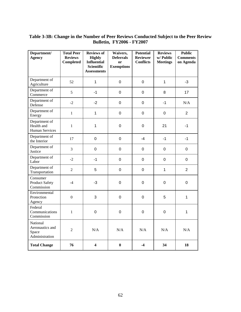# **Table 3-3B: Change in the Number of Peer Reviews Conducted Subject to the Peer Review Bulletin, FY2006 - FY2007**

| Department/<br><b>Agency</b>                           | <b>Total Peer</b><br><b>Reviews</b><br>Completed | <b>Reviews of</b><br><b>Highly</b><br><b>Influential</b><br><b>Scientific</b><br><b>Assessments</b> | Waivers,<br><b>Deferrals</b><br><sub>or</sub><br><b>Exemptions</b> | <b>Potential</b><br><b>Reviewer</b><br><b>Conflicts</b> | <b>Reviews</b><br>w/ Public<br><b>Meetings</b> | <b>Public</b><br><b>Comments</b><br>on Agenda |
|--------------------------------------------------------|--------------------------------------------------|-----------------------------------------------------------------------------------------------------|--------------------------------------------------------------------|---------------------------------------------------------|------------------------------------------------|-----------------------------------------------|
| Department of<br>Agriculture                           | 52                                               | $\mathbf{1}$                                                                                        | $\pmb{0}$                                                          | $\overline{0}$                                          | $\mathbf{1}$                                   | $-3$                                          |
| Department of<br>Commerce                              | 5                                                | $-1$                                                                                                | $\pmb{0}$                                                          | $\mathbf 0$                                             | 8                                              | 17                                            |
| Department of<br>Defense                               | $-2$                                             | $-2$                                                                                                | $\mathbf 0$                                                        | $\mathbf 0$                                             | $-1$                                           | N/A                                           |
| Department of<br>Energy                                | $\mathbf{1}$                                     | $\mathbf{1}$                                                                                        | $\pmb{0}$                                                          | $\pmb{0}$                                               | $\pmb{0}$                                      | $\overline{2}$                                |
| Department of<br>Health and<br><b>Human Services</b>   | $\mathbf{1}$                                     | $\mathbf{1}$                                                                                        | $\pmb{0}$                                                          | $\pmb{0}$                                               | 21                                             | $-1$                                          |
| Department of<br>the Interior                          | 17                                               | $\mathbf 0$                                                                                         | $\mathbf 0$                                                        | $-4$                                                    | $-1$                                           | $-1$                                          |
| Department of<br>Justice                               | $\overline{3}$                                   | $\mathbf 0$                                                                                         | $\mathbf 0$                                                        | $\mathbf 0$                                             | $\mathbf 0$                                    | 0                                             |
| Department of<br>Labor                                 | $-2$                                             | $-1$                                                                                                | $\mathbf 0$                                                        | $\mathbf 0$                                             | 0                                              | $\mathbf 0$                                   |
| Department of<br>Transportation                        | $\overline{2}$                                   | 5                                                                                                   | $\pmb{0}$                                                          | $\mathbf 0$                                             | $\mathbf{1}$                                   | $\overline{2}$                                |
| Consumer<br><b>Product Safety</b><br>Commission        | $-4$                                             | $-3$                                                                                                | $\mathbf 0$                                                        | $\mathbf 0$                                             | $\mathbf 0$                                    | 0                                             |
| Environmental<br>Protection<br>Agency                  | $\boldsymbol{0}$                                 | 3                                                                                                   | $\mathbf 0$                                                        | $\mathbf 0$                                             | 5                                              | $\mathbf{1}$                                  |
| Federal<br>Communications<br>Commission                | $\mathbf{1}$                                     | $\boldsymbol{0}$                                                                                    | $\pmb{0}$                                                          | $\pmb{0}$                                               | $\pmb{0}$                                      | $\mathbf{1}$                                  |
| National<br>Aeronautics and<br>Space<br>Administration | $\overline{2}$                                   | N/A                                                                                                 | N/A                                                                | N/A                                                     | N/A                                            | N/A                                           |
| <b>Total Change</b>                                    | 76                                               | $\overline{\mathbf{4}}$                                                                             | $\bf{0}$                                                           | $-4$                                                    | 34                                             | 18                                            |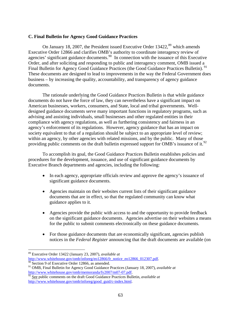# <span id="page-67-0"></span>**C. Final Bulletin for Agency Good Guidance Practices**

On January 18, 2007, the President issued Executive Order 13422,<sup>[89](#page-67-0)</sup> which amends Executive Order 12866 and clarifies OMB's authority to coordinate interagency review of agencies' significant guidance documents.<sup>[90](#page-67-0)</sup> In connection with the issuance of this Executive Order, and after soliciting and responding to public and interagency comment, OMB issued a Final Bulletin for Agency Good Guidance Practices (the Good Guidance Practices Bulletin).<sup>[91](#page-67-0)</sup> These documents are designed to lead to improvements in the way the Federal Government does business – by increasing the quality, accountability, and transparency of agency guidance documents.

The rationale underlying the Good Guidance Practices Bulletin is that while guidance documents do not have the force of law, they can nevertheless have a significant impact on American businesses, workers, consumers, and State, local and tribal governments. Welldesigned guidance documents serve many important functions in regulatory programs, such as advising and assisting individuals, small businesses and other regulated entities in their compliance with agency regulations, as well as furthering consistency and fairness in an agency's enforcement of its regulations. However, agency guidance that has an impact on society equivalent to that of a regulation should be subject to an appropriate level of review; within an agency, by other agencies with related missions, and by the public. Many of those providing public comments on the draft bulletin expressed support for OMB's issuance of it.<sup>[92](#page-67-0)</sup>

To accomplish its goal, the Good Guidance Practices Bulletin establishes policies and procedures for the development, issuance, and use of significant guidance documents by Executive Branch departments and agencies, including the following:

- In each agency, appropriate officials review and approve the agency's issuance of significant guidance documents.
- Agencies maintain on their websites current lists of their significant guidance documents that are in effect, so that the regulated community can know what guidance applies to it.
- Agencies provide the public with access to and the opportunity to provide feedback on the significant guidance documents. Agencies advertise on their websites a means for the public to submit comments electronically on these guidance documents.
- For those guidance documents that are economically significant, agencies publish notices in the *Federal Register* announcing that the draft documents are available (on

<sup>89</sup> Executive Order 13422 (January 23, 2007), *available at*

[http://www.whitehouse.gov/omb/inforeg/eo12866/fr\\_notice\\_eo12866\\_012307.pdf.](http://www.whitehouse.gov/omb/inforeg/eo12866/fr_notice_eo12866_012307.pdf) [90](http://www.whitehouse.gov/omb/inforeg/eo12866/fr_notice_eo12866_012307.pdf) Section 9 of Executive Order 12866, as amended.

<sup>91</sup> OMB, Final Bulletin for Agency Good Guidance Practices (January 18, 2007), *available at* [http://www.whitehouse.gov/omb/memoranda/fy2007/m07-07.pdf.](http://www.whitehouse.gov/omb/memoranda/fy2007/m07-07.pdf)<br><sup>[92](http://www.whitehouse.gov/omb/memoranda/fy2007/m07-07.pdf)</sup> See public comments on the draft Good Guidance Practices Bulletin, *available at* 

[http://www.whitehouse.gov/omb/inforeg/good\\_guid/c-index.html](http://www.whitehouse.gov/omb/inforeg/good_guid/c-index.html).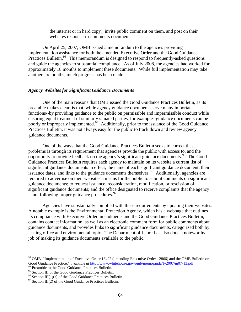the internet or in hard copy), invite public comment on them, and post on their websites response-to-comments documents.

<span id="page-68-0"></span>On April 25, 2007, OMB issued a memorandum to the agencies providing implementation assistance for both the amended Executive Order and the Good Guidance Practices Bulletin.<sup>[93](#page-68-0)</sup> This memorandum is designed to respond to frequently-asked questions and guide the agencies to substantial compliance. As of July 2008, the agencies had worked for approximately 18 months to implement these documents. While full implementation may take another six months, much progress has been made.

### *Agency Websites for Significant Guidance Documents*

One of the main reasons that OMB issued the Good Guidance Practices Bulletin, as its preamble makes clear, is that, while agency guidance documents serve many important functions--by providing guidance to the public on permissible and impermissible conduct while ensuring equal treatment of similarly situated parties, for example--guidance documents can be poorly or improperly implemented.<sup>[94](#page-68-0)</sup> Additionally, prior to the issuance of the Good Guidance Practices Bulletin, it was not always easy for the public to track down and review agency guidance documents.

One of the ways that the Good Guidance Practices Bulletin seeks to correct these problems is through its requirement that agencies provide the public with access to, and the opportunity to provide feedback on the agency's significant guidance documents.[95](#page-68-0) The Good Guidance Practices Bulletin requires each agency to maintain on its website a current list of significant guidance documents in effect, the name of each significant guidance document, their issuance dates, and links to the guidance documents themselves.<sup>[96](#page-68-0)</sup> Additionally, agencies are required to advertise on their websites a means for the public to submit comments on significant guidance documents; to request issuance, reconsideration, modification, or rescission of significant guidance documents; and the office designated to receive complaints that the agency is not following proper guidance procedures.<sup>[97](#page-68-0)</sup>

Agencies have substantially complied with these requirements by updating their websites. A notable example is the Environmental Protection Agency, which has a webpage that outlines its compliance with Executive Order amendments and the Good Guidance Practices Bulletin, contains contact information, as well as an electronic comment form for public comments about guidance documents, and provides links to significant guidance documents, categorized both by issuing office and environmental topic. The Department of Labor has also done a noteworthy job of making its guidance documents available to the public.

<sup>&</sup>lt;sup>93</sup> OMB, "Implementation of Executive Order 13422 (amending Executive Order 12866) and the OMB Bulletin on Good Guidance Practice," *available at* [http://www.whitehouse.gov/omb/memoranda/fy2007/m07-13.pdf.](http://www.whitehouse.gov/omb/memoranda/fy2007/m07-13.pdf)<br><sup>94</sup> Preamble to the Good Guidance Practices Bulletin.<br><sup>95</sup> Section III of the Good Guidance Practices Bulletin.

<sup>&</sup>lt;sup>96</sup> Section III(1)(a) of the Good Guidance Practices Bulletin.<br><sup>97</sup> Section III(2) of the Good Guidance Practices Bulletin.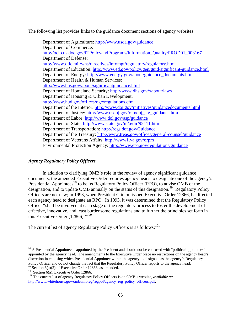<span id="page-69-0"></span>The following list provides links to the guidance document sections of agency websites:

Department of Agriculture:<http://www.usda.gov/guidance> Department of Commerce: [http://ocio.os.doc.gov/ITPolicyandPrograms/Information\\_Quality/PROD01\\_003167](http://ocio.os.doc.gov/ITPolicyandPrograms/Information_Quality/PROD01_003167) Department of Defense: <http://www.dtic.mil/whs/directives/infomgt/regulatory/regulatory.htm> Department of Education: <http://www.ed.gov/policy/gen/guid/significant-guidance.html> Department of Energy: [http://www.energy.gov/about/guidance\\_documents.htm](http://www.energy.gov/about/guidance_documents.htm) Department of Health & Human Services: <http://www.hhs.gov/about/significantguidance.html> Department of Homeland Security:<http://www.dhs.gov/xabout/laws> Department of Housing & Urban Development: <http://www.hud.gov/offices/ogc/regulations.cfm> Department of the Interior: <http://www.doi.gov/initiatives/guidancedocuments.html> Department of Justice: [http://www.usdoj.gov/olp/doj\\_sig\\_guidance.htm](http://www.usdoj.gov/olp/doj_sig_guidance.htm) Department of Labor: <http://www.dol.gov/asp/guidance> Department of State:<http://www.state.gov/m/a/dir/92111.htm> Department of Transportation: <http://regs.dot.gov/Guidance> Department of the Treasury:<http://www.treas.gov/offices/general-counsel/guidance> Department of Veterans Affairs: <http://www1.va.gov/orpm> Environmental Protection Agency:<http://www.epa.gov/regulations/guidance>

# *Agency Regulatory Policy Officers*

In addition to clarifying OMB's role in the review of agency significant guidance documents, the amended Executive Order requires agency heads to designate one of the agency's Presidential Appointees<sup>[98](#page-69-0)</sup> to be its Regulatory Policy Officer (RPO), to advise OMB of the designation, and to update OMB annually on the status of this designation.<sup>[99](#page-69-0)</sup> Regulatory Policy Officers are not new; in 1993, when President Clinton issued Executive Order 12866, he directed each agency head to designate an RPO. In 1993, it was determined that the Regulatory Policy Officer "shall be involved at each stage of the regulatory process to foster the development of effective, innovative, and least burdensome regulations and to further the principles set forth in this Executive Order  $[12866]$ ."<sup>[100](#page-69-0)</sup>

The current list of agency Regulatory Policy Officers is as follows:<sup>[101](#page-69-0)</sup>

<sup>&</sup>lt;sup>98</sup> A Presidential Appointee is appointed by the President and should not be confused with "political appointees" appointed by the agency head. The amendments to the Executive Order place no restrictions on the agency head's discretion in choosing which Presidential Appointee within the agency to designate as the agency's Regulatory Policy Officer and do not change the fact that the Regulatory Policy Officer reports to the agency head.<br><sup>99</sup> Section 6(a)(2) of Executive Order 12866, as amended.<br><sup>100</sup> Section 6(a), Executive Order 12866.<br><sup>101</sup> The curr

[http://www.whitehouse.gov/omb/inforeg/regpol/agency\\_reg\\_policy\\_officers.pdf.](http://www.whitehouse.gov/omb/inforeg/regpol/agency_reg_policy_officers.pdf)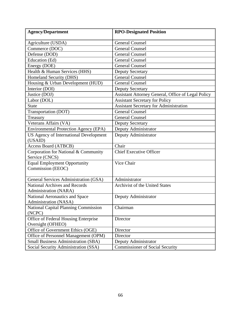| <b>Agency/Department</b>                                | <b>RPO-Designated Position</b>                     |
|---------------------------------------------------------|----------------------------------------------------|
| Agriculture (USDA)                                      | <b>General Counsel</b>                             |
| Commerce (DOC)                                          | <b>General Counsel</b>                             |
| Defense (DOD)                                           | <b>General Counsel</b>                             |
| Education (Ed)                                          | <b>General Counsel</b>                             |
| Energy (DOE)                                            | <b>General Counsel</b>                             |
| Health & Human Services (HHS)                           | <b>Deputy Secretary</b>                            |
| Homeland Security (DHS)                                 | <b>General Counsel</b>                             |
| Housing & Urban Development (HUD)                       | <b>General Counsel</b>                             |
| Interior (DOI)                                          | <b>Deputy Secretary</b>                            |
| Justice (DOJ)                                           | Assistant Attorney General, Office of Legal Policy |
| Labor (DOL)                                             | <b>Assistant Secretary for Policy</b>              |
| <b>State</b>                                            | <b>Assistant Secretary for Administration</b>      |
| Transportation (DOT)                                    | <b>General Counsel</b>                             |
| Treasury                                                | <b>General Counsel</b>                             |
| Veterans Affairs (VA)                                   | <b>Deputy Secretary</b>                            |
| <b>Environmental Protection Agency (EPA)</b>            | Deputy Administrator                               |
| US Agency of International Development                  | Deputy Administrator                               |
| (USAID)                                                 |                                                    |
| <b>Access Board (ATBCB)</b>                             | Chair                                              |
| Corporation for National & Community                    | <b>Chief Executive Officer</b>                     |
| Service (CNCS)                                          |                                                    |
| <b>Equal Employment Opportunity</b>                     | Vice Chair                                         |
| Commission (EEOC)                                       |                                                    |
|                                                         | Administrator                                      |
| General Services Administration (GSA)                   |                                                    |
| <b>National Archives and Records</b>                    | <b>Archivist of the United States</b>              |
| Administration (NARA)<br>National Aeronautics and Space | Deputy Administrator                               |
| Administration (NASA)                                   |                                                    |
| <b>National Capital Planning Commission</b>             | Chairman                                           |
| (NCPC)                                                  |                                                    |
| Office of Federal Housing Enterprise                    | Director                                           |
| Oversight (OFHEO)                                       |                                                    |
| Office of Government Ethics (OGE)                       | Director                                           |
| Office of Personnel Management (OPM)                    | Director                                           |
| <b>Small Business Administration (SBA)</b>              | Deputy Administrator                               |
| Social Security Administration (SSA)                    | <b>Commissioner of Social Security</b>             |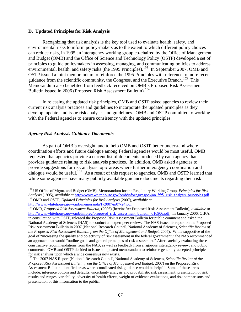### <span id="page-71-0"></span>**D. Updated Principles for Risk Analysis**

Recognizing that risk analysis is the key tool used to evaluate health, safety, and environmental risks to inform policy-makers as to the extent to which different policy choices can reduce risks, in 1995 an interagency working group co-chaired by the Office of Management and Budget (OMB) and the Office of Science and Technology Policy (OSTP) developed a set of principles to guide policymakers in assessing, managing, and communicating policies to address environmental, health, and safety risks (the 1995 Principles).<sup>[102](#page-71-0)</sup> In September 2007, OMB and OSTP issued a joint memorandum to reinforce the 1995 Principles with reference to more recent guidance from the scientific community, the Congress, and the Executive Branch.<sup>[103](#page-71-0)</sup> This Memorandum also benefited from feedback received on OMB's Proposed Risk Assessment Bulletin issued in 2006 (Proposed Risk Assessment Bulletin).<sup>[104](#page-71-0)</sup>

In releasing the updated risk principles, OMB and OSTP asked agencies to review their current risk analysis practices and guidelines to incorporate the updated principles as they develop, update, and issue risk analyses and guidelines. OMB and OSTP committed to working with the Federal agencies to ensure consistency with the updated principles.

# *Agency Risk Analysis Guidance Documents*

As part of OMB's oversight, and to help OMB and OSTP better understand where coordination efforts and future dialogue among Federal agencies would be most useful, OMB requested that agencies provide a current list of documents produced by each agency that provides guidance relating to risk analysis practices. In addition, OMB asked agencies to provide suggestions for risk analysis topic areas where further interagency coordination and dialogue would be useful.<sup>[105](#page-71-0)</sup> As a result of this request to agencies, OMB and OSTP learned that while some agencies have many publicly available guidance documents regarding their risk

 $\overline{a}$ 102 US Office of Mgmt. and Budget (OMB), Memorandum for the Regulatory Working Group, *Principles for Risk Analysis* (1995), *available at* [http://www.whitehouse.gov/omb/inforeg/regpol/jan1995\\_risk\\_analysis\\_principles.pdf.](http://www.whitehouse.gov/omb/inforeg/regpol/jan1995_risk_analysis_principles.pdf) <sup>103</sup> OMB and OSTP, *Updated Principles for Risk Analysis* (2007), *available at* http://www.whitehouse.gov/omb/memoranda/fy2007/m07-24.pdf.

<sup>&</sup>lt;sup>[104](http://www.whitehouse.gov/omb/memoranda/fy2007/m07-24.pdf)</sup> OMB, *Proposed Risk Assessment Bulletin*, (2006) [hereinafter Proposed Risk Assessment Bulletin], *available at* [http://www.whitehouse.gov/omb/inforeg/proposed\\_risk\\_assessment\\_bulletin\\_010906.pdf.](http://www.whitehouse.gov/omb/inforeg/proposed_risk_assessment_bulletin_010906.pdf) In January 2006, OIRA, in consultation with OSTP, released the Proposed Risk Assessment Bulletin for public comment and asked the National Academy of Sciences (NAS) to conduct an expert peer review. The NAS issued its report on the Proposed Risk Assessment Bulletin in 2007 (National Research Council, National Academy of Sciences, *Scientific Review of the Proposed Risk Assessment Bulletin from the Office of Management and Budget*, 2007). While supportive of the goal of "increasing the quality and objectivity of risk assessment in the federal government," the NAS recommended an approach that would "outline goals and general principles of risk assessment." After carefully evaluating these constructive recommendations from the NAS, as well as feedback from a rigorous interagency review, and public comments, OMB and OSTP decided to issue an updated memorandum to reinforce generally-accepted principles for risk analysis upon which a wide consensus now exists.

<sup>105</sup> The 2007 NAS Report (National Research Council, National Academy of Sciences, *Scientific Review of the Proposed Risk Assessment Bulletin from the Office of Management and Budget*, 2007) on the Proposed Risk Assessment Bulletin identified areas where coordinated risk guidance would be helpful. Some of these areas include: inference options and defaults, uncertainty analysis and probabilistic risk assessment, presentation of risk results and ranges, variability, adversity of health effects, weight of evidence evaluations, and risk comparisons and presentation of this information to the public.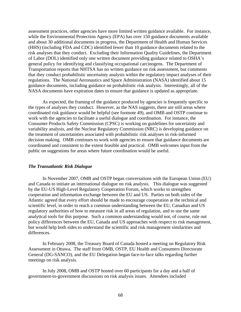assessment practices, other agencies have more limited written guidance available. For instance, while the Environmental Protection Agency (EPA) has over 150 guidance documents available and about 30 additional documents in progress, the Department of Health and Human Services (HHS) (including FDA and CDC) identified fewer than 10 guidance documents related to the risk analyses that they conduct. Excluding their Information Quality Guidelines, the Department of Labor (DOL) identified only one written document providing guidance related to OSHA's general policy for identifying and classifying occupational carcinogens. The Department of Transportation reports that NHTSA has no written guidance on risk assessment, but comments that they conduct probabilistic uncertainty analysis within the regulatory impact analyses of their regulations. The National Aeronautics and Space Administration (NASA) identified about 15 guidance documents, including guidance on probabilistic risk analysis. Interestingly, all of the NASA documents have expiration dates to ensure that guidance is updated as appropriate.

As expected, the framing of the guidance produced by agencies is frequently specific to the types of analyses they conduct. However, as the NAS suggests, there are still areas where coordinated risk guidance would be helpful (see footnote 49), and OMB and OSTP continue to work with the agencies to facilitate a useful dialogue and coordination. For instance, the Consumer Products Safety Commission (CPSC) is working on guidelines for uncertainty and variability analysis, and the Nuclear Regulatory Commission (NRC) is developing guidance on the treatment of uncertainties associated with probabilistic risk analyses in risk-informed decision making. OMB continues to work with agencies to ensure that guidance documents are coordinated and consistent to the extent feasible and practical. OMB welcomes input from the public on suggestions for areas where future coordination would be useful.

#### *The Transatlantic Risk Dialogue*

In November 2007, OMB and OSTP began conversations with the European Union (EU) and Canada to initiate an international dialogue on risk analysis. This dialogue was suggested by the EU-US High-Level Regulatory Cooperation Forum, which works to strengthen cooperation and information exchange between the EU and US. Parties on both sides of the Atlantic agreed that every effort should be made to encourage cooperation at the technical and scientific level, in order to reach a common understanding between the EU, Canadian and US regulatory authorities of how to measure risk in all areas of regulation, and to use the same analytical tools for this purpose. Such a common understanding would not, of course, rule out policy differences between the EU, Canada and US approaches with respect to risk management, but would help both sides to understand the scientific and risk management similarities and differences.

In February 2008, the Treasury Board of Canada hosted a meeting on Regulatory Risk Assessment in Ottawa. The staff from OMB, OSTP, EU Health and Consumers Directorate General (DG-SANCO), and the EU Delegation began face-to-face talks regarding further meetings on risk analysis.

In July 2008, OMB and OSTP hosted over 60 participants for a day and a half of government-to-government discussions on risk analysis issues. Attendees included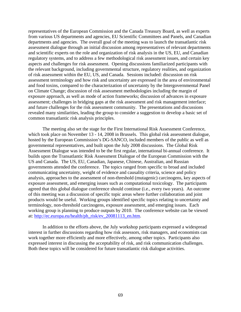representatives of the European Commission and the Canada Treasury Board, as well as experts from various US departments and agencies, EU Scientific Committees and Panels, and Canadian departments and agencies. The overall goal of the meeting was to launch the transatlantic risk assessment dialogue through an initial discussion among representatives of relevant departments and scientific experts on the role and organization of risk analysis in the US, EU, and Canadian regulatory systems, and to address a few methodological risk assessment issues, and certain key aspects and challenges for risk assessment. Opening discussions familiarized participants with the relevant background, including governmental structure, regulatory realities, and organization of risk assessment within the EU, US, and Canada. Sessions included: discussion on risk assessment terminology and how risk and uncertainty are expressed in the area of environmental and food toxins, compared to the characterization of uncertainty by the Intergovernmental Panel on Climate Change; discussion of risk assessment methodologies including the margin of exposure approach, as well as mode of action frameworks; discussion of advances in exposure assessment; challenges in bridging gaps at the risk assessment and risk management interface; and future challenges for the risk assessment community. The presentations and discussions revealed many similarities, leading the group to consider a suggestion to develop a basic set of common transatlantic risk analysis principles.

The meeting also set the stage for the First International Risk Assessment Conference, which took place on November 13 - 14, 2008 in Brussels. This global risk assessment dialogue, hosted by the European Commission's DG-SANCO, included members of the public as well as governmental representatives, and built upon the July 2008 discussions. The Global Risk Assessment Dialogue was intended to be the first regular, international bi-annual conference. It builds upon the Transatlantic Risk Assessment Dialogue of the European Commission with the US and Canada. The US, EU, Canadian, Japanese, Chinese, Australian, and Russian governments attended the conference. The topics ranged from specific to broad and included communicating uncertainty, weight of evidence and causality criteria, science and policy analysis, approaches to the assessment of non-threshold (mutagenic) carcinogens, key aspects of exposure assessment, and emerging issues such as computational toxicology. The participants agreed that this global dialogue conference should continue (i.e., every two years). An outcome of this meeting was a discussion of specific topic areas where further collaboration and joint products would be useful. Working groups identified specific topics relating to uncertainty and terminology, non-threshold carcinogens, exposure assessment, and emerging issues. Each working group is planning to produce outputs by 2010. The conference website can be viewed at: [http://ec.europa.eu/health/ph\\_risk/ev\\_20081113\\_en.htm.](http://ec.europa.eu/health/ph_risk/ev_20081113_en.htm)

In addition to the efforts above, the July workshop participants expressed a widespread interest in further discussions regarding how risk assessors, risk managers, and economists can work together more efficiently and more effectively, among other topics. Participants also expressed interest in discussing the acceptability of risk, and risk communication challenges. Both these topics will be considered for future transatlantic risk dialogue activities.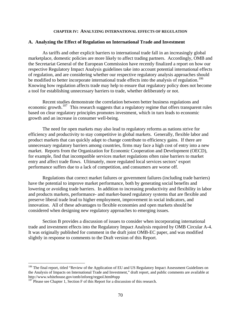#### **CHAPTER IV: ANALYZING INTERNATIONAL EFFECTS OF REGULATION**

#### <span id="page-74-0"></span>**A. Analyzing the Effect of Regulation on International Trade and Investment**

As tariffs and other explicit barriers to international trade fall in an increasingly global marketplace, domestic policies are more likely to affect trading partners. Accordingly, OMB and the Secretariat General of the European Commission have recently finalized a report on how our respective Regulatory Impact Analysis guidelines take into account potential international effects of regulation, and are considering whether our respective regulatory analysis approaches should be modified to better incorporate international trade effects into the analysis of regulation.<sup>[106](#page-74-0)</sup> Knowing how regulation affects trade may help to ensure that regulatory policy does not become a tool for establishing unnecessary barriers to trade, whether deliberately or not.

Recent studies demonstrate the correlation between better business regulations and economic growth.<sup>[107](#page-74-0)</sup> This research suggests that a regulatory regime that offers transparent rules based on clear regulatory principles promotes investment, which in turn leads to economic growth and an increase in consumer well-being.

The need for open markets may also lead to regulatory reforms as nations strive for efficiency and productivity to stay competitive in global markets. Generally, flexible labor and product markets that can quickly adapt to change contribute to efficiency gains. If there are unnecessary regulatory barriers among countries, firms may face a high cost of entry into a new market. Reports from the Organization for Economic Cooperation and Development (OECD), for example, find that incompatible services market regulations often raise barriers to market entry and affect trade flows. Ultimately, more regulated local services sectors' export performance suffers due to a lack of competition, and consumers are worse off.

Regulations that correct market failures or government failures (including trade barriers) have the potential to improve market performance, both by generating social benefits and lowering or avoiding trade barriers. In addition to increasing productivity and flexibility in labor and products markets, performance- and market-based regulatory systems that are flexible and preserve liberal trade lead to higher employment, improvement in social indicators, and innovation. All of these advantages to flexible economies and open markets should be considered when designing new regulatory approaches to emerging issues.

Section B provides a discussion of issues to consider when incorporating international trade and investment effects into the Regulatory Impact Analysis required by OMB Circular A-4. It was originally published for comment in the draft joint OMB-EC paper, and was modified slightly in response to comments to the Draft version of this Report.

 $\overline{a}$ 

<sup>&</sup>lt;sup>106</sup> The final report, titled "Review of the Application of EU and US Regulatory Impact Assessment Guidelines on the Analysis of Impacts on International Trade and Investment," draft report, and public comments are available at http://www.whitehouse.gov/omb/inforeg/regpol.html#opp<br><sup>107</sup> Please see Chapter 1, Section F of this Report for a discussion of this research.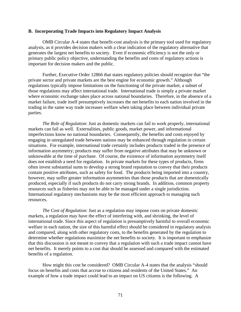#### **B. Incorporating Trade Impacts into Regulatory Impact Analysis**

OMB Circular A-4 states that benefit-cost analysis is the primary tool used for regulatory analysis, as it provides decision makers with a clear indication of the regulatory alternative that generates the largest net benefits to society. Even if economic efficiency is not the only or primary public policy objective, understanding the benefits and costs of regulatory actions is important for decision makers and the public.

Further, Executive Order 12866 that states regulatory policies should recognize that "the private sector and private markets are the best engine for economic growth." Although regulations typically impose limitations on the functioning of the private market, a subset of those regulations may affect international trade. International trade is simply a private market where economic exchange takes place across national boundaries. Therefore, in the absence of a market failure, trade itself presumptively increases the net benefits to each nation involved in the trading in the same way trade increases welfare when taking place between individual private parties.

*The Role of Regulation*: Just as domestic markets can fail to work properly, international markets can fail as well. Externalities, public goods, market power, and informational imperfections know no national boundaries. Consequently, the benefits and costs enjoyed by engaging in unregulated trade between nations may be enhanced through regulation in certain situations. For example, international trade certainly includes products traded in the presence of information asymmetry; products may suffer from negative attributes that may be unknown or unknowable at the time of purchase. Of course, the existence of information asymmetry itself does not establish a need for regulation. In private markets for these types of products, firms often invest substantial sums to develop a strong brand reputation to convey that their products contain positive attributes, such as safety for food. The products being imported into a country, however, may suffer greater information asymmetries than those products that are domestically produced, especially if such products do not carry strong brands. In addition, common property resources such as fisheries may not be able to be managed under a single jurisdiction. International regulatory mechanisms may be the most efficient approach to managing such resources.

*The Cost of Regulation*: Just as a regulation may impose costs on private domestic markets, a regulation may have the effect of interfering with, and shrinking, the level of international trade. Since this aspect of regulation is presumptively harmful to overall economic welfare in each nation, the size of this harmful effect should be considered in regulatory analysis and compared, along with other regulatory costs, to the benefits generated by the regulation to determine whether regulations maximize the net benefits to society. It is important to emphasize that this discussion is not meant to convey that a regulation with such a trade impact cannot have net benefits. It merely points to a cost that should be assessed and compared with the estimated benefits of a regulation.

How might this cost be considered? OMB Circular A-4 states that the analysis "should focus on benefits and costs that accrue to citizens and residents of the United States." An example of how a trade impact could lead to an impact on US citizens is the following. A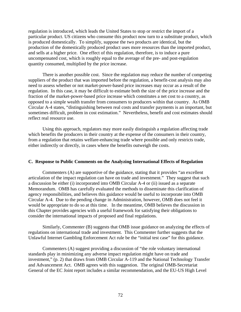regulation is introduced, which leads the United States to stop or restrict the import of a particular product. US citizens who consume this product now turn to a substitute product, which is produced domestically. To simplify, suppose the two products are identical, but the production of the domestically produced product uses more resources than the imported product, and sells at a higher price. One effect of this regulation, therefore, is to induce a pure uncompensated cost, which is roughly equal to the average of the pre- and post-regulation quantity consumed, multiplied by the price increase.

There is another possible cost. Since the regulation may reduce the number of competing suppliers of the product that was imported before the regulation, a benefit-cost analysis may also need to assess whether or not market-power-based price increases may occur as a result of the regulation. In this case, it may be difficult to estimate both the size of the price increase and the fraction of the market-power-based price increase which constitutes a net cost to a country, as opposed to a simple wealth transfer from consumers to producers within that country. As OMB Circular A-4 states, "distinguishing between real costs and transfer payments is an important, but sometimes difficult, problem in cost estimation." Nevertheless, benefit and cost estimates should reflect real resource use.

Using this approach, regulators may more easily distinguish a regulation affecting trade which benefits the producers in their country at the expense of the consumers in their country, from a regulation that retains welfare-enhancing trade where possible and only restricts trade, either indirectly or directly, in cases where the benefits outweigh the costs.

#### **C. Response to Public Comments on the Analyzing International Effects of Regulation**

Commenters (A) are supportive of the guidance, stating that it provides "an excellent articulation of the impact regulation can have on trade and investment." They suggest that such a discussion be either (i) incorporated into OMB Circular A-4 or (ii) issued as a separate Memorandum. OMB has carefully evaluated the methods to disseminate this clarification of agency responsibilities, and believes this guidance would be useful to incorporate into OMB Circular A-4. Due to the pending change in Administration, however, OMB does not feel it would be appropriate to do so at this time. In the meantime, OMB believes the discussion in this Chapter provides agencies with a useful framework for satisfying their obligations to consider the international impacts of proposed and final regulations.

Similarly, Commenter (B) suggests that OMB issue guidance on analyzing the effects of regulations on international trade and investment. This Commenter further suggests that the Unlawful Internet Gambling Enforcement Act rule be the "initial test case" for this guidance.

Commenters (A) suggest providing a discussion of "the role voluntary international standards play in minimizing any adverse impact regulation might have on trade and investment," (p. 2) that draws from OMB Circular A-119 and the National Technology Transfer and Advancement Act. OMB agrees with this suggestion. The original OMB-Secretariat General of the EC Joint report includes a similar recommendation, and the EU-US High Level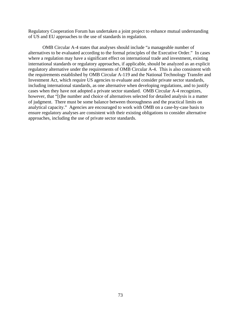Regulatory Cooperation Forum has undertaken a joint project to enhance mutual understanding of US and EU approaches to the use of standards in regulation.

OMB Circular A-4 states that analyses should include "a manageable number of alternatives to be evaluated according to the formal principles of the Executive Order." In cases where a regulation may have a significant effect on international trade and investment, existing international standards or regulatory approaches, if applicable, should be analyzed as an explicit regulatory alternative under the requirements of OMB Circular A-4. This is also consistent with the requirements established by OMB Circular A-119 and the National Technology Transfer and Investment Act, which require US agencies to evaluate and consider private sector standards, including international standards, as one alternative when developing regulations, and to justify cases when they have not adopted a private sector standard. OMB Circular A-4 recognizes, however, that "[t]he number and choice of alternatives selected for detailed analysis is a matter of judgment. There must be some balance between thoroughness and the practical limits on analytical capacity." Agencies are encouraged to work with OMB on a case-by-case basis to ensure regulatory analyses are consistent with their existing obligations to consider alternative approaches, including the use of private sector standards.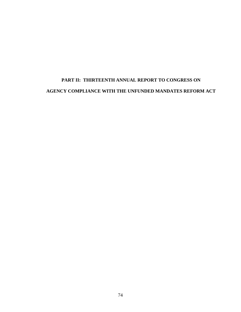# **PART II: THIRTEENTH ANNUAL REPORT TO CONGRESS ON AGENCY COMPLIANCE WITH THE UNFUNDED MANDATES REFORM ACT**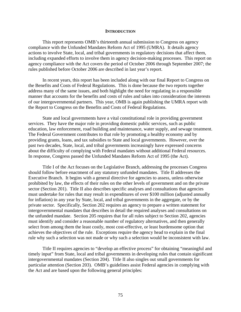#### **INTRODUCTION**

This report represents OMB's thirteenth annual submission to Congress on agency compliance with the Unfunded Mandates Reform Act of 1995 (UMRA). It details agency actions to involve State, local, and tribal governments in regulatory decisions that affect them, including expanded efforts to involve them in agency decision-making processes. This report on agency compliance with the Act covers the period of October 2006 through September 2007; the rules published before October 2006 are described in last year's report.

 In recent years, this report has been included along with our final Report to Congress on the Benefits and Costs of Federal Regulations. This is done because the two reports together address many of the same issues, and both highlight the need for regulating in a responsible manner that accounts for the benefits and costs of rules and takes into consideration the interests of our intergovernmental partners. This year, OMB is again publishing the UMRA report with the Report to Congress on the Benefits and Costs of Federal Regulations.

 State and local governments have a vital constitutional role in providing government services. They have the major role in providing domestic public services, such as public education, law enforcement, road building and maintenance, water supply, and sewage treatment. The Federal Government contributes to that role by promoting a healthy economy and by providing grants, loans, and tax subsidies to State and local governments. However, over the past two decades, State, local, and tribal governments increasingly have expressed concerns about the difficulty of complying with Federal mandates without additional Federal resources. In response, Congress passed the Unfunded Mandates Reform Act of 1995 (the Act).

 Title I of the Act focuses on the Legislative Branch, addressing the processes Congress should follow before enactment of any statutory unfunded mandates. Title II addresses the Executive Branch. It begins with a general directive for agencies to assess, unless otherwise prohibited by law, the effects of their rules on the other levels of government and on the private sector (Section 201). Title II also describes specific analyses and consultations that agencies must undertake for rules that may result in expenditures of over \$100 million (adjusted annually for inflation) in any year by State, local, and tribal governments in the aggregate, or by the private sector. Specifically, Section 202 requires an agency to prepare a written statement for intergovernmental mandates that describes in detail the required analyses and consultations on the unfunded mandate. Section 205 requires that for all rules subject to Section 202, agencies must identify and consider a reasonable number of regulatory alternatives, and then generally select from among them the least costly, most cost-effective, or least burdensome option that achieves the objectives of the rule. Exceptions require the agency head to explain in the final rule why such a selection was not made or why such a selection would be inconsistent with law.

 Title II requires agencies to "develop an effective process" for obtaining "meaningful and timely input" from State, local and tribal governments in developing rules that contain significant intergovernmental mandates (Section 204). Title II also singles out small governments for particular attention (Section 203). OMB's guidelines assist Federal agencies in complying with the Act and are based upon the following general principles: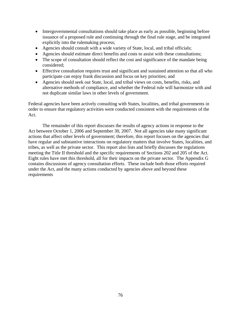- Intergovernmental consultations should take place as early as possible, beginning before issuance of a proposed rule and continuing through the final rule stage, and be integrated explicitly into the rulemaking process;
- Agencies should consult with a wide variety of State, local, and tribal officials;
- Agencies should estimate direct benefits and costs to assist with these consultations;
- The scope of consultation should reflect the cost and significance of the mandate being considered;
- Effective consultation requires trust and significant and sustained attention so that all who participate can enjoy frank discussion and focus on key priorities; and
- Agencies should seek out State, local, and tribal views on costs, benefits, risks, and alternative methods of compliance, and whether the Federal rule will harmonize with and not duplicate similar laws in other levels of government.

 Federal agencies have been actively consulting with States, localities, and tribal governments in order to ensure that regulatory activities were conducted consistent with the requirements of the Act.

 The remainder of this report discusses the results of agency actions in response to the Act between October 1, 2006 and September 30, 2007. Not all agencies take many significant actions that affect other levels of government; therefore, this report focuses on the agencies that have regular and substantive interactions on regulatory matters that involve States, localities, and tribes, as well as the private sector. This report also lists and briefly discusses the regulations meeting the Title II threshold and the specific requirements of Sections 202 and 205 of the Act. Eight rules have met this threshold, all for their impacts on the private sector. The Appendix G contains discussions of agency consultation efforts. These include both those efforts required under the Act, and the many actions conducted by agencies above and beyond these requirements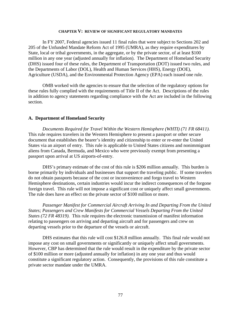#### **CHAPTER V: REVIEW OF SIGNIFICANT REGULATORY MANDATES**

In FY 2007, Federal agencies issued 11 final rules that were subject to Sections 202 and 205 of the Unfunded Mandate Reform Act of 1995 (UMRA), as they require expenditures by State, local or tribal governments, in the aggregate, or by the private sector, of at least \$100 million in any one year (adjusted annually for inflation). The Department of Homeland Security (DHS) issued four of these rules, the Department of Transportation (DOT) issued two rules, and the Departments of Labor (DOL), Health and Human Services (HHS), Energy (DOE), Agriculture (USDA), and the Environmental Protection Agency (EPA) each issued one rule.

OMB worked with the agencies to ensure that the selection of the regulatory options for these rules fully complied with the requirements of Title II of the Act. Descriptions of the rules in addition to agency statements regarding compliance with the Act are included in the following section.

#### **A. Department of Homeland Security**

 *Documents Required for Travel Within the Western Hemisphere (WHTI) (71 FR 68411).*  This rule requires travelers in the Western Hemisphere to present a passport or other secure document that establishes the bearer's identity and citizenship to enter or re-enter the United States via an airport of entry. This rule is applicable to United States citizens and nonimmigrant aliens from Canada, Bermuda, and Mexico who were previously exempt from presenting a passport upon arrival at US airports-of-entry.

 DHS's primary estimate of the cost of this rule is \$206 million annually. This burden is borne primarily by individuals and businesses that support the traveling public. If some travelers do not obtain passports because of the cost or inconvenience and forgo travel to Western Hemisphere destinations, certain industries would incur the indirect consequences of the forgone foreign travel. This rule will not impose a significant cost or uniquely affect small governments. The rule does have an effect on the private sector of \$100 million or more.

 *Passenger Manifest for Commercial Aircraft Arriving In and Departing From the United States; Passengers and Crew Manifests for Commercial Vessels Departing From the United States (72 FR 48319).* This rule requires the electronic transmission of manifest information relating to passengers on arriving and departing aircraft and for passengers and crew on departing vessels prior to the departure of the vessels or aircraft.

 DHS estimates that this rule will cost \$126.8 million annually. This final rule would not impose any cost on small governments or significantly or uniquely affect small governments. However, CBP has determined that the rule would result in the expenditure by the private sector of \$100 million or more (adjusted annually for inflation) in any one year and thus would constitute a significant regulatory action. Consequently, the provisions of this rule constitute a private sector mandate under the UMRA.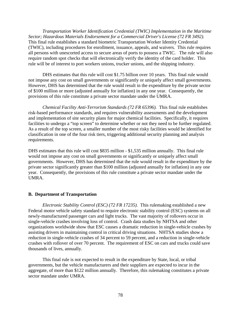*Transportation Worker Identification Credential (TWIC) Implementation in the Maritime Sector; Hazardous Materials Endorsement for a Commercial Driver's License (72 FR 3492).* This final rule establishes a standard biometric Transportation Worker Identity Credential (TWIC), including procedures for enrollment, issuance, appeals, and waivers. This rule requires all persons with unescorted access to secure areas of ports to possess a TWIC. The rule will also require random spot checks that will electronically verify the identity of the card holder. This rule will be of interest to port workers unions, trucker unions, and the shipping industry.

 DHS estimates that this rule will cost \$1.75 billion over 10 years. This final rule would not impose any cost on small governments or significantly or uniquely affect small governments. However, DHS has determined that the rule would result in the expenditure by the private sector of \$100 million or more (adjusted annually for inflation) in any one year. Consequently, the provisions of this rule constitute a private sector mandate under the UMRA.

*Chemical Facility Anti-Terrorism Standards (72 FR 65396).* This final rule establishes risk-based performance standards, and requires vulnerability assessments and the development and implementation of site security plans for major chemical facilities. Specifically, it requires facilities to undergo a "top screen" to determine whether or not they need to be further regulated. As a result of the top screen, a smaller number of the most risky facilities would be identified for classification in one of the four risk tiers, triggering additional security planning and analysis requirements.

DHS estimates that this rule will cost \$835 million - \$1,535 million annually. This final rule would not impose any cost on small governments or significantly or uniquely affect small governments. However, DHS has determined that the rule would result in the expenditure by the private sector significantly greater than \$100 million (adjusted annually for inflation) in any one year. Consequently, the provisions of this rule constitute a private sector mandate under the UMRA.

## **B. Department of Transportation**

 *Electronic Stability Control (ESC) (72 FR 17235).* This rulemaking established a new Federal motor vehicle safety standard to require electronic stability control (ESC) systems on all newly-manufactured passenger cars and light trucks. The vast majority of rollovers occur in single-vehicle crashes involving loss of control. Crash data studies by NHTSA and other organizations worldwide show that ESC causes a dramatic reduction in single-vehicle crashes by assisting drivers in maintaining control in critical driving situations. NHTSA studies show a reduction in single-vehicle crashes of 34 percent to 59 percent, and a reduction in single-vehicle crashes with rollover of over 70 percent. The requirement of ESC on cars and trucks could save thousands of lives, annually.

 This final rule is not expected to result in the expenditure by State, local, or tribal governments, but the vehicle manufacturers and their suppliers are expected to incur in the aggregate, of more than \$122 million annually. Therefore, this rulemaking constitutes a private sector mandate under UMRA.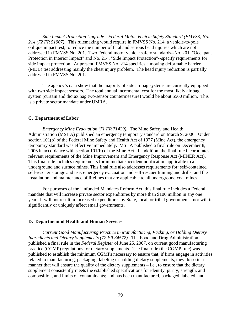*Side Impact Protection Upgrade—Federal Motor Vehicle Safety Standard (FMVSS) No. 214 (72 FR 51907).* This rulemaking would require in FMVSS No. 214, a vehicle-to-pole oblique impact test, to reduce the number of fatal and serious head injuries which are not addressed in FMVSS No. 201. Two Federal motor vehicle safety standards--No. 201, "Occupant Protection in Interior Impact" and No. 214, "Side Impact Protection"--specify requirements for side impact protection. At present, FMVSS No. 214 specifies a moving deformable barrier (MDB) test addressing mainly the chest injury problem. The head injury reduction is partially addressed in FMVSS No. 201.

 The agency's data show that the majority of side air bag systems are currently equipped with two side impact sensors. The total annual incremental cost for the most likely air bag system (curtain and thorax bag two-sensor countermeasure) would be about \$560 million. This is a private sector mandate under UMRA.

#### **C. Department of Labor**

*Emergency Mine Evacuation (71 FR 71429).* The Mine Safety and Health Administration (MSHA) published an emergency temporary standard on March 9, 2006. Under section 101(b) of the Federal Mine Safety and Health Act of 1977 (Mine Act), the emergency temporary standard was effective immediately. MSHA published a final rule on December 8, 2006 in accordance with section 101(b) of the Mine Act. In addition, the final rule incorporates relevant requirements of the Mine Improvement and Emergency Response Act (MINER Act). This final rule includes requirements for immediate accident notification applicable to all underground and surface mines. This final rule also addresses requirements for: self-contained self-rescuer storage and use; emergency evacuation and self-rescuer training and drills; and the installation and maintenance of lifelines that are applicable to all underground coal mines.

 For purposes of the Unfunded Mandates Reform Act, this final rule includes a Federal mandate that will increase private sector expenditures by more than \$100 million in any one year. It will not result in increased expenditures by State, local, or tribal governments; nor will it significantly or uniquely affect small governments.

#### **D. Department of Health and Human Services**

*Current Good Manufacturing Practice in Manufacturing, Packing, or Holding Dietary Ingredients and Dietary Supplements (72 FR 34572).* The Food and Drug Administration published a final rule in the *Federal Register* of June 25, 2007, on current good manufacturing practice (CGMP) regulations for dietary supplements. The final rule (the CGMP rule) was published to establish the minimum CGMPs necessary to ensure that, if firms engage in activities related to manufacturing, packaging, labeling or holding dietary supplements, they do so in a manner that will ensure the quality of the dietary supplements – i.e., to ensure that the dietary supplement consistently meets the established specifications for identity, purity, strength, and composition, and limits on contaminants; and has been manufactured, packaged, labeled, and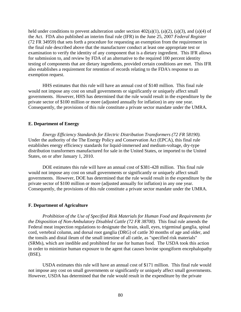held under conditions to prevent adulteration under section  $402(a)(1)$ ,  $(a)(2)$ ,  $(a)(3)$ , and  $(a)(4)$  of the Act. FDA also published an interim final rule (IFR) in the June 25, 2007 *Federal Register* (72 FR 34959) that sets forth a procedure for requesting an exemption from the requirement in the final rule described above that the manufacturer conduct at least one appropriate test or examination to verify the identity of any component that is a dietary ingredient. This IFR allows for submission to, and review by FDA of an alternative to the required 100 percent identity testing of components that are dietary ingredients, provided certain conditions are met. This IFR also establishes a requirement for retention of records relating to the FDA's response to an exemption request.

HHS estimates that this rule will have an annual cost of \$140 million. This final rule would not impose any cost on small governments or significantly or uniquely affect small governments. However, HHS has determined that the rule would result in the expenditure by the private sector of \$100 million or more (adjusted annually for inflation) in any one year. Consequently, the provisions of this rule constitute a private sector mandate under the UMRA.

#### **E. Department of Energy**

*Energy Efficiency Standards for Electric Distribution Transformers (72 FR 58190).*  Under the authority of the The Energy Policy and Conservation Act (EPCA), this final rule establishes energy efficiency standards for liquid-immersed and medium-voltage, dry-type distribution transformers manufactured for sale in the United States, or imported to the United States, on or after January 1, 2010.

DOE estimates this rule will have an annual cost of \$381-428 million. This final rule would not impose any cost on small governments or significantly or uniquely affect small governments. However, DOE has determined that the rule would result in the expenditure by the private sector of \$100 million or more (adjusted annually for inflation) in any one year. Consequently, the provisions of this rule constitute a private sector mandate under the UMRA.

#### **F. Department of Agriculture**

*Prohibition of the Use of Specified Risk Materials for Human Food and Requirements for the Disposition of Non-Ambulatory Disabled Cattle (72 FR 38700).* This final rule amends the Federal meat inspection regulations to designate the brain, skull, eyes, trigeminal ganglia, spinal cord, vertebral column, and dorsal root ganglia (DRG) of cattle 30 months of age and older, and the tonsils and distal ileum of the small intestine of all cattle, as "specified risk materials" (SRMs), which are inedible and prohibited for use for human food. The USDA took this action in order to minimize human exposure to the agent that causes bovine spongiform encephalopathy (BSE).

 USDA estimates this rule will have an annual cost of \$171 million. This final rule would not impose any cost on small governments or significantly or uniquely affect small governments. However, USDA has determined that the rule would result in the expenditure by the private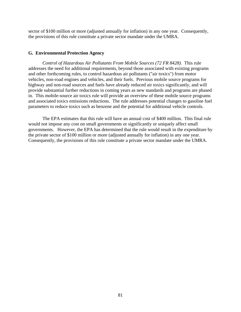sector of \$100 million or more (adjusted annually for inflation) in any one year. Consequently, the provisions of this rule constitute a private sector mandate under the UMRA.

#### **G. Environmental Protection Agency**

 *Control of Hazardous Air Pollutants From Mobile Sources (72 FR 8428).* This rule addresses the need for additional requirements, beyond those associated with existing programs and other forthcoming rules, to control hazardous air pollutants ("air toxics") from motor vehicles, non-road engines and vehicles, and their fuels. Previous mobile source programs for highway and non-road sources and fuels have already reduced air toxics significantly, and will provide substantial further reductions in coming years as new standards and programs are phased in. This mobile-source air toxics rule will provide an overview of these mobile source programs and associated toxics emissions reductions. The rule addresses potential changes to gasoline fuel parameters to reduce toxics such as benzene and the potential for additional vehicle controls.

 The EPA estimates that this rule will have an annual cost of \$400 million. This final rule would not impose any cost on small governments or significantly or uniquely affect small governments. However, the EPA has determined that the rule would result in the expenditure by the private sector of \$100 million or more (adjusted annually for inflation) in any one year. Consequently, the provisions of this rule constitute a private sector mandate under the UMRA.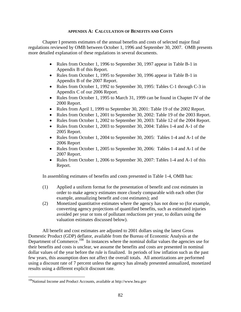#### **APPENDIX A: CALCULATION OF BENEFITS AND COSTS**

<span id="page-86-0"></span>Chapter I presents estimates of the annual benefits and costs of selected major final regulations reviewed by OMB between October 1, 1996 and September 30, 2007. OMB presents more detailed explanation of these regulations in several documents.

- Rules from October 1, 1996 to September 30, 1997 appear in Table B-1 in Appendix B of this Report.
- Rules from October 1, 1995 to September 30, 1996 appear in Table B-1 in Appendix B of the 2007 Report.
- Rules from October 1, 1992 to September 30, 1995: Tables C-1 through C-3 in Appendix C of our 2006 Report.
- Rules from October 1, 1995 to March 31, 1999 can be found in Chapter IV of the 2000 Report.
- Rules from April 1, 1999 to September 30, 2001: Table 19 of the 2002 Report.
- Rules from October 1, 2001 to September 30, 2002: Table 19 of the 2003 Report.
- Rules from October 1, 2002 to September 30, 2003: Table 12 of the 2004 Report.
- Rules from October 1, 2003 to September 30, 2004: Tables 1-4 and A-1 of the 2005 Report.
- Rules from October 1, 2004 to September 30, 2005: Tables 1-4 and A-1 of the 2006 Report
- Rules from October 1, 2005 to September 30, 2006: Tables 1-4 and A-1 of the 2007 Report.
- Rules from October 1, 2006 to September 30, 2007: Tables 1-4 and A-1 of this Report.

In assembling estimates of benefits and costs presented in Table 1-4, OMB has:

- (1) Applied a uniform format for the presentation of benefit and cost estimates in order to make agency estimates more closely comparable with each other (for example, annualizing benefit and cost estimates); and
- (2) Monetized quantitative estimates where the agency has not done so (for example, converting agency projections of quantified benefits, such as estimated injuries avoided per year or tons of pollutant reductions per year, to dollars using the valuation estimates discussed below).

All benefit and cost estimates are adjusted to 2001 dollars using the latest Gross Domestic Product (GDP) deflator, available from the Bureau of Economic Analysis at the Department of Commerce.<sup>[108](#page-86-0)</sup> In instances where the nominal dollar values the agencies use for their benefits and costs is unclear, we assume the benefits and costs are presented in nominal dollar values of the year before the rule is finalized. In periods of low inflation such as the past few years, this assumption does not affect the overall totals. All amortizations are performed using a discount rate of 7 percent unless the agency has already presented annualized, monetized results using a different explicit discount rate.

 $\overline{a}$ 

<sup>108</sup>National Income and Product Accounts, available at http://www.bea.gov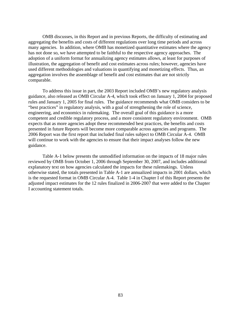OMB discusses, in this Report and in previous Reports, the difficulty of estimating and aggregating the benefits and costs of different regulations over long time periods and across many agencies. In addition, where OMB has monetized quantitative estimates where the agency has not done so, we have attempted to be faithful to the respective agency approaches. The adoption of a uniform format for annualizing agency estimates allows, at least for purposes of illustration, the aggregation of benefit and cost estimates across rules; however, agencies have used different methodologies and valuations in quantifying and monetizing effects. Thus, an aggregation involves the assemblage of benefit and cost estimates that are not strictly comparable.

 To address this issue in part, the 2003 Report included OMB's new regulatory analysis guidance, also released as OMB Circular A-4, which took effect on January 1, 2004 for proposed rules and January 1, 2005 for final rules. The guidance recommends what OMB considers to be "best practices" in regulatory analysis, with a goal of strengthening the role of science, engineering, and economics in rulemaking. The overall goal of this guidance is a more competent and credible regulatory process, and a more consistent regulatory environment. OMB expects that as more agencies adopt these recommended best practices, the benefits and costs presented in future Reports will become more comparable across agencies and programs. The 2006 Report was the first report that included final rules subject to OMB Circular A-4. OMB will continue to work with the agencies to ensure that their impact analyses follow the new guidance.

 Table A-1 below presents the unmodified information on the impacts of 18 major rules reviewed by OMB from October 1, 2006 through September 30, 2007, and includes additional explanatory text on how agencies calculated the impacts for these rulemakings. Unless otherwise stated, the totals presented in Table A-1 are annualized impacts in 2001 dollars, which is the requested format in OMB Circular A-4. Table 1-4 in Chapter I of this Report presents the adjusted impact estimates for the 12 rules finalized in 2006-2007 that were added to the Chapter I accounting statement totals.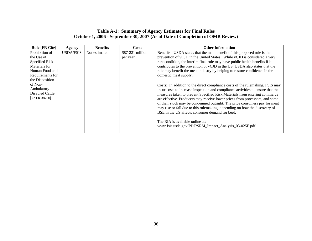## **Table A-1: Summary of Agency Estimates for Final Rules October 1, 2006 - September 30, 2007 (As of Date of Completion of OMB Review)**

| <b>Rule [FR Cite]</b>                                                                                                                                                                        | Agency           | <b>Benefits</b> | Costs                        | <b>Other Information</b>                                                                                                                                                                                                                                                                                                                                                                                                                                                                                                                                                                                                                                                                                                                                                                                                                                                                                                                                                                                                                                             |
|----------------------------------------------------------------------------------------------------------------------------------------------------------------------------------------------|------------------|-----------------|------------------------------|----------------------------------------------------------------------------------------------------------------------------------------------------------------------------------------------------------------------------------------------------------------------------------------------------------------------------------------------------------------------------------------------------------------------------------------------------------------------------------------------------------------------------------------------------------------------------------------------------------------------------------------------------------------------------------------------------------------------------------------------------------------------------------------------------------------------------------------------------------------------------------------------------------------------------------------------------------------------------------------------------------------------------------------------------------------------|
| Prohibition of<br>the Use of<br><b>Specified Risk</b><br>Materials for<br>Human Food and<br>Requirements for<br>the Disposition<br>of Non-<br>Ambulatory<br>Disabled Cattle<br>[72 FR 38700] | <b>USDA/FSIS</b> | Not estimated   | \$87-221 million<br>per year | Benefits: USDA states that the main benefit of this proposed rule is the<br>prevention of vCJD in the United States. While vCJD is considered a very<br>rare condition, the interim final rule may have public health benefits if it<br>contributes to the prevention of vCJD in the US. USDA also states that the<br>rule may benefit the meat industry by helping to restore confidence in the<br>domestic meat supply.<br>Costs: In addition to the direct compliance costs of the rulemaking, FSIS may<br>incur costs to increase inspection and compliance activities to ensure that the<br>measures taken to prevent Specified Risk Materials from entering commerce<br>are effective. Producers may receive lower prices from processors, and some<br>of their stock may be condemned outright. The price consumers pay for meat<br>may rise or fall due to this rulemaking, depending on how the discovery of<br>BSE in the US affects consumer demand for beef.<br>The RIA is available online at:<br>www.fsis.usda.gov/PDF/SRM_Impact_Analysis_03-025F.pdf |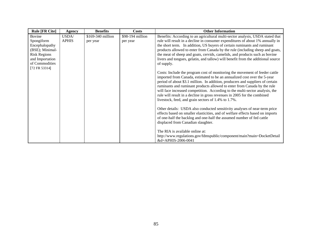| <b>Rule [FR Cite]</b> | Agency       | <b>Benefits</b>   | <b>Costs</b>     | <b>Other Information</b>                                                                                                                                 |
|-----------------------|--------------|-------------------|------------------|----------------------------------------------------------------------------------------------------------------------------------------------------------|
| Bovine                | USDA/        | \$169-340 million | \$98-194 million | Benefits: According to an agricultural multi-sector analysis, USDA stated that                                                                           |
| Spongiform            | <b>APHIS</b> | per year          | per year         | rule will result in a decline in consumer expenditures of about 1% annually in                                                                           |
| Encephalopathy        |              |                   |                  | the short term. In addition, US buyers of certain ruminants and ruminant                                                                                 |
| (BSE); Minimal-       |              |                   |                  | products allowed to enter from Canada by the rule (including sheep and goats,                                                                            |
| <b>Risk Regions</b>   |              |                   |                  | the meat of sheep and goats, cervids, camelids, and products such as bovine                                                                              |
| and Importation       |              |                   |                  | livers and tongues, gelatin, and tallow) will benefit from the additional source                                                                         |
| of Commodities        |              |                   |                  | of supply.                                                                                                                                               |
| [72 FR 53314]         |              |                   |                  |                                                                                                                                                          |
|                       |              |                   |                  | Costs: Include the program cost of monitoring the movement of feeder cattle                                                                              |
|                       |              |                   |                  | imported from Canada, estimated to be an annualized cost over the 5-year                                                                                 |
|                       |              |                   |                  | period of about \$3.1 million. In addition, producers and suppliers of certain                                                                           |
|                       |              |                   |                  | ruminants and ruminant products allowed to enter from Canada by the rule<br>will face increased competition. According to the multi-sector analysis, the |
|                       |              |                   |                  | rule will result in a decline in gross revenues in 2005 for the combined                                                                                 |
|                       |              |                   |                  | livestock, feed, and grain sectors of 1.4% to 1.7%.                                                                                                      |
|                       |              |                   |                  |                                                                                                                                                          |
|                       |              |                   |                  | Other details: USDA also conducted sensitivity analyses of near-term price                                                                               |
|                       |              |                   |                  | effects based on smaller elasticities, and of welfare effects based on imports                                                                           |
|                       |              |                   |                  | of one-half the backlog and one-half the assumed number of fed cattle                                                                                    |
|                       |              |                   |                  | displaced from Canadian slaughter.                                                                                                                       |
|                       |              |                   |                  |                                                                                                                                                          |
|                       |              |                   |                  | The RIA is available online at:                                                                                                                          |
|                       |              |                   |                  | http://www.regulations.gov/fdmspublic/component/main?main=DocketDetail                                                                                   |
|                       |              |                   |                  | &d=APHIS-2006-0041                                                                                                                                       |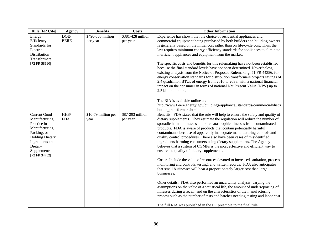| <b>Rule [FR Cite]</b>                                                                                                                                                        | <b>Agency</b>       | <b>Benefits</b>               | <b>Costs</b>                  | <b>Other Information</b>                                                                                                                                                                                                                                                                                                                                                                                                                                                                                                                                                                                                                                                                                                                                                                                                                        |
|------------------------------------------------------------------------------------------------------------------------------------------------------------------------------|---------------------|-------------------------------|-------------------------------|-------------------------------------------------------------------------------------------------------------------------------------------------------------------------------------------------------------------------------------------------------------------------------------------------------------------------------------------------------------------------------------------------------------------------------------------------------------------------------------------------------------------------------------------------------------------------------------------------------------------------------------------------------------------------------------------------------------------------------------------------------------------------------------------------------------------------------------------------|
| Energy<br>Efficiency<br>Standards for<br>Electric<br>Distribution<br>Transformers<br>[72 FR 58190]                                                                           | DOE/<br><b>EERE</b> | \$490-865 million<br>per year | \$381-428 million<br>per year | Experience has shown that the choice of residential appliances and<br>commercial equipment being purchased by both builders and building owners<br>is generally based on the initial cost rather than on life-cycle cost. Thus, the<br>law requires minimum energy efficiency standards for appliances to eliminate<br>inefficient appliances and equipment from the market.<br>The specific costs and benefits for this rulemaking have not been established<br>because the final standard levels have not been determined. Nevertheless,<br>existing analysis from the Notice of Proposed Rulemaking, 71 FR 44356, for<br>energy conservation standards for distribution transformers projects savings of                                                                                                                                     |
|                                                                                                                                                                              |                     |                               |                               | 2.4 quadrillion BTUs of energy from 2010 to 2038, with a national financial<br>impact on the consumer in terms of national Net Present Value (NPV) up to<br>2.5 billion dollars.<br>The RIA is available online at:<br>http://www1.eere.energy.gov/buildings/appliance_standards/commercial/distri<br>bution transformers.html                                                                                                                                                                                                                                                                                                                                                                                                                                                                                                                  |
| <b>Current Good</b><br>Manufacturing<br>Practice in<br>Manufacturing,<br>Packing, or<br><b>Holding Dietary</b><br>Ingredients and<br>Dietary<br>Supplements<br>[72 FR 34752] | HHS/<br><b>FDA</b>  | \$10-79 million per<br>year   | \$87-293 million<br>per year  | Benefits: FDA states that the rule will help to ensure the safety and quality of<br>dietary supplements. They estimate the regulation will reduce the number of<br>sporadic human illnesses and rare catastrophic illnesses from contaminated<br>products. FDA is aware of products that contain potentially harmful<br>contaminants because of apparently inadequate manufacturing controls and<br>quality control procedures. There also have been cases of misidentified<br>ingredients harming consumers using dietary supplements. The Agency<br>believes that a system of CGMPs is the most effective and efficient way to<br>ensure the quality of dietary supplements.<br>Costs: Include the value of resources devoted to increased sanitation, process<br>monitoring and controls, testing, and written records. FDA also anticipates |
|                                                                                                                                                                              |                     |                               |                               | that small businesses will bear a proportionately larger cost than large<br>businesses.<br>Other details: FDA also performed an uncertainty analysis, varying the<br>assumptions on the value of a statistical life, the amount of underreporting of<br>illnesses during a recall, and on the characteristics of the manufacturing<br>process such as the number of tests and batches needing testing and labor cost.<br>The full RIA was published in the FR preamble to the final rule.                                                                                                                                                                                                                                                                                                                                                       |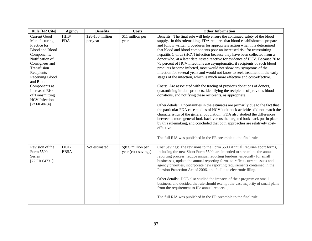| <b>Rule [FR Cite]</b>                                                                                                                                                                                                                                                                                 | <b>Agency</b>       | <b>Benefits</b>              | <b>Costs</b>                               | <b>Other Information</b>                                                                                                                                                                                                                                                                                                                                                                                                                                                                                                                                                                                                                                                                                                                                                                                                                                                                                                                                                                                                                                                                                                                                                                                                                                                                                                                                                                                                                                                                                                       |
|-------------------------------------------------------------------------------------------------------------------------------------------------------------------------------------------------------------------------------------------------------------------------------------------------------|---------------------|------------------------------|--------------------------------------------|--------------------------------------------------------------------------------------------------------------------------------------------------------------------------------------------------------------------------------------------------------------------------------------------------------------------------------------------------------------------------------------------------------------------------------------------------------------------------------------------------------------------------------------------------------------------------------------------------------------------------------------------------------------------------------------------------------------------------------------------------------------------------------------------------------------------------------------------------------------------------------------------------------------------------------------------------------------------------------------------------------------------------------------------------------------------------------------------------------------------------------------------------------------------------------------------------------------------------------------------------------------------------------------------------------------------------------------------------------------------------------------------------------------------------------------------------------------------------------------------------------------------------------|
| <b>Current Good</b><br>Manufacturing<br>Practice for<br><b>Blood and Blood</b><br>Components:<br>Notification of<br>Consignees and<br>Transfusion<br>Recipients<br>Receiving Blood<br>and Blood<br>Components at<br><b>Increased Risk</b><br>of Transmitting<br><b>HCV</b> Infection<br>[72 FR 48766] | HHS/<br><b>FDA</b>  | \$28-130 million<br>per year | $\overline{$11}$ million per<br>year       | Benefits: The final rule will help ensure the continued safety of the blood<br>supply. In this rulemaking, FDA requires that blood establishments prepare<br>and follow written procedures for appropriate action when it is determined<br>that blood and blood components pose an increased risk for transmitting<br>hepatitis C virus (HCV) infection because they have been collected from a<br>donor who, at a later date, tested reactive for evidence of HCV. Because 70 to<br>75 percent of HCV infections are asymptomatic, if recipients of such blood<br>products become infected, most would not show any symptoms of the<br>infection for several years and would not know to seek treatment in the early<br>stages of the infection, which is much more effective and cost-effective.<br>Costs: Are associated with the tracing of previous donations of donors,<br>quarantining in-date products, identifying the recipients of previous blood<br>donations, and notifying these recipients, as appropriate.<br>Other details: Uncertainties in the estimates are primarily due to the fact that<br>the particular FDA case studies of HCV look-back activities did not match the<br>characteristics of the general population. FDA also studied the differences<br>between a more general look-back versus the targeted look-back put in place<br>by this rulemaking, and concluded that both approaches are relatively cost-<br>effective.<br>The full RIA was published in the FR preamble to the final rule. |
| Revision of the<br>Form 5500<br>Series<br>[72 FR 64731]                                                                                                                                                                                                                                               | DOL/<br><b>EBSA</b> | Not estimated                | $$(83)$ million per<br>year (cost savings) | Cost Savings: The revisions to the Form 5500 Annual Return/Report forms,<br>including the new Short Form 5500, are intended to streamline the annual<br>reporting process, reduce annual reporting burdens, especially for small<br>businesses, update the annual reporting forms to reflect current issues and<br>agency priorities, incorporate new reporting requirements contained in the<br>Pension Protection Act of 2006, and facilitate electronic filing.<br>Other details: DOL also studied the impacts of their program on small<br>business, and decided the rule should exempt the vast majority of small plans<br>from the requirement to file annual reports.,<br>The full RIA was published in the FR preamble to the final rule.                                                                                                                                                                                                                                                                                                                                                                                                                                                                                                                                                                                                                                                                                                                                                                              |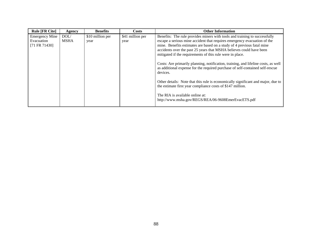| <b>Rule [FR Cite]</b>                                | Agency              | <b>Benefits</b>          | <b>Costs</b>             | <b>Other Information</b>                                                                                                                                                                                                                                                                                                                                                                                                                                                                                                                                                                                                                                                                                                                                                                            |
|------------------------------------------------------|---------------------|--------------------------|--------------------------|-----------------------------------------------------------------------------------------------------------------------------------------------------------------------------------------------------------------------------------------------------------------------------------------------------------------------------------------------------------------------------------------------------------------------------------------------------------------------------------------------------------------------------------------------------------------------------------------------------------------------------------------------------------------------------------------------------------------------------------------------------------------------------------------------------|
| <b>Emergency Mine</b><br>Evacuation<br>[71 FR 71430] | DOL/<br><b>MSHA</b> | \$10 million per<br>year | \$41 million per<br>year | Benefits: The rule provides miners with tools and training to successfully<br>escape a serious mine accident that requires emergency evacuation of the<br>mine. Benefits estimates are based on a study of 4 previous fatal mine<br>accidents over the past 25 years that MSHA believes could have been<br>mitigated if the requirements of this rule were in place.<br>Costs: Are primarily planning, notification, training, and lifeline costs, as well<br>as additional expense for the required purchase of self-contained self-rescue<br>devices.<br>Other details: Note that this rule is economically significant and major, due to<br>the estimate first year compliance costs of \$147 million.<br>The RIA is available online at:<br>http://www.msha.gov/REGS/REA/06-9608EmerEvacETS.pdf |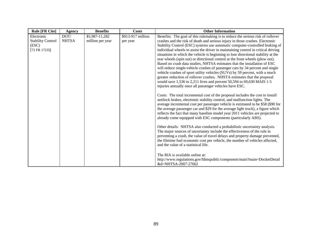| <b>Rule [FR Cite]</b>                                            | <b>Agency</b>        | <b>Benefits</b>                    | <b>Costs</b>                  | <b>Other Information</b>                                                                                                                                                                                                                                                                                                                                                                                                                                                                                                                                                                                                                                                                                                                                                                                                                                                                                                                                                 |
|------------------------------------------------------------------|----------------------|------------------------------------|-------------------------------|--------------------------------------------------------------------------------------------------------------------------------------------------------------------------------------------------------------------------------------------------------------------------------------------------------------------------------------------------------------------------------------------------------------------------------------------------------------------------------------------------------------------------------------------------------------------------------------------------------------------------------------------------------------------------------------------------------------------------------------------------------------------------------------------------------------------------------------------------------------------------------------------------------------------------------------------------------------------------|
| Electronic<br><b>Stability Control</b><br>(ESC)<br>[72 FR 17235] | DOT/<br><b>NHTSA</b> | \$5,987-11,282<br>million per year | \$913-917 million<br>per year | Benefits: The goal of this rulemaking is to reduce the serious risk of rollover<br>crashes and the risk of death and serious injury in those crashes. Electronic<br>Stability Control (ESC) systems use automatic computer-controlled braking of<br>individual wheels to assist the driver in maintaining control in critical driving<br>situations in which the vehicle is beginning to lose directional stability at the<br>rear wheels (spin out) or directional control at the front wheels (plow out).<br>Based on crash data studies, NHTSA estimates that the installation of ESC<br>will reduce single-vehicle crashes of passenger cars by 34 percent and single<br>vehicle crashes of sport utility vehicles (SUVs) by 59 percent, with a much<br>greater reduction of rollover crashes. NHSTA estimates that the proposal<br>would save 1,536 to 2,211 lives and prevent 50,594 to 69,630 MAIS 1-5<br>injuries annually once all passenger vehicles have ESC. |
|                                                                  |                      |                                    |                               | Costs: The total incremental cost of the proposal includes the cost to install<br>antilock brakes, electronic stability control, and malfunction lights. The<br>average incremental cost per passenger vehicle is estimated to be \$58 (\$90 for<br>the average passenger car and \$29 for the average light truck), a figure which<br>reflects the fact that many baseline model year 2011 vehicles are projected to<br>already come equipped with ESC components (particularly ABS).                                                                                                                                                                                                                                                                                                                                                                                                                                                                                   |
|                                                                  |                      |                                    |                               | Other details: NHTSA also conducted a probabilistic uncertainty analysis.<br>The major sources of uncertainty include the effectiveness of the rule in<br>preventing a crash, the value of travel delays and property damage prevented,<br>the lifetime fuel economic cost per vehicle, the number of vehicles affected,<br>and the value of a statistical life.                                                                                                                                                                                                                                                                                                                                                                                                                                                                                                                                                                                                         |
|                                                                  |                      |                                    |                               | The RIA is available online at:<br>http://www.regulations.gov/fdmspublic/component/main?main=DocketDetail<br>&d=NHTSA-2007-27662                                                                                                                                                                                                                                                                                                                                                                                                                                                                                                                                                                                                                                                                                                                                                                                                                                         |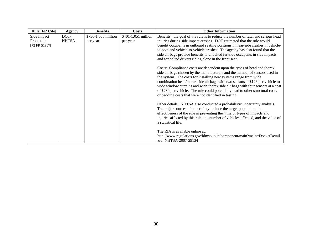| <b>Rule [FR Cite]</b>                      | <b>Agency</b>        | <b>Benefits</b>                 | <b>Costs</b>                    | <b>Other Information</b>                                                                                                                                                                                                                                                                                                                                                                                                                                                                                                                   |
|--------------------------------------------|----------------------|---------------------------------|---------------------------------|--------------------------------------------------------------------------------------------------------------------------------------------------------------------------------------------------------------------------------------------------------------------------------------------------------------------------------------------------------------------------------------------------------------------------------------------------------------------------------------------------------------------------------------------|
| Side Impact<br>Protection<br>[72 FR 51907] | DOT/<br><b>NHTSA</b> | \$736-1,058 million<br>per year | \$401-1,051 million<br>per year | Benefits: the goal of the rule is to reduce the number of fatal and serious head<br>injuries during side impact crashes. DOT estimated that the rule would<br>benefit occupants in outboard seating positions in near-side crashes in vehicle-<br>to-pole and vehicle-to-vehicle crashes. The agency has also found that the<br>side air bags provide benefits to unbelted far-side occupants in side impacts,<br>and for belted drivers riding alone in the front seat.                                                                   |
|                                            |                      |                                 |                                 | Costs: Compliance costs are dependent upon the types of head and thorax<br>side air bags chosen by the manufacturers and the number of sensors used in<br>the system. The costs for installing new systems range from wide<br>combination head/thorax side air bags with two sensors at \$126 per vehicle to<br>wide window curtains and wide thorax side air bags with four sensors at a cost<br>of \$280 per vehicle. The rule could potentially lead to other structural costs<br>or padding costs that were not identified in testing. |
|                                            |                      |                                 |                                 | Other details: NHTSA also conducted a probabilistic uncertainty analysis.<br>The major sources of uncertainty include the target population, the<br>effectiveness of the rule in preventing the 4 major types of impacts and<br>injuries affected by this rule, the number of vehicles affected, and the value of<br>a statistical life.                                                                                                                                                                                                   |
|                                            |                      |                                 |                                 | The RIA is available online at:<br>http://www.regulations.gov/fdmspublic/component/main?main=DocketDetail<br>&d=NHTSA-2007-29134                                                                                                                                                                                                                                                                                                                                                                                                           |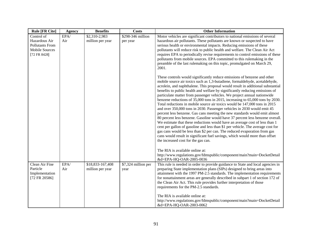| <b>Rule [FR Cite]</b>           | <b>Agency</b> | <b>Benefits</b>           | <b>Costs</b>        | <b>Other Information</b>                                                                                                                                       |
|---------------------------------|---------------|---------------------------|---------------------|----------------------------------------------------------------------------------------------------------------------------------------------------------------|
| Control of                      | EPA/          | $\overline{$2,310-2,983}$ | \$298-346 million   | Motor vehicles are significant contributors to national emissions of several                                                                                   |
| Hazardous Air                   | Air           | million per year          | per year            | hazardous air pollutants. These pollutants are known or suspected to have                                                                                      |
| <b>Pollutants From</b>          |               |                           |                     | serious health or environmental impacts. Reducing emissions of these                                                                                           |
| <b>Mobile Sources</b>           |               |                           |                     | pollutants will reduce risk to public health and welfare. The Clean Air Act                                                                                    |
| [72 FR 8428]                    |               |                           |                     | requires EPA to periodically revise requirements to control emissions of these<br>pollutants from mobile sources. EPA committed to this rulemaking in the      |
|                                 |               |                           |                     | preamble of the last rulemaking on this topic, promulgated on March 29,                                                                                        |
|                                 |               |                           |                     | 2001.                                                                                                                                                          |
|                                 |               |                           |                     | These controls would significantly reduce emissions of benzene and other                                                                                       |
|                                 |               |                           |                     | mobile source air toxics such as 1,3-butadiene, formaldehyde, acetaldehyde,<br>acrolein, and naphthalene. This proposal would result in additional substantial |
|                                 |               |                           |                     | benefits to public health and welfare by significantly reducing emissions of                                                                                   |
|                                 |               |                           |                     | particulate matter from passenger vehicles. We project annual nationwide                                                                                       |
|                                 |               |                           |                     | benzene reductions of 35,000 tons in 2015, increasing to 65,000 tons by 2030.                                                                                  |
|                                 |               |                           |                     | Total reductions in mobile source air toxics would be 147,000 tons in 2015                                                                                     |
|                                 |               |                           |                     | and over 350,000 tons in 2030. Passenger vehicles in 2030 would emit 45<br>percent less benzene. Gas cans meeting the new standards would emit almost          |
|                                 |               |                           |                     | 80 percent less benzene. Gasoline would have 37 percent less benzene overall.                                                                                  |
|                                 |               |                           |                     | We estimate that these reductions would have an average cost of less than 1                                                                                    |
|                                 |               |                           |                     | cent per gallon of gasoline and less than \$1 per vehicle. The average cost for                                                                                |
|                                 |               |                           |                     | gas cans would be less than \$2 per can. The reduced evaporation from gas<br>cans would result in significant fuel savings, which would more than offset       |
|                                 |               |                           |                     | the increased cost for the gas can.                                                                                                                            |
|                                 |               |                           |                     |                                                                                                                                                                |
|                                 |               |                           |                     | The RIA is available online at:                                                                                                                                |
|                                 |               |                           |                     | http://www.regulations.gov/fdmspublic/component/main?main=DocketDetail<br>&d=EPA-HQ-OAR-2005-0036                                                              |
| Clean Air Fine                  | EPA/          | \$18,833-167,408          | \$7,324 million per | This rule is needed in order to provide guidance to State and local agencies in                                                                                |
| Particle                        | Air           | million per year          | year                | preparing State implementation plans (SIPs) designed to bring areas into                                                                                       |
| Implementation<br>[72 FR 20586] |               |                           |                     | attainment with the 1997 PM-2.5 standards. The implementation requirements<br>for nonattainment areas are generally described in subpart 1 of section 172 of   |
|                                 |               |                           |                     | the Clean Air Act. This rule provides further interpretation of those                                                                                          |
|                                 |               |                           |                     | requirements for the PM-2.5 standards.                                                                                                                         |
|                                 |               |                           |                     | The RIA is available online at:                                                                                                                                |
|                                 |               |                           |                     | http://www.regulations.gov/fdmspublic/component/main?main=DocketDetail<br>&d=EPA-HQ-OAR-2003-0062                                                              |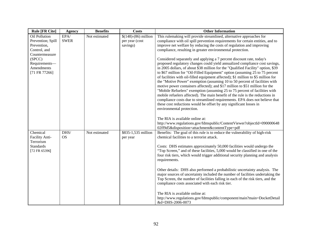| <b>Rule [FR Cite]</b>                                                    | <b>Agency</b>       | <b>Benefits</b> | <b>Costs</b>                                        | <b>Other Information</b>                                                                                                                                                                                                                                                                                                                                                                                                                                                                                                                                                                                                                                                                                                                                                                                                                                                                                                    |
|--------------------------------------------------------------------------|---------------------|-----------------|-----------------------------------------------------|-----------------------------------------------------------------------------------------------------------------------------------------------------------------------------------------------------------------------------------------------------------------------------------------------------------------------------------------------------------------------------------------------------------------------------------------------------------------------------------------------------------------------------------------------------------------------------------------------------------------------------------------------------------------------------------------------------------------------------------------------------------------------------------------------------------------------------------------------------------------------------------------------------------------------------|
| Oil Pollution<br>Prevention; Spill<br>Prevention,<br>Control, and        | EPA/<br><b>SWER</b> | Not estimated   | $$(148)-(86)$ million<br>per year (cost<br>savings) | This rulemaking will provide streamlined, alternative approaches for<br>compliance with oil spill prevention requirements for certain entities, and to<br>improve net welfare by reducing the costs of regulation and improving<br>compliance, resulting in greater environmental protection.                                                                                                                                                                                                                                                                                                                                                                                                                                                                                                                                                                                                                               |
| Countermeasure<br>(SPCC)<br>Requirements-<br>Amendments<br>[71 FR 77266] |                     |                 |                                                     | Considered separately and applying a 7 percent discount rate, today's<br>proposed regulatory changes could yield annualized compliance cost savings,<br>in 2005 dollars, of about \$38 million for the "Qualified Facility" option, \$39<br>to \$67 million for "Oil-Filled Equipment" option (assuming 25 to 75 percent<br>of facilities with oil-filled equipment affected); \$1 million to \$5 million for<br>the "Motive Power" exemption (assuming 10 to 50 percent of facilities with<br>motive power containers affected); and \$17 million to \$51 million for the<br>"Mobile Refuelers" exemption (assuming 25 to 75 percent of facilities with<br>mobile refuelers affected). The main benefit of the rule is the reductions in<br>compliance costs due to streamlined requirements. EPA does not believe that<br>these cost reductions would be offset by any significant losses in<br>environmental protection. |
|                                                                          |                     |                 |                                                     | The RIA is available online at:<br>http://www.regulations.gov/fdmspublic/ContentViewer?objectId=090000648<br>02ff9d5&disposition=attachment&contentType=pdf                                                                                                                                                                                                                                                                                                                                                                                                                                                                                                                                                                                                                                                                                                                                                                 |
| Chemical<br>Facility Anti-<br>Terrorism                                  | DHS/<br><b>OS</b>   | Not estimated   | \$835-1,535 million<br>per year                     | Benefits: The goal of this rule is to reduce the vulnerability of high-risk<br>chemical facilities to a terrorist attack.                                                                                                                                                                                                                                                                                                                                                                                                                                                                                                                                                                                                                                                                                                                                                                                                   |
| <b>Standards</b><br>[72 FR 65396]                                        |                     |                 |                                                     | Costs: DHS estimates approximately 50,000 facilities would undergo the<br>"Top Screen," and of these facilities, 5,000 would be classified in one of the<br>four risk tiers, which would trigger additional security planning and analysis<br>requirements.                                                                                                                                                                                                                                                                                                                                                                                                                                                                                                                                                                                                                                                                 |
|                                                                          |                     |                 |                                                     | Other details: DHS also performed a probabilistic uncertainty analysis. The<br>major sources of uncertainty included the number of facilities undertaking the<br>Top Screen, the number of facilities falling in each of the risk tiers, and the<br>compliance costs associated with each risk tier.                                                                                                                                                                                                                                                                                                                                                                                                                                                                                                                                                                                                                        |
|                                                                          |                     |                 |                                                     | The RIA is available online at:<br>http://www.regulations.gov/fdmspublic/component/main?main=DocketDetail<br>&d=DHS-2006-0073                                                                                                                                                                                                                                                                                                                                                                                                                                                                                                                                                                                                                                                                                                                                                                                               |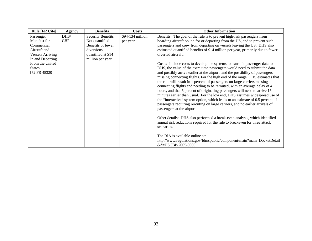| <b>Rule [FR Cite]</b>   | <b>Agency</b> | <b>Benefits</b>          | <b>Costs</b>     | <b>Other Information</b>                                                       |
|-------------------------|---------------|--------------------------|------------------|--------------------------------------------------------------------------------|
| Passenger               | DHS/          | <b>Security Benefits</b> | \$94-134 million | Benefits: The goal of the rule is to prevent high-risk passengers from         |
| Manifest for            | <b>CBP</b>    | Not quantified.          | per year         | boarding aircraft bound for or departing from the US, and to prevent such      |
| Commercial              |               | Benefits of fewer        |                  | passengers and crew from departing on vessels leaving the US. DHS also         |
| Aircraft and            |               | diversions               |                  | estimated quantified benefits of \$14 million per year, primarily due to fewer |
| <b>Vessels Arriving</b> |               | quantified at \$14       |                  | diverted aircraft.                                                             |
| In and Departing        |               | million per year.        |                  |                                                                                |
| From the United         |               |                          |                  | Costs: Include costs to develop the systems to transmit passenger data to      |
| <b>States</b>           |               |                          |                  | DHS, the value of the extra time passengers would need to submit the data      |
| [72 FR 48320]           |               |                          |                  | and possibly arrive earlier at the airport, and the possibility of passengers  |
|                         |               |                          |                  | missing connecting flights. For the high end of the range, DHS estimates that  |
|                         |               |                          |                  | the rule will result in 1 percent of passengers on large carriers missing      |
|                         |               |                          |                  | connecting flights and needing to be rerouted, with an average delay of 4      |
|                         |               |                          |                  | hours, and that 5 percent of originating passengers will need to arrive 15     |
|                         |               |                          |                  | minutes earlier than usual. For the low end, DHS assumes widespread use of     |
|                         |               |                          |                  | the "interactive" system option, which leads to an estimate of 0.5 percent of  |
|                         |               |                          |                  | passengers requiring rerouting on large carriers, and no earlier arrivals of   |
|                         |               |                          |                  | passengers at the airport.                                                     |
|                         |               |                          |                  |                                                                                |
|                         |               |                          |                  | Other details: DHS also performed a break-even analysis, which identified      |
|                         |               |                          |                  | annual risk reductions required for the rule to breakeven for three attack     |
|                         |               |                          |                  | scenarios.                                                                     |
|                         |               |                          |                  |                                                                                |
|                         |               |                          |                  | The RIA is available online at:                                                |
|                         |               |                          |                  | http://www.regulations.gov/fdmspublic/component/main?main=DocketDetail         |
|                         |               |                          |                  | &d=USCBP-2005-0003                                                             |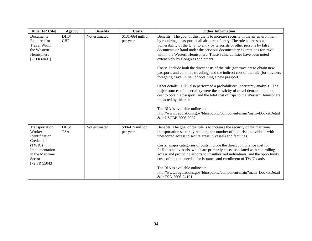| <b>Rule [FR Cite]</b>                                                                                                              | <b>Agency</b>      | <b>Benefits</b> | <b>Costs</b>                  | <b>Other Information</b>                                                                                                                                                                                                                                                                                                                                                                                                                                                                                                                                                                                                                                                                                                                                                                                                                                                                                                                                                                                                                                                          |
|------------------------------------------------------------------------------------------------------------------------------------|--------------------|-----------------|-------------------------------|-----------------------------------------------------------------------------------------------------------------------------------------------------------------------------------------------------------------------------------------------------------------------------------------------------------------------------------------------------------------------------------------------------------------------------------------------------------------------------------------------------------------------------------------------------------------------------------------------------------------------------------------------------------------------------------------------------------------------------------------------------------------------------------------------------------------------------------------------------------------------------------------------------------------------------------------------------------------------------------------------------------------------------------------------------------------------------------|
| <b>Documents</b><br>Required for<br><b>Travel Within</b><br>the Western<br>Hemisphere<br>[71 FR 68411]                             | DHS/<br><b>CBP</b> | Not estimated   | \$131-664 million<br>per year | Benefits: The goal of this rule is to increase security in the air environment<br>by requiring a passport at all air ports of entry. The rule addresses a<br>vulnerability of the U.S. to entry by terrorists or other persons by false<br>documents or fraud under the previous documentary exemptions for travel<br>within the Western Hemisphere. These vulnerabilities have been noted<br>extensively by Congress and others.<br>Costs: Include both the direct costs of the rule (for travelers to obtain new<br>passports and continue traveling) and the indirect cost of the rule (for travelers<br>foregoing travel in lieu of obtaining a new passport).<br>Other details: DHS also performed a probabilistic uncertainty analysis. The<br>major sources of uncertainty were the elasticity of travel demand, the time<br>cost to obtain a passport, and the total cost of trips to the Western Hemisphere<br>impacted by this rule.<br>The RIA is available online at:<br>http://www.regulations.gov/fdmspublic/component/main?main=DocketDetail<br>&d=USCBP-2006-0097 |
| Transportation<br>Worker<br>Identification<br>Credential<br>(TWIC)<br>Implementation<br>in the Maritime<br>Sector<br>[72 FR 55043] | DHS/<br><b>TSA</b> | Not estimated   | \$88-415 million<br>per year  | Benefits: The goal of the rule is to increase the security of the maritime<br>transportation sector by reducing the number of high-risk individuals with<br>unescorted access to secure areas in vessels and facilities.<br>Costs: major categories of costs include the direct compliance cost for<br>facilities and vessels, which are primarily costs associated with controlling<br>access and providing escorts to unauthorized individuals, and the opportunity<br>costs of the time needed for issuance and enrollment of TWIC cards.<br>The RIA is available online at:<br>http://www.regulations.gov/fdmspublic/component/main?main=DocketDetail<br>&d=TSA-2006-24191                                                                                                                                                                                                                                                                                                                                                                                                    |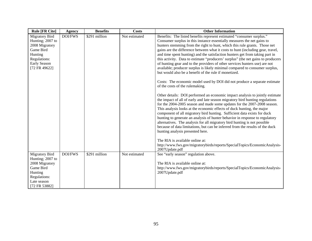| <b>Rule [FR Cite]</b>                                                                                                                | <b>Agency</b>  | <b>Benefits</b> | <b>Costs</b>  | <b>Other Information</b>                                                                                                                                                                                                                                                                                                                                                                                                                                                                                                                                                                                                                                                                                                                                                                                                                                                                                                                                                                                                                                                                                                                                                                                                                                                                                                                                                                                                                                                                                                                                                                                                                            |
|--------------------------------------------------------------------------------------------------------------------------------------|----------------|-----------------|---------------|-----------------------------------------------------------------------------------------------------------------------------------------------------------------------------------------------------------------------------------------------------------------------------------------------------------------------------------------------------------------------------------------------------------------------------------------------------------------------------------------------------------------------------------------------------------------------------------------------------------------------------------------------------------------------------------------------------------------------------------------------------------------------------------------------------------------------------------------------------------------------------------------------------------------------------------------------------------------------------------------------------------------------------------------------------------------------------------------------------------------------------------------------------------------------------------------------------------------------------------------------------------------------------------------------------------------------------------------------------------------------------------------------------------------------------------------------------------------------------------------------------------------------------------------------------------------------------------------------------------------------------------------------------|
| <b>Migratory Bird</b><br>Hunting; 2007 to<br>2008 Migratory<br>Game Bird<br>Hunting<br>Regulations:<br>Early Season<br>[72 FR 49622] | <b>DOI/FWS</b> | \$291 million   | Not estimated | Benefits: The listed benefits represent estimated "consumer surplus."<br>Consumer surplus in this instance essentially measures the net gains to<br>hunters stemming from the right to hunt, which this rule grants. Those net<br>gains are the difference between what it costs to hunt (including gear, travel,<br>and time spent hunting) and the satisfaction hunters get from taking part in<br>this activity. Data to estimate "producers' surplus" (the net gains to producers<br>of hunting gear and to the providers of other services hunters use) are not<br>available; producer surplus is likely minimal compared to consumer surplus,<br>but would also be a benefit of the rule if monetized.<br>Costs: The economic model used by DOI did not produce a separate estimate<br>of the costs of the rulemaking.<br>Other details: DOI performed an economic impact analysis to jointly estimate<br>the impact of all of early and late season migratory bird hunting regulations<br>for the 2004-2005 season and made some updates for the 2007-2008 season.<br>This analysis looks at the economic effects of duck hunting, the major<br>component of all migratory bird hunting. Sufficient data exists for duck<br>hunting to generate an analysis of hunter behavior in response to regulatory<br>alternatives. The analysis for all migratory bird hunting is not possible<br>because of data limitations, but can be inferred from the results of the duck<br>hunting analysis presented here.<br>The RIA is available online at:<br>http://www.fws.gov/migratorybirds/reports/SpecialTopics/EconomicAnalysis-<br>2007Update.pdf |
| <b>Migratory Bird</b><br>Hunting; 2007 to<br>2008 Migratory<br>Game Bird<br>Hunting<br>Regulations:<br>Late season<br>[72 FR 53882]  | <b>DOI/FWS</b> | \$291 million   | Not estimated | See "early season" regulation above.<br>The RIA is available online at:<br>http://www.fws.gov/migratorybirds/reports/SpecialTopics/EconomicAnalysis-<br>2007Update.pdf                                                                                                                                                                                                                                                                                                                                                                                                                                                                                                                                                                                                                                                                                                                                                                                                                                                                                                                                                                                                                                                                                                                                                                                                                                                                                                                                                                                                                                                                              |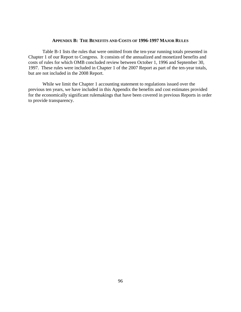#### **APPENDIX B: THE BENEFITS AND COSTS OF 1996-1997 MAJOR RULES**

Table B-1 lists the rules that were omitted from the ten-year running totals presented in Chapter 1 of our Report to Congress. It consists of the annualized and monetized benefits and costs of rules for which OMB concluded review between October 1, 1996 and September 30, 1997. These rules were included in Chapter 1 of the 2007 Report as part of the ten-year totals, but are not included in the 2008 Report.

While we limit the Chapter 1 accounting statement to regulations issued over the previous ten years, we have included in this Appendix the benefits and cost estimates provided for the economically significant rulemakings that have been covered in previous Reports in order to provide transparency.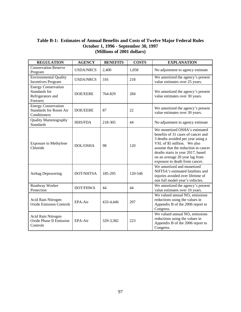## **Table B-1: Estimates of Annual Benefits and Costs of Twelve Major Federal Rules October 1, 1996 - September 30, 1997 (Millions of 2001 dollars)**

| <b>REGULATION</b>                                                            | <b>AGENCY</b>    | <b>BENEFITS</b> | <b>COSTS</b> | <b>EXPLANATION</b>                                                                                                                                                                                                                                                                      |
|------------------------------------------------------------------------------|------------------|-----------------|--------------|-----------------------------------------------------------------------------------------------------------------------------------------------------------------------------------------------------------------------------------------------------------------------------------------|
| <b>Conservation Reserve</b><br>Program                                       | <b>USDA/NRCS</b> | 2,400           | 1,058        | No adjustment to agency estimate                                                                                                                                                                                                                                                        |
| <b>Environmental Quality</b><br><b>Incentives Program</b>                    | <b>USDA/NRCS</b> | 316             | 218          | We amortized the agency's present<br>value estimates over 25 years.                                                                                                                                                                                                                     |
| <b>Energy Conservation</b><br>Standards for<br>Refrigerators and<br>Freezers | <b>DOE/EERE</b>  | 764-829         | 284          | We amortized the agency's present<br>value estimates over 30 years.                                                                                                                                                                                                                     |
| <b>Energy Conservation</b><br><b>Standards for Room Air</b><br>Conditioners  | <b>DOE/EERE</b>  | 87              | 22           | We amortized the agency's present<br>value estimates over 30 years.                                                                                                                                                                                                                     |
| Quality Mammography<br><b>Standards</b>                                      | <b>HHS/FDA</b>   | 218-305         | 44           | No adjustment to agency estimate                                                                                                                                                                                                                                                        |
| <b>Exposure to Methylene</b><br>Chloride                                     | <b>DOL/OSHA</b>  | 98              | 120          | We monetized OSHA's estimated<br>benefits of 31 cases of cancer and<br>3 deaths avoided per year using a<br>VSL of \$5 million. We also<br>assume that the reduction in cancer<br>deaths starts in year 2017, based<br>on an average 20 year lag from<br>exposure to death from cancer. |
| Airbag Depowering                                                            | <b>DOT/NHTSA</b> | 185-295         | 120-546      | We amortized and monetized<br>NHTSA's estimated fatalities and<br>injuries avoided over lifetime of<br>one full model-year's vehicles.                                                                                                                                                  |
| Roadway Worker<br>Protection                                                 | DOT/FHWA         | 44              | 44           | We amortized the agency's present<br>value estimates over 10 years.                                                                                                                                                                                                                     |
| Acid Rain Nitrogen<br><b>Oxide Emission Controls</b>                         | EPA-Air          | 433-4,446       | 297          | We valued annual $NOx$ emissions<br>reductions using the values in<br>Appendix B of the 2006 report to<br>Congress.                                                                                                                                                                     |
| Acid Rain Nitrogen<br><b>Oxide Phase II Emission</b><br>Controls             | EPA-Air          | 329-3,382       | 223          | We valued annual $NOx$ emissions<br>reductions using the values in<br>Appendix B of the 2006 report to<br>Congress.                                                                                                                                                                     |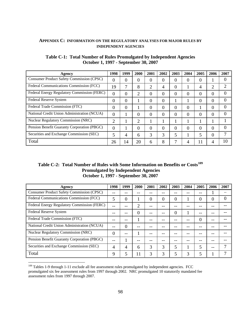#### <span id="page-102-0"></span>**APPENDIX C: INFORMATION ON THE REGULATORY ANALYSES FOR MAJOR RULES BY INDEPENDENT AGENCIES**

| Agency                                           | 1998     | 1999           | 2000 | 2001           | 2002 | 2003     | 2004 | 2005           | 2006     | 2007 |
|--------------------------------------------------|----------|----------------|------|----------------|------|----------|------|----------------|----------|------|
| <b>Consumer Product Safety Commission (CPSC)</b> | 0        | $\theta$       | 0    | 0              | 0    | 0        | 0    | $\overline{0}$ |          |      |
| Federal Communications Commission (FCC)          | 19       | 7              | 8    | $\overline{2}$ | 4    | 0        |      | 4              | 2        |      |
| Federal Energy Regulatory Commission (FERC)      | $\theta$ | $\theta$       | ◠    | $\theta$       | 0    | 0        | 0    | 0              | 0        | 0    |
| Federal Reserve System                           | 0        | 0              |      | 0              | 0    |          |      | 0              | 0        | 0    |
| Federal Trade Commission (FTC)                   | 0        | $\theta$       |      | 0              | 0    | 0        | 0    |                | 0        | 0    |
| National Credit Union Administration (NCUA)      | 0        |                | 0    | $\theta$       | 0    | 0        | 0    | 0              | 0        | 0    |
| <b>Nuclear Regulatory Commission (NRC)</b>       | 2        |                | ∍    |                |      |          |      |                |          |      |
| Pension Benefit Guaranty Corporation (PBGC)      | 0        |                | 0    | $\theta$       | 0    | $\theta$ | 0    | $\theta$       | $\theta$ | 0    |
| Securities and Exchange Commission (SEC)         | 5        | $\overline{4}$ | 6    | 3              | 3    | 5        |      | 5              | 0        |      |
| Total                                            | 26       | 14             | 20   | 6              | 8    | 7        |      | 11             | 4        | 10   |

## **Table C-1: Total Number of Rules Promulgated by Independent Agencies October 1, 1997 - September 30, 2007**

## **Table C-2: Total Number of Rules with Some Information on Benefits or Costs[109](#page-102-0) Promulgated by Independent Agencies October 1, 1997 - September 30, 2007**

| Agency                                      | 1998 | 1999 | 2000 | 2001 | 2002 | 2003     | 2004 | 2005 | 2006 | 2007 |
|---------------------------------------------|------|------|------|------|------|----------|------|------|------|------|
| Consumer Product Safety Commission (CPSC)   |      |      |      |      |      |          |      |      |      |      |
| Federal Communications Commission (FCC)     |      | 0    |      | 0    | 0    | 0        |      | 0    | 0    |      |
| Federal Energy Regulatory Commission (FERC) |      |      |      |      |      |          |      |      |      |      |
| Federal Reserve System                      |      |      | 0    |      |      | $\Omega$ |      |      |      |      |
| Federal Trade Commission (FTC)              |      |      |      |      |      |          |      | 0    |      |      |
| National Credit Union Administration (NCUA) |      | 0    |      |      |      |          |      |      |      |      |
| <b>Nuclear Regulatory Commission (NRC)</b>  | 0    |      |      |      |      |          |      |      |      |      |
| Pension Benefit Guaranty Corporation (PBGC) |      |      |      |      |      |          |      |      |      |      |
| Securities and Exchange Commission (SEC)    |      | 4    | 6    | 3    | 3    | 5        |      | 5    |      |      |
| Total                                       | 9    |      |      | 3    | 3    |          |      | 5    |      |      |

 $\overline{a}$  $109$  Tables 1-9 through 1-11 exclude all fee assessment rules promulgated by independent agencies. FCC promulgated six fee assessment rules from 1997 through 2002. NRC promulgated 10 statutorily mandated fee assessment rules from 1997 through 2007.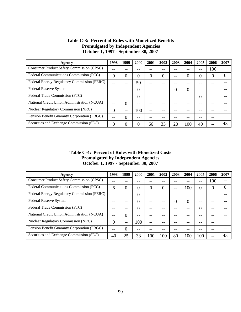| Agency                                           | 1998 | 1999     | 2000 | 2001     | 2002 | 2003     | 2004 | 2005     | 2006 | 2007     |
|--------------------------------------------------|------|----------|------|----------|------|----------|------|----------|------|----------|
| <b>Consumer Product Safety Commission (CPSC)</b> |      |          |      |          |      |          |      | --       | 100  |          |
| Federal Communications Commission (FCC)          | 0    | 0        | 0    | $\theta$ | 0    |          |      | $\Omega$ | 0    | $\theta$ |
| Federal Energy Regulatory Commission (FERC)      |      |          | 50   |          |      |          |      |          |      |          |
| Federal Reserve System                           |      |          |      |          |      | $\Omega$ |      |          |      |          |
| Federal Trade Commission (FTC)                   |      |          |      |          |      |          |      | $\Omega$ |      |          |
| National Credit Union Administration (NCUA)      |      | $\Omega$ |      |          |      |          |      |          |      |          |
| <b>Nuclear Regulatory Commission (NRC)</b>       | 0    | $- -$    | 100  | --       |      |          |      |          |      |          |
| Pension Benefit Guaranty Corporation (PBGC)      |      | 0        |      |          |      |          |      |          |      |          |
| Securities and Exchange Commission (SEC)         | 0    | 0        |      | 66       | 33   | 20       | 100  | 40       |      | 43       |

## **Table C-3: Percent of Rules with Monetized Benefits Promulgated by Independent Agencies October 1, 1997 - September 30, 2007**

**Table C-4: Percent of Rules with Monetized Costs Promulgated by Independent Agencies October 1, 1997 - September 30, 2007** 

| Agency                                      | 1998 | 1999           | 2000 | 2001 | 2002 | 2003     | 2004 | 2005     | 2006     | 2007     |
|---------------------------------------------|------|----------------|------|------|------|----------|------|----------|----------|----------|
| Consumer Product Safety Commission (CPSC)   |      |                |      |      |      |          |      | --       | 100      |          |
| Federal Communications Commission (FCC)     | 6    | 0              | 0    | 0    | 0    | $- -$    | 100  | $\Omega$ | $\theta$ | $\theta$ |
| Federal Energy Regulatory Commission (FERC) |      |                | 0    |      |      |          |      |          |          |          |
| Federal Reserve System                      |      |                |      |      |      | $\Omega$ | 0    |          |          |          |
| Federal Trade Commission (FTC)              |      | --             |      |      |      |          |      | $\Omega$ |          |          |
| National Credit Union Administration (NCUA) |      | $\overline{0}$ |      |      |      |          |      |          |          |          |
| <b>Nuclear Regulatory Commission (NRC)</b>  | 0    | $- -$          | 100  | --   |      |          |      |          |          |          |
| Pension Benefit Guaranty Corporation (PBGC) |      | $\theta$       |      |      |      |          |      |          |          |          |
| Securities and Exchange Commission (SEC)    | 40   | 25             | 33   | 100  | 100  | 80       | 100  | 100      |          | 43       |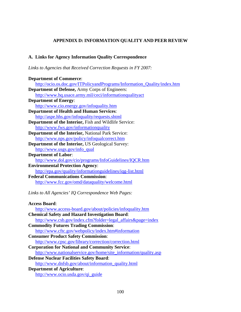## **APPENDIX D: INFORMATION QUALITY AND PEER REVIEW**

## **A. Links for Agency Information Quality Correspondence**

*Links to Agencies that Received Correction Requests in FY 2007:*

| <b>Department of Commerce:</b>                                           |
|--------------------------------------------------------------------------|
| http://ocio.os.doc.gov/ITPolicyandPrograms/Information_Quality/index.htm |
| <b>Department of Defense, Army Corps of Engineers:</b>                   |
| http://www.hq.usace.army.mil/ceci/informationqualityact                  |
| <b>Department of Energy:</b>                                             |
| http://www.cio.energy.gov/infoquality.htm                                |
| <b>Department of Health and Human Services:</b>                          |
| http://aspe.hhs.gov/infoquality/requests.shtml                           |
| Department of the Interior, Fish and Wildlife Service:                   |
| http://www.fws.gov/informationquality                                    |
| Department of the Interior, National Park Service:                       |
| http://www.nps.gov/policy/infoqualcorrect.htm                            |
| <b>Department of the Interior, US Geological Survey:</b>                 |
| http://www.usgs.gov/info_qual                                            |
| <b>Department of Labor:</b>                                              |
| http://www.dol.gov/cio/programs/InfoGuidelines/IQCR.htm                  |
| <b>Environmental Protection Agency:</b>                                  |
| http://epa.gov/quality/informationguidelines/iqg-list.html               |
| <b>Federal Communications Commission:</b>                                |
| http://www.fcc.gov/omd/dataquality/welcome.html                          |
|                                                                          |
| Links to All Agencies' IQ Correspondence Web Pages:                      |
|                                                                          |
| <b>Access Board:</b>                                                     |
| http://www.access-board.gov/about/policies/infoquality.htm               |
| Chamical Cafety and Harand Investigation Deand.                          |

| <b>Chemical Safety and Hazard Investigation Board:</b>           |
|------------------------------------------------------------------|
| http://www.csb.gov/index.cfm?folder=legal_affairs&page=index     |
| <b>Commodity Futures Trading Commission:</b>                     |
| http://www.cftc.gov/webpolicy/index.htm#information              |
| <b>Consumer Product Safety Commission:</b>                       |
| http://www.cpsc.gov/library/correction/correction.html           |
| <b>Corporation for National and Community Service:</b>           |
| http://www.nationalservice.gov/home/site_information/quality.asp |
| <b>Defense Nuclear Facilities Safety Board:</b>                  |
| http://www.dnfsb.gov/about/information_quality.html              |

**Department of Agriculture**: [http://www.ocio.usda.gov/qi\\_guide](http://www.ocio.usda.gov/qi_guide)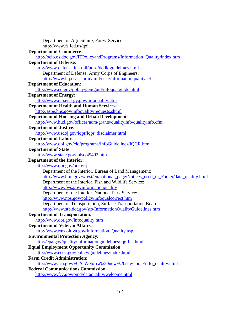| Department of Agriculture, Forest Service:                                         |
|------------------------------------------------------------------------------------|
| http://www.fs.fed.us/qoi                                                           |
| <b>Department of Commerce:</b>                                                     |
| http://ocio.os.doc.gov/ITPolicyandPrograms/Information_Quality/index.htm           |
| <b>Department of Defense:</b>                                                      |
| http://www.defenselink.mil/pubs/dodiqguidelines.html                               |
| Department of Defense, Army Corps of Engineers:                                    |
| http://www.hq.usace.army.mil/ceci/informationqualityact                            |
| <b>Department of Education:</b>                                                    |
| http://www.ed.gov/policy/gen/guid/infoqualguide.html                               |
| <b>Department of Energy:</b>                                                       |
| http://www.cio.energy.gov/infoquality.htm                                          |
| <b>Department of Health and Human Services:</b>                                    |
| http://aspe.hhs.gov/infoquality/requests.shtml                                     |
| <b>Department of Housing and Urban Development:</b>                                |
| http://www.hud.gov/offices/adm/grants/qualityinfo/qualityinfo.cfm                  |
| <b>Department of Justice:</b>                                                      |
| http://www.usdoj.gov/iqpr/iqpr_disclaimer.html                                     |
| <b>Department of Labor:</b>                                                        |
| http://www.dol.gov/cio/programs/InfoGuidelines/IQCR.htm                            |
| <b>Department of State:</b>                                                        |
| http://www.state.gov/misc/49492.htm                                                |
| <b>Department of the Interior:</b>                                                 |
| http://www.doi.gov/ocio/iq                                                         |
| Department of the Interior, Bureau of Land Management:                             |
| http://www.blm.gov/wo/st/en/national_page/Notices_used_in_Footer/data_quality.html |
| Department of the Interior, Fish and Wildlife Service:                             |
| http://www.fws.gov/informationquality                                              |
| Department of the Interior, National Park Service:                                 |
| http://www.nps.gov/policy/infoqualcorrect.htm                                      |
| Department of Transportation, Surface Transportation Board:                        |
| http://www.stb.dot.gov/stb/InformationQualityGuidelines.htm                        |
| <b>Department of Transportation:</b>                                               |
| http://www.dot.gov/infoquality.htm                                                 |
| <b>Department of Veteran Affairs:</b>                                              |
| http://www.rms.oit.va.gov/Information_Quality.asp                                  |
| <b>Environmental Protection Agency:</b>                                            |
| http://epa.gov/quality/informationguidelines/iqg-list.html                         |
| <b>Equal Employment Opportunity Commission:</b>                                    |
| http://www.eeoc.gov/policy/guidelines/index.html                                   |
| <b>Farm Credit Administration:</b>                                                 |
| http://www.fca.gov/FCA-Web/fca%20new%20site/home/info_quality.html                 |
| <b>Federal Communications Commission:</b>                                          |
| http://www.fcc.gov/omd/dataquality/welcome.html                                    |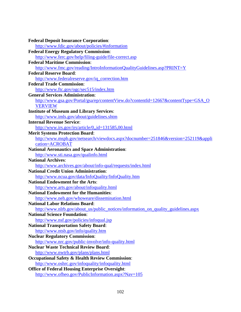| <b>Federal Deposit Insurance Corporation:</b>                                      |
|------------------------------------------------------------------------------------|
| http://www.fdic.gov/about/policies/#information                                    |
| <b>Federal Energy Regulatory Commission:</b>                                       |
| http://www.ferc.gov/help/filing-guide/file-correct.asp                             |
| <b>Federal Maritime Commission:</b>                                                |
| http://www.fmc.gov/reading/IntroInformationQualityGuidelines.asp?PRINT=Y           |
| <b>Federal Reserve Board:</b>                                                      |
| http://www.federalreserve.gov/iq_correction.htm                                    |
| <b>Federal Trade Commission:</b>                                                   |
| http://www.ftc.gov/ogc/sec515/index.htm                                            |
| <b>General Services Administration:</b>                                            |
| http://www.gsa.gov/Portal/gsa/ep/contentView.do?contentId=12667&contentType=GSA_O  |
| <b>VERVIEW</b>                                                                     |
| <b>Institute of Museum and Library Services:</b>                                   |
| http://www.imls.gov/about/guidelines.shtm                                          |
| <b>Internal Revenue Service:</b>                                                   |
| http://www.irs.gov/irs/article/0,,id=131585,00.html                                |
| <b>Merit Systems Protection Board:</b>                                             |
| http://www.mspb.gov/netsearch/viewdocs.aspx?docnumber=251846&version=252119&appli  |
| cation=ACROBAT                                                                     |
| <b>National Aeronautics and Space Administration:</b>                              |
| http://www.sti.nasa.gov/qualinfo.html                                              |
| <b>National Archives:</b>                                                          |
| http://www.archives.gov/about/info-qual/requests/index.html                        |
| <b>National Credit Union Administration:</b>                                       |
| http://www.ncua.gov/data/InfoQuality/InfoQuality.htm                               |
| <b>National Endowment for the Arts:</b>                                            |
| http://www.arts.gov/about/infoquality.html                                         |
| <b>National Endowment for the Humanities:</b>                                      |
| http://www.neh.gov/whoweare/dissemination.html                                     |
| <b>National Labor Relations Board:</b>                                             |
| http://www.nlrb.gov/about_us/public_notices/information_on_quality_guidelines.aspx |
| <b>National Science Foundation:</b>                                                |
| http://www.nsf.gov/policies/infoqual.jsp                                           |
| <b>National Transportation Safety Board:</b>                                       |
| http://www.ntsb.gov/info/quality.htm                                               |
| <b>Nuclear Regulatory Commission:</b>                                              |
| http://www.nrc.gov/public-involve/info-quality.html                                |
| <b>Nuclear Waste Technical Review Board:</b>                                       |
| http://www.nwtrb.gov/plans/plans.html                                              |
| <b>Occupational Safety &amp; Health Review Commission:</b>                         |
| http://www.oshrc.gov/infoquality/infoquality.html                                  |
| <b>Office of Federal Housing Enterprise Oversight:</b>                             |
| http://www.ofheo.gov/PublicInformation.aspx?Nav=105                                |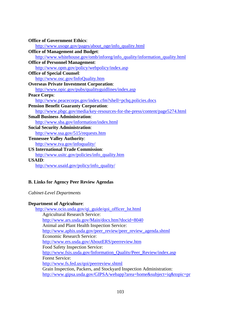| <b>Office of Government Ethics:</b>                                         |
|-----------------------------------------------------------------------------|
| http://www.usoge.gov/pages/about_oge/info_quality.html                      |
| <b>Office of Management and Budget:</b>                                     |
| http://www.whitehouse.gov/omb/inforeg/info_quality/information_quality.html |
| <b>Office of Personnel Management:</b>                                      |
| http://www.opm.gov/policy/webpolicy/index.asp                               |
| <b>Office of Special Counsel:</b>                                           |
| http://www.osc.gov/InfoQuality.htm                                          |
| <b>Overseas Private Investment Corporation:</b>                             |
| http://www.opic.gov/pubs/qualityguidlines/index.asp                         |
| <b>Peace Corps:</b>                                                         |
| http://www.peacecorps.gov/index.cfm?shell=pchq.policies.docs                |
| <b>Pension Benefit Guaranty Corporation:</b>                                |
| http://www.pbgc.gov/media/key-resources-for-the-press/content/page5274.html |
| <b>Small Business Administration:</b>                                       |
| http://www.sba.gov/information/index.html                                   |
| <b>Social Security Administration:</b>                                      |
| http://www.ssa.gov/515/requests.htm                                         |
| <b>Tennessee Valley Authority:</b>                                          |
| http://www.tva.gov/infoquality/                                             |
| <b>US International Trade Commission:</b>                                   |
| http://www.usitc.gov/policies/info_quality.htm                              |
| <b>USAID:</b>                                                               |
| http://www.usaid.gov/policy/info_quality/                                   |

## **B. Links for Agency Peer Review Agendas**

*Cabinet-Level Departments* 

## **Department of Agriculture**:

[http://www.ocio.usda.gov/qi\\_guide/qoi\\_officer\\_lst.html](http://www.ocio.usda.gov/qi_guide/qoi_officer_lst.html) Agricultural Research Service: <http://www.ars.usda.gov/Main/docs.htm?docid=8040> Animal and Plant Health Inspection Service: [http://www.aphis.usda.gov/peer\\_review/peer\\_review\\_agenda.shtml](http://www.aphis.usda.gov/peer_review/peer_review_agenda.shtml) Economic Research Service: <http://www.ers.usda.gov/AboutERS/peerreview.htm> Food Safety Inspection Service: [http://www.fsis.usda.gov/Information\\_Quality/Peer\\_Review/index.asp](http://www.fsis.usda.gov/Information_Quality/Peer_Review/index.asp) Forest Service: <http://www.fs.fed.us/qoi/peerreview.shtml> Grain Inspection, Packers, and Stockyard Inspection Administration: <http://www.gipsa.usda.gov/GIPSA/webapp?area=home&subject=iq&topic=pr>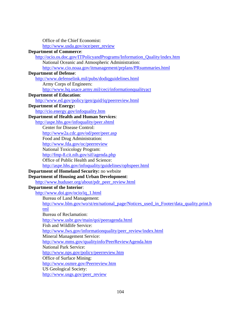Office of the Chief Economist: [http://www.usda.gov/oce/peer\\_review](http://www.usda.gov/oce/peer_review) **Department of Commerce**: [http://ocio.os.doc.gov/ITPolicyandPrograms/Information\\_Quality/index.htm](http://ocio.os.doc.gov/ITPolicyandPrograms/Information_Quality/index.htm) National Oceanic and Atmospheric Administration: <http://www.cio.noaa.gov/itmanagement/prplans/PRsummaries.html> **Department of Defense**: <http://www.defenselink.mil/pubs/dodiqguidelines.html> Army Corps of Engineers: <http://www.hq.usace.army.mil/ceci/informationqualityact> **Department of Education**: <http://www.ed.gov/policy/gen/guid/iq/peerreview.html> **Department of Energy:**  <http://cio.energy.gov/infoquality.htm> **Department of Health and Human Services**: <http://aspe.hhs.gov/infoquality/peer.shtml> Center for Disease Control: <http://www2a.cdc.gov/od/peer/peer.asp> Food and Drug Administration: <http://www.fda.gov/oc/peerreview> National Toxicology Program: <http://fmp-8.cit.nih.gov/sif/agenda.php> Office of Public Health and Science: <http://aspe.hhs.gov/infoquality/guidelines/ophspeer.html> **Department of Homeland Security:** no website **Department of Housing and Urban Development**: [http://www.huduser.org/about/pdr\\_peer\\_review.html](http://www.huduser.org/about/pdr_peer_review.html) **Department of the Interior**: [http://www.doi.gov/ocio/iq\\_1.html](http://www.doi.gov/ocio/iq_1.html) Bureau of Land Management: [http://www.blm.gov/wo/st/en/national\\_page/Notices\\_used\\_in\\_Footer/data\\_quality.print.h](http://www.blm.gov/wo/st/en/national_page/Notices_used_in_Footer/data_quality.print.html) [tml](http://www.blm.gov/wo/st/en/national_page/Notices_used_in_Footer/data_quality.print.html) Bureau of Reclamation: <http://www.usbr.gov/main/qoi/peeragenda.html> Fish and Wildlife Service: [http://www.fws.gov/informationquality/peer\\_review/index.html](http://www.fws.gov/informationquality/peer_review/index.html) Mineral Management Service: <http://www.mms.gov/qualityinfo/PeerReviewAgenda.htm> National Park Service: <http://www.nps.gov/policy/peerreview.htm> Office of Surface Mining: <http://www.osmre.gov/Peerreview.htm> US Geological Society: [http://www.usgs.gov/peer\\_review](http://www.usgs.gov/peer_review)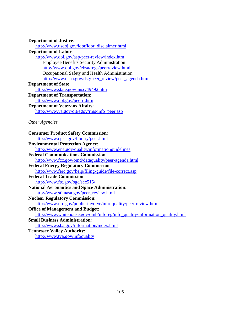## **Department of Justice**:

[http://www.usdoj.gov/iqpr/iqpr\\_disclaimer.html](http://www.usdoj.gov/iqpr/iqpr_disclaimer.html) **Department of Labor**: <http://www.dol.gov/asp/peer-review/index.htm> Employee Benefits Security Administration: <http://www.dol.gov/ebsa/regs/peerreview.html> Occupational Safety and Health Administration: [http://www.osha.gov/dsg/peer\\_review/peer\\_agenda.html](http://www.osha.gov/dsg/peer_review/peer_agenda.html) **Department of State**: <http://www.state.gov/misc/49492.htm> **Department of Transportation**: <http://www.dot.gov/peerrt.htm> **Department of Veterans Affairs**: [http://www.va.gov/oit/egov/rms/info\\_peer.asp](http://www.va.gov/oit/egov/rms/info_peer.asp) *Other Agencies*  **Consumer Product Safety Commission**:

# <http://www.cpsc.gov/library/peer.html> **Environmental Protection Agency**: <http://www.epa.gov/quality/informationguidelines> **Federal Communications Commission**: <http://www.fcc.gov/omd/dataquality/peer-agenda.html> **Federal Energy Regulatory Commission**: <http://www.ferc.gov/help/filing-guide/file-correct.asp> **Federal Trade Commission**: <http://www.ftc.gov/ogc/sec515/> **National Aeronautics and Space Administration**: [http://www.sti.nasa.gov/peer\\_review.html](http://www.sti.nasa.gov/peer_review.html) **Nuclear Regulatory Commission**: <http://www.nrc.gov/public-involve/info-quality/peer-review.html> **Office of Management and Budget**: [http://www.whitehouse.gov/omb/inforeg/info\\_quality/information\\_quality.html](http://www.whitehouse.gov/omb/inforeg/info_quality/information_quality.html) **Small Business Administration**: <http://www.sba.gov/information/index.html> **Tennessee Valley Authority**:

<http://www.tva.gov/infoquality>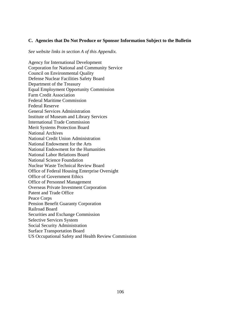## **C. Agencies that Do Not Produce or Sponsor Information Subject to the Bulletin**

*See website links in section A of this Appendix.* 

Agency for International Development Corporation for National and Community Service Council on Environmental Quality Defense Nuclear Facilities Safety Board Department of the Treasury Equal Employment Opportunity Commission Farm Credit Association Federal Maritime Commission Federal Reserve General Services Administration Institute of Museum and Library Services International Trade Commission Merit Systems Protection Board National Archives National Credit Union Administration National Endowment for the Arts National Endowment for the Humanities National Labor Relations Board National Science Foundation Nuclear Waste Technical Review Board Office of Federal Housing Enterprise Oversight Office of Government Ethics Office of Personnel Management Overseas Private Investment Corporation Patent and Trade Office Peace Corps Pension Benefit Guaranty Corporation Railroad Board Securities and Exchange Commission Selective Services System Social Security Administration Surface Transportation Board US Occupational Safety and Health Review Commission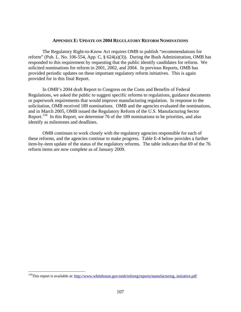#### **APPENDIX E: UPDATE ON 2004 REGULATORY REFORM NOMINATIONS**

<span id="page-111-0"></span>The Regulatory Right-to-Know Act requires OMB to publish "recommendations for reform" (Pub. L. No. 106-554, App. C,  $\S$  624(a)(3)). During the Bush Administration, OMB has responded to this requirement by requesting that the public identify candidates for reform. We solicited nominations for reform in 2001, 2002, and 2004. In previous Reports, OMB has provided periodic updates on these important regulatory reform initiatives. This is again provided for in this final Report.

 In OMB's 2004 draft Report to Congress on the Costs and Benefits of Federal Regulations, we asked the public to suggest specific reforms to regulations, guidance documents or paperwork requirements that would improve manufacturing regulation. In response to the solicitation, OMB received 189 nominations. OMB and the agencies evaluated the nominations, and in March 2005, OMB issued the Regulatory Reform of the U.S. Manufacturing Sector Report.<sup>[110](#page-111-0)</sup> In this Report, we determine 76 of the 189 nominations to be priorities, and also identify as milestones and deadlines.

 OMB continues to work closely with the regulatory agencies responsible for each of these reforms, and the agencies continue to make progress. Table E-4 below provides a further item-by-item update of the status of the regulatory reforms. The table indicates that 69 of the 76 reform items are now complete as of January 2009.

1

<sup>&</sup>lt;sup>110</sup>This report is available at: http://www.whitehouse.gov/omb/inforeg/reports/manufacturing initiative.pdf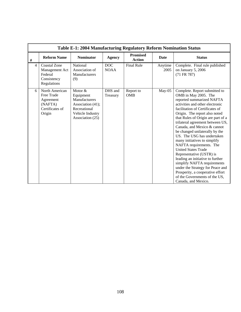|                | Table E-1: 2004 Manufacturing Regulatory Reform Nomination Status                 |                                                                                                                    |                           |                           |                 |                                                                                                                                                                                                                                                                                                                                                                                                                                                                                                                                                                                                                                                                                            |  |  |  |  |
|----------------|-----------------------------------------------------------------------------------|--------------------------------------------------------------------------------------------------------------------|---------------------------|---------------------------|-----------------|--------------------------------------------------------------------------------------------------------------------------------------------------------------------------------------------------------------------------------------------------------------------------------------------------------------------------------------------------------------------------------------------------------------------------------------------------------------------------------------------------------------------------------------------------------------------------------------------------------------------------------------------------------------------------------------------|--|--|--|--|
| $\#$           | <b>Reform Name</b>                                                                | <b>Nominator</b>                                                                                                   | <b>Agency</b>             | <b>Promised</b><br>Action | Date            | <b>Status</b>                                                                                                                                                                                                                                                                                                                                                                                                                                                                                                                                                                                                                                                                              |  |  |  |  |
| $\overline{4}$ | <b>Coastal Zone</b><br>Management Act<br>Federal<br>Consistency<br>Regulations    | National<br>Association of<br>Manufacturers<br>(9)                                                                 | <b>DOC</b><br><b>NOAA</b> | <b>Final Rule</b>         | Anytime<br>2005 | Complete. Final rule published<br>on January 5, 2006<br>(71 FR 787)                                                                                                                                                                                                                                                                                                                                                                                                                                                                                                                                                                                                                        |  |  |  |  |
| 6              | North American<br>Free Trade<br>Agreement<br>(NAFTA)<br>Certificates of<br>Origin | Motor &<br>Equipment<br>Manufacturers<br>Association (41);<br>Recreational<br>Vehicle Industry<br>Association (25) | DHS and<br>Treasury       | Report to<br><b>OMB</b>   | $May-05$        | Complete. Report submitted to<br>OMB in May 2005. The<br>reported summarized NAFTA<br>activities and other electronic<br>facilitation of Certificates of<br>Origin. The report also noted<br>that Rules of Origin are part of a<br>trilateral agreement between US,<br>Canada, and Mexico & cannot<br>be changed unilaterally by the<br>US. The USG has undertaken<br>many initiatives to simplify<br>NAFTA requirements. The<br><b>United States Trade</b><br>Representative (USTR) is<br>leading an initiative to further<br>simplify NAFTA requirements<br>under the Strategy for Peace and<br>Prosperity, a cooperative effort<br>of the Governments of the US,<br>Canada, and Mexico. |  |  |  |  |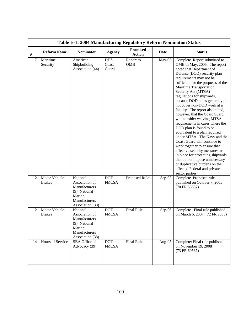|      | Table E-1: 2004 Manufacturing Regulatory Reform Nomination Status |                                                                                                             |                              |                                  |             |                                                                                                                                                                                                                                                                                                                                                                                                                                                                                                                                                                                                                                                                                                                                                                                                                                            |  |  |  |  |
|------|-------------------------------------------------------------------|-------------------------------------------------------------------------------------------------------------|------------------------------|----------------------------------|-------------|--------------------------------------------------------------------------------------------------------------------------------------------------------------------------------------------------------------------------------------------------------------------------------------------------------------------------------------------------------------------------------------------------------------------------------------------------------------------------------------------------------------------------------------------------------------------------------------------------------------------------------------------------------------------------------------------------------------------------------------------------------------------------------------------------------------------------------------------|--|--|--|--|
| $\#$ | <b>Reform Name</b>                                                | <b>Nominator</b>                                                                                            | <b>Agency</b>                | <b>Promised</b><br><b>Action</b> | <b>Date</b> | <b>Status</b>                                                                                                                                                                                                                                                                                                                                                                                                                                                                                                                                                                                                                                                                                                                                                                                                                              |  |  |  |  |
| 7    | Maritime<br>Security                                              | American<br>Shipbuilding<br>Association (44)                                                                | <b>DHS</b><br>Coast<br>Guard | Report to<br><b>OMB</b>          | May-05      | Complete. Report submitted to<br>OMB in May, 2005. The report<br>noted that Department of<br>Defense (DOD) security plan<br>requirements may not be<br>sufficient for the purposes of the<br>Maritime Transportation<br>Security Act (MTSA)<br>regulations for shipyards,<br>because DOD plans generally do<br>not cover non-DOD work at a<br>facility. The report also noted,<br>however, that the Coast Guard<br>will consider waiving MTSA<br>requirements in cases where the<br>DOD plan is found to be<br>equivalent to a plan required<br>under MTSA. The Navy and the<br>Coast Guard will continue to<br>work together to ensure that<br>effective security measures are<br>in place for protecting shipyards<br>that do not impose unnecessary<br>or duplicative burdens on the<br>affected Federal and private<br>sector parties. |  |  |  |  |
| 12   | Motor Vehicle<br><b>Brakes</b>                                    | National<br>Association of<br>Manufacturers<br>(9); National<br>Marine<br>Manufacturers<br>Association (38) | <b>DOT</b><br><b>FMCSA</b>   | Proposed Rule                    | $Sep-05$    | Complete. Proposed rule<br>published on October 7, 2005<br>(70 FR 58657)                                                                                                                                                                                                                                                                                                                                                                                                                                                                                                                                                                                                                                                                                                                                                                   |  |  |  |  |
| 12   | Motor Vehicle<br><b>Brakes</b>                                    | National<br>Association of<br>Manufacturers<br>(9); National<br>Marine<br>Manufacturers<br>Association (38) | <b>DOT</b><br><b>FMCSA</b>   | <b>Final Rule</b>                | $Sep-06$    | Complete. Final rule published<br>on March 6, 2007. (72 FR 9855)                                                                                                                                                                                                                                                                                                                                                                                                                                                                                                                                                                                                                                                                                                                                                                           |  |  |  |  |
| 14   | Hours of Service                                                  | SBA Office of<br>Advocacy (39)                                                                              | <b>DOT</b><br><b>FMCSA</b>   | Final Rule                       | Aug-05      | Complete: Final rule published<br>on November 19, 2008<br>(73 FR 69567)                                                                                                                                                                                                                                                                                                                                                                                                                                                                                                                                                                                                                                                                                                                                                                    |  |  |  |  |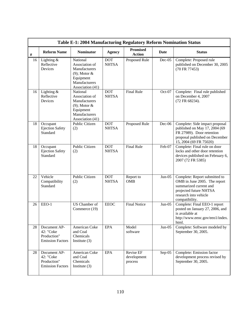|      | Table E-1: 2004 Manufacturing Regulatory Reform Nomination Status   |                                                                                                                  |                            |                                     |             |                                                                                                                                                              |  |  |  |  |
|------|---------------------------------------------------------------------|------------------------------------------------------------------------------------------------------------------|----------------------------|-------------------------------------|-------------|--------------------------------------------------------------------------------------------------------------------------------------------------------------|--|--|--|--|
| $\#$ | <b>Reform Name</b>                                                  | <b>Nominator</b>                                                                                                 | <b>Agency</b>              | <b>Promised</b><br><b>Action</b>    | <b>Date</b> | <b>Status</b>                                                                                                                                                |  |  |  |  |
| 16   | Lighting &<br>Reflective<br>Devices                                 | National<br>Association of<br>Manufacturers<br>$(9)$ ; Motor &<br>Equipment<br>Manufacturers<br>Association (41) | <b>DOT</b><br><b>NHTSA</b> | Proposed Rule                       | $Dec-05$    | Complete: Proposed rule<br>published on December 30, 2005<br>(70 FR 77453)                                                                                   |  |  |  |  |
| 16   | Lighting $&$<br>Reflective<br>Devices                               | National<br>Association of<br>Manufacturers<br>$(9)$ ; Motor &<br>Equipment<br>Manufacturers<br>Association (41) | <b>DOT</b><br><b>NHTSA</b> | <b>Final Rule</b>                   | Oct-07      | Complete: Final rule published<br>on December 4, 2007<br>(72 FR 68234).                                                                                      |  |  |  |  |
| 18   | Occupant<br><b>Ejection Safety</b><br>Standard                      | <b>Public Citizen</b><br>(2)                                                                                     | <b>DOT</b><br><b>NHTSA</b> | Proposed Rule                       | Dec-06      | Complete: Side impact proposal<br>published on May 17, 2004 (69<br>FR 27989). Door retention<br>proposal published on December<br>15, 2004 (69 FR 75020)     |  |  |  |  |
| 18   | Occupant<br><b>Ejection Safety</b><br>Standard                      | <b>Public Citizen</b><br>(2)                                                                                     | <b>DOT</b><br><b>NHTSA</b> | <b>Final Rule</b>                   | Feb-07      | Complete: Final rule on door<br>locks and other door retention<br>devices published on February 6,<br>2007 (72 FR 5385)                                      |  |  |  |  |
| 22   | Vehicle<br>Compatibility<br>Standard                                | <b>Public Citizen</b><br>(2)                                                                                     | <b>DOT</b><br><b>NHTSA</b> | Report to<br><b>OMB</b>             | $Jun-05$    | Complete: Report submitted to<br>OMB in June 2005. The report<br>summarized current and<br>projected future NHTSA<br>research into vehicle<br>compatibility. |  |  |  |  |
| 26   | EEO-1                                                               | US Chamber of<br>Commerce (19)                                                                                   | <b>EEOC</b>                | <b>Final Notice</b>                 | $Jun-05$    | Complete: Final EEO-1 report<br>posted on January 27, 2006, and<br>is available at<br>http://www.eeoc.gov/eeo1/index.<br>html.                               |  |  |  |  |
| 28   | Document AP-<br>42: "Coke<br>Production"<br><b>Emission Factors</b> | American Coke<br>and Coal<br>Chemicals<br>Institute $(3)$                                                        | <b>EPA</b>                 | Model<br>software                   | $Jun-05$    | Complete: Software modeled by<br>September 30, 2005.                                                                                                         |  |  |  |  |
| 28   | Document AP-<br>42: "Coke<br>Production"<br><b>Emission Factors</b> | American Coke<br>and Coal<br>Chemicals<br>Institute $(3)$                                                        | <b>EPA</b>                 | Revise EF<br>development<br>process | Sep-05      | Complete: Emission factor<br>development process revised by<br>September 30, 2005.                                                                           |  |  |  |  |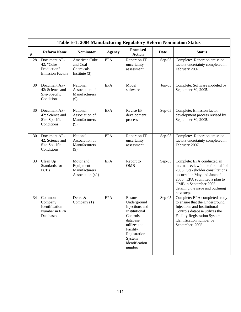|      | Table E-1: 2004 Manufacturing Regulatory Reform Nomination Status   |                                                             |               |                                                                                                                                                                    |          |                                                                                                                                                                                                                                                    |  |  |  |
|------|---------------------------------------------------------------------|-------------------------------------------------------------|---------------|--------------------------------------------------------------------------------------------------------------------------------------------------------------------|----------|----------------------------------------------------------------------------------------------------------------------------------------------------------------------------------------------------------------------------------------------------|--|--|--|
| $\#$ | <b>Reform Name</b>                                                  | <b>Nominator</b>                                            | <b>Agency</b> | <b>Promised</b><br><b>Action</b>                                                                                                                                   | Date     | <b>Status</b>                                                                                                                                                                                                                                      |  |  |  |
| 28   | Document AP-<br>42: "Coke<br>Production"<br><b>Emission Factors</b> | American Coke<br>and Coal<br>Chemicals<br>Institute $(3)$   | <b>EPA</b>    | Report on EF<br>uncertainty<br>assessment                                                                                                                          | $Sep-05$ | Complete: Report on emission<br>factors uncertainty completed in<br>February 2007.                                                                                                                                                                 |  |  |  |
| 30   | Document AP-<br>42: Science and<br>Site-Specific<br>Conditions      | National<br>Association of<br>Manufacturers<br>(9)          | <b>EPA</b>    | Model<br>software                                                                                                                                                  | $Jun-05$ | Complete: Software modeled by<br>September 30, 2005.                                                                                                                                                                                               |  |  |  |
| 30   | Document AP-<br>42: Science and<br>Site-Specific<br>Conditions      | National<br>Association of<br>Manufacturers<br>(9)          | <b>EPA</b>    | <b>Revise EF</b><br>development<br>process                                                                                                                         | $Sep-05$ | Complete: Emission factor<br>development process revised by<br>September 30, 2005.                                                                                                                                                                 |  |  |  |
| 30   | Document AP-<br>42: Science and<br>Site-Specific<br>Conditions      | National<br>Association of<br>Manufacturers<br>(9)          | <b>EPA</b>    | Report on EF<br>uncertainty<br>assessment                                                                                                                          | $Sep-05$ | Complete: Report on emission<br>factors uncertainty completed in<br>February 2007.                                                                                                                                                                 |  |  |  |
| 33   | Clean Up<br>Standards for<br><b>PCBs</b>                            | Motor and<br>Equipment<br>Manufacturers<br>Association (41) | <b>EPA</b>    | Report to<br><b>OMB</b>                                                                                                                                            | Sep-05   | Complete: EPA conducted an<br>internal review in the first half of<br>2005. Stakeholder consultations<br>occurred in May and June of<br>2005. EPA submitted a plan to<br>OMB in September 2005<br>detailing the issue and outlining<br>next steps. |  |  |  |
| 34   | Common<br>Company<br>Identification<br>Number in EPA<br>Databases   | Deere &<br>Company (1)                                      | <b>EPA</b>    | Ensure<br>Underground<br>Injections and<br>Institutional<br>Controls<br>database<br>utilizes the<br>Facility<br>Registration<br>System<br>identification<br>number | Sep-05   | Complete: EPA completed study<br>to ensure that the Underground<br>Injections and Institutional<br>Controls database utilizes the<br><b>Facility Registration System</b><br>identification number by<br>September, 2005.                           |  |  |  |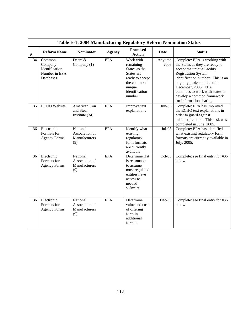|    | Table E-1: 2004 Manufacturing Regulatory Reform Nomination Status |                                                    |               |                                                                                                                              |                 |                                                                                                                                                                                                                                                                                                                        |  |  |  |
|----|-------------------------------------------------------------------|----------------------------------------------------|---------------|------------------------------------------------------------------------------------------------------------------------------|-----------------|------------------------------------------------------------------------------------------------------------------------------------------------------------------------------------------------------------------------------------------------------------------------------------------------------------------------|--|--|--|
| #  | <b>Reform Name</b>                                                | <b>Nominator</b>                                   | <b>Agency</b> | <b>Promised</b><br><b>Action</b>                                                                                             | <b>Date</b>     | <b>Status</b>                                                                                                                                                                                                                                                                                                          |  |  |  |
| 34 | Common<br>Company<br>Identification<br>Number in EPA<br>Databases | Deere &<br>Company (1)                             | <b>EPA</b>    | Work with<br>remaining<br>States as the<br>States are<br>ready to accept<br>the common<br>unique<br>identification<br>number | Anytime<br>2006 | Complete: EPA is working with<br>the States as they are ready to<br>accept the unique Facility<br><b>Registration System</b><br>identification number. This is an<br>ongoing project initiated in<br>December, 2005. EPA<br>continues to work with states to<br>develop a common framework<br>for information sharing. |  |  |  |
| 35 | <b>ECHO</b> Website                                               | American Iron<br>and Steel<br>Institute $(34)$     | <b>EPA</b>    | Improve text<br>explanations                                                                                                 | $Jun-05$        | Complete: EPA has improved<br>the ECHO text explanations in<br>order to guard against<br>misinterpretation. This task was<br>completed in June, 2005.                                                                                                                                                                  |  |  |  |
| 36 | Electronic<br>Formats for<br><b>Agency Forms</b>                  | National<br>Association of<br>Manufacturers<br>(9) | <b>EPA</b>    | Identify what<br>existing<br>regulatory<br>form formats<br>are currently<br>available                                        | $Jul-05$        | Complete: EPA has identified<br>what existing regulatory form<br>formats are currently available in<br>July, 2005.                                                                                                                                                                                                     |  |  |  |
| 36 | Electronic<br>Formats for<br><b>Agency Forms</b>                  | National<br>Association of<br>Manufacturers<br>(9) | <b>EPA</b>    | Determine if it<br>is reasonable<br>to assume<br>most regulated<br>entities have<br>access to<br>needed<br>software          | $Oct-05$        | Complete: see final entry for #36<br>helow                                                                                                                                                                                                                                                                             |  |  |  |
| 36 | Electronic<br>Formats for<br><b>Agency Forms</b>                  | National<br>Association of<br>Manufacturers<br>(9) | <b>EPA</b>    | Determine<br>value and cost<br>of offering<br>form in<br>additional<br>format                                                | $Dec-05$        | Complete: see final entry for #36<br>below                                                                                                                                                                                                                                                                             |  |  |  |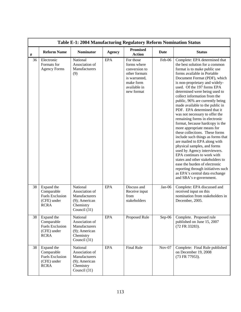|      | Table E-1: 2004 Manufacturing Regulatory Reform Nomination Status                |                                                                                              |               |                                                                                                                        |             |                                                                                                                                                                                                                                                                                                                                                                                                                                                                                                                                                                                                                                                                                                                                                                                                                                                                                                                      |  |  |  |  |
|------|----------------------------------------------------------------------------------|----------------------------------------------------------------------------------------------|---------------|------------------------------------------------------------------------------------------------------------------------|-------------|----------------------------------------------------------------------------------------------------------------------------------------------------------------------------------------------------------------------------------------------------------------------------------------------------------------------------------------------------------------------------------------------------------------------------------------------------------------------------------------------------------------------------------------------------------------------------------------------------------------------------------------------------------------------------------------------------------------------------------------------------------------------------------------------------------------------------------------------------------------------------------------------------------------------|--|--|--|--|
| $\#$ | <b>Reform Name</b>                                                               | <b>Nominator</b>                                                                             | <b>Agency</b> | <b>Promised</b><br><b>Action</b>                                                                                       | <b>Date</b> | <b>Status</b>                                                                                                                                                                                                                                                                                                                                                                                                                                                                                                                                                                                                                                                                                                                                                                                                                                                                                                        |  |  |  |  |
| 36   | Electronic<br>Formats for<br><b>Agency Forms</b>                                 | National<br>Association of<br>Manufacturers<br>(9)                                           | <b>EPA</b>    | For those<br>forms where<br>conversion to<br>other formats<br>is warranted,<br>make form<br>available in<br>new format | Feb-06      | Complete: EPA determined that<br>the best solution for a common<br>format is to make public use<br>forms available in Portable<br>Document Format (PDF), which<br>is non-proprietary and widely-<br>used. Of the 197 forms EPA<br>determined were being used to<br>collect information from the<br>public, 96% are currently being<br>made available to the public in<br>PDF. EPA determined that it<br>was not necessary to offer the<br>remaining forms in electronic<br>format, because hardcopy is the<br>more appropriate means for<br>these collections. These forms<br>include such things as forms that<br>are mailed to EPA along with<br>physical samples, and forms<br>used by Agency interviewers.<br>EPA continues to work with<br>states and other stakeholders to<br>ease the burden of electronic<br>reporting through initiatives such<br>as EPA's central data exchange<br>and SBA's e-government. |  |  |  |  |
| 38   | Expand the<br>Comparable<br><b>Fuels Exclusion</b><br>(CFE) under<br><b>RCRA</b> | National<br>Association of<br>Manufacturers<br>(9); American<br>Chemistry<br>Council (31)    | <b>EPA</b>    | Discuss and<br>Receive input<br>from<br>stakeholders                                                                   | Jan-06      | Complete: EPA discussed and<br>received input on this<br>nomination from stakeholders in<br>December, 2005.                                                                                                                                                                                                                                                                                                                                                                                                                                                                                                                                                                                                                                                                                                                                                                                                          |  |  |  |  |
| 38   | Expand the<br>Comparable<br><b>Fuels Exclusion</b><br>(CFE) under<br><b>RCRA</b> | National<br>Association of<br>Manufacturers<br>(9); American<br>Chemistry<br>Council (31)    | <b>EPA</b>    | Proposed Rule                                                                                                          | $Sep-06$    | Complete. Proposed rule<br>published on June 15, 2007<br>(72 FR 33283).                                                                                                                                                                                                                                                                                                                                                                                                                                                                                                                                                                                                                                                                                                                                                                                                                                              |  |  |  |  |
| 38   | Expand the<br>Comparable<br><b>Fuels Exclusion</b><br>(CFE) under<br><b>RCRA</b> | National<br>Association of<br>Manufacturers<br>$(9)$ ; American<br>Chemistry<br>Council (31) | <b>EPA</b>    | Final Rule                                                                                                             | $Nov-07$    | Complete: Final Rule published<br>on December 19, 2008<br>(73 FR 77953).                                                                                                                                                                                                                                                                                                                                                                                                                                                                                                                                                                                                                                                                                                                                                                                                                                             |  |  |  |  |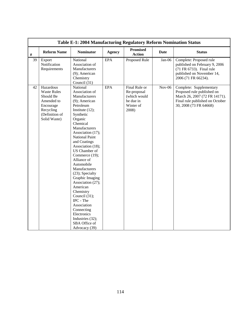|    | Table E-1: 2004 Manufacturing Regulatory Reform Nomination Status                                                      |                                                                                                                                                                                                                                                                                                                                                                                                                                                                                                                                              |               |                                                                                 |             |                                                                                                                                                     |  |  |  |
|----|------------------------------------------------------------------------------------------------------------------------|----------------------------------------------------------------------------------------------------------------------------------------------------------------------------------------------------------------------------------------------------------------------------------------------------------------------------------------------------------------------------------------------------------------------------------------------------------------------------------------------------------------------------------------------|---------------|---------------------------------------------------------------------------------|-------------|-----------------------------------------------------------------------------------------------------------------------------------------------------|--|--|--|
| #  | <b>Reform Name</b>                                                                                                     | <b>Nominator</b>                                                                                                                                                                                                                                                                                                                                                                                                                                                                                                                             | <b>Agency</b> | <b>Promised</b><br><b>Action</b>                                                | <b>Date</b> | <b>Status</b>                                                                                                                                       |  |  |  |
| 39 | Export<br>Notification<br>Requirements                                                                                 | National<br>Association of<br>Manufacturers<br>(9); American<br>Chemistry<br>Council (31)                                                                                                                                                                                                                                                                                                                                                                                                                                                    | <b>EPA</b>    | Proposed Rule                                                                   | Jan-06      | Complete: Proposed rule<br>published on February 9, 2006<br>(71 FR 6733). Final rule<br>published on November 14,<br>2006 (71 FR 66234).            |  |  |  |
| 42 | Hazardous<br><b>Waste Rules</b><br>Should Be<br>Amended to<br>Encourage<br>Recycling<br>(Definition of<br>Solid Waste) | National<br>Association of<br>Manufacturers<br>(9); American<br>Petroleum<br>Institute $(12)$ ;<br>Synthetic<br>Organic<br>Chemical<br>Manufacturers<br>Association (17);<br><b>National Paint</b><br>and Coatings<br>Association (18);<br>US Chamber of<br>Commerce (19);<br>Alliance of<br>Automobile<br>Manufacturers<br>(23); Specialty<br>Graphic Imaging<br>Association (27);<br>American<br>Chemistry<br>Council (31);<br>IPC - The<br>Association<br>Connecting<br>Electronics<br>Industries (32);<br>SBA Office of<br>Advocacy (39) | <b>EPA</b>    | Final Rule or<br>Re-proposal<br>(which would<br>be due in<br>Winter of<br>2008) | $Nov-06$    | Complete: Supplementary<br>Proposed rule published on<br>March 26, 2007 (72 FR 14171).<br>Final rule published on October<br>30, 2008 (73 FR 64668) |  |  |  |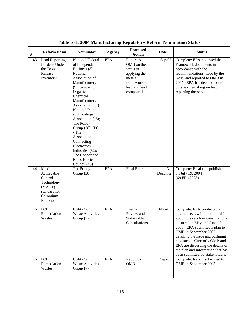|      | Table E-1: 2004 Manufacturing Regulatory Reform Nomination Status                                 |                                                                                                                                                                                                                                                                                                                                                                                                                            |               |                                                                                                              |                |                                                                                                                                                                                                                                                                                                                                                                                   |  |  |  |
|------|---------------------------------------------------------------------------------------------------|----------------------------------------------------------------------------------------------------------------------------------------------------------------------------------------------------------------------------------------------------------------------------------------------------------------------------------------------------------------------------------------------------------------------------|---------------|--------------------------------------------------------------------------------------------------------------|----------------|-----------------------------------------------------------------------------------------------------------------------------------------------------------------------------------------------------------------------------------------------------------------------------------------------------------------------------------------------------------------------------------|--|--|--|
| $\#$ | <b>Reform Name</b>                                                                                | <b>Nominator</b>                                                                                                                                                                                                                                                                                                                                                                                                           | <b>Agency</b> | <b>Promised</b><br><b>Action</b>                                                                             | <b>Date</b>    | <b>Status</b>                                                                                                                                                                                                                                                                                                                                                                     |  |  |  |
| 43   | <b>Lead Reporting</b><br><b>Burdens Under</b><br>the Toxic<br>Release<br>Inventory                | <b>National Federal</b><br>of Independent<br>Business (8);<br>National<br>Association of<br>Manufacturers<br>$(9)$ ; Synthetic<br>Organic<br>Chemical<br>Manufacturers<br>Association (17);<br>National Paint<br>and Coatings<br>Association (18);<br>The Policy<br>Group (28); IPC<br>- The<br>Association<br>Connecting<br>Electronics<br>Industries (32);<br>The Copper and<br><b>Brass Fabricators</b><br>Council (45) | <b>EPA</b>    | Report to<br>OMB on the<br>status of<br>applying the<br>metals<br>framework to<br>lead and lead<br>compounds | $Sep-05$       | Complete: EPA reviewed the<br>Framework documents in<br>accordance with the<br>recommendations made by the<br>SAB, and reported to OMB in<br>2007. EPA has decided not to<br>pursue rulemaking on lead<br>reporting thresholds.                                                                                                                                                   |  |  |  |
| 44   | Maximum<br>Achievable<br>Control<br>Technology<br>(MACT)<br>standard for<br>Chromium<br>Emissions | The Policy<br>Group $(28)$                                                                                                                                                                                                                                                                                                                                                                                                 | <b>EPA</b>    | <b>Final Rule</b>                                                                                            | No<br>Deadline | Complete: Final rule published<br>on July 19, 2004<br>(69 FR 42885)                                                                                                                                                                                                                                                                                                               |  |  |  |
| 45   | <b>PCB</b><br>Remediation<br>Wastes                                                               | <b>Utility Solid</b><br><b>Waste Activities</b><br>Group $(7)$                                                                                                                                                                                                                                                                                                                                                             | <b>EPA</b>    | Internal<br>Review and<br>Stakeholder<br>Consultations                                                       | $May-05$       | Complete: EPA conducted an<br>internal review in the first half of<br>2005. Stakeholder consultations<br>occurred in May and June of<br>2005. EPA submitted a plan to<br>OMB in September 2005<br>detailing the issue and outlining<br>next steps. Currently OMB and<br>EPA are discussing the details of<br>the plan and information that has<br>been submitted by stakeholders. |  |  |  |
| 45   | <b>PCB</b><br>Remediation<br>Wastes                                                               | <b>Utility Solid</b><br><b>Waste Activities</b><br>Group $(7)$                                                                                                                                                                                                                                                                                                                                                             | <b>EPA</b>    | Report to<br><b>OMB</b>                                                                                      | $Sep-05$       | Complete: Report submitted to<br>OMB in September 2005.                                                                                                                                                                                                                                                                                                                           |  |  |  |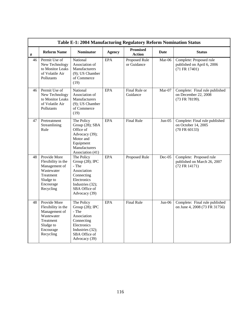|                 | Table E-1: 2004 Manufacturing Regulatory Reform Nomination Status                                                     |                                                                                                                                          |               |                                  |          |                                                                            |  |  |  |
|-----------------|-----------------------------------------------------------------------------------------------------------------------|------------------------------------------------------------------------------------------------------------------------------------------|---------------|----------------------------------|----------|----------------------------------------------------------------------------|--|--|--|
| $\#$            | <b>Reform Name</b>                                                                                                    | <b>Nominator</b>                                                                                                                         | <b>Agency</b> | <b>Promised</b><br><b>Action</b> | Date     | <b>Status</b>                                                              |  |  |  |
| 46              | Permit Use of<br>New Technology<br>to Monitor Leaks<br>of Volatile Air<br>Pollutants                                  | National<br>Association of<br>Manufacturers<br>(9); US Chamber<br>of Commerce<br>(19)                                                    | <b>EPA</b>    | Proposed Rule<br>or Guidance     | Mar-06   | Complete: Proposed rule<br>published on April 6, 2006<br>$(71$ FR $17401)$ |  |  |  |
| 46              | Permit Use of<br>New Technology<br>to Monitor Leaks<br>of Volatile Air<br>Pollutants                                  | National<br>Association of<br>Manufacturers<br>(9); US Chamber<br>of Commerce<br>(19)                                                    | <b>EPA</b>    | Final Rule or<br>Guidance        | $Mar-07$ | Complete: Final rule published<br>on December 22, 2008<br>(73 FR 78199).   |  |  |  |
| 47              | Pretreatment<br>Streamlining<br>Rule                                                                                  | The Policy<br>Group (28); SBA<br>Office of<br>Advocacy (39);<br>Motor and<br>Equipment<br>Manufacturers<br>Association (41)              | <b>EPA</b>    | <b>Final Rule</b>                | $Jun-05$ | Complete: Final rule published<br>on October 14, 2005<br>(70 FR 60133)     |  |  |  |
| $\overline{48}$ | Provide More<br>Flexibility in the<br>Management of<br>Wastewater<br>Treatment<br>Sludge to<br>Encourage<br>Recycling | The Policy<br>Group (28); IPC<br>- The<br>Association<br>Connecting<br>Electronics<br>Industries (32);<br>SBA Office of<br>Advocacy (39) | <b>EPA</b>    | Proposed Rule                    | Dec-05   | Complete: Proposed rule<br>published on March 26, 2007<br>(72 FR 14171)    |  |  |  |
| 48              | Provide More<br>Flexibility in the<br>Management of<br>Wastewater<br>Treatment<br>Sludge to<br>Encourage<br>Recycling | The Policy<br>Group (28); IPC<br>- The<br>Association<br>Connecting<br>Electronics<br>Industries (32);<br>SBA Office of<br>Advocacy (39) | <b>EPA</b>    | <b>Final Rule</b>                | $Jun-06$ | Complete: Final rule published<br>on June 4, 2008 (73 FR 31756)            |  |  |  |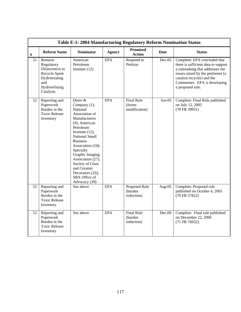|      | Table E-1: 2004 Manufacturing Regulatory Reform Nomination Status                                              |                                                                                                                                                                                                                                                                                                                                                         |               |                                               |          |                                                                                                                                                                                                                                |  |  |  |  |
|------|----------------------------------------------------------------------------------------------------------------|---------------------------------------------------------------------------------------------------------------------------------------------------------------------------------------------------------------------------------------------------------------------------------------------------------------------------------------------------------|---------------|-----------------------------------------------|----------|--------------------------------------------------------------------------------------------------------------------------------------------------------------------------------------------------------------------------------|--|--|--|--|
| $\#$ | <b>Reform Name</b>                                                                                             | <b>Nominator</b>                                                                                                                                                                                                                                                                                                                                        | <b>Agency</b> | <b>Promised</b><br>Action                     | Date     | <b>Status</b>                                                                                                                                                                                                                  |  |  |  |  |
| 51   | Remove<br>Regulatory<br>Disincentive to<br>Recycle Spent<br>Hydrotreating<br>and<br>Hydrorefining<br>Catalysts | American<br>Petroleum<br>Institute $(12)$                                                                                                                                                                                                                                                                                                               | <b>EPA</b>    | Respond to<br>Petition                        | $Dec-05$ | Complete: EPA concluded that<br>there is sufficient data to support<br>a rulemaking that addresses the<br>issues raised by the petitioner (a<br>catalyst recycler) and the<br>Commenter. EPA is developing<br>a proposed rule. |  |  |  |  |
| 52   | Reporting and<br>Paperwork<br>Burden in the<br><b>Toxic Release</b><br>Inventory                               | Deere $\overline{\&}$<br>Company (1);<br>National<br>Association of<br>Manufacturers<br>(9); American<br>Petroleum<br>Institute $(12)$ ;<br><b>National Small</b><br><b>Business</b><br>Association (24);<br>Specialty<br>Graphic Imaging<br>Association (27);<br>Society of Glass<br>and Ceramic<br>Decorators (33);<br>SBA Office of<br>Advocacy (39) | <b>EPA</b>    | <b>Final Rule</b><br>(forms)<br>modification) | $Jun-05$ | Complete: Final Rule published<br>on July 12, 2005<br>(70 FR 39931)                                                                                                                                                            |  |  |  |  |
| 52   | Reporting and<br>Paperwork<br>Burden in the<br><b>Toxic Release</b><br>Inventory                               | See above                                                                                                                                                                                                                                                                                                                                               | <b>EPA</b>    | Proposed Rule<br>(burden<br>reduction)        | Aug-05   | Complete: Proposed rule<br>published on October 4, 2005<br>(70 FR 57822)                                                                                                                                                       |  |  |  |  |
| 52   | Reporting and<br>Paperwork<br>Burden in the<br><b>Toxic Release</b><br>Inventory                               | See above                                                                                                                                                                                                                                                                                                                                               | <b>EPA</b>    | <b>Final Rule</b><br>(burden<br>reduction)    | Dec-06   | Complete: Final rule published<br>on December 22, 2006<br>(71 FR 76932).                                                                                                                                                       |  |  |  |  |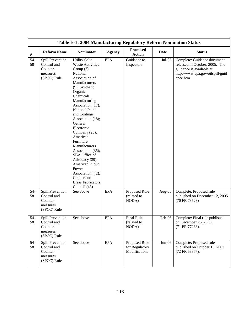|             | Table E-1: 2004 Manufacturing Regulatory Reform Nomination Status      |                                                                                                                                                                                                                                                                                                                                                                                                                                                                                                                  |               |                                                  |             |                                                                                                                                           |  |  |  |  |
|-------------|------------------------------------------------------------------------|------------------------------------------------------------------------------------------------------------------------------------------------------------------------------------------------------------------------------------------------------------------------------------------------------------------------------------------------------------------------------------------------------------------------------------------------------------------------------------------------------------------|---------------|--------------------------------------------------|-------------|-------------------------------------------------------------------------------------------------------------------------------------------|--|--|--|--|
| $\#$        | <b>Reform Name</b>                                                     | <b>Nominator</b>                                                                                                                                                                                                                                                                                                                                                                                                                                                                                                 | <b>Agency</b> | <b>Promised</b><br><b>Action</b>                 | <b>Date</b> | <b>Status</b>                                                                                                                             |  |  |  |  |
| $54-$<br>58 | Spill Prevention<br>Control and<br>Counter-<br>measures<br>(SPCC) Rule | <b>Utility Solid</b><br><b>Waste Activities</b><br>Group $(7)$ ;<br>National<br>Association of<br>Manufacturers<br>$(9)$ ; Synthetic<br>Organic<br>Chemicals<br>Manufacturing<br>Association (17);<br>National Paint<br>and Coatings<br>Association (18);<br>General<br>Electronic<br>Company (26);<br>American<br>Furniture<br>Manufacturers<br>Association (35);<br>SBA Office of<br>Advocacy (39);<br>American Public<br>Power<br>Association (42);<br>Copper and<br><b>Brass Fabricators</b><br>Council (45) | <b>EPA</b>    | Guidance to<br>Inspectors                        | $Jul-05$    | Complete: Guidance document<br>released in October, 2005. The<br>guidance is available at<br>http://www.epa.gov/oilspill/guid<br>ance.htm |  |  |  |  |
| $54-$<br>58 | Spill Prevention<br>Control and<br>Counter-<br>measures<br>(SPCC) Rule | See above                                                                                                                                                                                                                                                                                                                                                                                                                                                                                                        | <b>EPA</b>    | Proposed Rule<br>(related to<br>NODA)            | Aug- $05$   | Complete: Proposed rule<br>published on December 12, 2005<br>(70 FR 73523)                                                                |  |  |  |  |
| $54-$<br>58 | Spill Prevention<br>Control and<br>Counter-<br>measures<br>(SPCC) Rule | See above                                                                                                                                                                                                                                                                                                                                                                                                                                                                                                        | <b>EPA</b>    | Final Rule<br>(related to<br>NODA)               | Feb-06      | Complete: Final rule published<br>on December 26, 2006<br>(71 FR 77266).                                                                  |  |  |  |  |
| $54-$<br>58 | Spill Prevention<br>Control and<br>Counter-<br>measures<br>(SPCC) Rule | See above                                                                                                                                                                                                                                                                                                                                                                                                                                                                                                        | <b>EPA</b>    | Proposed Rule<br>for Regulatory<br>Modifications | $Jun-06$    | Complete: Proposed rule<br>published on October 15, 2007<br>(72 FR 58377).                                                                |  |  |  |  |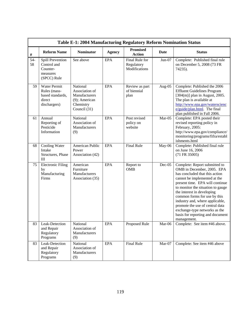|             | Table E-1: 2004 Manufacturing Regulatory Reform Nomination Status                 |                                                                                              |               |                                               |             |                                                                                                                                                                                                                                                                                                                                                                                                                               |  |  |  |  |
|-------------|-----------------------------------------------------------------------------------|----------------------------------------------------------------------------------------------|---------------|-----------------------------------------------|-------------|-------------------------------------------------------------------------------------------------------------------------------------------------------------------------------------------------------------------------------------------------------------------------------------------------------------------------------------------------------------------------------------------------------------------------------|--|--|--|--|
| $\#$        | <b>Reform Name</b>                                                                | <b>Nominator</b>                                                                             | <b>Agency</b> | <b>Promised</b><br><b>Action</b>              | <b>Date</b> | <b>Status</b>                                                                                                                                                                                                                                                                                                                                                                                                                 |  |  |  |  |
| $54-$<br>58 | Spill Prevention<br>Control and<br>Counter-<br>measures<br>(SPCC) Rule            | See above                                                                                    | <b>EPA</b>    | Final Rule for<br>Regulatory<br>Modifications | $Jun-07$    | Complete: Published final rule<br>on December 5, 2008 (73 FR<br>74235).                                                                                                                                                                                                                                                                                                                                                       |  |  |  |  |
| 59          | <b>Water Permit</b><br>Rules (mass-<br>based standards,<br>direct<br>dischargers) | National<br>Association of<br>Manufacturers<br>$(9)$ ; American<br>Chemistry<br>Council (31) | <b>EPA</b>    | Review as part<br>of biennial<br>plan         | Aug- $05$   | Complete: Published the 2006<br><b>Effluent Guidelines Program</b><br>$[304(m)]$ plan in August, 2005.<br>The plan is available at<br>http://www.epa.gov/waterscienc<br>$e/guide/plan.html$ . The final<br>plan published in Fall 2006.                                                                                                                                                                                       |  |  |  |  |
| 61          | Annual<br>Reporting of<br>Pesticide<br>Information                                | National<br>Association of<br>Manufacturers<br>(9)                                           | <b>EPA</b>    | Post revised<br>policy on<br>website          | Mar-05      | Complete: EPA posted their<br>revised reporting policy in<br>February, 2005:<br>http://www.epa.gov/compliance/<br>monitoring/programs/fifra/establ<br>ishments.html                                                                                                                                                                                                                                                           |  |  |  |  |
| 68          | Cooling Water<br>Intake<br>Structures, Phase<br>III                               | American Public<br>Power<br>Association (42)                                                 | <b>EPA</b>    | <b>Final Rule</b>                             | May-06      | Complete: Published final rule<br>on June 16, 2006<br>$(71$ FR 35005)                                                                                                                                                                                                                                                                                                                                                         |  |  |  |  |
| 75          | <b>Electronic Filing</b><br>by<br>Manufacturing<br>Firms                          | American<br>Furniture<br>Manufacturers<br>Association (35)                                   | <b>EPA</b>    | Report to<br><b>OMB</b>                       | $Dec-05$    | Complete: Report submitted to<br>OMB in December, 2005. EPA<br>has concluded that this action<br>cannot be implemented at the<br>present time. EPA will continue<br>to monitor the situation to gauge<br>the interest in developing<br>common forms for use by this<br>industry and, where applicable,<br>promote the use of central data<br>exchange-type networks as the<br>basis for reporting and document<br>management. |  |  |  |  |
| 83          | Leak-Detection<br>and Repair<br>Regulatory<br>Programs                            | National<br>Association of<br>Manufacturers<br>(9)                                           | <b>EPA</b>    | Proposed Rule                                 | Mar-06      | Complete: See item #46 above.                                                                                                                                                                                                                                                                                                                                                                                                 |  |  |  |  |
| 83          | Leak-Detection<br>and Repair<br>Regulatory<br>Programs                            | National<br>Association of<br>Manufacturers<br>(9)                                           | <b>EPA</b>    | <b>Final Rule</b>                             | Mar-07      | Complete: See item #46 above                                                                                                                                                                                                                                                                                                                                                                                                  |  |  |  |  |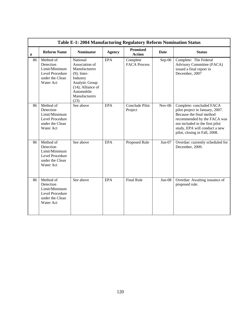|      |                                                                                            | Table E-1: 2004 Manufacturing Regulatory Reform Nomination Status                                                                                          |               |                                  |             |                                                                                                                                                                                                                             |
|------|--------------------------------------------------------------------------------------------|------------------------------------------------------------------------------------------------------------------------------------------------------------|---------------|----------------------------------|-------------|-----------------------------------------------------------------------------------------------------------------------------------------------------------------------------------------------------------------------------|
| $\#$ | <b>Reform Name</b>                                                                         | <b>Nominator</b>                                                                                                                                           | <b>Agency</b> | <b>Promised</b><br><b>Action</b> | <b>Date</b> | <b>Status</b>                                                                                                                                                                                                               |
| 86   | Method of<br>Detection<br>Limit/Minimum<br>Level Procedure<br>under the Clean<br>Water Act | National<br>Association of<br>Manufacturers<br>$(9)$ ; Inter-<br>Industry<br>Analytic Group<br>$(14)$ ; Alliance of<br>Automobile<br>Manufacturers<br>(23) | <b>EPA</b>    | Complete<br><b>FACA Process</b>  | $Sep-06$    | Complete: The Federal<br>Advisory Committee (FACA)<br>issued a final report in<br>December, 2007                                                                                                                            |
| 86   | Method of<br>Detection<br>Limit/Minimum<br>Level Procedure<br>under the Clean<br>Water Act | See above                                                                                                                                                  | EPA           | Conclude Pilot<br>Project        | $Nov-06$    | Complete: concluded FACA<br>pilot project in January, 2007.<br>Because the final method<br>recommended by the FACA was<br>not included in the first pilot<br>study, EPA will conduct a new<br>pilot, closing in Fall, 2008. |
| 86   | Method of<br>Detection<br>Limit/Minimum<br>Level Procedure<br>under the Clean<br>Water Act | See above                                                                                                                                                  | <b>EPA</b>    | Proposed Rule                    | $Jun-07$    | Overdue: currently scheduled for<br>December, 2009.                                                                                                                                                                         |
| 86   | Method of<br>Detection<br>Limit/Minimum<br>Level Procedure<br>under the Clean<br>Water Act | See above                                                                                                                                                  | <b>EPA</b>    | <b>Final Rule</b>                | $Jun-08$    | Overdue: Awaiting issuance of<br>proposed rule.                                                                                                                                                                             |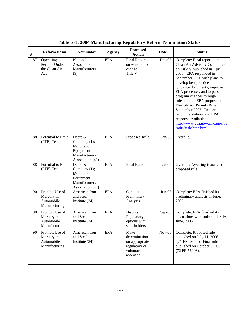|      |                                                              | Table E-1: 2004 Manufacturing Regulatory Reform Nomination Status                        |               |                                                                                   |          |                                                                                                                                                                                                                                                                                                                                                                                                                                                                                             |
|------|--------------------------------------------------------------|------------------------------------------------------------------------------------------|---------------|-----------------------------------------------------------------------------------|----------|---------------------------------------------------------------------------------------------------------------------------------------------------------------------------------------------------------------------------------------------------------------------------------------------------------------------------------------------------------------------------------------------------------------------------------------------------------------------------------------------|
| $\#$ | <b>Reform Name</b>                                           | <b>Nominator</b>                                                                         | <b>Agency</b> | <b>Promised</b><br><b>Action</b>                                                  | Date     | <b>Status</b>                                                                                                                                                                                                                                                                                                                                                                                                                                                                               |
| 87   | Operating<br>Permits Under<br>the Clean Air<br>Act           | National<br>Association of<br>Manufacturers<br>(9)                                       | <b>EPA</b>    | <b>Final Report</b><br>on whether to<br>change<br>Title V                         | Dec-05   | Complete: Final report to the<br>Clean Air Advisory Committee<br>on Title V published in April<br>2006. EPA responded in<br>September 2006 with plans to<br>develop best practice and<br>guidance documents, improve<br>EPA processes, and to pursue<br>program changes through<br>rulemaking. EPA proposed the<br>Flexible Air Permits Rule in<br>September 2007. Reports,<br>recommendations and EPA<br>response available at<br>http://www.epa.gov/air/oaqps/pe<br>rmits/taskforce.html. |
| 88   | Potential to Emit<br>(PTE) Test                              | Deere &<br>Company (1);<br>Motor and<br>Equipment<br>Manufacturers<br>Association (41)   | <b>EPA</b>    | Proposed Rule                                                                     | $Jan-06$ | Overdue.                                                                                                                                                                                                                                                                                                                                                                                                                                                                                    |
| 88   | Potential to Emit<br>(PTE) Test                              | Deere $&$<br>Company (1);<br>Motor and<br>Equipment<br>Manufacturers<br>Association (41) | EPA           | <b>Final Rule</b>                                                                 | $Jan-07$ | Overdue: Awaiting issuance of<br>proposed rule.                                                                                                                                                                                                                                                                                                                                                                                                                                             |
| 90   | Prohibit Use of<br>Mercury in<br>Automobile<br>Manufacturing | American Iron<br>and Steel<br>Institute $(34)$                                           | <b>EPA</b>    | Conduct<br>Preliminary<br>Analysis                                                | $Jun-05$ | Complete: EPA finished its<br>preliminary analysis in June,<br>2005                                                                                                                                                                                                                                                                                                                                                                                                                         |
| 90   | Prohibit Use of<br>Mercury in<br>Automobile<br>Manufacturing | American Iron<br>and Steel<br>Institute (34)                                             | <b>EPA</b>    | <b>Discuss</b><br>Regulatory<br>options with<br>stakeholders                      | $Sep-05$ | Complete: EPA finished its<br>discussions with stakeholders by<br>June, 2005                                                                                                                                                                                                                                                                                                                                                                                                                |
| 90   | Prohibit Use of<br>Mercury in<br>Automobile<br>Manufacturing | American Iron<br>and Steel<br>Institute (34)                                             | <b>EPA</b>    | Make<br>determination<br>on appropriate<br>regulatory or<br>voluntary<br>approach | $Nov-05$ | Complete: Proposed rule<br>published on July 11, 2006<br>(71 FR 39035). Final rule<br>published on October 5, 2007<br>(72 FR 56903).                                                                                                                                                                                                                                                                                                                                                        |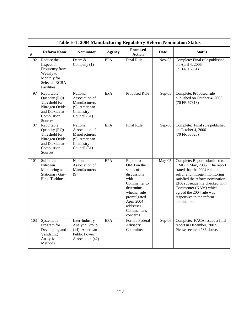|     |                                                                                                              | Table E-1: 2004 Manufacturing Regulatory Reform Nomination Status                                |               |                                                                                                                                                                               |             |                                                                                                                                                                                                                                                                                                      |
|-----|--------------------------------------------------------------------------------------------------------------|--------------------------------------------------------------------------------------------------|---------------|-------------------------------------------------------------------------------------------------------------------------------------------------------------------------------|-------------|------------------------------------------------------------------------------------------------------------------------------------------------------------------------------------------------------------------------------------------------------------------------------------------------------|
| #   | <b>Reform Name</b>                                                                                           | <b>Nominator</b>                                                                                 | <b>Agency</b> | <b>Promised</b><br><b>Action</b>                                                                                                                                              | <b>Date</b> | <b>Status</b>                                                                                                                                                                                                                                                                                        |
| 92  | Reduce the<br>Inspection<br>Frequency from<br>Weekly to<br>Monthly for<br><b>Selected RCRA</b><br>Facilities | Deere &<br>Company (1)                                                                           | <b>EPA</b>    | <b>Final Rule</b>                                                                                                                                                             | $Nov-05$    | Complete: Final rule published<br>on April 4, 2006<br>(71 FR 16861)                                                                                                                                                                                                                                  |
| 97  | Reportable<br>Quantity (RQ)<br>Threshold for<br>Nitrogen Oxide<br>and Dioxide at<br>Combustion<br>Sources    | National<br>Association of<br>Manufacturers<br>(9); American<br>Chemistry<br>Council (31)        | <b>EPA</b>    | Proposed Rule                                                                                                                                                                 | $Sep-05$    | Complete: Proposed rule<br>published on October 4, 2005<br>(70 FR 57813)                                                                                                                                                                                                                             |
| 97  | Reportable<br>Quantity (RQ)<br>Threshold for<br>Nitrogen Oxide<br>and Dioxide at<br>Combustion<br>Sources    | National<br>Association of<br>Manufacturers<br>$(9)$ ; American<br>Chemistry<br>Council (31)     | <b>EPA</b>    | <b>Final Rule</b>                                                                                                                                                             | $Sep-06$    | Complete: Final rule published<br>on October 4, 2006<br>(70 FR 58525)                                                                                                                                                                                                                                |
| 101 | Sulfur and<br>Nitrogen<br>Monitoring at<br><b>Stationary Gas-</b><br><b>Fired Turbines</b>                   | National<br>Association of<br>Manufacturers<br>(9)                                               | <b>EPA</b>    | Report to<br>OMB on the<br>status of<br>discussions<br>with<br>Commenter to<br>determine<br>whether rule<br>promulgated<br>April 2004<br>addresses<br>Commenter's<br>concerns | May-05      | Complete: Report submitted to<br>OMB in May, 2005. The report<br>stated that the 2004 rule on<br>sulfur and nitrogen monitoring<br>satisfied the reform nomination.<br>EPA subsequently checked with<br>Commenter (NAM) which<br>agreed the 2004 rule was<br>responsive to the reform<br>nomination. |
| 103 | Systematic<br>Program for<br>Developing and<br>Validating<br>Analytic<br>Methods                             | Inter-Industry<br>Analytic Group<br>$(14)$ ; American<br><b>Public Power</b><br>Association (42) | <b>EPA</b>    | Form a Federal<br>Advisory<br>Committee                                                                                                                                       | $Sep-06$    | Complete: FACA issued a final<br>report in December, 2007.<br>Please see item #86 above.                                                                                                                                                                                                             |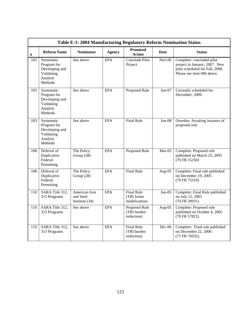|      |                                                                                  | Table E-1: 2004 Manufacturing Regulatory Reform Nomination Status |               |                                                  |             |                                                                                                                             |
|------|----------------------------------------------------------------------------------|-------------------------------------------------------------------|---------------|--------------------------------------------------|-------------|-----------------------------------------------------------------------------------------------------------------------------|
| $\#$ | <b>Reform Name</b>                                                               | <b>Nominator</b>                                                  | <b>Agency</b> | <b>Promised</b><br><b>Action</b>                 | <b>Date</b> | <b>Status</b>                                                                                                               |
| 103  | Systematic<br>Program for<br>Developing and<br>Validating<br>Analytic<br>Methods | See above                                                         | <b>EPA</b>    | Conclude Pilot<br>Project                        | $Nov-06$    | Complete: concluded pilot<br>project in January, 2007. New<br>pilot scheduled for Fall, 2008.<br>Please see item #86 above. |
| 103  | Systematic<br>Program for<br>Developing and<br>Validating<br>Analytic<br>Methods | See above                                                         | <b>EPA</b>    | Proposed Rule                                    | $Jun-07$    | Currently scheduled for<br>December, 2009.                                                                                  |
| 103  | Systematic<br>Program for<br>Developing and<br>Validating<br>Analytic<br>Methods | See above                                                         | <b>EPA</b>    | <b>Final Rule</b>                                | $Jun-08$    | Overdue: Awaiting issuance of<br>proposed rule.                                                                             |
| 108  | Deferral of<br>Duplicative<br>Federal<br>Permitting                              | The Policy<br>Group (28)                                          | <b>EPA</b>    | Proposed Rule                                    | $Mar-05$    | Complete: Proposed rule<br>published on March 25, 2005<br>(70 FR 15250)                                                     |
| 108  | Deferral of<br>Duplicative<br>Federal<br>Permitting                              | The Policy<br>Group (28)                                          | <b>EPA</b>    | <b>Final Rule</b>                                | Aug-05      | Complete: Final rule published<br>on December 19, 2005<br>(70 FR 75319)                                                     |
| 110  | SARA Title 312,<br>313 Programs                                                  | American Iron<br>and Steel<br>Institute $(34)$                    | EPA           | <b>Final Rule</b><br>(TRI forms<br>modification) | $Jun-05$    | Complete: Final Rule published<br>on July 12, 2005<br>(70 FR 39931)                                                         |
| 110  | SARA Title 312,<br>313 Programs                                                  | See above                                                         | <b>EPA</b>    | Proposed Rule<br>(TRI burden<br>reduction)       | Aug-05      | Complete: Proposed rule<br>published on October 4, 2005<br>(70 FR 57822)                                                    |
| 110  | SARA Title 312,<br>313 Programs                                                  | See above                                                         | <b>EPA</b>    | <b>Final Rule</b><br>(TRI burden<br>reduction)   | Dec-06      | Complete: Final rule published<br>on December 22, 2006<br>(71 FR 76932).                                                    |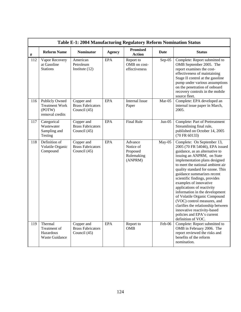|      |                                                                      | Table E-1: 2004 Manufacturing Regulatory Reform Nomination Status |               |                                                           |             |                                                                                                                                                                                                                                                                                                                                                                                                                                                                                                                                                                                        |
|------|----------------------------------------------------------------------|-------------------------------------------------------------------|---------------|-----------------------------------------------------------|-------------|----------------------------------------------------------------------------------------------------------------------------------------------------------------------------------------------------------------------------------------------------------------------------------------------------------------------------------------------------------------------------------------------------------------------------------------------------------------------------------------------------------------------------------------------------------------------------------------|
| $\#$ | <b>Reform Name</b>                                                   | <b>Nominator</b>                                                  | <b>Agency</b> | <b>Promised</b><br><b>Action</b>                          | <b>Date</b> | <b>Status</b>                                                                                                                                                                                                                                                                                                                                                                                                                                                                                                                                                                          |
| 112  | Vapor Recovery<br>at Gasoline<br><b>Stations</b>                     | American<br>Petroleum<br>Institute $(12)$                         | <b>EPA</b>    | Report to<br>OMB on cost-<br>effectiveness                | $Sep-05$    | Complete: Report submitted to<br>OMB September 2005. The<br>report examines the cost-<br>effectiveness of maintaining<br>Stage II control at the gasoline<br>pump under various assumptions<br>on the penetration of onboard<br>recovery controls in the mobile<br>source fleet.                                                                                                                                                                                                                                                                                                       |
| 116  | Publicly Owned<br><b>Treatment Work</b><br>(POTW)<br>removal credits | Copper and<br><b>Brass Fabricators</b><br>Council (45)            | <b>EPA</b>    | <b>Internal Issue</b><br>Paper                            | Mar-05      | Complete: EPA developed an<br>internal issue paper in March,<br>2005.                                                                                                                                                                                                                                                                                                                                                                                                                                                                                                                  |
| 117  | Categorical<br>Wastewater<br>Sampling and<br>Testing                 | Copper and<br><b>Brass Fabricators</b><br>Council (45)            | <b>EPA</b>    | <b>Final Rule</b>                                         | $Jun-05$    | Complete: Part of Pretreatment<br>Streamlining final rule,<br>published on October 14, 2005<br>(70 FR 60133)                                                                                                                                                                                                                                                                                                                                                                                                                                                                           |
| 118  | Definition of<br>Volatile Organic<br>Compound                        | Copper and<br><b>Brass Fabricators</b><br>Council (45)            | <b>EPA</b>    | Advance<br>Notice of<br>Proposed<br>Rulemaking<br>(ANPRM) | May-05      | Complete: On September 13,<br>2005 (70 FR 54046), EPA issued<br>guidance, as an alternative to<br>issuing an ANPRM, on State<br>implementation plans designed<br>to meet the national ambient air<br>quality standard for ozone. This<br>guidance summarizes recent<br>scientific findings, provides<br>examples of innovative<br>applications of reactivity<br>information in the development<br>of Volatile Organic Compound<br>(VOC) control measures, and<br>clarifies the relationship between<br>innovative reactivity-based<br>policies and EPA's current<br>definition of VOC. |
| 119  | Thermal<br>Treatment of<br>Hazardous<br><b>Waste Guidance</b>        | Copper and<br><b>Brass Fabricators</b><br>Council $(45)$          | <b>EPA</b>    | Report to<br><b>OMB</b>                                   | Feb-06      | Complete: Report submitted to<br>OMB in February 2006. The<br>report reviewed the risks and<br>benefits of the reform<br>nomination.                                                                                                                                                                                                                                                                                                                                                                                                                                                   |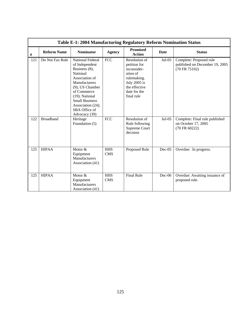|      |                    | Table E-1: 2004 Manufacturing Regulatory Reform Nomination Status                                                                                                                                                                               |                          |                                                                                                                                        |             |                                                                            |
|------|--------------------|-------------------------------------------------------------------------------------------------------------------------------------------------------------------------------------------------------------------------------------------------|--------------------------|----------------------------------------------------------------------------------------------------------------------------------------|-------------|----------------------------------------------------------------------------|
| $\#$ | <b>Reform Name</b> | <b>Nominator</b>                                                                                                                                                                                                                                | <b>Agency</b>            | <b>Promised</b><br><b>Action</b>                                                                                                       | <b>Date</b> | <b>Status</b>                                                              |
| 121  | Do Not Fax Rule    | National Federal<br>of Independent<br>Business $(8)$ ;<br>National<br>Association of<br>Manufacturers<br>$(9)$ ; US Chamber<br>of Commerce<br>$(19)$ ; National<br><b>Small Business</b><br>Association (24);<br>SBA Office of<br>Advocacy (39) | <b>FCC</b>               | Resolution of<br>petition for<br>reconsider-<br>ation of<br>rulemaking.<br>July 2005 is<br>the effective<br>date for the<br>final rule | $Jul-05$    | Complete: Proposed rule<br>published on December 19, 2005<br>(70 FR 75102) |
| 122  | <b>Broadband</b>   | Heritage<br>Foundation (5)                                                                                                                                                                                                                      | $\overline{FCC}$         | Resolution of<br>Rule following<br>Supreme Court<br>decision                                                                           | Jul-05      | Complete: Final rule published<br>on October 17, 2005<br>(70 FR 60222)     |
| 125  | <b>HIPAA</b>       | Motor &<br>Equipment<br>Manufacturers<br>Association (41)                                                                                                                                                                                       | <b>HHS</b><br><b>CMS</b> | Proposed Rule                                                                                                                          | $Dec-05$    | Overdue: In progress.                                                      |
| 125  | <b>HIPAA</b>       | Motor &<br>Equipment<br>Manufacturers<br>Association (41)                                                                                                                                                                                       | <b>HHS</b><br><b>CMS</b> | <b>Final Rule</b>                                                                                                                      | $Dec-06$    | Overdue: Awaiting issuance of<br>proposed rule.                            |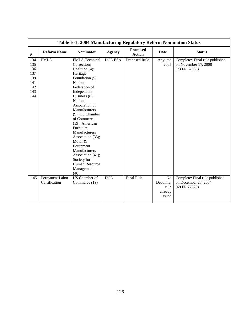|      | Table E-1: 2004 Manufacturing Regulatory Reform Nomination Status |                       |                |                                  |           |                                |  |  |  |
|------|-------------------------------------------------------------------|-----------------------|----------------|----------------------------------|-----------|--------------------------------|--|--|--|
| $\#$ | <b>Reform Name</b>                                                | <b>Nominator</b>      | <b>Agency</b>  | <b>Promised</b><br><b>Action</b> | Date      | <b>Status</b>                  |  |  |  |
| 134  | <b>FMLA</b>                                                       | <b>FMLA</b> Technical | <b>DOL ESA</b> | Proposed Rule                    | Anytime   | Complete: Final rule published |  |  |  |
| 135  |                                                                   | Corrections           |                |                                  | 2005      | on November 17, 2008           |  |  |  |
| 136  |                                                                   | Coalition (4);        |                |                                  |           | (73 FR 67933)                  |  |  |  |
| 137  |                                                                   | Heritage              |                |                                  |           |                                |  |  |  |
| 139  |                                                                   | Foundation (5);       |                |                                  |           |                                |  |  |  |
| 141  |                                                                   | National              |                |                                  |           |                                |  |  |  |
| 142  |                                                                   | Federation of         |                |                                  |           |                                |  |  |  |
| 143  |                                                                   | Independent           |                |                                  |           |                                |  |  |  |
| 144  |                                                                   | Business (8);         |                |                                  |           |                                |  |  |  |
|      |                                                                   | National              |                |                                  |           |                                |  |  |  |
|      |                                                                   | Association of        |                |                                  |           |                                |  |  |  |
|      |                                                                   | Manufacturers         |                |                                  |           |                                |  |  |  |
|      |                                                                   | $(9)$ ; US Chamber    |                |                                  |           |                                |  |  |  |
|      |                                                                   | of Commerce           |                |                                  |           |                                |  |  |  |
|      |                                                                   | $(19)$ ; American     |                |                                  |           |                                |  |  |  |
|      |                                                                   | Furniture             |                |                                  |           |                                |  |  |  |
|      |                                                                   | Manufacturers         |                |                                  |           |                                |  |  |  |
|      |                                                                   | Association (35);     |                |                                  |           |                                |  |  |  |
|      |                                                                   | Motor &               |                |                                  |           |                                |  |  |  |
|      |                                                                   | Equipment             |                |                                  |           |                                |  |  |  |
|      |                                                                   | Manufacturers         |                |                                  |           |                                |  |  |  |
|      |                                                                   | Association (41);     |                |                                  |           |                                |  |  |  |
|      |                                                                   | Society for           |                |                                  |           |                                |  |  |  |
|      |                                                                   | Human Resource        |                |                                  |           |                                |  |  |  |
|      |                                                                   | Management            |                |                                  |           |                                |  |  |  |
|      |                                                                   | (46)                  |                |                                  |           |                                |  |  |  |
| 145  | Permanent Labor                                                   | <b>US</b> Chamber of  | <b>DOL</b>     | <b>Final Rule</b>                | No        | Complete: Final rule published |  |  |  |
|      | Certification                                                     | Commerce (19)         |                |                                  | Deadline; | on December 27, 2004           |  |  |  |
|      |                                                                   |                       |                |                                  | rule      | (69 FR 77325)                  |  |  |  |
|      |                                                                   |                       |                |                                  | already   |                                |  |  |  |
|      |                                                                   |                       |                |                                  | issued    |                                |  |  |  |
|      |                                                                   |                       |                |                                  |           |                                |  |  |  |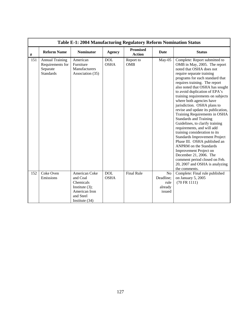|      | Table E-1: 2004 Manufacturing Regulatory Reform Nomination Status          |                                                                                                               |                           |                                  |                                                          |                                                                                                                                                                                                                                                                                                                                                                                                                                                                                                                                                                                                                                                                                                                                                                                                                    |  |  |  |  |
|------|----------------------------------------------------------------------------|---------------------------------------------------------------------------------------------------------------|---------------------------|----------------------------------|----------------------------------------------------------|--------------------------------------------------------------------------------------------------------------------------------------------------------------------------------------------------------------------------------------------------------------------------------------------------------------------------------------------------------------------------------------------------------------------------------------------------------------------------------------------------------------------------------------------------------------------------------------------------------------------------------------------------------------------------------------------------------------------------------------------------------------------------------------------------------------------|--|--|--|--|
| $\#$ | <b>Reform Name</b>                                                         | <b>Nominator</b>                                                                                              | <b>Agency</b>             | <b>Promised</b><br><b>Action</b> | Date                                                     | <b>Status</b>                                                                                                                                                                                                                                                                                                                                                                                                                                                                                                                                                                                                                                                                                                                                                                                                      |  |  |  |  |
| 151  | <b>Annual Training</b><br>Requirements for<br>Separate<br><b>Standards</b> | American<br>Furniture<br>Manufacturers<br>Association (35)                                                    | <b>DOL</b><br><b>OSHA</b> | Report to<br><b>OMB</b>          | May-05                                                   | Complete: Report submitted to<br>OMB in May, 2005. The report<br>noted that OSHA does not<br>require separate training<br>programs for each standard that<br>requires training. The report<br>also noted that OSHA has sought<br>to avoid duplication of EPA's<br>training requirements on subjects<br>where both agencies have<br>jurisdiction. OSHA plans to<br>revise and update its publication,<br>Training Requirements in OSHA<br><b>Standards and Training</b><br>Guidelines, to clarify training<br>requirements, and will add<br>training consideration to its<br>Standards Improvement Project<br>Phase III. OSHA published an<br><b>ANPRM</b> on the Standards<br>Improvement Project on<br>December 21, 2006. The<br>comment period closed on Feb.<br>20, 2007 and OSHA is analyzing<br>the comments. |  |  |  |  |
| 152  | Coke Oven<br>Emissions                                                     | American Coke<br>and Coal<br>Chemicals<br>Institute $(3)$ ;<br>American Iron<br>and Steel<br>Institute $(34)$ | <b>DOL</b><br><b>OSHA</b> | <b>Final Rule</b>                | N <sub>o</sub><br>Deadline;<br>rule<br>already<br>issued | Complete: Final rule published<br>on January 5, 2005<br>(70 FR 1111)                                                                                                                                                                                                                                                                                                                                                                                                                                                                                                                                                                                                                                                                                                                                               |  |  |  |  |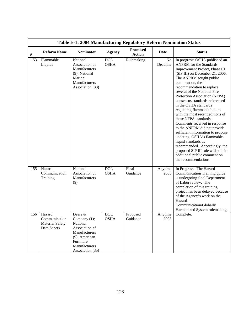|      |                                                                  | Table E-1: 2004 Manufacturing Regulatory Reform Nomination Status                                                                            |                           |                                  |                 |                                                                                                                                                                                                                                                                                                                                                                                                                                                                                                                                                                                                                                                                                                                                     |
|------|------------------------------------------------------------------|----------------------------------------------------------------------------------------------------------------------------------------------|---------------------------|----------------------------------|-----------------|-------------------------------------------------------------------------------------------------------------------------------------------------------------------------------------------------------------------------------------------------------------------------------------------------------------------------------------------------------------------------------------------------------------------------------------------------------------------------------------------------------------------------------------------------------------------------------------------------------------------------------------------------------------------------------------------------------------------------------------|
| $\#$ | <b>Reform Name</b>                                               | <b>Nominator</b>                                                                                                                             | <b>Agency</b>             | <b>Promised</b><br><b>Action</b> | Date            | <b>Status</b>                                                                                                                                                                                                                                                                                                                                                                                                                                                                                                                                                                                                                                                                                                                       |
| 153  | Flammable<br>Liquids                                             | National<br>Association of<br>Manufacturers<br>(9); National<br>Marine<br>Manufacturers<br>Association (38)                                  | <b>DOL</b><br><b>OSHA</b> | Rulemaking                       | No<br>Deadline  | In progress: OSHA published an<br><b>ANPRM</b> for the Standards<br>Improvement Project, Phase III<br>(SIP III) on December 21, 2006.<br>The ANPRM sought public<br>comment on, the<br>recommendation to replace<br>several of the National Fire<br>Protection Association (NFPA)<br>consensus standards referenced<br>in the OSHA standards<br>regulating flammable liquids<br>with the most recent editions of<br>these NFPA standards.<br>Comments received in response<br>to the ANPRM did not provide<br>sufficient information to propose<br>updating OSHA's flammable-<br>liquid standards as<br>recommended. Accordingly, the<br>proposed SIP III rule will solicit<br>additional public comment on<br>the recommendations. |
| 155  | Hazard<br>Communication<br>Training                              | National<br>Association of<br>Manufacturers<br>(9)                                                                                           | <b>DOL</b><br><b>OSHA</b> | Final<br>Guidance                | Anytime<br>2005 | In Progress: The Hazard<br>Communication Training guide<br>is undergoing final Department<br>of Labor review. The<br>completion of this training<br>project has been delayed because<br>of the Agency's work on the<br>Hazard<br>Communication/Globally<br>Harmonized System rulemaking.                                                                                                                                                                                                                                                                                                                                                                                                                                            |
| 156  | Hazard<br>Communication<br><b>Material Safety</b><br>Data Sheets | Deere &<br>Company $(1)$ ;<br>National<br>Association of<br>Manufacturers<br>(9); American<br>Furniture<br>Manufacturers<br>Association (35) | <b>DOL</b><br><b>OSHA</b> | Proposed<br>Guidance             | Anytime<br>2005 | Complete.                                                                                                                                                                                                                                                                                                                                                                                                                                                                                                                                                                                                                                                                                                                           |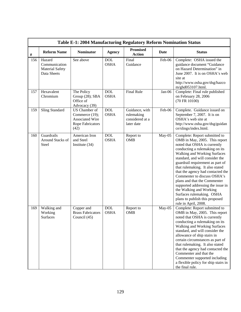|      |                                                                  | Table E-1: 2004 Manufacturing Regulatory Reform Nomination Status                            |                           |                                                               |        |                                                                                                                                                                                                                                                                                                                                                                                                                                                                                                                                       |
|------|------------------------------------------------------------------|----------------------------------------------------------------------------------------------|---------------------------|---------------------------------------------------------------|--------|---------------------------------------------------------------------------------------------------------------------------------------------------------------------------------------------------------------------------------------------------------------------------------------------------------------------------------------------------------------------------------------------------------------------------------------------------------------------------------------------------------------------------------------|
| $\#$ | <b>Reform Name</b>                                               | <b>Nominator</b>                                                                             | <b>Agency</b>             | <b>Promised</b><br><b>Action</b>                              | Date   | <b>Status</b>                                                                                                                                                                                                                                                                                                                                                                                                                                                                                                                         |
| 156  | Hazard<br>Communication<br><b>Material Safety</b><br>Data Sheets | See above                                                                                    | <b>DOL</b><br><b>OSHA</b> | Final<br>Guidance                                             | Feb-06 | Complete: OSHA issued the<br>guidance document "Guidance<br>on Hazard Determination" in<br>June 2007. It is on OSHA's web<br>site at<br>http://www.osha.gov/dsg/hazco<br>m/ghd053107.html.                                                                                                                                                                                                                                                                                                                                            |
| 157  | Hexavalent<br>Chromium                                           | The Policy<br>Group (28); SBA<br>Office of<br>Advocacy (39)                                  | <b>DOL</b><br><b>OSHA</b> | <b>Final Rule</b>                                             | Jan-06 | Complete: Final rule published<br>on February 28, 2006<br>(70 FR 10100)                                                                                                                                                                                                                                                                                                                                                                                                                                                               |
| 159  | <b>Sling Standard</b>                                            | US Chamber of<br>Commerce (19);<br><b>Associated Wire</b><br><b>Rope Fabricators</b><br>(42) | <b>DOL</b><br><b>OSHA</b> | Guidance, with<br>rulemaking<br>considered at a<br>later date | Feb-06 | Complete. Guidance issued on<br>September 7, 2007. It is on<br>OSHA's web site at<br>http://www.osha.gov/dsg/guidan<br>ce/slings/index.html.                                                                                                                                                                                                                                                                                                                                                                                          |
| 160  | Guardrails<br>Around Stacks of<br>Steel                          | American Iron<br>and Steel<br>Institute $(34)$                                               | <b>DOL</b><br><b>OSHA</b> | Report to<br><b>OMB</b>                                       | May-05 | Complete: Report submitted to<br>OMB in May, 2005. This report<br>noted that OSHA is currently<br>conducting a rulemaking on its<br>Walking and Working Surfaces<br>standard, and will consider the<br>guardrail requirement as part of<br>that rulemaking. It also stated<br>that the agency had contacted the<br>Commenter to discuss OSHA's<br>plans and that the Commenter<br>supported addressing the issue in<br>the Walking and Working<br>Surfaces rulemaking. OSHA<br>plans to publish this proposed<br>rule in April, 2008. |
| 169  | Walking and<br>Working<br><b>Surfaces</b>                        | Copper and<br><b>Brass Fabricators</b><br>Council (45)                                       | <b>DOL</b><br><b>OSHA</b> | Report to<br><b>OMB</b>                                       | May-05 | Complete: Report submitted to<br>OMB in May, 2005. This report<br>noted that OSHA is currently<br>conducting a rulemaking on its<br>Walking and Working Surfaces<br>standard, and will consider the<br>allowance of ship stairs in<br>certain circumstances as part of<br>that rulemaking. It also stated<br>that the agency had contacted the<br>Commenter and that the<br>Commenter supported including<br>a flexible policy for ship stairs in<br>the final rule.                                                                  |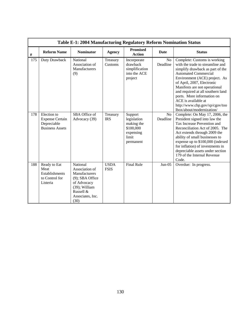|      |                                                                                | Table E-1: 2004 Manufacturing Regulatory Reform Nomination Status                                                                          |                            |                                                                                      |                            |                                                                                                                                                                                                                                                                                                                                                                                              |
|------|--------------------------------------------------------------------------------|--------------------------------------------------------------------------------------------------------------------------------------------|----------------------------|--------------------------------------------------------------------------------------|----------------------------|----------------------------------------------------------------------------------------------------------------------------------------------------------------------------------------------------------------------------------------------------------------------------------------------------------------------------------------------------------------------------------------------|
| $\#$ | <b>Reform Name</b>                                                             | <b>Nominator</b>                                                                                                                           | <b>Agency</b>              | <b>Promised</b><br><b>Action</b>                                                     | <b>Date</b>                | <b>Status</b>                                                                                                                                                                                                                                                                                                                                                                                |
| 175  | Duty Drawback                                                                  | National<br>Association of<br>Manufacturers<br>(9)                                                                                         | Treasury<br>Customs        | Incorporate<br>drawback<br>simplification<br>into the ACE<br>project                 | N <sub>o</sub><br>Deadline | Complete: Customs is working<br>with the trade to streamline and<br>simplify drawback as part of the<br><b>Automated Commercial</b><br>Environment (ACE) project. As<br>of April, 2007, Electronic<br>Manifests are not operational<br>and required at all southern land<br>ports. More information on<br>ACE is available at<br>http://www.cbp.gov/xp/cgov/too<br>lbox/about/modernization/ |
| 178  | Election to<br><b>Expense Certain</b><br>Depreciable<br><b>Business Assets</b> | SBA Office of<br>Advocacy (39)                                                                                                             | Treasury<br><b>IRS</b>     | Support<br>legislation<br>making the<br>\$100,000<br>expensing<br>limit<br>permanent | N <sub>o</sub><br>Deadline | Complete: On May 17, 2006, the<br>President signed into law the<br>Tax Increase Prevention and<br>Reconciliation Act of 2005. The<br>Act extends through 2009 the<br>ability of small businesses to<br>expense up to \$100,000 (indexed<br>for inflation) of investments in<br>depreciable assets under section<br>179 of the Internal Revenue<br>Code.                                      |
| 188  | Ready to Eat<br>Meat<br><b>Establishments</b><br>to Control for<br>Listeria    | National<br>Association of<br>Manufacturers<br>$(9)$ ; SBA Office<br>of Advocacy<br>(39); William<br>Russell &<br>Associates, Inc.<br>(30) | <b>USDA</b><br><b>FSIS</b> | <b>Final Rule</b>                                                                    | $Jun-05$                   | Overdue: In progress.                                                                                                                                                                                                                                                                                                                                                                        |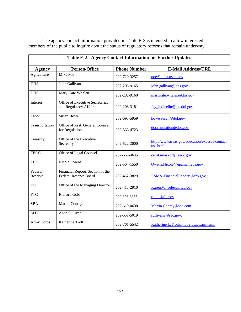| The agency contact information provided in Table E-2 is intended to allow interested          |  |
|-----------------------------------------------------------------------------------------------|--|
| members of the public to inquire about the status of regulatory reforms that remain underway. |  |

| Table E-2: Agency Contact Information for Further Updates |                                                                  |                     |                                                             |
|-----------------------------------------------------------|------------------------------------------------------------------|---------------------|-------------------------------------------------------------|
| <b>Agency</b>                                             | <b>Person/Office</b>                                             | <b>Phone Number</b> | <b>E-Mail Address/URL</b>                                   |
| Agriculture                                               | Mike Poe                                                         | 202-720-3257        | poe@opba.usda.gov                                           |
| <b>HHS</b>                                                | John Gallivan                                                    | 202-205-9165        | john.gallivan@hhs.gov                                       |
| <b>DHS</b>                                                | Mary Kate Whalen                                                 | 202-282-9160        | marykate.whalen@dhs.gov                                     |
| Interior                                                  | Office of Executive Secretariat<br>and Regulatory Affairs        | 202-208-3181        | fay iudicello@ios.doi.gov                                   |
| Labor                                                     | <b>Susan Howe</b>                                                | 202-693-5959        | howe.susan@dol.gov                                          |
| Transportation                                            | Office of Asst. General Counsel<br>for Regulation                | 202-366-4723        | dot.regulation@dot.gov                                      |
| Treasury                                                  | Office of the Executive<br>Secretary                             | 202-622-2000        | http://www.treas.gov/education/execsec/contact-<br>us.shtml |
| <b>EEOC</b>                                               | Office of Legal Counsel                                          | 202-663-4645        | carol.miaskoff@eeoc.gov                                     |
| <b>EPA</b>                                                | Nicole Owens                                                     | 202-564-1550        | Owens.Nicole@epamail.epa.gov                                |
| Federal<br>Reserve                                        | Financial Reports Section of the<br><b>Federal Reserve Board</b> | 202-452-3829        | RSMA-FinancialReports@frb.gov                               |
| <b>FCC</b>                                                | Office of the Managing Director                                  | 202-418-2910        | Karen. Wheeless@fcc.gov                                     |
| <b>FTC</b>                                                | <b>Richard Gold</b>                                              | 202 326-3355        | rgold@ftc.gov                                               |
| <b>SBA</b>                                                | Martin Conrey                                                    | 202-619-0638        | Martin.Conrey@sba.com                                       |
| <b>SEC</b>                                                | Anne Sullivan                                                    | 202-551-5019        | sullivana@sec.gov.                                          |
| Army Corps                                                | Katherine Trott                                                  | 202-761-5542        | Katherine.L.Trott@hq02.usace.army.mil                       |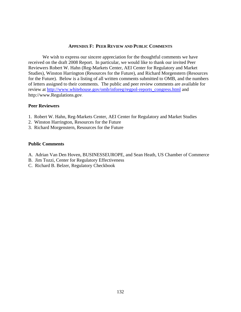## **APPENDIX F: PEER REVIEW AND PUBLIC COMMENTS**

We wish to express our sincere appreciation for the thoughtful comments we have received on the draft 2008 Report. In particular, we would like to thank our invited Peer Reviewers Robert W. Hahn (Reg-Markets Center, AEI Center for Regulatory and Market Studies), Winston Harrington (Resources for the Future), and Richard Morgenstern (Resources for the Future). Below is a listing of all written comments submitted to OMB, and the numbers of letters assigned to their comments. The public and peer review comments are available for review at [http://www.whitehouse.gov/omb/inforeg/regpol-reports\\_congress.html](http://www.whitehouse.gov/omb/inforeg/regpol-reports_congress.html) and http://www.Regulations.gov.

## **Peer Reviewers**

- 1. Robert W. Hahn, Reg-Markets Center, AEI Center for Regulatory and Market Studies
- 2. Winston Harrington, Resources for the Future
- 3. Richard Morgenstern, Resources for the Future

## **Public Comments**

- A. Adrian Van Den Hoven, BUSINESSEUROPE, and Sean Heath, US Chamber of Commerce
- B. Jim Tozzi, Center for Regulatory Effectiveness
- C. Richard B. Belzer, Regulatory Checkbook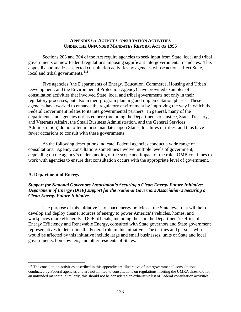#### **APPENDIX G: AGENCY CONSULTATION ACTIVITIES UNDER THE UNFUNDED MANDATES REFORM ACT OF 1995**

<span id="page-137-0"></span> Sections 203 and 204 of the Act require agencies to seek input from State, local and tribal governments on new Federal regulations imposing significant intergovernmental mandates. This appendix summarizes selected consultation activities by agencies whose actions affect State, local and tribal governments.<sup>[111](#page-137-0)</sup>

 Five agencies (the Departments of Energy, Education, Commerce, Housing and Urban Development, and the Environmental Protection Agency) have provided examples of consultation activities that involved State, local and tribal governments not only in their regulatory processes, but also in their program planning and implementation phases. These agencies have worked to enhance the regulatory environment by improving the way in which the Federal Government relates to its intergovernmental partners. In general, many of the departments and agencies not listed here (including the Departments of Justice, State, Treasury, and Veterans Affairs, the Small Business Administration, and the General Services Administration) do not often impose mandates upon States, localities or tribes, and thus have fewer occasions to consult with these governments.

 As the following descriptions indicate, Federal agencies conduct a wide range of consultations. Agency consultations sometimes involve multiple levels of government, depending on the agency's understanding of the scope and impact of the rule. OMB continues to work with agencies to ensure that consultation occurs with the appropriate level of government.

## **A. Department of Energy**

 $\overline{a}$ 

# *Support for National Governors Association's Securing a Clean Energy Future Initiative: Department of Energy (DOE) support for the National Governors Association's Securing a Clean Energy Future Initiative.*

The purpose of this initiative is to enact energy policies at the State level that will help develop and deploy cleaner sources of energy to power America's vehicles, homes, and workplaces more efficiently. DOE officials, including those in the Department's Office of Energy Efficiency and Renewable Energy, consulted with State governors and State government representatives to determine the Federal role in this initiative. The entities and persons who would be affected by this initiative include large and small businesses, units of State and local governments, homeowners, and other residents of States.

 $111$  The consultation activities described in this appendix are illustrative of intergovernmental consultations conducted by Federal agencies and are not limited to consultations on regulations meeting the UMRA threshold for an unfunded mandate. Similarly, this should not be considered an exhaustive list of Federal consultation activities.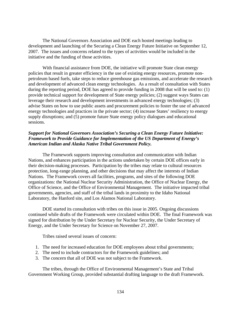The National Governors Association and DOE each hosted meetings leading to development and launching of the Securing a Clean Energy Future Initiative on September 12, 2007. The issues and concerns related to the types of activities would be included in the initiative and the funding of those activities.

 With financial assistance from DOE, the initiative will promote State clean energy policies that result in greater efficiency in the use of existing energy resources, promote nonpetroleum based fuels, take steps to reduce greenhouse gas emissions, and accelerate the research and development of advanced clean energy technologies. As a result of consultation with States during the reporting period, DOE has agreed to provide funding in 2008 that will be used to: (1) provide technical support for development of State energy policies; (2) suggest ways States can leverage their research and development investments in advanced energy technologies; (3) advise States on how to use public assets and procurement policies to foster the use of advanced energy technologies and practices in the private sector; (4) increase States' resiliency to energy supply disruptions; and (5) promote future State energy policy dialogues and educational sessions.

# *Support for National Governors Association's Securing a Clean Energy Future Initiative: Framework to Provide Guidance for Implementation of the US Department of Energy's American Indian and Alaska Native Tribal Government Policy.*

 The Framework supports improving consultation and communication with Indian Nations, and enhances participation in the actions undertaken by certain DOE offices early in their decision-making processes. Participation by the tribes may relate to cultural resources protection, long-range planning, and other decisions that may affect the interests of Indian Nations. The Framework covers all facilities, programs, and sites of the following DOE organizations: the National Nuclear Security Administration, the Office of Nuclear Energy, the Office of Science, and the Office of Environmental Management. The initiative impacted tribal governments, agencies, and staff of the tribal lands in proximity to the Idaho National Laboratory, the Hanford site, and Los Alamos National Laboratory.

 DOE started its consultation with tribes on this issue in 2005. Ongoing discussions continued while drafts of the Framework were circulated within DOE. The final Framework was signed for distribution by the Under Secretary for Nuclear Security, the Under Secretary of Energy, and the Under Secretary for Science on November 27, 2007.

Tribes raised several issues of concern:

- 1. The need for increased education for DOE employees about tribal governments;
- 2. The need to include contractors for the Framework guidelines; and
- 3. The concern that all of DOE was not subject to the Framework.

 The tribes, through the Office of Environmental Management's State and Tribal Government Working Group, provided substantial drafting language to the draft Framework.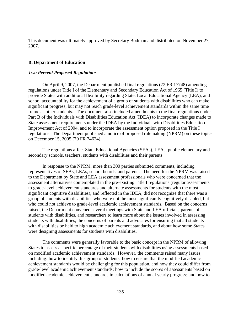This document was ultimately approved by Secretary Bodman and distributed on November 27, 2007.

# **B. Department of Education**

## *Two Percent Proposed Regulations*

On April 9, 2007, the Department published final regulations (72 FR 17748) amending regulations under Title I of the Elementary and Secondary Education Act of 1965 (Title I) to provide States with additional flexibility regarding State, Local Educational Agency (LEA), and school accountability for the achievement of a group of students with disabilities who can make significant progress, but may not reach grade-level achievement standards within the same time frame as other students. The document also included amendments to the final regulations under Part B of the Individuals with Disabilities Education Act (IDEA) to incorporate changes made to State assessment requirements under the IDEA by the Individuals with Disabilities Education Improvement Act of 2004, and to incorporate the assessment option proposed in the Title I regulations. The Department published a notice of proposed rulemaking (NPRM) on these topics on December 15, 2005 (70 FR 74624).

 The regulations affect State Educational Agencies (SEAs), LEAs, public elementary and secondary schools, teachers, students with disabilities and their parents.

 In response to the NPRM, more than 300 parties submitted comments, including representatives of SEAs, LEAs, school boards, and parents. The need for the NPRM was raised to the Department by State and LEA assessment professionals who were concerned that the assessment alternatives contemplated in the pre-existing Title I regulations (regular assessments to grade-level achievement standards and alternate assessments for students with the most significant cognitive disabilities), and reflected in the IDEA, did not recognize that there was a group of students with disabilities who were not the most significantly cognitively disabled, but who could not achieve to grade-level academic achievement standards. Based on the concerns raised, the Department convened several meetings with State and LEA officials, parents of students with disabilities, and researchers to learn more about the issues involved in assessing students with disabilities, the concerns of parents and advocates for ensuring that all students with disabilities be held to high academic achievement standards, and about how some States were designing assessments for students with disabilities.

 The comments were generally favorable to the basic concept in the NPRM of allowing States to assess a specific percentage of their students with disabilities using assessments based on modified academic achievement standards. However, the comments raised many issues, including: how to identify this group of students; how to ensure that the modified academic achievement standards would be challenging for this population, and how they could differ from grade-level academic achievement standards; how to include the scores of assessments based on modified academic achievement standards in calculations of annual yearly progress; and how to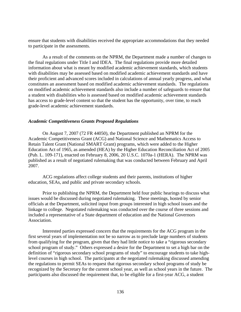ensure that students with disabilities received the appropriate accommodations that they needed to participate in the assessments.

 As a result of the comments on the NPRM, the Department made a number of changes to the final regulations under Title I and IDEA. The final regulations provide more detailed information about what is meant by modified academic achievement standards, which students with disabilities may be assessed based on modified academic achievement standards and have their proficient and advanced scores included in calculations of annual yearly progress, and what constitutes an assessment based on modified academic achievement standards. The regulations on modified academic achievement standards also include a number of safeguards to ensure that a student with disabilities who is assessed based on modified academic achievement standards has access to grade-level content so that the student has the opportunity, over time, to reach grade-level academic achievement standards.

## *Academic Competitiveness Grants Proposed Regulations*

 On August 7, 2007 (72 FR 44050), the Department published an NPRM for the Academic Competitiveness Grant (ACG) and National Science and Mathematics Access to Retain Talent Grant (National SMART Grant) programs, which were added to the Higher Education Act of 1965, as amended (HEA) by the Higher Education Reconciliation Act of 2005 (Pub. L. 109-171), enacted on February 8, 2006, 20 U.S.C. 1070a-1 (HERA). The NPRM was published as a result of negotiated rulemaking that was conducted between February and April 2007.

 ACG regulations affect college students and their parents, institutions of higher education, SEAs, and public and private secondary schools.

 Prior to publishing the NPRM, the Department held four public hearings to discuss what issues would be discussed during negotiated rulemaking. These meetings, hosted by senior officials at the Department, solicited input from groups interested in high school issues and the linkage to college. Negotiated rulemaking was conducted over the course of three sessions and included a representative of a State department of education and the National Governors Association.

 Interested parties expressed concern that the requirements for the ACG program in the first several years of implementation not be so narrow as to preclude large numbers of students from qualifying for the program, given that they had little notice to take a "rigorous secondary school program of study." Others expressed a desire for the Department to set a high bar on the definition of "rigorous secondary school programs of study" to encourage students to take highlevel courses in high school. The participants at the negotiated rulemaking discussed amending the regulations to permit SEAs to request that rigorous secondary school programs of study be recognized by the Secretary for the current school year, as well as school years in the future. The participants also discussed the requirement that, to be eligible for a first-year ACG, a student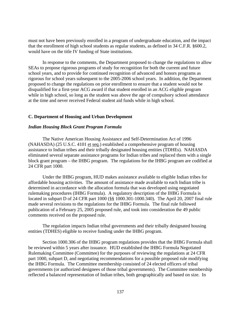must not have been previously enrolled in a program of undergraduate education, and the impact that the enrollment of high school students as regular students, as defined in 34 C.F.R. §600.2, would have on the title IV funding of State institutions.

 In response to the comments, the Department proposed to change the regulations to allow SEAs to propose rigorous programs of study for recognition for both the current and future school years, and to provide for continued recognition of advanced and honors programs as rigorous for school years subsequent to the 2005-2006 school years. In addition, the Department proposed to change the regulations on prior enrollment to ensure that a student would not be disqualified for a first-year ACG award if that student enrolled in an ACG eligible program while in high school, so long as the student was above the age of compulsory school attendance at the time and never received Federal student aid funds while in high school.

## **C. Department of Housing and Urban Development**

## *Indian Housing Block Grant Program Formula*

 The Native American Housing Assistance and Self-Determination Act of 1996 (NAHASDA) (25 U.S.C. 4101 et seq.) established a comprehensive program of housing assistance to Indian tribes and their tribally designated housing entities (TDHEs). NAHASDA eliminated several separate assistance programs for Indian tribes and replaced them with a single block grant program – the IHBG program. The regulations for the IHBG program are codified at 24 CFR part 1000.

Under the IHBG program, HUD makes assistance available to eligible Indian tribes for affordable housing activities. The amount of assistance made available to each Indian tribe is determined in accordance with the allocation formula that was developed using negotiated rulemaking procedures (IHBG Formula). A regulatory description of the IHBG Formula is located in subpart D of 24 CFR part 1000 (§§ 1000.301-1000.340). The April 20, 2007 final rule made several revisions to the regulations for the IHBG Formula. The final rule followed publication of a February 25, 2005 proposed rule, and took into consideration the 49 public comments received on the proposed rule.

The regulation impacts Indian tribal governments and their tribally designated housing entities (TDHES) eligible to receive funding under the IHBG program.

Section 1000.306 of the IHBG program regulations provides that the IHBG Formula shall be reviewed within 5 years after issuance. HUD established the IHBG Formula Negotiated Rulemaking Committee (Committee) for the purposes of reviewing the regulations at 24 CFR part 1000, subpart D, and negotiating recommendations for a possible proposed rule modifying the IHBG Formula. The Committee membership consisted of 24 elected officers of tribal governments (or authorized designees of those tribal governments). The Committee membership reflected a balanced representation of Indian tribes, both geographically and based on size. In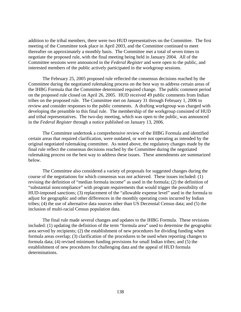addition to the tribal members, there were two HUD representatives on the Committee. The first meeting of the Committee took place in April 2003, and the Committee continued to meet thereafter on approximately a monthly basis. The Committee met a total of seven times to negotiate the proposed rule, with the final meeting being held in January 2004. All of the Committee sessions were announced in the *Federal Register* and were open to the public, and interested members of the public actively participated in the workgroup sessions.

The February 25, 2005 proposed rule reflected the consensus decisions reached by the Committee during the negotiated rulemaking process on the best way to address certain areas of the IHBG Formula that the Committee determined required change. The public comment period on the proposed rule closed on April 26, 2005. HUD received 49 public comments from Indian tribes on the proposed rule. The Committee met on January 31 through February 1, 2006 to review and consider responses to the public comments. A drafting workgroup was charged with developing the preamble to this final rule. The membership of the workgroup consisted of HUD and tribal representatives. The two-day meeting, which was open to the public, was announced in the *Federal Register* through a notice published on January 13, 2006.

The Committee undertook a comprehensive review of the IHBG Formula and identified certain areas that required clarification, were outdated, or were not operating as intended by the original negotiated rulemaking committee. As noted above, the regulatory changes made by the final rule reflect the consensus decisions reached by the Committee during the negotiated rulemaking process on the best way to address these issues. These amendments are summarized below.

The Committee also considered a variety of proposals for suggested changes during the course of the negotiations for which consensus was not achieved. These issues included: (1) revising the definition of "median formula income" as used in the formula; (2) the definition of "substantial noncompliance" with program requirements that would trigger the possibility of HUD-imposed sanctions; (3) replacement of the "allowable expense level" used in the formula to adjust for geographic and other differences in the monthly operating costs incurred by Indian tribes; (4) the use of alternative data sources other than US Decennial Census data; and (5) the inclusion of multi-racial Census population data.

The final rule made several changes and updates to the IHBG Formula. These revisions included: (1) updating the definition of the term "formula area" used to determine the geographic area served by recipients; (2) the establishment of new procedures for dividing funding when formula areas overlap; (3) clarification of the procedures to be used when reporting changes to formula data; (4) revised minimum funding provisions for small Indian tribes; and (5) the establishment of new procedures for challenging data and the appeal of HUD formula determinations.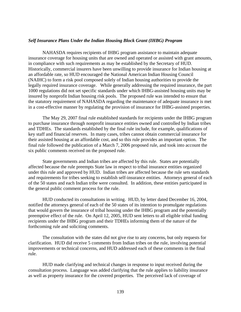## *Self Insurance Plans Under the Indian Housing Block Grant (IHBG) Program*

 NAHASDA requires recipients of IHBG program assistance to maintain adequate insurance coverage for housing units that are owned and operated or assisted with grant amounts, in compliance with such requirements as may be established by the Secretary of HUD. Historically, commercial insurers have been unwilling to provide insurance for Indian housing at an affordable rate, so HUD encouraged the National American Indian Housing Council (NAIHC) to form a risk pool composed solely of Indian housing authorities to provide the legally required insurance coverage. While generally addressing the required insurance, the part 1000 regulations did not set specific standards under which IHBG-assisted housing units may be insured by nonprofit Indian housing risk pools. The proposed rule was intended to ensure that the statutory requirement of NAHASDA regarding the maintenance of adequate insurance is met in a cost-effective manner by regulating the provision of insurance for IHBG-assisted properties.

The May 29, 2007 final rule established standards for recipients under the IHBG program to purchase insurance through nonprofit insurance entities owned and controlled by Indian tribes and TDHEs. The standards established by the final rule include, for example, qualifications of key staff and financial reserves. In many cases, tribes cannot obtain commercial insurance for their assisted housing at an affordable cost, and so this rule provides an important option. The final rule followed the publication of a March 7, 2006 proposed rule, and took into account the six public comments received on the proposed rule.

 State governments and Indian tribes are affected by this rule. States are potentially affected because the rule preempts State law in respect to tribal insurance entities organized under this rule and approved by HUD. Indian tribes are affected because the rule sets standards and requirements for tribes seeking to establish self-insurance entities. Attorneys general of each of the 50 states and each Indian tribe were consulted. In addition, these entities participated in the general public comment process for the rule.

 HUD conducted its consultations in writing. HUD, by letter dated December 16, 2004, notified the attorneys general of each of the 50 states of its intention to promulgate regulations that would govern the insurance of tribal housing under the IHBG program and the potentially preemptive effect of the rule. On April 12, 2005, HUD sent letters to all eligible tribal funding recipients under the IHBG program and their TDHEs informing them of the nature of the forthcoming rule and soliciting comments.

 The consultation with the states did not give rise to any concerns, but only requests for clarification. HUD did receive 5 comments from Indian tribes on the rule, involving potential improvements or technical concerns, and HUD addressed each of these comments in the final rule.

 HUD made clarifying and technical changes in response to input received during the consultation process. Language was added clarifying that the rule applies to liability insurance as well as property insurance for the covered properties. The perceived lack of coverage of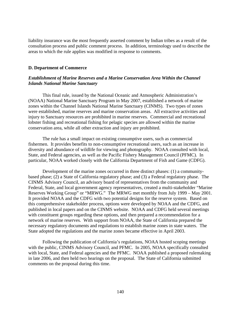liability insurance was the most frequently asserted comment by Indian tribes as a result of the consultation process and public comment process. In addition, terminology used to describe the areas to which the rule applies was modified in response to comments.

#### **D. Department of Commerce**

## *Establishment of Marine Reserves and a Marine Conservation Area Within the Channel Islands National Marine Sanctuary*

 This final rule, issued by the National Oceanic and Atmospheric Administration's (NOAA) National Marine Sanctuary Program in May 2007, established a network of marine zones within the Channel Islands National Marine Sanctuary (CINMS). Two types of zones were established, marine reserves and marine conservation areas. All extractive activities and injury to Sanctuary resources are prohibited in marine reserves. Commercial and recreational lobster fishing and recreational fishing for pelagic species are allowed within the marine conservation area, while all other extraction and injury are prohibited.

 The rule has a small impact on existing consumptive users, such as commercial fishermen. It provides benefits to non-consumptive recreational users, such as an increase in diversity and abundance of wildlife for viewing and photography. NOAA consulted with local, State, and Federal agencies, as well as the Pacific Fishery Management Council (PFMC). In particular, NOAA worked closely with the California Department of Fish and Game (CDFG).

 Development of the marine zones occurred in three distinct phases: (1) a communitybased phase; (2) a State of California regulatory phase; and (3) a Federal regulatory phase. The CINMS Advisory Council, an advisory board of representatives from the community and Federal, State, and local government agency representatives, created a multi-stakeholder "Marine Reserves Working Group" or "MRWG." The MRWG met monthly from July 1999 – May 2001. It provided NOAA and the CDFG with two potential designs for the reserve system. Based on this comprehensive stakeholder process, options were developed by NOAA and the CDFG, and published in local papers and on the CINMS website. NOAA and CDFG held several meetings with constituent groups regarding these options, and then prepared a recommendation for a network of marine reserves. With support from NOAA, the State of California prepared the necessary regulatory documents and regulations to establish marine zones in state waters. The State adopted the regulations and the marine zones became effective in April 2003.

 Following the publication of California's regulations, NOAA hosted scoping meetings with the public, CINMS Advisory Council, and PFMC. In 2005, NOAA specifically consulted with local, State, and Federal agencies and the PFMC. NOAA published a proposed rulemaking in late 2006, and then held two hearings on the proposal. The State of California submitted comments on the proposal during this time.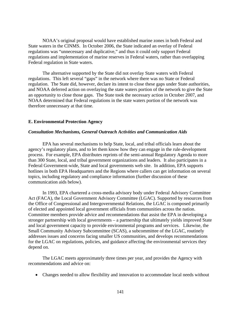NOAA's original proposal would have established marine zones in both Federal and State waters in the CINMS. In October 2006, the State indicated an overlay of Federal regulations was "unnecessary and duplicative," and thus it could only support Federal regulations and implementation of marine reserves in Federal waters, rather than overlapping Federal regulation in State waters.

 The alternative supported by the State did not overlay State waters with Federal regulations. This left several "gaps" in the network where there was no State or Federal regulation. The State did, however, declare its intent to close these gaps under State authorities, and NOAA deferred action on overlaying the state waters portion of the network to give the State an opportunity to close those gaps. The State took the necessary action in October 2007, and NOAA determined that Federal regulations in the state waters portion of the network was therefore unnecessary at that time.

### **E. Environmental Protection Agency**

### *Consultation Mechanisms, General Outreach Activities and Communication Aids*

 EPA has several mechanisms to help State, local, and tribal officials learn about the agency's regulatory plans, and to let them know how they can engage in the rule-development process. For example, EPA distributes reprints of the semi-annual Regulatory Agenda to more than 300 State, local, and tribal government organizations and leaders. It also participates in a Federal Government-wide, State and local governments web site. In addition, EPA supports hotlines in both EPA Headquarters and the Regions where callers can get information on several topics, including regulatory and compliance information (further discussion of these communication aids below).

 In 1993, EPA chartered a cross-media advisory body under Federal Advisory Committee Act (FACA), the Local Government Advisory Committee (LGAC). Supported by resources from the Office of Congressional and Intergovernmental Relations, the LGAC is composed primarily of elected and appointed local government officials from communities across the nation. Committee members provide advice and recommendations that assist the EPA in developing a stronger partnership with local governments – a partnership that ultimately yields improved State and local government capacity to provide environmental programs and services. Likewise, the Small Community Advisory Subcommittee (SCAS), a subcommittee of the LGAC, routinely addresses issues and concerns facing smaller US communities, and develops recommendations for the LGAC on regulations, policies, and guidance affecting the environmental services they depend on.

 The LGAC meets approximately three times per year, and provides the Agency with recommendations and advice on:

• Changes needed to allow flexibility and innovation to accommodate local needs without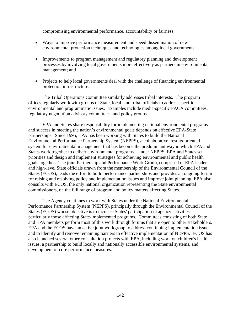compromising environmental performance, accountability or fairness;

- Ways to improve performance measurement and speed dissemination of new environmental protection techniques and technologies among local governments;
- Improvements to program management and regulatory planning and development processes by involving local governments more effectively as partners in environmental management; and
- Projects to help local governments deal with the challenge of financing environmental protection infrastructure.

The Tribal Operations Committee similarly addresses tribal interests. The program offices regularly work with groups of State, local, and tribal officials to address specific environmental and programmatic issues. Examples include media-specific FACA committees, regulatory negotiation advisory committees, and policy groups.

 EPA and States share responsibility for implementing national environmental programs and success in meeting the nation's environmental goals depends on effective EPA-State partnerships. Since 1995, EPA has been working with States to build the National Environmental Performance Partnership System (NEPPS), a collaborative, results-oriented system for environmental management that has become the predominant way in which EPA and States work together to deliver environmental programs. Under NEPPS, EPA and States set priorities and design and implement strategies for achieving environmental and public health goals together. The joint Partnership and Performance Work Group, comprised of EPA leaders and high-level State officials drawn from the membership of the Environmental Council of the States (ECOS), leads the effort to build performance partnerships and provides an ongoing forum for raising and resolving policy and implementation issues and improve joint planning. EPA also consults with ECOS, the only national organization representing the State environmental commissioners, on the full range of program and policy matters affecting States.

 The Agency continues to work with States under the National Environmental Performance Partnership System (NEPPS), principally through the Environmental Council of the States (ECOS) whose objective is to increase States' participation in agency activities, particularly those affecting State-implemented programs. Committees consisting of both State and EPA members perform most of this work through forums that are open to other stakeholders. EPA and the ECOS have an active joint workgroup to address continuing implementation issues and to identify and remove remaining barriers to effective implementation of NEPPS. ECOS has also launched several other consultation projects with EPA, including work on children's health issues, a partnership to build locally and nationally accessible environmental systems, and development of core performance measures.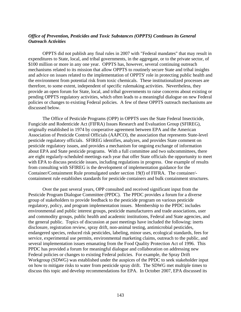## *Office of Prevention, Pesticides and Toxic Substances (OPPTS) Continues its General Outreach Activities*

 OPPTS did not publish any final rules in 2007 with "Federal mandates" that may result in expenditures to State, local, and tribal governments, in the aggregate, or to the private sector, of \$100 million or more in any one year. OPPTS has, however, several continuing outreach mechanisms related to its mission that allow OPPTS to routinely secure State and tribal insights and advice on issues related to the implementation of OPPTS' role in protecting public health and the environment from potential risk from toxic chemicals. These institutionalized processes are therefore, to some extent, independent of specific rulemaking activities. Nevertheless, they provide an open forum for State, local, and tribal governments to raise concerns about existing or pending OPPTS regulatory activities, which often leads to a meaningful dialogue on new Federal policies or changes to existing Federal policies. A few of these OPPTS outreach mechanisms are discussed below.

The Office of Pesticide Programs (OPP) in OPPTS uses the State Federal Insecticide, Fungicide and Rodenticide Act (FIFRA) Issues Research and Evaluation Group (SFIREG), originally established in 1974 by cooperative agreement between EPA and the American Association of Pesticide Control Officials (AAPCO), the association that represents State-level pesticide regulatory officials. SFIREG identifies, analyzes, and provides State comment on pesticide regulatory issues, and provides a mechanism for ongoing exchange of information about EPA and State pesticide programs. With a full committee and two subcommittees, there are eight regularly-scheduled meetings each year that offer State officials the opportunity to meet with EPA to discuss pesticide issues, including regulations in progress. One example of results from consulting with SFIREG is the development of implementation guidance for the Container/Containment Rule promulgated under section 19(f) of FIFRA. The container/ containment rule establishes standards for pesticide containers and bulk containment structures.

Over the past several years, OPP consulted and received significant input from the Pesticide Program Dialogue Committee (PPDC). The PPDC provides a forum for a diverse group of stakeholders to provide feedback to the pesticide program on various pesticide regulatory, policy, and program implementation issues. Membership to the PPDC includes environmental and public interest groups, pesticide manufacturers and trade associations, user and commodity groups, public health and academic institutions, Federal and State agencies, and the general public. Topics of discussion at past meetings have included the following: inerts disclosure, registration review, spray drift, non-animal testing, antimicrobial pesticides, endangered species, reduced risk pesticides, labeling, minor uses, ecological standards, fees for service, experimental use permits, environmental marketing claims, outreach to the public, and several implementation issues emanating from the Food Quality Protection Act of 1996. This PPDC has provided a forum for meaningful dialogue and collaboration on addressing new Federal policies or changes to existing Federal policies. For example, the Spray Drift Workgroup (SDWG) was established under the auspices of the PPDC to seek stakeholder input on how to mitigate risks to water from pesticide spray drift. The SDWG met multiple times to discuss this topic and develop recommendations for EPA. In October 2007, EPA discussed its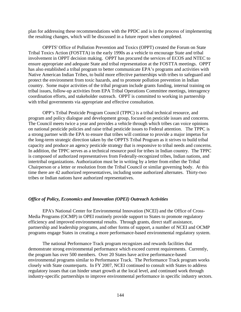plan for addressing these recommendations with the PPDC and is in the process of implementing the resulting changes, which will be discussed in a future report when completed.

 OPPTS' Office of Pollution Prevention and Toxics (OPPT) created the Forum on State Tribal Toxics Action (FOSTTA) in the early 1990s as a vehicle to encourage State and tribal involvement in OPPT decision making. OPPT has procured the services of ECOS and NTEC to ensure appropriate and adequate State and tribal representation at the FOSTTA meetings. OPPT has also established a tribal program to better communicate EPA's programs and activities with Native American Indian Tribes, to build more effective partnerships with tribes to safeguard and protect the environment from toxic hazards, and to promote pollution prevention in Indian country. Some major activities of the tribal program include grants funding, internal training on tribal issues, follow-up activities from EPA Tribal Operations Committee meetings, interagency coordination efforts, and stakeholder outreach. OPPT is committed to working in partnership with tribal governments via appropriate and effective consultation.

OPP's Tribal Pesticide Program Council (TPPC) is a tribal technical resource, and program and policy dialogue and development group, focused on pesticide issues and concerns. The Council meets twice a year and provides a vehicle through which tribes can voice opinions on national pesticide policies and raise tribal pesticide issues to Federal attention. The TPPC is a strong partner with the EPA to ensure that tribes will continue to provide a major impetus for the long-term strategic direction taken by the OPPTS Tribal Program as it strives to build tribal capacity and produce an agency pesticide strategy that is responsive to tribal needs and concerns. In addition, the TPPC serves as a technical resource pool for tribes in Indian country. The TPPC is composed of authorized representatives from Federally-recognized tribes, Indian nations, and intertribal organizations. Authorization must be in writing by a letter from either the Tribal Chairperson or a letter or resolution from the Tribal Council or similar governing body. At this time there are 42 authorized representatives, including some authorized alternates. Thirty-two tribes or Indian nations have authorized representatives.

# *Office of Policy, Economics and Innovation (OPEI) Outreach Activities*

EPA's National Center for Environmental Innovation (NCEI) and the Office of Cross-Media Programs (OCMP) in OPEI routinely provide support to States to promote regulatory efficiency and improved environmental results. Through grants, direct staff assistance, partnership and leadership programs, and other forms of support, a number of NCEI and OCMP programs engage States in creating a more performance-based environmental regulatory system.

The national Performance Track program recognizes and rewards facilities that demonstrate strong environmental performance which exceed current requirements. Currently, the program has over 500 members. Over 20 States have active performance-based environmental programs similar to Performance Track. The Performance Track program works closely with State counterparts. In FY 2007, NCEI continued to consult with States to address regulatory issues that can hinder smart growth at the local level, and continued work through industry-specific partnerships to improve environmental performance in specific industry sectors.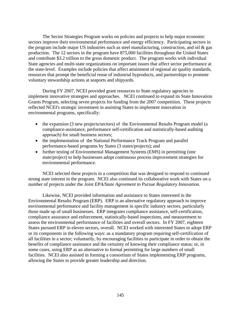The Sector Strategies Program works on policies and projects to help major economic sectors improve their environmental performance and energy efficiency. Participating sectors in the program include major US industries such as steel manufacturing, construction, and oil & gas production. The 12 sectors in the program have 875,000 facilities throughout the United States and contribute \$3.2 trillion to the gross domestic product. The program works with individual State agencies and multi-state organizations on important issues that affect sector performance at the state-level. Examples include policies that affect attainment of regional air quality standards, resources that prompt the beneficial reuse of industrial byproducts, and partnerships to promote voluntary stewardship actions at seaports and shipyards.

During FY 2007, NCEI provided grant resources to State regulatory agencies to implement innovative strategies and approaches. NCEI continued to expand its State Innovation Grants Program, selecting seven projects for funding from the 2007 competition. These projects reflected NCEI's strategic investment in assisting States to implement innovation in environmental programs, specifically:

- the expansion (3 new projects/sectors) of the Environmental Results Program model (a compliance-assistance, performance self-certification and statistically-based auditing approach) for small business sectors;
- the implementation of the National Performance Track Program and parallel performance-based programs by States (3 states/projects); and
- further testing of Environmental Management Systems (EMS) in permitting (one state/project) to help businesses adopt continuous process improvement strategies for environmental performance.

NCEI selected these projects in a competition that was designed to respond to continued strong state interest in the program. NCEI also continued its collaborative work with States on a number of projects under the *Joint EPA/State Agreement to Pursue Regulatory Innovation*.

 Likewise, NCEI provided information and assistance to States interested in the Environmental Results Program (ERP). ERP is an alternative regulatory approach to improve environmental performance and facility management in specific industry sectors, particularly those made up of small businesses. ERP integrates compliance assistance, self-certification, compliance assurance and enforcement, statistically-based inspections, and measurement to assess the environmental performance of facilities and overall sectors. In FY 2007, eighteen States pursued ERP in eleven sectors, overall. NCEI worked with interested States to adopt ERP or its components in the following ways: as a mandatory program requiring self-certification of all facilities in a sector; voluntarily, by encouraging facilities to participate in order to obtain the benefits of compliance assistance and the certainty of knowing their compliance status; or, in some cases, using ERP as an alternative to formal permitting for large numbers of small facilities. NCEI also assisted in forming a consortium of States implementing ERP programs, allowing the States to provide greater leadership and direction.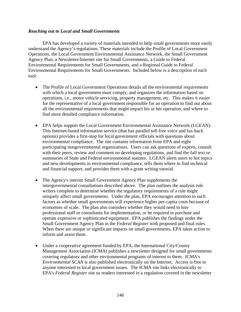## *Reaching out to Local and Small Governments*

 EPA has developed a variety of materials intended to help small governments more easily understand the Agency's regulations. These materials include the Profile of Local Government Operations, the Local Government Environmental Assistance Network, the Small Government Agency Plan, a Newsletter/Internet site for Small Governments, a Guide to Federal Environmental Requirements for Small Governments, and a Regional Guide to Federal Environmental Requirements for Small Governments. Included below is a description of each tool:

- The Profile of Local Government Operations details all the environmental requirements with which a local government must comply, and organizes the information based on operations, i.e., motor vehicle servicing, property management, etc. This makes it easier for the representative of a local government responsible for an operation to find out about all the environmental requirements that might impact his or her operation, and where to find more detailed compliance information.
- EPA helps support the Local Government Environmental Assistance Network (LGEAN). This Internet-based information service (that has parallel toll-free voice and fax-back options) provides a first-stop for local government officials with questions about environmental compliance. The site contains information from EPA and eight participating nongovernmental organizations. Users can ask questions of experts, consult with their peers, review and comment on developing regulations, and find the full text or summaries of State and Federal environmental statutes. LGEAN alerts users to hot topics and new developments in environmental compliance, tells them where to find technical and financial support, and provides them with a grant writing tutorial.
- The Agency's interim Small Government Agency Plan supplements the intergovernmental consultations described above. The plan outlines the analysis rule writers complete to determine whether the regulatory requirements of a rule might uniquely affect small governments. Under the plan, EPA encourages attention to such factors as whether small governments will experience higher per-capita costs because of economies of scale. The plan also considers whether they would need to hire professional staff or consultants for implementation, or be required to purchase and operate expensive or sophisticated equipment. EPA publishes the findings under the Small Government Agency Plan in the *Federal Register* with proposed and final rules. When there are unique or significant impacts on small governments, EPA takes action to inform and assist them.
- Under a cooperative agreement funded by EPA, the International City/County Management Association (ICMA) publishes a newsletter designed for small governments covering regulatory and other environmental programs of interest to them. ICMA's *Environmental SCAN* is also published electronically on the Internet. Access is free to anyone interested in local government issues. The ICMA site links electronically to EPA's *Federal Register* site so readers interested in a regulation covered in the newsletter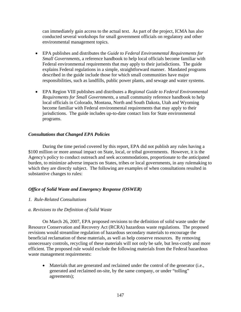can immediately gain access to the actual text. As part of the project, ICMA has also conducted several workshops for small government officials on regulatory and other environmental management topics.

- EPA publishes and distributes the *Guide to Federal Environmental Requirements for Small Governments*, a reference handbook to help local officials become familiar with Federal environmental requirements that may apply to their jurisdictions. The guide explains Federal regulations in a simple, straightforward manner. Mandated programs described in the guide include those for which small communities have major responsibilities, such as landfills, public power plants, and sewage and water systems.
- EPA Region VIII publishes and distributes a *Regional Guide to Federal Environmental Requirements for Small Governments*, a small community reference handbook to help local officials in Colorado, Montana, North and South Dakota, Utah and Wyoming become familiar with Federal environmental requirements that may apply to their jurisdictions. The guide includes up-to-date contact lists for State environmental programs.

## *Consultations that Changed EPA Policies*

 During the time period covered by this report, EPA did not publish any rules having a \$100 million or more annual impact on State, local, or tribal governments. However, it is the Agency's policy to conduct outreach and seek accommodations, proportionate to the anticipated burden, to minimize adverse impacts on States, tribes or local governments, in any rulemaking to which they are directly subject. The following are examples of when consultations resulted in substantive changes to rules:

# *Office of Solid Waste and Emergency Response (OSWER)*

### *1. Rule-Related Consultations*

### *a. Revisions to the Definition of Solid Waste*

On March 26, 2007, EPA proposed revisions to the definition of solid waste under the Resource Conservation and Recovery Act (RCRA) hazardous waste regulations. The proposed revisions would streamline regulation of hazardous secondary materials to encourage the beneficial reclamation of these materials, as well as help conserve resources. By removing unnecessary controls, recycling of these materials will not only be safe, but less-costly and more efficient. The proposed rule would exclude the following materials from the Federal hazardous waste management requirements:

• Materials that are generated and reclaimed under the control of the generator (i.e., generated and reclaimed on-site, by the same company, or under "tolling" agreements);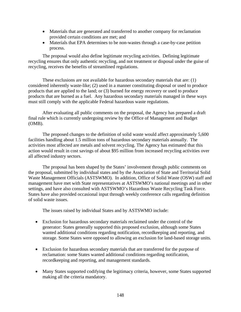- Materials that are generated and transferred to another company for reclamation provided certain conditions are met; and
- Materials that EPA determines to be non-wastes through a case-by-case petition process.

 The proposal would also define legitimate recycling activities. Defining legitimate recycling ensures that only authentic recycling, and not treatment or disposal under the guise of recycling, receives the benefits of streamlined regulations.

These exclusions are not available for hazardous secondary materials that are: (1) considered inherently waste-like; (2) used in a manner constituting disposal or used to produce products that are applied to the land; or (3) burned for energy recovery or used to produce products that are burned as a fuel. Any hazardous secondary materials managed in these ways must still comply with the applicable Federal hazardous waste regulations.

After evaluating all public comments on the proposal, the Agency has prepared a draft final rule which is currently undergoing review by the Office of Management and Budget (OMB).

The proposed changes to the definition of solid waste would affect approximately 5,600 facilities handling about 1.5 million tons of hazardous secondary materials annually. The activities most affected are metals and solvent recycling. The Agency has estimated that this action would result in cost savings of about \$95 million from increased recycling activities over all affected industry sectors.

The proposal has been shaped by the States' involvement through public comments on the proposal, submitted by individual states and by the Association of State and Territorial Solid Waste Management Officials (ASTSWMO). In addition, Office of Solid Waste (OSW) staff and management have met with State representatives at ASTSWMO's national meetings and in other settings, and have also consulted with ASTSWMO's Hazardous Waste Recycling Task Force. States have also provided occasional input through weekly conference calls regarding definition of solid waste issues.

The issues raised by individual States and by ASTSWMO include:

- Exclusion for hazardous secondary materials reclaimed under the control of the generator: States generally supported this proposed exclusion, although some States wanted additional conditions regarding notification, recordkeeping and reporting, and storage. Some States were opposed to allowing an exclusion for land-based storage units.
- Exclusion for hazardous secondary materials that are transferred for the purpose of reclamation: some States wanted additional conditions regarding notification, recordkeeping and reporting, and management standards.
- Many States supported codifying the legitimacy criteria, however, some States supported making all the criteria mandatory.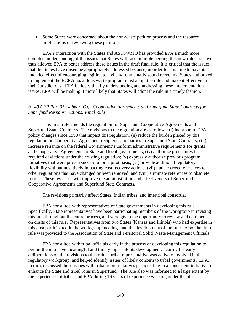• Some States were concerned about the non-waste petition process and the resource implications of reviewing these petitions.

EPA's interaction with the States and ASTSWMO has provided EPA a much more complete understanding of the issues that States will face in implementing this new rule and have thus allowed EPA to better address these issues in the draft final rule. It is critical that the issues that the States have raised be appropriately addressed because, in order for this rule to have its intended effect of encouraging legitimate and environmentally sound recycling, States authorized to implement the RCRA hazardous waste program must adopt the rule and make it effective in their jurisdictions. EPA believes that by understanding and addressing these implementation issues, EPA will be making it more likely that States will adopt the rule in a timely fashion.

## *b. 40 CFR Part 35 (subpart O), "Cooperative Agreements and Superfund State Contracts for Superfund Response Actions: Final Rule"*

This final rule amends the regulation for Superfund Cooperative Agreements and Superfund State Contracts. The revisions to the regulation are as follows: (i) incorporate EPA policy changes since 1990 that impact this regulation; (ii) reduce the burden placed by this regulation on Cooperative Agreement recipients and parties to Superfund State Contracts; (iii) increase reliance on the federal Government's uniform administrative requirements for grants and Cooperative Agreements to State and local governments; (iv) authorize procedures that required deviations under the existing regulation; (v) expressly authorize previous program initiatives that were proven successful on a pilot basis; (vi) provide additional regulatory flexibility without negatively impacting cost recovery actions; (vii) update cross-references to other regulations that have changed or been removed; and (viii) eliminate references to obsolete forms. These revisions will improve the administration and effectiveness of Superfund Cooperative Agreements and Superfund State Contracts.

The revisions primarily affect States, Indian tribes, and intertribal consortia.

EPA consulted with representatives of State governments in developing this rule. Specifically, State representatives have been participating members of the workgroup in revising this rule throughout the entire process, and were given the opportunity to review and comment on drafts of this rule. Representatives from two States (Kansas and Illinois) who had expertise in this area participated in the workgroup meetings and the development of the rule. Also, the draft rule was provided to the Association of State and Territorial Solid Waste Management Officials.

EPA consulted with tribal officials early in the process of developing this regulation to permit them to have meaningful and timely input into its development. During the early deliberations on the revisions to this rule, a tribal representative was actively involved in the regulatory workgroup, and helped identify issues of likely concern to tribal governments. EPA, in turn, discussed those issues with tribal representatives participating in a concurrent initiative to enhance the State and tribal roles in Superfund. The rule also was informed to a large extent by the experiences of tribes and EPA during 16 years of experience working under the old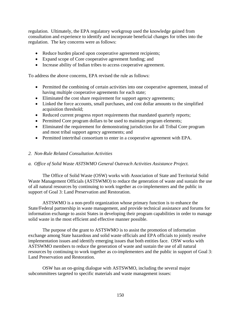regulation. Ultimately, the EPA regulatory workgroup used the knowledge gained from consultation and experience to identify and incorporate beneficial changes for tribes into the regulation. The key concerns were as follows:

- Reduce burden placed upon cooperative agreement recipients;
- Expand scope of Core cooperative agreement funding; and
- Increase ability of Indian tribes to access cooperative agreement.

To address the above concerns, EPA revised the rule as follows:

- Permitted the combining of certain activities into one cooperative agreement, instead of having multiple cooperative agreements for each state;
- Eliminated the cost share requirement for support agency agreements;
- Linked the force accounts, small purchases, and cost dollar amounts to the simplified acquisition threshold;
- Reduced current progress report requirements that mandated quarterly reports;
- Permitted Core program dollars to be used to maintain program elements;
- Eliminated the requirement for demonstrating jurisdiction for all Tribal Core program and most tribal support agency agreements; and
- Permitted intertribal consortium to enter in a cooperative agreement with EPA.

## *2. Non-Rule Related Consultation Activities*

# *a. Office of Solid Waste ASTSWMO General Outreach Activities Assistance Project.*

The Office of Solid Waste (OSW) works with Association of State and Territorial Solid Waste Management Officials (ASTSWMO) to reduce the generation of waste and sustain the use of all natural resources by continuing to work together as co-implementers and the public in support of Goal 3: Land Preservation and Restoration.

ASTSWMO is a non-profit organization whose primary function is to enhance the State/Federal partnership in waste management, and provide technical assistance and forums for information exchange to assist States in developing their program capabilities in order to manage solid waste in the most efficient and effective manner possible.

The purpose of the grant to ASTSWMO is to assist the promotion of information exchange among State hazardous and solid waste officials and EPA officials to jointly resolve implementation issues and identify emerging issues that both entities face. OSW works with ASTSWMO members to reduce the generation of waste and sustain the use of all natural resources by continuing to work together as co-implementers and the public in support of Goal 3: Land Preservation and Restoration.

OSW has an on-going dialogue with ASTSWMO, including the several major subcommittees targeted to specific materials and waste management issues: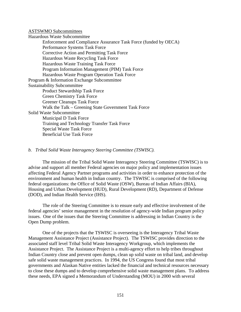ASTSWMO Subcommittees

Hazardous Waste Subcommittee Enforcement and Compliance Assurance Task Force (funded by OECA) Performance Systems Task Force Corrective Action and Permitting Task Force Hazardous Waste Recycling Task Force Hazardous Waste Training Task Force Program Information Management (PIM) Task Force Hazardous Waste Program Operation Task Force Program & Information Exchange Subcommittee Sustainability Subcommittee Product Stewardship Task Force Green Chemistry Task Force Greener Cleanups Task Force Walk the Talk – Greening State Government Task Force Solid Waste Subcommittee Municipal D Task Force Training and Technology Transfer Task Force Special Waste Task Force Beneficial Use Task Force

#### *b. Tribal Solid Waste Interagency Steering Committee (TSWISC).*

The mission of the Tribal Solid Waste Interagency Steering Committee (TSWISC) is to advise and support all member Federal agencies on major policy and implementation issues affecting Federal Agency Partner programs and activities in order to enhance protection of the environment and human health in Indian country. The TSWISC is comprised of the following federal organizations: the Office of Solid Waste (OSW), Bureau of Indian Affairs (BIA), Housing and Urban Development (HUD), Rural Development (RD), Department of Defense (DOD), and Indian Health Service (IHS).

The role of the Steering Committee is to ensure early and effective involvement of the federal agencies' senior management in the resolution of agency-wide Indian program policy issues. One of the issues that the Steering Committee is addressing in Indian Country is the Open Dump problem.

One of the projects that the TSWISC is overseeing is the Interagency Tribal Waste Management Assistance Project (Assistance Project). The TSWISC provides direction to the associated staff level Tribal Solid Waste Interagency Workgroup, which implements the Assistance Project. The Assistance Project is a multi-agency effort to help tribes throughout Indian Country close and prevent open dumps, clean up solid waste on tribal land, and develop safe solid waste management practices. In 1994, the US Congress found that most tribal governments and Alaskan Native entities lacked the financial and technical resources necessary to close these dumps and to develop comprehensive solid waste management plans. To address these needs, EPA signed a Memorandum of Understanding (MOU) in 2000 with several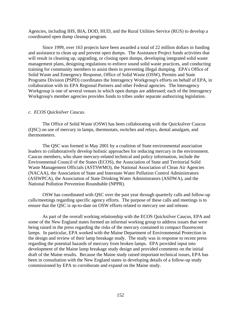Agencies, including IHS, BIA, DOD, HUD, and the Rural Utilities Service (RUS) to develop a coordinated open dump cleanup program.

Since 1999, over 163 projects have been awarded a total of 22 million dollars in funding and assistance to clean up and prevent open dumps. The Assistance Project funds activities that will result in cleaning up, upgrading, or closing open dumps, developing integrated solid waste management plans, designing regulations to enforce sound solid waste practices, and conducting training for community members to assist them in preventing illegal dumping. EPA's Office of Solid Waste and Emergency Response, Office of Solid Waste (OSW), Permits and State Programs Division (PSPD) coordinates the Interagency Workgroup's efforts on behalf of EPA, in collaboration with its EPA Regional Partners and other Federal agencies. The Interagency Workgroup is one of several venues in which open dumps are addressed; each of the Interagency Workgroup's member agencies provides funds to tribes under separate authorizing legislation.

#### *c. ECOS Quicksilver Caucus.*

The Office of Solid Waste (OSW) has been collaborating with the Quicksilver Caucus (QSC) on use of mercury in lamps, thermostats, switches and relays, dental amalgam, and thermometers.

The QSC was formed in May 2001 by a coalition of State environmental association leaders to collaboratively develop holistic approaches for reducing mercury in the environment. Caucus members, who share mercury-related technical and policy information, include the Environmental Council of the States (ECOS), the Association of State and Territorial Solid Waste Management Officials (ASTSWMO), the National Association of Clean Air Agencies (NACAA), the Association of State and Interstate Water Pollution Control Administrators (ASIWPCA), the Association of State Drinking Water Administrators (ASDWA), and the National Pollution Prevention Roundtable (NPPR).

OSW has coordinated with QSC over the past year through quarterly calls and follow-up calls/meetings regarding specific agency efforts. The purpose of these calls and meetings is to ensure that the QSC is up-to-date on OSW efforts related to mercury use and release.

As part of the overall working relationship with the ECOS Quicksilver Caucus, EPA and some of the New England states formed an informal working group to address issues that were being raised in the press regarding the risks of the mercury contained in compact fluorescent lamps. In particular, EPA worked with the Maine Department of Environmental Protection in the design and review of their lamp breakage study. The study was in response to recent press regarding the potential hazards of mercury from broken lamps. EPA provided input into development of the Maine lamp breakage study design and provided comments on the initial draft of the Maine results. Because the Maine study raised important technical issues, EPA has been in consultation with the New England states in developing details of a follow-up study commissioned by EPA to corroborate and expand on the Maine study.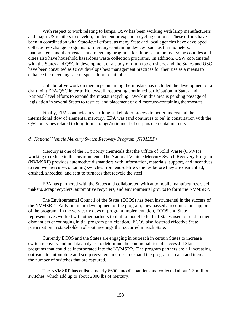With respect to work relating to lamps, OSW has been working with lamp manufacturers and major US retailers to develop, implement or expand recycling options. These efforts have been in coordination with State-level efforts, as many State and local agencies have developed collection/exchange programs for mercury-containing devices, such as thermometers, manometers, and thermostats, and recycling programs for fluorescent lamps. Some counties and cities also have household hazardous waste collection programs. In addition, OSW coordinated with the States and QSC in development of a study of drum top crushers, and the States and QSC have been consulted as OSW develops best management practices for their use as a means to enhance the recycling rate of spent fluorescent tubes.

 Collaborative work on mercury-containing thermostats has included the development of a draft joint EPA/QSC letter to Honeywell, requesting continued participation in State- and National-level efforts to expand thermostat recycling. Work in this area is pending passage of legislation in several States to restrict land placement of old mercury-containing thermostats.

 Finally, EPA conducted a year-long stakeholder process to better understand the international flow of elemental mercury. EPA was (and continues to be) in consultation with the QSC on issues related to long-term storage/retirement of surplus elemental mercury.

#### *d. National Vehicle Mercury Switch Recovery Program (NVMSRP).*

Mercury is one of the 31 priority chemicals that the Office of Solid Waste (OSW) is working to reduce in the environment. The National Vehicle Mercury Switch Recovery Program (NVMSRP) provides automotive dismantlers with information, materials, support, and incentives to remove mercury-containing switches from end-of-life vehicles before they are dismantled, crushed, shredded, and sent to furnaces that recycle the steel.

EPA has partnered with the States and collaborated with automobile manufactures, steel makers, scrap recyclers, automotive recyclers, and environmental groups to form the NVMSRP.

The Environmental Council of the States (ECOS) has been instrumental in the success of the NVMSRP. Early on in the development of the program, they passed a resolution in support of the program. In the very early days of program implementation, ECOS and State representatives worked with other partners to draft a model letter that States used to send to their dismantlers encouraging initial program participation. ECOS also fostered effective State participation in stakeholder roll-out meetings that occurred in each State**.** 

Currently ECOS and the States are engaging in outreach in certain States to increase switch recovery and in data analyses to determine the commonalities of successful State programs that could be incorporated into the NVMSRP. The program partners are all increasing outreach to automobile and scrap recyclers in order to expand the program's reach and increase the number of switches that are captured.

 The NVMSRP has enlisted nearly 6600 auto dismantlers and collected about 1.3 million switches, which add up to about 2800 lbs of mercury.